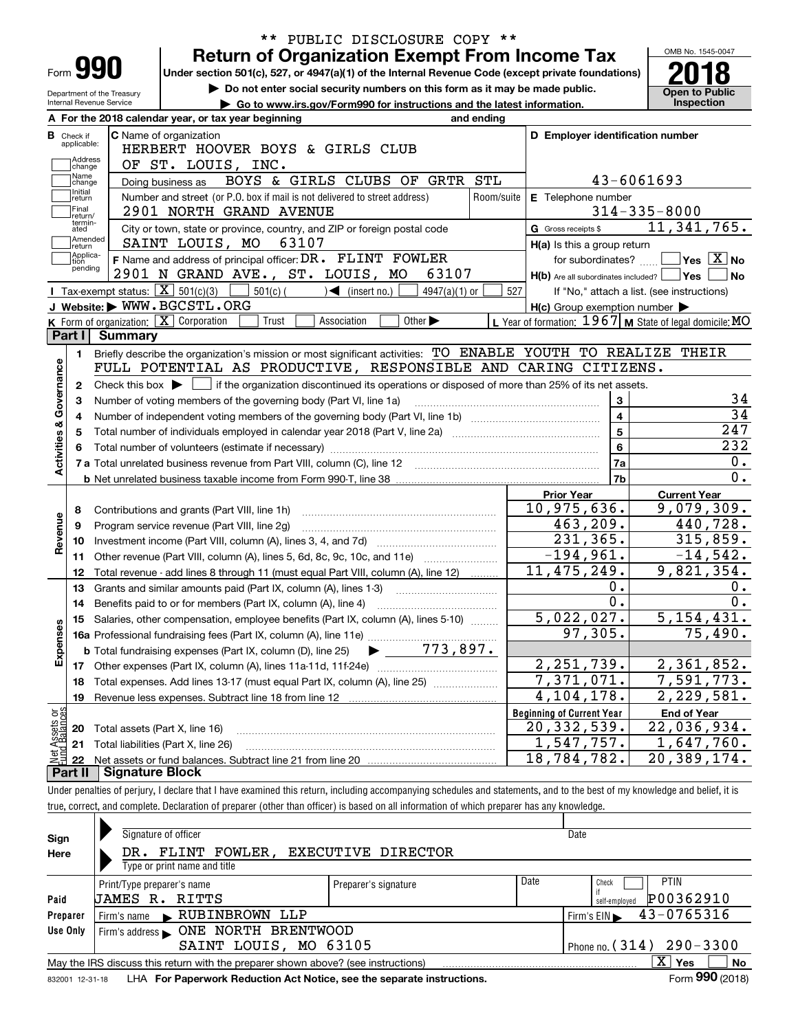|                                  |                                                                        | PUBLIC DISCLOSURE COPY **<br>$***$                                                                                                                                         |                                                         |                                            |  |  |  |  |  |  |
|----------------------------------|------------------------------------------------------------------------|----------------------------------------------------------------------------------------------------------------------------------------------------------------------------|---------------------------------------------------------|--------------------------------------------|--|--|--|--|--|--|
|                                  |                                                                        | <b>Return of Organization Exempt From Income Tax</b>                                                                                                                       |                                                         | OMB No. 1545-0047                          |  |  |  |  |  |  |
| Form <b>990</b>                  |                                                                        | Under section 501(c), 527, or 4947(a)(1) of the Internal Revenue Code (except private foundations)                                                                         |                                                         |                                            |  |  |  |  |  |  |
| Department of the Treasury       |                                                                        | Do not enter social security numbers on this form as it may be made public.                                                                                                |                                                         | <b>Open to Public</b>                      |  |  |  |  |  |  |
| Internal Revenue Service         |                                                                        | Go to www.irs.gov/Form990 for instructions and the latest information.                                                                                                     |                                                         | Inspection                                 |  |  |  |  |  |  |
|                                  |                                                                        | A For the 2018 calendar year, or tax year beginning<br>and ending                                                                                                          |                                                         |                                            |  |  |  |  |  |  |
| <b>B</b> Check if<br>applicable: |                                                                        | C Name of organization                                                                                                                                                     | D Employer identification number                        |                                            |  |  |  |  |  |  |
| Address                          |                                                                        | HERBERT HOOVER BOYS & GIRLS CLUB                                                                                                                                           |                                                         |                                            |  |  |  |  |  |  |
| change<br>Name                   |                                                                        | OF ST. LOUIS, INC.<br>BOYS & GIRLS CLUBS OF GRTR STL                                                                                                                       | 43-6061693                                              |                                            |  |  |  |  |  |  |
| change<br>Initial                |                                                                        | Doing business as<br>Number and street (or P.O. box if mail is not delivered to street address)<br>Room/suite                                                              | E Telephone number                                      |                                            |  |  |  |  |  |  |
| return<br>Final                  |                                                                        | 2901 NORTH GRAND AVENUE                                                                                                                                                    |                                                         | $314 - 335 - 8000$                         |  |  |  |  |  |  |
| return/<br>termin-<br>ated       |                                                                        | City or town, state or province, country, and ZIP or foreign postal code                                                                                                   | G Gross receipts \$                                     | 11,341,765.                                |  |  |  |  |  |  |
| Amended                          |                                                                        | 63107<br>SAINT LOUIS, MO                                                                                                                                                   | H(a) Is this a group return                             |                                            |  |  |  |  |  |  |
| return<br>Applica-<br>tion       |                                                                        | F Name and address of principal officer: DR. FLINT FOWLER                                                                                                                  | for subordinates? $\Box$                                | $\sqrt{}$ Yes $\sqrt{}$ X $\sqrt{}$ No     |  |  |  |  |  |  |
| pending                          |                                                                        | 2901 N GRAND AVE., ST. LOUIS, MO<br>63107                                                                                                                                  | $H(b)$ Are all subordinates included? $\Box$ Yes        | No                                         |  |  |  |  |  |  |
|                                  |                                                                        | <b>I</b> Tax-exempt status: $\overline{X}$ 501(c)(3)<br>$501(c)$ (<br>$\sqrt{\frac{1}{1}}$ (insert no.)<br>$4947(a)(1)$ or                                                 | 527                                                     | If "No," attach a list. (see instructions) |  |  |  |  |  |  |
|                                  |                                                                        | J Website: WWW.BGCSTL.ORG                                                                                                                                                  | $H(c)$ Group exemption number $\blacktriangleright$     |                                            |  |  |  |  |  |  |
|                                  |                                                                        | K Form of organization: $\boxed{\mathbf{X}}$ Corporation<br>Trust<br>Other $\blacktriangleright$<br>Association                                                            | L Year of formation: 1967 M State of legal domicile: MO |                                            |  |  |  |  |  |  |
| Part I                           | Summary                                                                |                                                                                                                                                                            |                                                         |                                            |  |  |  |  |  |  |
| 1.                               |                                                                        | Briefly describe the organization's mission or most significant activities: TO ENABLE YOUTH TO REALIZE THEIR                                                               |                                                         |                                            |  |  |  |  |  |  |
|                                  |                                                                        | FULL POTENTIAL AS PRODUCTIVE, RESPONSIBLE AND CARING CITIZENS.                                                                                                             |                                                         |                                            |  |  |  |  |  |  |
| 2                                |                                                                        | Check this box $\blacktriangleright$ $\blacksquare$ if the organization discontinued its operations or disposed of more than 25% of its net assets.                        |                                                         |                                            |  |  |  |  |  |  |
|                                  | 3<br>Number of voting members of the governing body (Part VI, line 1a) |                                                                                                                                                                            |                                                         |                                            |  |  |  |  |  |  |
|                                  | $\overline{4}$                                                         |                                                                                                                                                                            |                                                         |                                            |  |  |  |  |  |  |
|                                  |                                                                        | Total number of individuals employed in calendar year 2018 (Part V, line 2a) manufacture controller to intervent                                                           | $\overline{5}$                                          | $\overline{247}$                           |  |  |  |  |  |  |
|                                  |                                                                        |                                                                                                                                                                            | 6                                                       | 232                                        |  |  |  |  |  |  |
| Activities & Governance          |                                                                        |                                                                                                                                                                            | 7a                                                      |                                            |  |  |  |  |  |  |
|                                  |                                                                        |                                                                                                                                                                            | 7 <sub>b</sub>                                          | $\overline{0}$ .                           |  |  |  |  |  |  |
|                                  |                                                                        |                                                                                                                                                                            | <b>Prior Year</b>                                       | <b>Current Year</b>                        |  |  |  |  |  |  |
| 8                                |                                                                        | Contributions and grants (Part VIII, line 1h)                                                                                                                              | 10,975,636.                                             | 9,079,309.                                 |  |  |  |  |  |  |
| 9                                |                                                                        | Program service revenue (Part VIII, line 2g)                                                                                                                               | 463,209.                                                | 440,728.                                   |  |  |  |  |  |  |
| Revenue<br>10                    |                                                                        |                                                                                                                                                                            | 231, 365.                                               | 315,859.                                   |  |  |  |  |  |  |
| 11                               |                                                                        | Other revenue (Part VIII, column (A), lines 5, 6d, 8c, 9c, 10c, and 11e)                                                                                                   | $-194,961.$                                             | $-14,542.$                                 |  |  |  |  |  |  |
| 12                               |                                                                        | Total revenue - add lines 8 through 11 (must equal Part VIII, column (A), line 12)                                                                                         | 11, 475, 249.                                           | 9,821,354.                                 |  |  |  |  |  |  |
| 13                               |                                                                        | Grants and similar amounts paid (Part IX, column (A), lines 1-3)                                                                                                           | 0.                                                      |                                            |  |  |  |  |  |  |
| 14                               |                                                                        | Benefits paid to or for members (Part IX, column (A), line 4)                                                                                                              | $\overline{0}$ .                                        |                                            |  |  |  |  |  |  |
|                                  |                                                                        | 15 Salaries, other compensation, employee benefits (Part IX, column (A), lines 5-10)                                                                                       | 5,022,027.                                              | 5,154,431.                                 |  |  |  |  |  |  |
|                                  |                                                                        |                                                                                                                                                                            | 97,305.                                                 | 75,490.                                    |  |  |  |  |  |  |
| Expenses                         |                                                                        |                                                                                                                                                                            |                                                         |                                            |  |  |  |  |  |  |
|                                  |                                                                        |                                                                                                                                                                            | 2, 251, 739.                                            | 2,361,852.                                 |  |  |  |  |  |  |
| 18                               |                                                                        | Total expenses. Add lines 13-17 (must equal Part IX, column (A), line 25)                                                                                                  | $\overline{7}$ , 371, 071.                              | 7,591,773.                                 |  |  |  |  |  |  |
| 19                               |                                                                        | Revenue less expenses. Subtract line 18 from line 12                                                                                                                       | 4, 104, 178.                                            | $\overline{2}$ , 229, 581.                 |  |  |  |  |  |  |
| : Assets or<br>d Balances        |                                                                        |                                                                                                                                                                            | <b>Beginning of Current Year</b>                        | <b>End of Year</b>                         |  |  |  |  |  |  |
| 20                               |                                                                        | Total assets (Part X, line 16)                                                                                                                                             | 20, 332, 539.                                           | 22,036,934.                                |  |  |  |  |  |  |
| 21<br>鲳                          |                                                                        | Total liabilities (Part X, line 26)                                                                                                                                        | 1,547,757.<br>$\overline{18}$ , 784, 782.               | 1,647,760.                                 |  |  |  |  |  |  |
| 22<br>Part II                    | <b>Signature Block</b>                                                 |                                                                                                                                                                            |                                                         | 20,389,174.                                |  |  |  |  |  |  |
|                                  |                                                                        |                                                                                                                                                                            |                                                         |                                            |  |  |  |  |  |  |
|                                  |                                                                        | Under penalties of perjury, I declare that I have examined this return, including accompanying schedules and statements, and to the best of my knowledge and belief, it is |                                                         |                                            |  |  |  |  |  |  |
|                                  |                                                                        | true, correct, and complete. Declaration of preparer (other than officer) is based on all information of which preparer has any knowledge.                                 |                                                         |                                            |  |  |  |  |  |  |
|                                  |                                                                        |                                                                                                                                                                            |                                                         |                                            |  |  |  |  |  |  |

| Sign                                                   | Signature of officer                                                              | Date                 |                                                |  |  |  |  |  |  |
|--------------------------------------------------------|-----------------------------------------------------------------------------------|----------------------|------------------------------------------------|--|--|--|--|--|--|
| <b>EXECUTIVE DIRECTOR</b><br>DR. FLINT FOWLER,<br>Here |                                                                                   |                      |                                                |  |  |  |  |  |  |
|                                                        | Type or print name and title                                                      |                      |                                                |  |  |  |  |  |  |
|                                                        | Print/Type preparer's name                                                        | Preparer's signature | Date<br><b>PTIN</b><br>Check                   |  |  |  |  |  |  |
| Paid                                                   | <b>JAMES R. RITTS</b>                                                             |                      | P00362910<br>self-employed                     |  |  |  |  |  |  |
| Preparer                                               | RUBINBROWN LLP<br>Firm's name                                                     |                      | 43-0765316<br>$Firm's EIN \blacktriangleright$ |  |  |  |  |  |  |
| Use Only                                               | ONE NORTH BRENTWOOD<br>Firm's address                                             |                      |                                                |  |  |  |  |  |  |
|                                                        | SAINT LOUIS, MO 63105                                                             |                      | Phone no. $(314)$ 290 - 3300                   |  |  |  |  |  |  |
|                                                        | May the IRS discuss this return with the preparer shown above? (see instructions) |                      | x<br>No<br><b>Yes</b>                          |  |  |  |  |  |  |
|                                                        |                                                                                   |                      | $000 \times 10^{10}$<br>-                      |  |  |  |  |  |  |

832001\_12-31-18 LHA **For Paperwork Reduction Act Notice, see the separate instructions.** Form 990 (2018)

**990**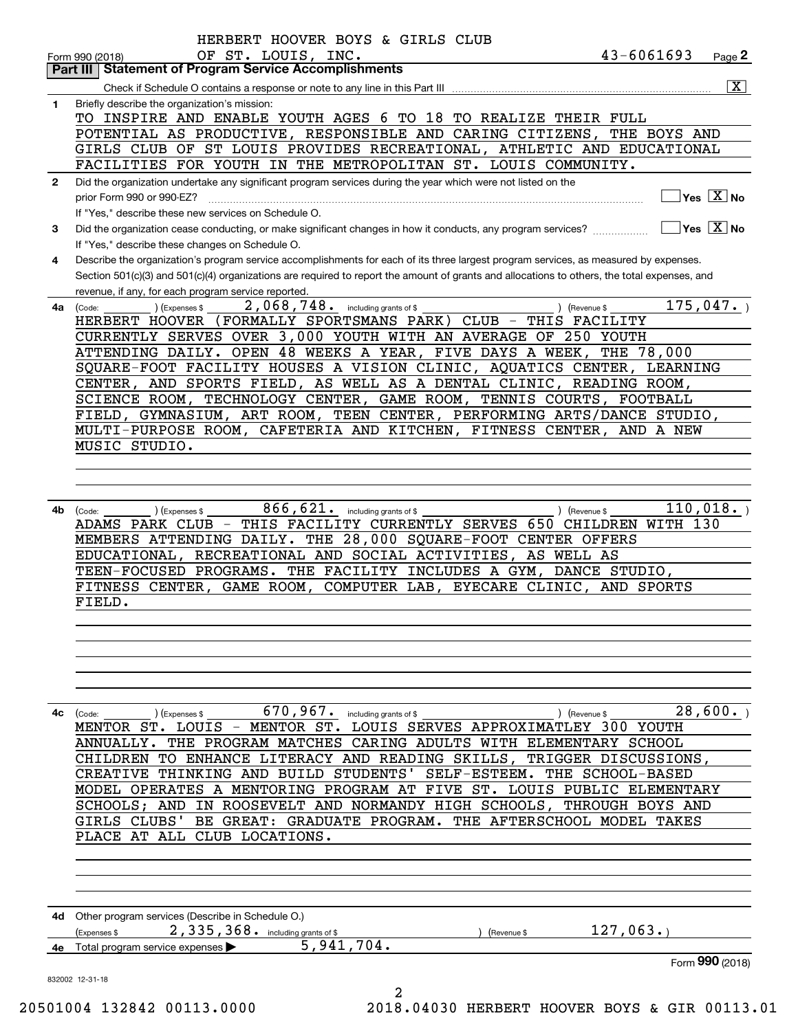|                                                                                                                                                                                                                                                                                                                                                                                                                                                                                                                                                                                                                                                                                                                                                                                                                                                                                                                                                                                                                                                                                                                                                                                                                                                                                                                                                                                                                                                                                                                                                                                                                                                                                                                                                                                                                                                                                                                                                                                                                                                                                                                                                                                                                                                                                                                                                                                                                                                                                                                                                                                                                                                                                                                                                                                                                                                                                                                                                                                                                                                                                                                                                                                                            | $\overline{\mathbf{x}}$                                                      |
|------------------------------------------------------------------------------------------------------------------------------------------------------------------------------------------------------------------------------------------------------------------------------------------------------------------------------------------------------------------------------------------------------------------------------------------------------------------------------------------------------------------------------------------------------------------------------------------------------------------------------------------------------------------------------------------------------------------------------------------------------------------------------------------------------------------------------------------------------------------------------------------------------------------------------------------------------------------------------------------------------------------------------------------------------------------------------------------------------------------------------------------------------------------------------------------------------------------------------------------------------------------------------------------------------------------------------------------------------------------------------------------------------------------------------------------------------------------------------------------------------------------------------------------------------------------------------------------------------------------------------------------------------------------------------------------------------------------------------------------------------------------------------------------------------------------------------------------------------------------------------------------------------------------------------------------------------------------------------------------------------------------------------------------------------------------------------------------------------------------------------------------------------------------------------------------------------------------------------------------------------------------------------------------------------------------------------------------------------------------------------------------------------------------------------------------------------------------------------------------------------------------------------------------------------------------------------------------------------------------------------------------------------------------------------------------------------------------------------------------------------------------------------------------------------------------------------------------------------------------------------------------------------------------------------------------------------------------------------------------------------------------------------------------------------------------------------------------------------------------------------------------------------------------------------------------------------------|------------------------------------------------------------------------------|
|                                                                                                                                                                                                                                                                                                                                                                                                                                                                                                                                                                                                                                                                                                                                                                                                                                                                                                                                                                                                                                                                                                                                                                                                                                                                                                                                                                                                                                                                                                                                                                                                                                                                                                                                                                                                                                                                                                                                                                                                                                                                                                                                                                                                                                                                                                                                                                                                                                                                                                                                                                                                                                                                                                                                                                                                                                                                                                                                                                                                                                                                                                                                                                                                            |                                                                              |
|                                                                                                                                                                                                                                                                                                                                                                                                                                                                                                                                                                                                                                                                                                                                                                                                                                                                                                                                                                                                                                                                                                                                                                                                                                                                                                                                                                                                                                                                                                                                                                                                                                                                                                                                                                                                                                                                                                                                                                                                                                                                                                                                                                                                                                                                                                                                                                                                                                                                                                                                                                                                                                                                                                                                                                                                                                                                                                                                                                                                                                                                                                                                                                                                            |                                                                              |
|                                                                                                                                                                                                                                                                                                                                                                                                                                                                                                                                                                                                                                                                                                                                                                                                                                                                                                                                                                                                                                                                                                                                                                                                                                                                                                                                                                                                                                                                                                                                                                                                                                                                                                                                                                                                                                                                                                                                                                                                                                                                                                                                                                                                                                                                                                                                                                                                                                                                                                                                                                                                                                                                                                                                                                                                                                                                                                                                                                                                                                                                                                                                                                                                            |                                                                              |
|                                                                                                                                                                                                                                                                                                                                                                                                                                                                                                                                                                                                                                                                                                                                                                                                                                                                                                                                                                                                                                                                                                                                                                                                                                                                                                                                                                                                                                                                                                                                                                                                                                                                                                                                                                                                                                                                                                                                                                                                                                                                                                                                                                                                                                                                                                                                                                                                                                                                                                                                                                                                                                                                                                                                                                                                                                                                                                                                                                                                                                                                                                                                                                                                            |                                                                              |
|                                                                                                                                                                                                                                                                                                                                                                                                                                                                                                                                                                                                                                                                                                                                                                                                                                                                                                                                                                                                                                                                                                                                                                                                                                                                                                                                                                                                                                                                                                                                                                                                                                                                                                                                                                                                                                                                                                                                                                                                                                                                                                                                                                                                                                                                                                                                                                                                                                                                                                                                                                                                                                                                                                                                                                                                                                                                                                                                                                                                                                                                                                                                                                                                            |                                                                              |
| HERBERT HOOVER BOYS & GIRLS CLUB<br>43-6061693<br>OF ST. LOUIS, INC.<br>Page 2<br>Form 990 (2018)<br><b>Part III   Statement of Program Service Accomplishments</b><br>Briefly describe the organization's mission:<br>1<br>TO INSPIRE AND ENABLE YOUTH AGES 6 TO 18 TO REALIZE THEIR FULL<br>POTENTIAL AS PRODUCTIVE, RESPONSIBLE AND CARING CITIZENS,<br>THE BOYS AND<br>GIRLS CLUB OF ST LOUIS PROVIDES RECREATIONAL, ATHLETIC AND EDUCATIONAL<br>FACILITIES FOR YOUTH IN THE METROPOLITAN ST. LOUIS COMMUNITY.<br>Did the organization undertake any significant program services during the year which were not listed on the<br>$\mathbf{2}$<br>Yes $X$ No<br>prior Form 990 or 990-EZ?<br>If "Yes," describe these new services on Schedule O.<br>$\overline{\mathsf{Yes} \mathrel{\;\;\overline{\mathbf{X}}\;}}$ No<br>Did the organization cease conducting, or make significant changes in how it conducts, any program services?<br>3<br>If "Yes," describe these changes on Schedule O.<br>Describe the organization's program service accomplishments for each of its three largest program services, as measured by expenses.<br>4<br>Section 501(c)(3) and 501(c)(4) organizations are required to report the amount of grants and allocations to others, the total expenses, and<br>revenue, if any, for each program service reported.<br>2,068,748. including grants of \$<br>175,047.<br>4a<br>(Expenses \$<br>) (Revenue \$<br>(Code:<br>HERBERT HOOVER (FORMALLY SPORTSMANS PARK) CLUB - THIS FACILITY<br>CURRENTLY SERVES OVER 3,000 YOUTH WITH AN AVERAGE OF 250 YOUTH<br>ATTENDING DAILY. OPEN 48 WEEKS A YEAR, FIVE DAYS A WEEK,<br>THE 78,000<br>SQUARE-FOOT FACILITY HOUSES A VISION CLINIC, AQUATICS CENTER, LEARNING<br>CENTER, AND SPORTS FIELD, AS WELL AS A DENTAL CLINIC, READING ROOM,<br>SCIENCE ROOM, TECHNOLOGY CENTER, GAME ROOM, TENNIS COURTS, FOOTBALL<br>FIELD, GYMNASIUM, ART ROOM, TEEN CENTER, PERFORMING ARTS/DANCE STUDIO,<br>MULTI-PURPOSE ROOM, CAFETERIA AND KITCHEN, FITNESS CENTER, AND A NEW<br>MUSIC STUDIO.<br>866, 621. including grants of \$<br>110,018.<br>4b<br>(Expenses \$<br>) (Revenue \$<br>(Code:<br>THIS FACILITY CURRENTLY SERVES 650 CHILDREN WITH 130<br>ADAMS PARK CLUB -<br>MEMBERS ATTENDING DAILY. THE 28,000 SQUARE-FOOT CENTER OFFERS<br>EDUCATIONAL, RECREATIONAL AND SOCIAL ACTIVITIES,<br>AS WELL AS<br>TEEN-FOCUSED PROGRAMS. THE FACILITY INCLUDES A GYM, DANCE STUDIO,<br>FITNESS CENTER, GAME ROOM, COMPUTER LAB, EYECARE CLINIC, AND SPORTS<br>FIELD.<br>670, 967. including grants of \$<br>) (Revenue \$<br>) (Expenses \$<br>4с<br>(Code:<br>MENTOR ST. LOUIS - MENTOR ST. LOUIS SERVES APPROXIMATLEY 300 YOUTH<br>ANNUALLY. THE PROGRAM MATCHES CARING ADULTS WITH ELEMENTARY SCHOOL<br>CHILDREN TO ENHANCE LITERACY AND READING SKILLS,<br>TRIGGER DISCUSSIONS,<br>SELF-ESTEEM. THE SCHOOL-BASED<br>THINKING AND BUILD STUDENTS'<br><b>CREATIVE</b><br>MODEL OPERATES A MENTORING PROGRAM AT FIVE ST. LOUIS PUBLIC ELEMENTARY<br>SCHOOLS; AND IN ROOSEVELT AND NORMANDY HIGH SCHOOLS, THROUGH BOYS AND<br>BE GREAT: GRADUATE PROGRAM. THE AFTERSCHOOL MODEL TAKES<br>GIRLS CLUBS'<br>PLACE AT ALL CLUB LOCATIONS. |                                                                              |
|                                                                                                                                                                                                                                                                                                                                                                                                                                                                                                                                                                                                                                                                                                                                                                                                                                                                                                                                                                                                                                                                                                                                                                                                                                                                                                                                                                                                                                                                                                                                                                                                                                                                                                                                                                                                                                                                                                                                                                                                                                                                                                                                                                                                                                                                                                                                                                                                                                                                                                                                                                                                                                                                                                                                                                                                                                                                                                                                                                                                                                                                                                                                                                                                            |                                                                              |
|                                                                                                                                                                                                                                                                                                                                                                                                                                                                                                                                                                                                                                                                                                                                                                                                                                                                                                                                                                                                                                                                                                                                                                                                                                                                                                                                                                                                                                                                                                                                                                                                                                                                                                                                                                                                                                                                                                                                                                                                                                                                                                                                                                                                                                                                                                                                                                                                                                                                                                                                                                                                                                                                                                                                                                                                                                                                                                                                                                                                                                                                                                                                                                                                            |                                                                              |
|                                                                                                                                                                                                                                                                                                                                                                                                                                                                                                                                                                                                                                                                                                                                                                                                                                                                                                                                                                                                                                                                                                                                                                                                                                                                                                                                                                                                                                                                                                                                                                                                                                                                                                                                                                                                                                                                                                                                                                                                                                                                                                                                                                                                                                                                                                                                                                                                                                                                                                                                                                                                                                                                                                                                                                                                                                                                                                                                                                                                                                                                                                                                                                                                            |                                                                              |
|                                                                                                                                                                                                                                                                                                                                                                                                                                                                                                                                                                                                                                                                                                                                                                                                                                                                                                                                                                                                                                                                                                                                                                                                                                                                                                                                                                                                                                                                                                                                                                                                                                                                                                                                                                                                                                                                                                                                                                                                                                                                                                                                                                                                                                                                                                                                                                                                                                                                                                                                                                                                                                                                                                                                                                                                                                                                                                                                                                                                                                                                                                                                                                                                            |                                                                              |
|                                                                                                                                                                                                                                                                                                                                                                                                                                                                                                                                                                                                                                                                                                                                                                                                                                                                                                                                                                                                                                                                                                                                                                                                                                                                                                                                                                                                                                                                                                                                                                                                                                                                                                                                                                                                                                                                                                                                                                                                                                                                                                                                                                                                                                                                                                                                                                                                                                                                                                                                                                                                                                                                                                                                                                                                                                                                                                                                                                                                                                                                                                                                                                                                            |                                                                              |
|                                                                                                                                                                                                                                                                                                                                                                                                                                                                                                                                                                                                                                                                                                                                                                                                                                                                                                                                                                                                                                                                                                                                                                                                                                                                                                                                                                                                                                                                                                                                                                                                                                                                                                                                                                                                                                                                                                                                                                                                                                                                                                                                                                                                                                                                                                                                                                                                                                                                                                                                                                                                                                                                                                                                                                                                                                                                                                                                                                                                                                                                                                                                                                                                            |                                                                              |
|                                                                                                                                                                                                                                                                                                                                                                                                                                                                                                                                                                                                                                                                                                                                                                                                                                                                                                                                                                                                                                                                                                                                                                                                                                                                                                                                                                                                                                                                                                                                                                                                                                                                                                                                                                                                                                                                                                                                                                                                                                                                                                                                                                                                                                                                                                                                                                                                                                                                                                                                                                                                                                                                                                                                                                                                                                                                                                                                                                                                                                                                                                                                                                                                            |                                                                              |
|                                                                                                                                                                                                                                                                                                                                                                                                                                                                                                                                                                                                                                                                                                                                                                                                                                                                                                                                                                                                                                                                                                                                                                                                                                                                                                                                                                                                                                                                                                                                                                                                                                                                                                                                                                                                                                                                                                                                                                                                                                                                                                                                                                                                                                                                                                                                                                                                                                                                                                                                                                                                                                                                                                                                                                                                                                                                                                                                                                                                                                                                                                                                                                                                            |                                                                              |
|                                                                                                                                                                                                                                                                                                                                                                                                                                                                                                                                                                                                                                                                                                                                                                                                                                                                                                                                                                                                                                                                                                                                                                                                                                                                                                                                                                                                                                                                                                                                                                                                                                                                                                                                                                                                                                                                                                                                                                                                                                                                                                                                                                                                                                                                                                                                                                                                                                                                                                                                                                                                                                                                                                                                                                                                                                                                                                                                                                                                                                                                                                                                                                                                            |                                                                              |
|                                                                                                                                                                                                                                                                                                                                                                                                                                                                                                                                                                                                                                                                                                                                                                                                                                                                                                                                                                                                                                                                                                                                                                                                                                                                                                                                                                                                                                                                                                                                                                                                                                                                                                                                                                                                                                                                                                                                                                                                                                                                                                                                                                                                                                                                                                                                                                                                                                                                                                                                                                                                                                                                                                                                                                                                                                                                                                                                                                                                                                                                                                                                                                                                            |                                                                              |
|                                                                                                                                                                                                                                                                                                                                                                                                                                                                                                                                                                                                                                                                                                                                                                                                                                                                                                                                                                                                                                                                                                                                                                                                                                                                                                                                                                                                                                                                                                                                                                                                                                                                                                                                                                                                                                                                                                                                                                                                                                                                                                                                                                                                                                                                                                                                                                                                                                                                                                                                                                                                                                                                                                                                                                                                                                                                                                                                                                                                                                                                                                                                                                                                            |                                                                              |
|                                                                                                                                                                                                                                                                                                                                                                                                                                                                                                                                                                                                                                                                                                                                                                                                                                                                                                                                                                                                                                                                                                                                                                                                                                                                                                                                                                                                                                                                                                                                                                                                                                                                                                                                                                                                                                                                                                                                                                                                                                                                                                                                                                                                                                                                                                                                                                                                                                                                                                                                                                                                                                                                                                                                                                                                                                                                                                                                                                                                                                                                                                                                                                                                            |                                                                              |
|                                                                                                                                                                                                                                                                                                                                                                                                                                                                                                                                                                                                                                                                                                                                                                                                                                                                                                                                                                                                                                                                                                                                                                                                                                                                                                                                                                                                                                                                                                                                                                                                                                                                                                                                                                                                                                                                                                                                                                                                                                                                                                                                                                                                                                                                                                                                                                                                                                                                                                                                                                                                                                                                                                                                                                                                                                                                                                                                                                                                                                                                                                                                                                                                            |                                                                              |
|                                                                                                                                                                                                                                                                                                                                                                                                                                                                                                                                                                                                                                                                                                                                                                                                                                                                                                                                                                                                                                                                                                                                                                                                                                                                                                                                                                                                                                                                                                                                                                                                                                                                                                                                                                                                                                                                                                                                                                                                                                                                                                                                                                                                                                                                                                                                                                                                                                                                                                                                                                                                                                                                                                                                                                                                                                                                                                                                                                                                                                                                                                                                                                                                            |                                                                              |
|                                                                                                                                                                                                                                                                                                                                                                                                                                                                                                                                                                                                                                                                                                                                                                                                                                                                                                                                                                                                                                                                                                                                                                                                                                                                                                                                                                                                                                                                                                                                                                                                                                                                                                                                                                                                                                                                                                                                                                                                                                                                                                                                                                                                                                                                                                                                                                                                                                                                                                                                                                                                                                                                                                                                                                                                                                                                                                                                                                                                                                                                                                                                                                                                            |                                                                              |
|                                                                                                                                                                                                                                                                                                                                                                                                                                                                                                                                                                                                                                                                                                                                                                                                                                                                                                                                                                                                                                                                                                                                                                                                                                                                                                                                                                                                                                                                                                                                                                                                                                                                                                                                                                                                                                                                                                                                                                                                                                                                                                                                                                                                                                                                                                                                                                                                                                                                                                                                                                                                                                                                                                                                                                                                                                                                                                                                                                                                                                                                                                                                                                                                            |                                                                              |
|                                                                                                                                                                                                                                                                                                                                                                                                                                                                                                                                                                                                                                                                                                                                                                                                                                                                                                                                                                                                                                                                                                                                                                                                                                                                                                                                                                                                                                                                                                                                                                                                                                                                                                                                                                                                                                                                                                                                                                                                                                                                                                                                                                                                                                                                                                                                                                                                                                                                                                                                                                                                                                                                                                                                                                                                                                                                                                                                                                                                                                                                                                                                                                                                            |                                                                              |
|                                                                                                                                                                                                                                                                                                                                                                                                                                                                                                                                                                                                                                                                                                                                                                                                                                                                                                                                                                                                                                                                                                                                                                                                                                                                                                                                                                                                                                                                                                                                                                                                                                                                                                                                                                                                                                                                                                                                                                                                                                                                                                                                                                                                                                                                                                                                                                                                                                                                                                                                                                                                                                                                                                                                                                                                                                                                                                                                                                                                                                                                                                                                                                                                            |                                                                              |
|                                                                                                                                                                                                                                                                                                                                                                                                                                                                                                                                                                                                                                                                                                                                                                                                                                                                                                                                                                                                                                                                                                                                                                                                                                                                                                                                                                                                                                                                                                                                                                                                                                                                                                                                                                                                                                                                                                                                                                                                                                                                                                                                                                                                                                                                                                                                                                                                                                                                                                                                                                                                                                                                                                                                                                                                                                                                                                                                                                                                                                                                                                                                                                                                            |                                                                              |
|                                                                                                                                                                                                                                                                                                                                                                                                                                                                                                                                                                                                                                                                                                                                                                                                                                                                                                                                                                                                                                                                                                                                                                                                                                                                                                                                                                                                                                                                                                                                                                                                                                                                                                                                                                                                                                                                                                                                                                                                                                                                                                                                                                                                                                                                                                                                                                                                                                                                                                                                                                                                                                                                                                                                                                                                                                                                                                                                                                                                                                                                                                                                                                                                            |                                                                              |
|                                                                                                                                                                                                                                                                                                                                                                                                                                                                                                                                                                                                                                                                                                                                                                                                                                                                                                                                                                                                                                                                                                                                                                                                                                                                                                                                                                                                                                                                                                                                                                                                                                                                                                                                                                                                                                                                                                                                                                                                                                                                                                                                                                                                                                                                                                                                                                                                                                                                                                                                                                                                                                                                                                                                                                                                                                                                                                                                                                                                                                                                                                                                                                                                            |                                                                              |
|                                                                                                                                                                                                                                                                                                                                                                                                                                                                                                                                                                                                                                                                                                                                                                                                                                                                                                                                                                                                                                                                                                                                                                                                                                                                                                                                                                                                                                                                                                                                                                                                                                                                                                                                                                                                                                                                                                                                                                                                                                                                                                                                                                                                                                                                                                                                                                                                                                                                                                                                                                                                                                                                                                                                                                                                                                                                                                                                                                                                                                                                                                                                                                                                            |                                                                              |
|                                                                                                                                                                                                                                                                                                                                                                                                                                                                                                                                                                                                                                                                                                                                                                                                                                                                                                                                                                                                                                                                                                                                                                                                                                                                                                                                                                                                                                                                                                                                                                                                                                                                                                                                                                                                                                                                                                                                                                                                                                                                                                                                                                                                                                                                                                                                                                                                                                                                                                                                                                                                                                                                                                                                                                                                                                                                                                                                                                                                                                                                                                                                                                                                            | 28,600.                                                                      |
|                                                                                                                                                                                                                                                                                                                                                                                                                                                                                                                                                                                                                                                                                                                                                                                                                                                                                                                                                                                                                                                                                                                                                                                                                                                                                                                                                                                                                                                                                                                                                                                                                                                                                                                                                                                                                                                                                                                                                                                                                                                                                                                                                                                                                                                                                                                                                                                                                                                                                                                                                                                                                                                                                                                                                                                                                                                                                                                                                                                                                                                                                                                                                                                                            |                                                                              |
|                                                                                                                                                                                                                                                                                                                                                                                                                                                                                                                                                                                                                                                                                                                                                                                                                                                                                                                                                                                                                                                                                                                                                                                                                                                                                                                                                                                                                                                                                                                                                                                                                                                                                                                                                                                                                                                                                                                                                                                                                                                                                                                                                                                                                                                                                                                                                                                                                                                                                                                                                                                                                                                                                                                                                                                                                                                                                                                                                                                                                                                                                                                                                                                                            |                                                                              |
|                                                                                                                                                                                                                                                                                                                                                                                                                                                                                                                                                                                                                                                                                                                                                                                                                                                                                                                                                                                                                                                                                                                                                                                                                                                                                                                                                                                                                                                                                                                                                                                                                                                                                                                                                                                                                                                                                                                                                                                                                                                                                                                                                                                                                                                                                                                                                                                                                                                                                                                                                                                                                                                                                                                                                                                                                                                                                                                                                                                                                                                                                                                                                                                                            |                                                                              |
|                                                                                                                                                                                                                                                                                                                                                                                                                                                                                                                                                                                                                                                                                                                                                                                                                                                                                                                                                                                                                                                                                                                                                                                                                                                                                                                                                                                                                                                                                                                                                                                                                                                                                                                                                                                                                                                                                                                                                                                                                                                                                                                                                                                                                                                                                                                                                                                                                                                                                                                                                                                                                                                                                                                                                                                                                                                                                                                                                                                                                                                                                                                                                                                                            |                                                                              |
|                                                                                                                                                                                                                                                                                                                                                                                                                                                                                                                                                                                                                                                                                                                                                                                                                                                                                                                                                                                                                                                                                                                                                                                                                                                                                                                                                                                                                                                                                                                                                                                                                                                                                                                                                                                                                                                                                                                                                                                                                                                                                                                                                                                                                                                                                                                                                                                                                                                                                                                                                                                                                                                                                                                                                                                                                                                                                                                                                                                                                                                                                                                                                                                                            |                                                                              |
|                                                                                                                                                                                                                                                                                                                                                                                                                                                                                                                                                                                                                                                                                                                                                                                                                                                                                                                                                                                                                                                                                                                                                                                                                                                                                                                                                                                                                                                                                                                                                                                                                                                                                                                                                                                                                                                                                                                                                                                                                                                                                                                                                                                                                                                                                                                                                                                                                                                                                                                                                                                                                                                                                                                                                                                                                                                                                                                                                                                                                                                                                                                                                                                                            |                                                                              |
|                                                                                                                                                                                                                                                                                                                                                                                                                                                                                                                                                                                                                                                                                                                                                                                                                                                                                                                                                                                                                                                                                                                                                                                                                                                                                                                                                                                                                                                                                                                                                                                                                                                                                                                                                                                                                                                                                                                                                                                                                                                                                                                                                                                                                                                                                                                                                                                                                                                                                                                                                                                                                                                                                                                                                                                                                                                                                                                                                                                                                                                                                                                                                                                                            |                                                                              |
|                                                                                                                                                                                                                                                                                                                                                                                                                                                                                                                                                                                                                                                                                                                                                                                                                                                                                                                                                                                                                                                                                                                                                                                                                                                                                                                                                                                                                                                                                                                                                                                                                                                                                                                                                                                                                                                                                                                                                                                                                                                                                                                                                                                                                                                                                                                                                                                                                                                                                                                                                                                                                                                                                                                                                                                                                                                                                                                                                                                                                                                                                                                                                                                                            |                                                                              |
|                                                                                                                                                                                                                                                                                                                                                                                                                                                                                                                                                                                                                                                                                                                                                                                                                                                                                                                                                                                                                                                                                                                                                                                                                                                                                                                                                                                                                                                                                                                                                                                                                                                                                                                                                                                                                                                                                                                                                                                                                                                                                                                                                                                                                                                                                                                                                                                                                                                                                                                                                                                                                                                                                                                                                                                                                                                                                                                                                                                                                                                                                                                                                                                                            |                                                                              |
|                                                                                                                                                                                                                                                                                                                                                                                                                                                                                                                                                                                                                                                                                                                                                                                                                                                                                                                                                                                                                                                                                                                                                                                                                                                                                                                                                                                                                                                                                                                                                                                                                                                                                                                                                                                                                                                                                                                                                                                                                                                                                                                                                                                                                                                                                                                                                                                                                                                                                                                                                                                                                                                                                                                                                                                                                                                                                                                                                                                                                                                                                                                                                                                                            |                                                                              |
|                                                                                                                                                                                                                                                                                                                                                                                                                                                                                                                                                                                                                                                                                                                                                                                                                                                                                                                                                                                                                                                                                                                                                                                                                                                                                                                                                                                                                                                                                                                                                                                                                                                                                                                                                                                                                                                                                                                                                                                                                                                                                                                                                                                                                                                                                                                                                                                                                                                                                                                                                                                                                                                                                                                                                                                                                                                                                                                                                                                                                                                                                                                                                                                                            | 4d Other program services (Describe in Schedule O.)                          |
|                                                                                                                                                                                                                                                                                                                                                                                                                                                                                                                                                                                                                                                                                                                                                                                                                                                                                                                                                                                                                                                                                                                                                                                                                                                                                                                                                                                                                                                                                                                                                                                                                                                                                                                                                                                                                                                                                                                                                                                                                                                                                                                                                                                                                                                                                                                                                                                                                                                                                                                                                                                                                                                                                                                                                                                                                                                                                                                                                                                                                                                                                                                                                                                                            | 127,063.<br>2,335,368. including grants of \$<br>(Expenses \$<br>(Revenue \$ |
|                                                                                                                                                                                                                                                                                                                                                                                                                                                                                                                                                                                                                                                                                                                                                                                                                                                                                                                                                                                                                                                                                                                                                                                                                                                                                                                                                                                                                                                                                                                                                                                                                                                                                                                                                                                                                                                                                                                                                                                                                                                                                                                                                                                                                                                                                                                                                                                                                                                                                                                                                                                                                                                                                                                                                                                                                                                                                                                                                                                                                                                                                                                                                                                                            | 5,941,704.<br>4e Total program service expenses ><br>Form 990 (2018)         |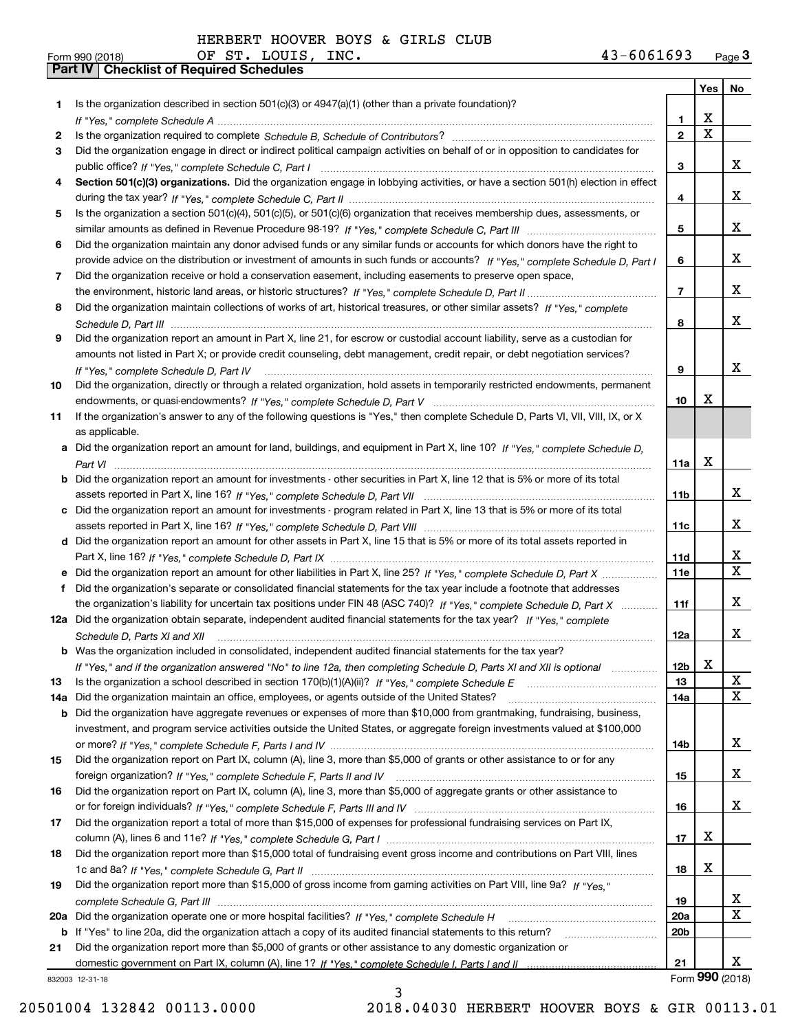| Is the organization described in section $501(c)(3)$ or $4947(a)(1)$ (other than a private foundation)?<br>1<br>Χ<br>1.<br>$\mathbf X$<br>$\overline{2}$<br>2<br>Did the organization engage in direct or indirect political campaign activities on behalf of or in opposition to candidates for<br>3<br>x<br>3<br>Section 501(c)(3) organizations. Did the organization engage in lobbying activities, or have a section 501(h) election in effect<br>4<br>x<br>4<br>Is the organization a section 501(c)(4), 501(c)(5), or 501(c)(6) organization that receives membership dues, assessments, or<br>5.<br>x<br>5<br>Did the organization maintain any donor advised funds or any similar funds or accounts for which donors have the right to<br>6<br>x<br>provide advice on the distribution or investment of amounts in such funds or accounts? If "Yes," complete Schedule D, Part I<br>6<br>Did the organization receive or hold a conservation easement, including easements to preserve open space,<br>7<br>x<br>$\overline{7}$<br>Did the organization maintain collections of works of art, historical treasures, or other similar assets? If "Yes," complete<br>8<br>x<br>8<br>Did the organization report an amount in Part X, line 21, for escrow or custodial account liability, serve as a custodian for<br>9<br>amounts not listed in Part X; or provide credit counseling, debt management, credit repair, or debt negotiation services?<br>x<br>9<br>If "Yes," complete Schedule D, Part IV<br>Did the organization, directly or through a related organization, hold assets in temporarily restricted endowments, permanent<br>10<br>x<br>10<br>If the organization's answer to any of the following questions is "Yes," then complete Schedule D, Parts VI, VII, VIII, IX, or X<br>11<br>as applicable.<br>Did the organization report an amount for land, buildings, and equipment in Part X, line 10? If "Yes," complete Schedule D.<br>a<br>X<br>11a<br><b>b</b> Did the organization report an amount for investments - other securities in Part X, line 12 that is 5% or more of its total<br>x<br>11b<br>Did the organization report an amount for investments - program related in Part X, line 13 that is 5% or more of its total<br>c<br>x<br>11c<br>d Did the organization report an amount for other assets in Part X, line 15 that is 5% or more of its total assets reported in<br>x<br>11d<br>$\mathbf{X}$<br>Did the organization report an amount for other liabilities in Part X, line 25? If "Yes," complete Schedule D, Part X<br><b>11e</b><br>Did the organization's separate or consolidated financial statements for the tax year include a footnote that addresses<br>f<br>x<br>the organization's liability for uncertain tax positions under FIN 48 (ASC 740)? If "Yes," complete Schedule D, Part X<br>11f<br>12a Did the organization obtain separate, independent audited financial statements for the tax year? If "Yes," complete<br>x<br>12a<br>Schedule D, Parts XI and XII<br><b>b</b> Was the organization included in consolidated, independent audited financial statements for the tax year?<br>X<br>12 <sub>b</sub><br>If "Yes," and if the organization answered "No" to line 12a, then completing Schedule D, Parts XI and XII is optional<br>X<br>13<br>13<br>x<br>Did the organization maintain an office, employees, or agents outside of the United States?<br>14a<br>14a<br>Did the organization have aggregate revenues or expenses of more than \$10,000 from grantmaking, fundraising, business,<br>b<br>investment, and program service activities outside the United States, or aggregate foreign investments valued at \$100,000<br>x<br>14b<br>Did the organization report on Part IX, column (A), line 3, more than \$5,000 of grants or other assistance to or for any<br>15<br>x<br>15<br>Did the organization report on Part IX, column (A), line 3, more than \$5,000 of aggregate grants or other assistance to<br>16<br>x<br>16<br>Did the organization report a total of more than \$15,000 of expenses for professional fundraising services on Part IX,<br>17<br>х<br>17<br>Did the organization report more than \$15,000 total of fundraising event gross income and contributions on Part VIII, lines<br>18<br>х<br>18<br>Did the organization report more than \$15,000 of gross income from gaming activities on Part VIII, line 9a? If "Yes."<br>19<br>X<br>19<br>X<br><b>20a</b><br>20a<br>20 <sub>b</sub><br>b If "Yes" to line 20a, did the organization attach a copy of its audited financial statements to this return?<br>Did the organization report more than \$5,000 of grants or other assistance to any domestic organization or<br>21<br>x<br>21<br>832003 12-31-18 |  |  | Yes   No |
|---------------------------------------------------------------------------------------------------------------------------------------------------------------------------------------------------------------------------------------------------------------------------------------------------------------------------------------------------------------------------------------------------------------------------------------------------------------------------------------------------------------------------------------------------------------------------------------------------------------------------------------------------------------------------------------------------------------------------------------------------------------------------------------------------------------------------------------------------------------------------------------------------------------------------------------------------------------------------------------------------------------------------------------------------------------------------------------------------------------------------------------------------------------------------------------------------------------------------------------------------------------------------------------------------------------------------------------------------------------------------------------------------------------------------------------------------------------------------------------------------------------------------------------------------------------------------------------------------------------------------------------------------------------------------------------------------------------------------------------------------------------------------------------------------------------------------------------------------------------------------------------------------------------------------------------------------------------------------------------------------------------------------------------------------------------------------------------------------------------------------------------------------------------------------------------------------------------------------------------------------------------------------------------------------------------------------------------------------------------------------------------------------------------------------------------------------------------------------------------------------------------------------------------------------------------------------------------------------------------------------------------------------------------------------------------------------------------------------------------------------------------------------------------------------------------------------------------------------------------------------------------------------------------------------------------------------------------------------------------------------------------------------------------------------------------------------------------------------------------------------------------------------------------------------------------------------------------------------------------------------------------------------------------------------------------------------------------------------------------------------------------------------------------------------------------------------------------------------------------------------------------------------------------------------------------------------------------------------------------------------------------------------------------------------------------------------------------------------------------------------------------------------------------------------------------------------------------------------------------------------------------------------------------------------------------------------------------------------------------------------------------------------------------------------------------------------------------------------------------------------------------------------------------------------------------------------------------------------------------------------------------------------------------------------------------------------------------------------------------------------------------------------------------------------------------------------------------------------------------------------------------------------------------------------------------------------------------------------------------------------------------------------------------------------------------------------------------------------------------------------------------------------|--|--|----------|
|                                                                                                                                                                                                                                                                                                                                                                                                                                                                                                                                                                                                                                                                                                                                                                                                                                                                                                                                                                                                                                                                                                                                                                                                                                                                                                                                                                                                                                                                                                                                                                                                                                                                                                                                                                                                                                                                                                                                                                                                                                                                                                                                                                                                                                                                                                                                                                                                                                                                                                                                                                                                                                                                                                                                                                                                                                                                                                                                                                                                                                                                                                                                                                                                                                                                                                                                                                                                                                                                                                                                                                                                                                                                                                                                                                                                                                                                                                                                                                                                                                                                                                                                                                                                                                                                                                                                                                                                                                                                                                                                                                                                                                                                                                                                                                           |  |  |          |
|                                                                                                                                                                                                                                                                                                                                                                                                                                                                                                                                                                                                                                                                                                                                                                                                                                                                                                                                                                                                                                                                                                                                                                                                                                                                                                                                                                                                                                                                                                                                                                                                                                                                                                                                                                                                                                                                                                                                                                                                                                                                                                                                                                                                                                                                                                                                                                                                                                                                                                                                                                                                                                                                                                                                                                                                                                                                                                                                                                                                                                                                                                                                                                                                                                                                                                                                                                                                                                                                                                                                                                                                                                                                                                                                                                                                                                                                                                                                                                                                                                                                                                                                                                                                                                                                                                                                                                                                                                                                                                                                                                                                                                                                                                                                                                           |  |  |          |
|                                                                                                                                                                                                                                                                                                                                                                                                                                                                                                                                                                                                                                                                                                                                                                                                                                                                                                                                                                                                                                                                                                                                                                                                                                                                                                                                                                                                                                                                                                                                                                                                                                                                                                                                                                                                                                                                                                                                                                                                                                                                                                                                                                                                                                                                                                                                                                                                                                                                                                                                                                                                                                                                                                                                                                                                                                                                                                                                                                                                                                                                                                                                                                                                                                                                                                                                                                                                                                                                                                                                                                                                                                                                                                                                                                                                                                                                                                                                                                                                                                                                                                                                                                                                                                                                                                                                                                                                                                                                                                                                                                                                                                                                                                                                                                           |  |  |          |
|                                                                                                                                                                                                                                                                                                                                                                                                                                                                                                                                                                                                                                                                                                                                                                                                                                                                                                                                                                                                                                                                                                                                                                                                                                                                                                                                                                                                                                                                                                                                                                                                                                                                                                                                                                                                                                                                                                                                                                                                                                                                                                                                                                                                                                                                                                                                                                                                                                                                                                                                                                                                                                                                                                                                                                                                                                                                                                                                                                                                                                                                                                                                                                                                                                                                                                                                                                                                                                                                                                                                                                                                                                                                                                                                                                                                                                                                                                                                                                                                                                                                                                                                                                                                                                                                                                                                                                                                                                                                                                                                                                                                                                                                                                                                                                           |  |  |          |
|                                                                                                                                                                                                                                                                                                                                                                                                                                                                                                                                                                                                                                                                                                                                                                                                                                                                                                                                                                                                                                                                                                                                                                                                                                                                                                                                                                                                                                                                                                                                                                                                                                                                                                                                                                                                                                                                                                                                                                                                                                                                                                                                                                                                                                                                                                                                                                                                                                                                                                                                                                                                                                                                                                                                                                                                                                                                                                                                                                                                                                                                                                                                                                                                                                                                                                                                                                                                                                                                                                                                                                                                                                                                                                                                                                                                                                                                                                                                                                                                                                                                                                                                                                                                                                                                                                                                                                                                                                                                                                                                                                                                                                                                                                                                                                           |  |  |          |
|                                                                                                                                                                                                                                                                                                                                                                                                                                                                                                                                                                                                                                                                                                                                                                                                                                                                                                                                                                                                                                                                                                                                                                                                                                                                                                                                                                                                                                                                                                                                                                                                                                                                                                                                                                                                                                                                                                                                                                                                                                                                                                                                                                                                                                                                                                                                                                                                                                                                                                                                                                                                                                                                                                                                                                                                                                                                                                                                                                                                                                                                                                                                                                                                                                                                                                                                                                                                                                                                                                                                                                                                                                                                                                                                                                                                                                                                                                                                                                                                                                                                                                                                                                                                                                                                                                                                                                                                                                                                                                                                                                                                                                                                                                                                                                           |  |  |          |
|                                                                                                                                                                                                                                                                                                                                                                                                                                                                                                                                                                                                                                                                                                                                                                                                                                                                                                                                                                                                                                                                                                                                                                                                                                                                                                                                                                                                                                                                                                                                                                                                                                                                                                                                                                                                                                                                                                                                                                                                                                                                                                                                                                                                                                                                                                                                                                                                                                                                                                                                                                                                                                                                                                                                                                                                                                                                                                                                                                                                                                                                                                                                                                                                                                                                                                                                                                                                                                                                                                                                                                                                                                                                                                                                                                                                                                                                                                                                                                                                                                                                                                                                                                                                                                                                                                                                                                                                                                                                                                                                                                                                                                                                                                                                                                           |  |  |          |
|                                                                                                                                                                                                                                                                                                                                                                                                                                                                                                                                                                                                                                                                                                                                                                                                                                                                                                                                                                                                                                                                                                                                                                                                                                                                                                                                                                                                                                                                                                                                                                                                                                                                                                                                                                                                                                                                                                                                                                                                                                                                                                                                                                                                                                                                                                                                                                                                                                                                                                                                                                                                                                                                                                                                                                                                                                                                                                                                                                                                                                                                                                                                                                                                                                                                                                                                                                                                                                                                                                                                                                                                                                                                                                                                                                                                                                                                                                                                                                                                                                                                                                                                                                                                                                                                                                                                                                                                                                                                                                                                                                                                                                                                                                                                                                           |  |  |          |
|                                                                                                                                                                                                                                                                                                                                                                                                                                                                                                                                                                                                                                                                                                                                                                                                                                                                                                                                                                                                                                                                                                                                                                                                                                                                                                                                                                                                                                                                                                                                                                                                                                                                                                                                                                                                                                                                                                                                                                                                                                                                                                                                                                                                                                                                                                                                                                                                                                                                                                                                                                                                                                                                                                                                                                                                                                                                                                                                                                                                                                                                                                                                                                                                                                                                                                                                                                                                                                                                                                                                                                                                                                                                                                                                                                                                                                                                                                                                                                                                                                                                                                                                                                                                                                                                                                                                                                                                                                                                                                                                                                                                                                                                                                                                                                           |  |  |          |
|                                                                                                                                                                                                                                                                                                                                                                                                                                                                                                                                                                                                                                                                                                                                                                                                                                                                                                                                                                                                                                                                                                                                                                                                                                                                                                                                                                                                                                                                                                                                                                                                                                                                                                                                                                                                                                                                                                                                                                                                                                                                                                                                                                                                                                                                                                                                                                                                                                                                                                                                                                                                                                                                                                                                                                                                                                                                                                                                                                                                                                                                                                                                                                                                                                                                                                                                                                                                                                                                                                                                                                                                                                                                                                                                                                                                                                                                                                                                                                                                                                                                                                                                                                                                                                                                                                                                                                                                                                                                                                                                                                                                                                                                                                                                                                           |  |  |          |
|                                                                                                                                                                                                                                                                                                                                                                                                                                                                                                                                                                                                                                                                                                                                                                                                                                                                                                                                                                                                                                                                                                                                                                                                                                                                                                                                                                                                                                                                                                                                                                                                                                                                                                                                                                                                                                                                                                                                                                                                                                                                                                                                                                                                                                                                                                                                                                                                                                                                                                                                                                                                                                                                                                                                                                                                                                                                                                                                                                                                                                                                                                                                                                                                                                                                                                                                                                                                                                                                                                                                                                                                                                                                                                                                                                                                                                                                                                                                                                                                                                                                                                                                                                                                                                                                                                                                                                                                                                                                                                                                                                                                                                                                                                                                                                           |  |  |          |
|                                                                                                                                                                                                                                                                                                                                                                                                                                                                                                                                                                                                                                                                                                                                                                                                                                                                                                                                                                                                                                                                                                                                                                                                                                                                                                                                                                                                                                                                                                                                                                                                                                                                                                                                                                                                                                                                                                                                                                                                                                                                                                                                                                                                                                                                                                                                                                                                                                                                                                                                                                                                                                                                                                                                                                                                                                                                                                                                                                                                                                                                                                                                                                                                                                                                                                                                                                                                                                                                                                                                                                                                                                                                                                                                                                                                                                                                                                                                                                                                                                                                                                                                                                                                                                                                                                                                                                                                                                                                                                                                                                                                                                                                                                                                                                           |  |  |          |
|                                                                                                                                                                                                                                                                                                                                                                                                                                                                                                                                                                                                                                                                                                                                                                                                                                                                                                                                                                                                                                                                                                                                                                                                                                                                                                                                                                                                                                                                                                                                                                                                                                                                                                                                                                                                                                                                                                                                                                                                                                                                                                                                                                                                                                                                                                                                                                                                                                                                                                                                                                                                                                                                                                                                                                                                                                                                                                                                                                                                                                                                                                                                                                                                                                                                                                                                                                                                                                                                                                                                                                                                                                                                                                                                                                                                                                                                                                                                                                                                                                                                                                                                                                                                                                                                                                                                                                                                                                                                                                                                                                                                                                                                                                                                                                           |  |  |          |
|                                                                                                                                                                                                                                                                                                                                                                                                                                                                                                                                                                                                                                                                                                                                                                                                                                                                                                                                                                                                                                                                                                                                                                                                                                                                                                                                                                                                                                                                                                                                                                                                                                                                                                                                                                                                                                                                                                                                                                                                                                                                                                                                                                                                                                                                                                                                                                                                                                                                                                                                                                                                                                                                                                                                                                                                                                                                                                                                                                                                                                                                                                                                                                                                                                                                                                                                                                                                                                                                                                                                                                                                                                                                                                                                                                                                                                                                                                                                                                                                                                                                                                                                                                                                                                                                                                                                                                                                                                                                                                                                                                                                                                                                                                                                                                           |  |  |          |
|                                                                                                                                                                                                                                                                                                                                                                                                                                                                                                                                                                                                                                                                                                                                                                                                                                                                                                                                                                                                                                                                                                                                                                                                                                                                                                                                                                                                                                                                                                                                                                                                                                                                                                                                                                                                                                                                                                                                                                                                                                                                                                                                                                                                                                                                                                                                                                                                                                                                                                                                                                                                                                                                                                                                                                                                                                                                                                                                                                                                                                                                                                                                                                                                                                                                                                                                                                                                                                                                                                                                                                                                                                                                                                                                                                                                                                                                                                                                                                                                                                                                                                                                                                                                                                                                                                                                                                                                                                                                                                                                                                                                                                                                                                                                                                           |  |  |          |
|                                                                                                                                                                                                                                                                                                                                                                                                                                                                                                                                                                                                                                                                                                                                                                                                                                                                                                                                                                                                                                                                                                                                                                                                                                                                                                                                                                                                                                                                                                                                                                                                                                                                                                                                                                                                                                                                                                                                                                                                                                                                                                                                                                                                                                                                                                                                                                                                                                                                                                                                                                                                                                                                                                                                                                                                                                                                                                                                                                                                                                                                                                                                                                                                                                                                                                                                                                                                                                                                                                                                                                                                                                                                                                                                                                                                                                                                                                                                                                                                                                                                                                                                                                                                                                                                                                                                                                                                                                                                                                                                                                                                                                                                                                                                                                           |  |  |          |
|                                                                                                                                                                                                                                                                                                                                                                                                                                                                                                                                                                                                                                                                                                                                                                                                                                                                                                                                                                                                                                                                                                                                                                                                                                                                                                                                                                                                                                                                                                                                                                                                                                                                                                                                                                                                                                                                                                                                                                                                                                                                                                                                                                                                                                                                                                                                                                                                                                                                                                                                                                                                                                                                                                                                                                                                                                                                                                                                                                                                                                                                                                                                                                                                                                                                                                                                                                                                                                                                                                                                                                                                                                                                                                                                                                                                                                                                                                                                                                                                                                                                                                                                                                                                                                                                                                                                                                                                                                                                                                                                                                                                                                                                                                                                                                           |  |  |          |
|                                                                                                                                                                                                                                                                                                                                                                                                                                                                                                                                                                                                                                                                                                                                                                                                                                                                                                                                                                                                                                                                                                                                                                                                                                                                                                                                                                                                                                                                                                                                                                                                                                                                                                                                                                                                                                                                                                                                                                                                                                                                                                                                                                                                                                                                                                                                                                                                                                                                                                                                                                                                                                                                                                                                                                                                                                                                                                                                                                                                                                                                                                                                                                                                                                                                                                                                                                                                                                                                                                                                                                                                                                                                                                                                                                                                                                                                                                                                                                                                                                                                                                                                                                                                                                                                                                                                                                                                                                                                                                                                                                                                                                                                                                                                                                           |  |  |          |
|                                                                                                                                                                                                                                                                                                                                                                                                                                                                                                                                                                                                                                                                                                                                                                                                                                                                                                                                                                                                                                                                                                                                                                                                                                                                                                                                                                                                                                                                                                                                                                                                                                                                                                                                                                                                                                                                                                                                                                                                                                                                                                                                                                                                                                                                                                                                                                                                                                                                                                                                                                                                                                                                                                                                                                                                                                                                                                                                                                                                                                                                                                                                                                                                                                                                                                                                                                                                                                                                                                                                                                                                                                                                                                                                                                                                                                                                                                                                                                                                                                                                                                                                                                                                                                                                                                                                                                                                                                                                                                                                                                                                                                                                                                                                                                           |  |  |          |
|                                                                                                                                                                                                                                                                                                                                                                                                                                                                                                                                                                                                                                                                                                                                                                                                                                                                                                                                                                                                                                                                                                                                                                                                                                                                                                                                                                                                                                                                                                                                                                                                                                                                                                                                                                                                                                                                                                                                                                                                                                                                                                                                                                                                                                                                                                                                                                                                                                                                                                                                                                                                                                                                                                                                                                                                                                                                                                                                                                                                                                                                                                                                                                                                                                                                                                                                                                                                                                                                                                                                                                                                                                                                                                                                                                                                                                                                                                                                                                                                                                                                                                                                                                                                                                                                                                                                                                                                                                                                                                                                                                                                                                                                                                                                                                           |  |  |          |
|                                                                                                                                                                                                                                                                                                                                                                                                                                                                                                                                                                                                                                                                                                                                                                                                                                                                                                                                                                                                                                                                                                                                                                                                                                                                                                                                                                                                                                                                                                                                                                                                                                                                                                                                                                                                                                                                                                                                                                                                                                                                                                                                                                                                                                                                                                                                                                                                                                                                                                                                                                                                                                                                                                                                                                                                                                                                                                                                                                                                                                                                                                                                                                                                                                                                                                                                                                                                                                                                                                                                                                                                                                                                                                                                                                                                                                                                                                                                                                                                                                                                                                                                                                                                                                                                                                                                                                                                                                                                                                                                                                                                                                                                                                                                                                           |  |  |          |
|                                                                                                                                                                                                                                                                                                                                                                                                                                                                                                                                                                                                                                                                                                                                                                                                                                                                                                                                                                                                                                                                                                                                                                                                                                                                                                                                                                                                                                                                                                                                                                                                                                                                                                                                                                                                                                                                                                                                                                                                                                                                                                                                                                                                                                                                                                                                                                                                                                                                                                                                                                                                                                                                                                                                                                                                                                                                                                                                                                                                                                                                                                                                                                                                                                                                                                                                                                                                                                                                                                                                                                                                                                                                                                                                                                                                                                                                                                                                                                                                                                                                                                                                                                                                                                                                                                                                                                                                                                                                                                                                                                                                                                                                                                                                                                           |  |  |          |
|                                                                                                                                                                                                                                                                                                                                                                                                                                                                                                                                                                                                                                                                                                                                                                                                                                                                                                                                                                                                                                                                                                                                                                                                                                                                                                                                                                                                                                                                                                                                                                                                                                                                                                                                                                                                                                                                                                                                                                                                                                                                                                                                                                                                                                                                                                                                                                                                                                                                                                                                                                                                                                                                                                                                                                                                                                                                                                                                                                                                                                                                                                                                                                                                                                                                                                                                                                                                                                                                                                                                                                                                                                                                                                                                                                                                                                                                                                                                                                                                                                                                                                                                                                                                                                                                                                                                                                                                                                                                                                                                                                                                                                                                                                                                                                           |  |  |          |
|                                                                                                                                                                                                                                                                                                                                                                                                                                                                                                                                                                                                                                                                                                                                                                                                                                                                                                                                                                                                                                                                                                                                                                                                                                                                                                                                                                                                                                                                                                                                                                                                                                                                                                                                                                                                                                                                                                                                                                                                                                                                                                                                                                                                                                                                                                                                                                                                                                                                                                                                                                                                                                                                                                                                                                                                                                                                                                                                                                                                                                                                                                                                                                                                                                                                                                                                                                                                                                                                                                                                                                                                                                                                                                                                                                                                                                                                                                                                                                                                                                                                                                                                                                                                                                                                                                                                                                                                                                                                                                                                                                                                                                                                                                                                                                           |  |  |          |
|                                                                                                                                                                                                                                                                                                                                                                                                                                                                                                                                                                                                                                                                                                                                                                                                                                                                                                                                                                                                                                                                                                                                                                                                                                                                                                                                                                                                                                                                                                                                                                                                                                                                                                                                                                                                                                                                                                                                                                                                                                                                                                                                                                                                                                                                                                                                                                                                                                                                                                                                                                                                                                                                                                                                                                                                                                                                                                                                                                                                                                                                                                                                                                                                                                                                                                                                                                                                                                                                                                                                                                                                                                                                                                                                                                                                                                                                                                                                                                                                                                                                                                                                                                                                                                                                                                                                                                                                                                                                                                                                                                                                                                                                                                                                                                           |  |  |          |
|                                                                                                                                                                                                                                                                                                                                                                                                                                                                                                                                                                                                                                                                                                                                                                                                                                                                                                                                                                                                                                                                                                                                                                                                                                                                                                                                                                                                                                                                                                                                                                                                                                                                                                                                                                                                                                                                                                                                                                                                                                                                                                                                                                                                                                                                                                                                                                                                                                                                                                                                                                                                                                                                                                                                                                                                                                                                                                                                                                                                                                                                                                                                                                                                                                                                                                                                                                                                                                                                                                                                                                                                                                                                                                                                                                                                                                                                                                                                                                                                                                                                                                                                                                                                                                                                                                                                                                                                                                                                                                                                                                                                                                                                                                                                                                           |  |  |          |
|                                                                                                                                                                                                                                                                                                                                                                                                                                                                                                                                                                                                                                                                                                                                                                                                                                                                                                                                                                                                                                                                                                                                                                                                                                                                                                                                                                                                                                                                                                                                                                                                                                                                                                                                                                                                                                                                                                                                                                                                                                                                                                                                                                                                                                                                                                                                                                                                                                                                                                                                                                                                                                                                                                                                                                                                                                                                                                                                                                                                                                                                                                                                                                                                                                                                                                                                                                                                                                                                                                                                                                                                                                                                                                                                                                                                                                                                                                                                                                                                                                                                                                                                                                                                                                                                                                                                                                                                                                                                                                                                                                                                                                                                                                                                                                           |  |  |          |
|                                                                                                                                                                                                                                                                                                                                                                                                                                                                                                                                                                                                                                                                                                                                                                                                                                                                                                                                                                                                                                                                                                                                                                                                                                                                                                                                                                                                                                                                                                                                                                                                                                                                                                                                                                                                                                                                                                                                                                                                                                                                                                                                                                                                                                                                                                                                                                                                                                                                                                                                                                                                                                                                                                                                                                                                                                                                                                                                                                                                                                                                                                                                                                                                                                                                                                                                                                                                                                                                                                                                                                                                                                                                                                                                                                                                                                                                                                                                                                                                                                                                                                                                                                                                                                                                                                                                                                                                                                                                                                                                                                                                                                                                                                                                                                           |  |  |          |
|                                                                                                                                                                                                                                                                                                                                                                                                                                                                                                                                                                                                                                                                                                                                                                                                                                                                                                                                                                                                                                                                                                                                                                                                                                                                                                                                                                                                                                                                                                                                                                                                                                                                                                                                                                                                                                                                                                                                                                                                                                                                                                                                                                                                                                                                                                                                                                                                                                                                                                                                                                                                                                                                                                                                                                                                                                                                                                                                                                                                                                                                                                                                                                                                                                                                                                                                                                                                                                                                                                                                                                                                                                                                                                                                                                                                                                                                                                                                                                                                                                                                                                                                                                                                                                                                                                                                                                                                                                                                                                                                                                                                                                                                                                                                                                           |  |  |          |
|                                                                                                                                                                                                                                                                                                                                                                                                                                                                                                                                                                                                                                                                                                                                                                                                                                                                                                                                                                                                                                                                                                                                                                                                                                                                                                                                                                                                                                                                                                                                                                                                                                                                                                                                                                                                                                                                                                                                                                                                                                                                                                                                                                                                                                                                                                                                                                                                                                                                                                                                                                                                                                                                                                                                                                                                                                                                                                                                                                                                                                                                                                                                                                                                                                                                                                                                                                                                                                                                                                                                                                                                                                                                                                                                                                                                                                                                                                                                                                                                                                                                                                                                                                                                                                                                                                                                                                                                                                                                                                                                                                                                                                                                                                                                                                           |  |  |          |
|                                                                                                                                                                                                                                                                                                                                                                                                                                                                                                                                                                                                                                                                                                                                                                                                                                                                                                                                                                                                                                                                                                                                                                                                                                                                                                                                                                                                                                                                                                                                                                                                                                                                                                                                                                                                                                                                                                                                                                                                                                                                                                                                                                                                                                                                                                                                                                                                                                                                                                                                                                                                                                                                                                                                                                                                                                                                                                                                                                                                                                                                                                                                                                                                                                                                                                                                                                                                                                                                                                                                                                                                                                                                                                                                                                                                                                                                                                                                                                                                                                                                                                                                                                                                                                                                                                                                                                                                                                                                                                                                                                                                                                                                                                                                                                           |  |  |          |
|                                                                                                                                                                                                                                                                                                                                                                                                                                                                                                                                                                                                                                                                                                                                                                                                                                                                                                                                                                                                                                                                                                                                                                                                                                                                                                                                                                                                                                                                                                                                                                                                                                                                                                                                                                                                                                                                                                                                                                                                                                                                                                                                                                                                                                                                                                                                                                                                                                                                                                                                                                                                                                                                                                                                                                                                                                                                                                                                                                                                                                                                                                                                                                                                                                                                                                                                                                                                                                                                                                                                                                                                                                                                                                                                                                                                                                                                                                                                                                                                                                                                                                                                                                                                                                                                                                                                                                                                                                                                                                                                                                                                                                                                                                                                                                           |  |  |          |
|                                                                                                                                                                                                                                                                                                                                                                                                                                                                                                                                                                                                                                                                                                                                                                                                                                                                                                                                                                                                                                                                                                                                                                                                                                                                                                                                                                                                                                                                                                                                                                                                                                                                                                                                                                                                                                                                                                                                                                                                                                                                                                                                                                                                                                                                                                                                                                                                                                                                                                                                                                                                                                                                                                                                                                                                                                                                                                                                                                                                                                                                                                                                                                                                                                                                                                                                                                                                                                                                                                                                                                                                                                                                                                                                                                                                                                                                                                                                                                                                                                                                                                                                                                                                                                                                                                                                                                                                                                                                                                                                                                                                                                                                                                                                                                           |  |  |          |
|                                                                                                                                                                                                                                                                                                                                                                                                                                                                                                                                                                                                                                                                                                                                                                                                                                                                                                                                                                                                                                                                                                                                                                                                                                                                                                                                                                                                                                                                                                                                                                                                                                                                                                                                                                                                                                                                                                                                                                                                                                                                                                                                                                                                                                                                                                                                                                                                                                                                                                                                                                                                                                                                                                                                                                                                                                                                                                                                                                                                                                                                                                                                                                                                                                                                                                                                                                                                                                                                                                                                                                                                                                                                                                                                                                                                                                                                                                                                                                                                                                                                                                                                                                                                                                                                                                                                                                                                                                                                                                                                                                                                                                                                                                                                                                           |  |  |          |
|                                                                                                                                                                                                                                                                                                                                                                                                                                                                                                                                                                                                                                                                                                                                                                                                                                                                                                                                                                                                                                                                                                                                                                                                                                                                                                                                                                                                                                                                                                                                                                                                                                                                                                                                                                                                                                                                                                                                                                                                                                                                                                                                                                                                                                                                                                                                                                                                                                                                                                                                                                                                                                                                                                                                                                                                                                                                                                                                                                                                                                                                                                                                                                                                                                                                                                                                                                                                                                                                                                                                                                                                                                                                                                                                                                                                                                                                                                                                                                                                                                                                                                                                                                                                                                                                                                                                                                                                                                                                                                                                                                                                                                                                                                                                                                           |  |  |          |
|                                                                                                                                                                                                                                                                                                                                                                                                                                                                                                                                                                                                                                                                                                                                                                                                                                                                                                                                                                                                                                                                                                                                                                                                                                                                                                                                                                                                                                                                                                                                                                                                                                                                                                                                                                                                                                                                                                                                                                                                                                                                                                                                                                                                                                                                                                                                                                                                                                                                                                                                                                                                                                                                                                                                                                                                                                                                                                                                                                                                                                                                                                                                                                                                                                                                                                                                                                                                                                                                                                                                                                                                                                                                                                                                                                                                                                                                                                                                                                                                                                                                                                                                                                                                                                                                                                                                                                                                                                                                                                                                                                                                                                                                                                                                                                           |  |  |          |
|                                                                                                                                                                                                                                                                                                                                                                                                                                                                                                                                                                                                                                                                                                                                                                                                                                                                                                                                                                                                                                                                                                                                                                                                                                                                                                                                                                                                                                                                                                                                                                                                                                                                                                                                                                                                                                                                                                                                                                                                                                                                                                                                                                                                                                                                                                                                                                                                                                                                                                                                                                                                                                                                                                                                                                                                                                                                                                                                                                                                                                                                                                                                                                                                                                                                                                                                                                                                                                                                                                                                                                                                                                                                                                                                                                                                                                                                                                                                                                                                                                                                                                                                                                                                                                                                                                                                                                                                                                                                                                                                                                                                                                                                                                                                                                           |  |  |          |
|                                                                                                                                                                                                                                                                                                                                                                                                                                                                                                                                                                                                                                                                                                                                                                                                                                                                                                                                                                                                                                                                                                                                                                                                                                                                                                                                                                                                                                                                                                                                                                                                                                                                                                                                                                                                                                                                                                                                                                                                                                                                                                                                                                                                                                                                                                                                                                                                                                                                                                                                                                                                                                                                                                                                                                                                                                                                                                                                                                                                                                                                                                                                                                                                                                                                                                                                                                                                                                                                                                                                                                                                                                                                                                                                                                                                                                                                                                                                                                                                                                                                                                                                                                                                                                                                                                                                                                                                                                                                                                                                                                                                                                                                                                                                                                           |  |  |          |
|                                                                                                                                                                                                                                                                                                                                                                                                                                                                                                                                                                                                                                                                                                                                                                                                                                                                                                                                                                                                                                                                                                                                                                                                                                                                                                                                                                                                                                                                                                                                                                                                                                                                                                                                                                                                                                                                                                                                                                                                                                                                                                                                                                                                                                                                                                                                                                                                                                                                                                                                                                                                                                                                                                                                                                                                                                                                                                                                                                                                                                                                                                                                                                                                                                                                                                                                                                                                                                                                                                                                                                                                                                                                                                                                                                                                                                                                                                                                                                                                                                                                                                                                                                                                                                                                                                                                                                                                                                                                                                                                                                                                                                                                                                                                                                           |  |  |          |
|                                                                                                                                                                                                                                                                                                                                                                                                                                                                                                                                                                                                                                                                                                                                                                                                                                                                                                                                                                                                                                                                                                                                                                                                                                                                                                                                                                                                                                                                                                                                                                                                                                                                                                                                                                                                                                                                                                                                                                                                                                                                                                                                                                                                                                                                                                                                                                                                                                                                                                                                                                                                                                                                                                                                                                                                                                                                                                                                                                                                                                                                                                                                                                                                                                                                                                                                                                                                                                                                                                                                                                                                                                                                                                                                                                                                                                                                                                                                                                                                                                                                                                                                                                                                                                                                                                                                                                                                                                                                                                                                                                                                                                                                                                                                                                           |  |  |          |
|                                                                                                                                                                                                                                                                                                                                                                                                                                                                                                                                                                                                                                                                                                                                                                                                                                                                                                                                                                                                                                                                                                                                                                                                                                                                                                                                                                                                                                                                                                                                                                                                                                                                                                                                                                                                                                                                                                                                                                                                                                                                                                                                                                                                                                                                                                                                                                                                                                                                                                                                                                                                                                                                                                                                                                                                                                                                                                                                                                                                                                                                                                                                                                                                                                                                                                                                                                                                                                                                                                                                                                                                                                                                                                                                                                                                                                                                                                                                                                                                                                                                                                                                                                                                                                                                                                                                                                                                                                                                                                                                                                                                                                                                                                                                                                           |  |  |          |
|                                                                                                                                                                                                                                                                                                                                                                                                                                                                                                                                                                                                                                                                                                                                                                                                                                                                                                                                                                                                                                                                                                                                                                                                                                                                                                                                                                                                                                                                                                                                                                                                                                                                                                                                                                                                                                                                                                                                                                                                                                                                                                                                                                                                                                                                                                                                                                                                                                                                                                                                                                                                                                                                                                                                                                                                                                                                                                                                                                                                                                                                                                                                                                                                                                                                                                                                                                                                                                                                                                                                                                                                                                                                                                                                                                                                                                                                                                                                                                                                                                                                                                                                                                                                                                                                                                                                                                                                                                                                                                                                                                                                                                                                                                                                                                           |  |  |          |
|                                                                                                                                                                                                                                                                                                                                                                                                                                                                                                                                                                                                                                                                                                                                                                                                                                                                                                                                                                                                                                                                                                                                                                                                                                                                                                                                                                                                                                                                                                                                                                                                                                                                                                                                                                                                                                                                                                                                                                                                                                                                                                                                                                                                                                                                                                                                                                                                                                                                                                                                                                                                                                                                                                                                                                                                                                                                                                                                                                                                                                                                                                                                                                                                                                                                                                                                                                                                                                                                                                                                                                                                                                                                                                                                                                                                                                                                                                                                                                                                                                                                                                                                                                                                                                                                                                                                                                                                                                                                                                                                                                                                                                                                                                                                                                           |  |  |          |
|                                                                                                                                                                                                                                                                                                                                                                                                                                                                                                                                                                                                                                                                                                                                                                                                                                                                                                                                                                                                                                                                                                                                                                                                                                                                                                                                                                                                                                                                                                                                                                                                                                                                                                                                                                                                                                                                                                                                                                                                                                                                                                                                                                                                                                                                                                                                                                                                                                                                                                                                                                                                                                                                                                                                                                                                                                                                                                                                                                                                                                                                                                                                                                                                                                                                                                                                                                                                                                                                                                                                                                                                                                                                                                                                                                                                                                                                                                                                                                                                                                                                                                                                                                                                                                                                                                                                                                                                                                                                                                                                                                                                                                                                                                                                                                           |  |  |          |
|                                                                                                                                                                                                                                                                                                                                                                                                                                                                                                                                                                                                                                                                                                                                                                                                                                                                                                                                                                                                                                                                                                                                                                                                                                                                                                                                                                                                                                                                                                                                                                                                                                                                                                                                                                                                                                                                                                                                                                                                                                                                                                                                                                                                                                                                                                                                                                                                                                                                                                                                                                                                                                                                                                                                                                                                                                                                                                                                                                                                                                                                                                                                                                                                                                                                                                                                                                                                                                                                                                                                                                                                                                                                                                                                                                                                                                                                                                                                                                                                                                                                                                                                                                                                                                                                                                                                                                                                                                                                                                                                                                                                                                                                                                                                                                           |  |  |          |
|                                                                                                                                                                                                                                                                                                                                                                                                                                                                                                                                                                                                                                                                                                                                                                                                                                                                                                                                                                                                                                                                                                                                                                                                                                                                                                                                                                                                                                                                                                                                                                                                                                                                                                                                                                                                                                                                                                                                                                                                                                                                                                                                                                                                                                                                                                                                                                                                                                                                                                                                                                                                                                                                                                                                                                                                                                                                                                                                                                                                                                                                                                                                                                                                                                                                                                                                                                                                                                                                                                                                                                                                                                                                                                                                                                                                                                                                                                                                                                                                                                                                                                                                                                                                                                                                                                                                                                                                                                                                                                                                                                                                                                                                                                                                                                           |  |  |          |
|                                                                                                                                                                                                                                                                                                                                                                                                                                                                                                                                                                                                                                                                                                                                                                                                                                                                                                                                                                                                                                                                                                                                                                                                                                                                                                                                                                                                                                                                                                                                                                                                                                                                                                                                                                                                                                                                                                                                                                                                                                                                                                                                                                                                                                                                                                                                                                                                                                                                                                                                                                                                                                                                                                                                                                                                                                                                                                                                                                                                                                                                                                                                                                                                                                                                                                                                                                                                                                                                                                                                                                                                                                                                                                                                                                                                                                                                                                                                                                                                                                                                                                                                                                                                                                                                                                                                                                                                                                                                                                                                                                                                                                                                                                                                                                           |  |  |          |
|                                                                                                                                                                                                                                                                                                                                                                                                                                                                                                                                                                                                                                                                                                                                                                                                                                                                                                                                                                                                                                                                                                                                                                                                                                                                                                                                                                                                                                                                                                                                                                                                                                                                                                                                                                                                                                                                                                                                                                                                                                                                                                                                                                                                                                                                                                                                                                                                                                                                                                                                                                                                                                                                                                                                                                                                                                                                                                                                                                                                                                                                                                                                                                                                                                                                                                                                                                                                                                                                                                                                                                                                                                                                                                                                                                                                                                                                                                                                                                                                                                                                                                                                                                                                                                                                                                                                                                                                                                                                                                                                                                                                                                                                                                                                                                           |  |  |          |
|                                                                                                                                                                                                                                                                                                                                                                                                                                                                                                                                                                                                                                                                                                                                                                                                                                                                                                                                                                                                                                                                                                                                                                                                                                                                                                                                                                                                                                                                                                                                                                                                                                                                                                                                                                                                                                                                                                                                                                                                                                                                                                                                                                                                                                                                                                                                                                                                                                                                                                                                                                                                                                                                                                                                                                                                                                                                                                                                                                                                                                                                                                                                                                                                                                                                                                                                                                                                                                                                                                                                                                                                                                                                                                                                                                                                                                                                                                                                                                                                                                                                                                                                                                                                                                                                                                                                                                                                                                                                                                                                                                                                                                                                                                                                                                           |  |  |          |
|                                                                                                                                                                                                                                                                                                                                                                                                                                                                                                                                                                                                                                                                                                                                                                                                                                                                                                                                                                                                                                                                                                                                                                                                                                                                                                                                                                                                                                                                                                                                                                                                                                                                                                                                                                                                                                                                                                                                                                                                                                                                                                                                                                                                                                                                                                                                                                                                                                                                                                                                                                                                                                                                                                                                                                                                                                                                                                                                                                                                                                                                                                                                                                                                                                                                                                                                                                                                                                                                                                                                                                                                                                                                                                                                                                                                                                                                                                                                                                                                                                                                                                                                                                                                                                                                                                                                                                                                                                                                                                                                                                                                                                                                                                                                                                           |  |  |          |
|                                                                                                                                                                                                                                                                                                                                                                                                                                                                                                                                                                                                                                                                                                                                                                                                                                                                                                                                                                                                                                                                                                                                                                                                                                                                                                                                                                                                                                                                                                                                                                                                                                                                                                                                                                                                                                                                                                                                                                                                                                                                                                                                                                                                                                                                                                                                                                                                                                                                                                                                                                                                                                                                                                                                                                                                                                                                                                                                                                                                                                                                                                                                                                                                                                                                                                                                                                                                                                                                                                                                                                                                                                                                                                                                                                                                                                                                                                                                                                                                                                                                                                                                                                                                                                                                                                                                                                                                                                                                                                                                                                                                                                                                                                                                                                           |  |  |          |
|                                                                                                                                                                                                                                                                                                                                                                                                                                                                                                                                                                                                                                                                                                                                                                                                                                                                                                                                                                                                                                                                                                                                                                                                                                                                                                                                                                                                                                                                                                                                                                                                                                                                                                                                                                                                                                                                                                                                                                                                                                                                                                                                                                                                                                                                                                                                                                                                                                                                                                                                                                                                                                                                                                                                                                                                                                                                                                                                                                                                                                                                                                                                                                                                                                                                                                                                                                                                                                                                                                                                                                                                                                                                                                                                                                                                                                                                                                                                                                                                                                                                                                                                                                                                                                                                                                                                                                                                                                                                                                                                                                                                                                                                                                                                                                           |  |  |          |
|                                                                                                                                                                                                                                                                                                                                                                                                                                                                                                                                                                                                                                                                                                                                                                                                                                                                                                                                                                                                                                                                                                                                                                                                                                                                                                                                                                                                                                                                                                                                                                                                                                                                                                                                                                                                                                                                                                                                                                                                                                                                                                                                                                                                                                                                                                                                                                                                                                                                                                                                                                                                                                                                                                                                                                                                                                                                                                                                                                                                                                                                                                                                                                                                                                                                                                                                                                                                                                                                                                                                                                                                                                                                                                                                                                                                                                                                                                                                                                                                                                                                                                                                                                                                                                                                                                                                                                                                                                                                                                                                                                                                                                                                                                                                                                           |  |  |          |
| Form 990 (2018)                                                                                                                                                                                                                                                                                                                                                                                                                                                                                                                                                                                                                                                                                                                                                                                                                                                                                                                                                                                                                                                                                                                                                                                                                                                                                                                                                                                                                                                                                                                                                                                                                                                                                                                                                                                                                                                                                                                                                                                                                                                                                                                                                                                                                                                                                                                                                                                                                                                                                                                                                                                                                                                                                                                                                                                                                                                                                                                                                                                                                                                                                                                                                                                                                                                                                                                                                                                                                                                                                                                                                                                                                                                                                                                                                                                                                                                                                                                                                                                                                                                                                                                                                                                                                                                                                                                                                                                                                                                                                                                                                                                                                                                                                                                                                           |  |  |          |
|                                                                                                                                                                                                                                                                                                                                                                                                                                                                                                                                                                                                                                                                                                                                                                                                                                                                                                                                                                                                                                                                                                                                                                                                                                                                                                                                                                                                                                                                                                                                                                                                                                                                                                                                                                                                                                                                                                                                                                                                                                                                                                                                                                                                                                                                                                                                                                                                                                                                                                                                                                                                                                                                                                                                                                                                                                                                                                                                                                                                                                                                                                                                                                                                                                                                                                                                                                                                                                                                                                                                                                                                                                                                                                                                                                                                                                                                                                                                                                                                                                                                                                                                                                                                                                                                                                                                                                                                                                                                                                                                                                                                                                                                                                                                                                           |  |  |          |

832003 12-31-18

3 20501004 132842 00113.0000 2018.04030 HERBERT HOOVER BOYS & GIR 00113.01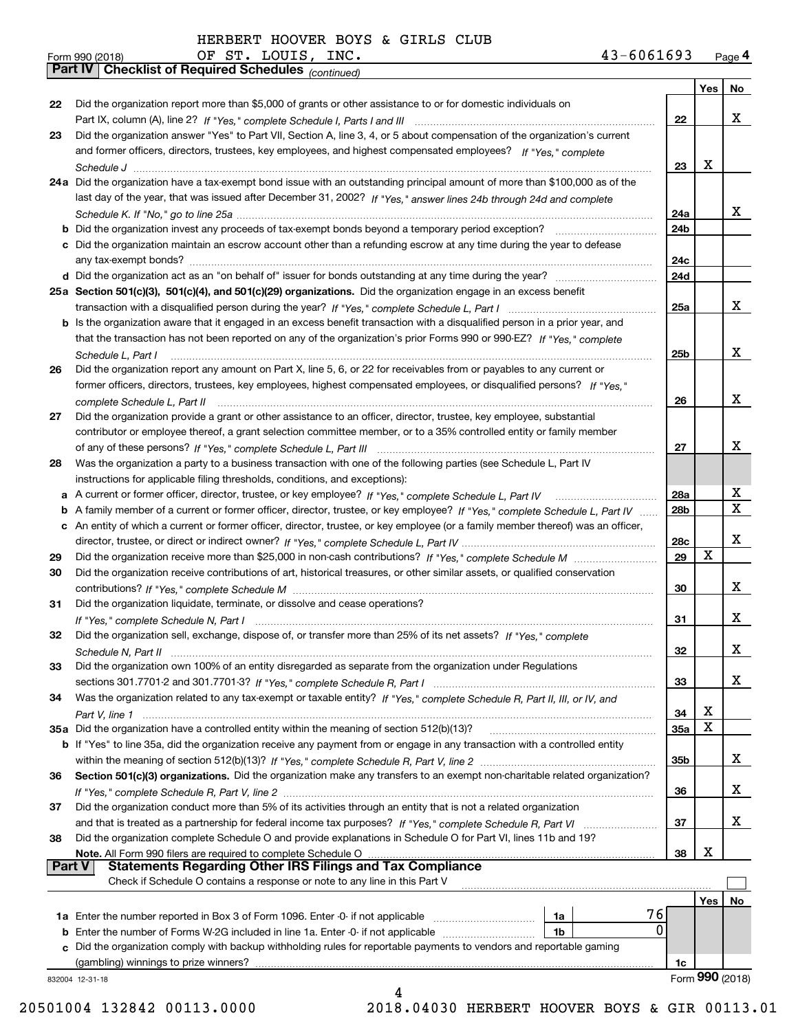|               | OF ST. LOUIS, INC.<br>43-6061693<br>Form 990 (2018)                                                                               |                 |     | Page 4          |
|---------------|-----------------------------------------------------------------------------------------------------------------------------------|-----------------|-----|-----------------|
|               | Part IV   Checklist of Required Schedules (continued)                                                                             |                 |     |                 |
|               |                                                                                                                                   |                 | Yes | No              |
| 22            | Did the organization report more than \$5,000 of grants or other assistance to or for domestic individuals on                     |                 |     |                 |
|               |                                                                                                                                   | 22              |     | x               |
| 23            | Did the organization answer "Yes" to Part VII, Section A, line 3, 4, or 5 about compensation of the organization's current        |                 |     |                 |
|               | and former officers, directors, trustees, key employees, and highest compensated employees? If "Yes," complete                    |                 |     |                 |
|               |                                                                                                                                   | 23              | x   |                 |
|               | 24a Did the organization have a tax-exempt bond issue with an outstanding principal amount of more than \$100,000 as of the       |                 |     |                 |
|               | last day of the year, that was issued after December 31, 2002? If "Yes," answer lines 24b through 24d and complete                |                 |     |                 |
|               |                                                                                                                                   | 24a             |     | x               |
|               |                                                                                                                                   | 24 <sub>b</sub> |     |                 |
|               | c Did the organization maintain an escrow account other than a refunding escrow at any time during the year to defease            |                 |     |                 |
|               |                                                                                                                                   | 24c             |     |                 |
|               |                                                                                                                                   | 24d             |     |                 |
|               | 25a Section 501(c)(3), 501(c)(4), and 501(c)(29) organizations. Did the organization engage in an excess benefit                  |                 |     |                 |
|               |                                                                                                                                   | 25a             |     | x               |
|               | b Is the organization aware that it engaged in an excess benefit transaction with a disqualified person in a prior year, and      |                 |     |                 |
|               | that the transaction has not been reported on any of the organization's prior Forms 990 or 990-EZ? If "Yes," complete             |                 |     |                 |
|               | Schedule L, Part I                                                                                                                | 25b             |     | x               |
| 26            | Did the organization report any amount on Part X, line 5, 6, or 22 for receivables from or payables to any current or             |                 |     |                 |
|               | former officers, directors, trustees, key employees, highest compensated employees, or disqualified persons? If "Yes."            |                 |     |                 |
|               | complete Schedule L, Part II                                                                                                      | 26              |     | x               |
| 27            | Did the organization provide a grant or other assistance to an officer, director, trustee, key employee, substantial              |                 |     |                 |
|               | contributor or employee thereof, a grant selection committee member, or to a 35% controlled entity or family member               |                 |     |                 |
|               |                                                                                                                                   | 27              |     | х               |
| 28            | Was the organization a party to a business transaction with one of the following parties (see Schedule L, Part IV                 |                 |     |                 |
|               | instructions for applicable filing thresholds, conditions, and exceptions):                                                       |                 |     |                 |
|               | a A current or former officer, director, trustee, or key employee? If "Yes," complete Schedule L, Part IV                         | 28a             |     | х               |
|               | b A family member of a current or former officer, director, trustee, or key employee? If "Yes," complete Schedule L, Part IV      | 28 <sub>b</sub> |     | $\mathbf X$     |
|               | c An entity of which a current or former officer, director, trustee, or key employee (or a family member thereof) was an officer, |                 |     |                 |
|               |                                                                                                                                   | 28c             |     | х               |
| 29            |                                                                                                                                   | 29              | X   |                 |
| 30            | Did the organization receive contributions of art, historical treasures, or other similar assets, or qualified conservation       |                 |     |                 |
|               |                                                                                                                                   | 30              |     | х               |
| 31            | Did the organization liquidate, terminate, or dissolve and cease operations?                                                      |                 |     | x               |
|               | Did the organization sell, exchange, dispose of, or transfer more than 25% of its net assets? If "Yes," complete                  | 31              |     |                 |
| 32            |                                                                                                                                   | 32              |     | X               |
| 33            | Did the organization own 100% of an entity disregarded as separate from the organization under Regulations                        |                 |     |                 |
|               |                                                                                                                                   | 33              |     | x               |
| 34            | Was the organization related to any tax-exempt or taxable entity? If "Yes," complete Schedule R, Part II, III, or IV, and         |                 |     |                 |
|               |                                                                                                                                   | 34              | х   |                 |
|               | 35a Did the organization have a controlled entity within the meaning of section 512(b)(13)?                                       | 35a             | X   |                 |
|               | b If "Yes" to line 35a, did the organization receive any payment from or engage in any transaction with a controlled entity       |                 |     |                 |
|               |                                                                                                                                   | 35b             |     | х               |
| 36            | Section 501(c)(3) organizations. Did the organization make any transfers to an exempt non-charitable related organization?        |                 |     |                 |
|               |                                                                                                                                   | 36              |     | x               |
| 37            | Did the organization conduct more than 5% of its activities through an entity that is not a related organization                  |                 |     |                 |
|               |                                                                                                                                   | 37              |     | x               |
| 38            | Did the organization complete Schedule O and provide explanations in Schedule O for Part VI, lines 11b and 19?                    |                 |     |                 |
|               | Note. All Form 990 filers are required to complete Schedule O                                                                     | 38              | х   |                 |
| <b>Part V</b> | <b>Statements Regarding Other IRS Filings and Tax Compliance</b>                                                                  |                 |     |                 |
|               | Check if Schedule O contains a response or note to any line in this Part V                                                        |                 |     |                 |
|               |                                                                                                                                   |                 | Yes | No              |
|               | 76<br>1a                                                                                                                          |                 |     |                 |
|               | <b>b</b> Enter the number of Forms W-2G included in line 1a. Enter -0- if not applicable<br>1b                                    | 0               |     |                 |
|               | c Did the organization comply with backup withholding rules for reportable payments to vendors and reportable gaming              |                 |     |                 |
|               |                                                                                                                                   | 1c              |     | Form 990 (2018) |
|               | 832004 12-31-18<br>4                                                                                                              |                 |     |                 |
|               |                                                                                                                                   |                 |     |                 |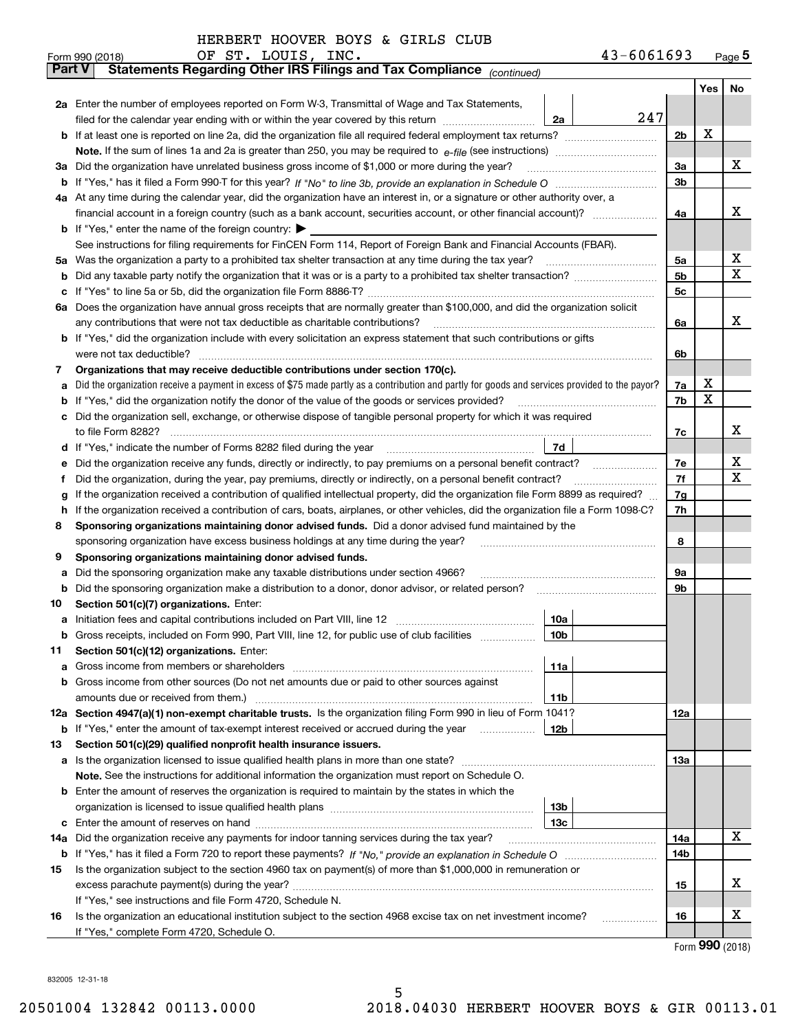|        | OF ST. LOUIS, INC.<br>43-6061693<br>Form 990 (2018)                                                                                             |     |     | $Page$ <sup>5</sup> |  |  |  |  |
|--------|-------------------------------------------------------------------------------------------------------------------------------------------------|-----|-----|---------------------|--|--|--|--|
| Part V | Statements Regarding Other IRS Filings and Tax Compliance (continued)                                                                           |     |     |                     |  |  |  |  |
|        |                                                                                                                                                 |     | Yes | No                  |  |  |  |  |
|        | 2a Enter the number of employees reported on Form W-3, Transmittal of Wage and Tax Statements,                                                  |     |     |                     |  |  |  |  |
|        | 247<br>filed for the calendar year ending with or within the year covered by this return<br>2a                                                  |     |     |                     |  |  |  |  |
|        |                                                                                                                                                 | 2b  | х   |                     |  |  |  |  |
|        |                                                                                                                                                 |     |     |                     |  |  |  |  |
| За     | Did the organization have unrelated business gross income of \$1,000 or more during the year?                                                   | 3a  |     | х                   |  |  |  |  |
|        |                                                                                                                                                 | 3b  |     |                     |  |  |  |  |
|        | 4a At any time during the calendar year, did the organization have an interest in, or a signature or other authority over, a                    |     |     |                     |  |  |  |  |
|        |                                                                                                                                                 | 4a  |     | х                   |  |  |  |  |
|        | <b>b</b> If "Yes," enter the name of the foreign country: $\blacktriangleright$                                                                 |     |     |                     |  |  |  |  |
|        | See instructions for filing requirements for FinCEN Form 114, Report of Foreign Bank and Financial Accounts (FBAR).                             |     |     |                     |  |  |  |  |
| 5a     | Was the organization a party to a prohibited tax shelter transaction at any time during the tax year?                                           | 5a  |     | х                   |  |  |  |  |
| b      |                                                                                                                                                 | 5b  |     | х                   |  |  |  |  |
| с      |                                                                                                                                                 | 5c  |     |                     |  |  |  |  |
|        | 6a Does the organization have annual gross receipts that are normally greater than \$100,000, and did the organization solicit                  |     |     |                     |  |  |  |  |
|        | any contributions that were not tax deductible as charitable contributions?                                                                     | 6a  |     | x                   |  |  |  |  |
|        | <b>b</b> If "Yes," did the organization include with every solicitation an express statement that such contributions or gifts                   |     |     |                     |  |  |  |  |
|        | were not tax deductible?                                                                                                                        | 6b  |     |                     |  |  |  |  |
| 7      | Organizations that may receive deductible contributions under section 170(c).                                                                   |     |     |                     |  |  |  |  |
| а      | Did the organization receive a payment in excess of \$75 made partly as a contribution and partly for goods and services provided to the payor? | 7a  | х   |                     |  |  |  |  |
| b      | If "Yes," did the organization notify the donor of the value of the goods or services provided?                                                 | 7b  | х   |                     |  |  |  |  |
| c      | Did the organization sell, exchange, or otherwise dispose of tangible personal property for which it was required                               |     |     |                     |  |  |  |  |
|        |                                                                                                                                                 | 7c  |     | х                   |  |  |  |  |
| d      | 7d                                                                                                                                              |     |     |                     |  |  |  |  |
| е      |                                                                                                                                                 | 7e  |     | х                   |  |  |  |  |
| f      | Did the organization, during the year, pay premiums, directly or indirectly, on a personal benefit contract?                                    | 7f  |     | х                   |  |  |  |  |
| g      | If the organization received a contribution of qualified intellectual property, did the organization file Form 8899 as required?                | 7g  |     |                     |  |  |  |  |
| h      | If the organization received a contribution of cars, boats, airplanes, or other vehicles, did the organization file a Form 1098-C?              |     |     |                     |  |  |  |  |
| 8      | Sponsoring organizations maintaining donor advised funds. Did a donor advised fund maintained by the                                            |     |     |                     |  |  |  |  |
|        | sponsoring organization have excess business holdings at any time during the year?                                                              | 8   |     |                     |  |  |  |  |
| 9      | Sponsoring organizations maintaining donor advised funds.                                                                                       |     |     |                     |  |  |  |  |
| а      | Did the sponsoring organization make any taxable distributions under section 4966?                                                              | 9а  |     |                     |  |  |  |  |
| b      | Did the sponsoring organization make a distribution to a donor, donor advisor, or related person?                                               | 9b  |     |                     |  |  |  |  |
| 10     | Section 501(c)(7) organizations. Enter:                                                                                                         |     |     |                     |  |  |  |  |
| а      | 10a                                                                                                                                             |     |     |                     |  |  |  |  |
|        | 10b <br>Gross receipts, included on Form 990, Part VIII, line 12, for public use of club facilities                                             |     |     |                     |  |  |  |  |
| 11     | Section 501(c)(12) organizations. Enter:                                                                                                        |     |     |                     |  |  |  |  |
| а      | Gross income from members or shareholders<br>11a                                                                                                |     |     |                     |  |  |  |  |
| b      | Gross income from other sources (Do not net amounts due or paid to other sources against                                                        |     |     |                     |  |  |  |  |
|        | 11b                                                                                                                                             |     |     |                     |  |  |  |  |
|        | 12a Section 4947(a)(1) non-exempt charitable trusts. Is the organization filing Form 990 in lieu of Form 1041?                                  | 12a |     |                     |  |  |  |  |
|        | <b>b</b> If "Yes," enter the amount of tax-exempt interest received or accrued during the year<br>12b                                           |     |     |                     |  |  |  |  |
| 13     | Section 501(c)(29) qualified nonprofit health insurance issuers.                                                                                |     |     |                     |  |  |  |  |
| a      | Is the organization licensed to issue qualified health plans in more than one state?                                                            | 13a |     |                     |  |  |  |  |
|        | Note. See the instructions for additional information the organization must report on Schedule O.                                               |     |     |                     |  |  |  |  |
| b      | Enter the amount of reserves the organization is required to maintain by the states in which the                                                |     |     |                     |  |  |  |  |
|        | 13b                                                                                                                                             |     |     |                     |  |  |  |  |
| с      | 13 <sub>c</sub>                                                                                                                                 |     |     |                     |  |  |  |  |
| 14a    | Did the organization receive any payments for indoor tanning services during the tax year?                                                      | 14a |     | х                   |  |  |  |  |
|        |                                                                                                                                                 | 14b |     |                     |  |  |  |  |
| 15     | Is the organization subject to the section 4960 tax on payment(s) of more than \$1,000,000 in remuneration or                                   |     |     |                     |  |  |  |  |
|        |                                                                                                                                                 | 15  |     | х                   |  |  |  |  |
|        | If "Yes," see instructions and file Form 4720, Schedule N.                                                                                      |     |     |                     |  |  |  |  |
| 16     | Is the organization an educational institution subject to the section 4968 excise tax on net investment income?                                 | 16  |     | X                   |  |  |  |  |
|        | If "Yes," complete Form 4720, Schedule O.                                                                                                       |     |     |                     |  |  |  |  |

Form (2018) **990**

832005 12-31-18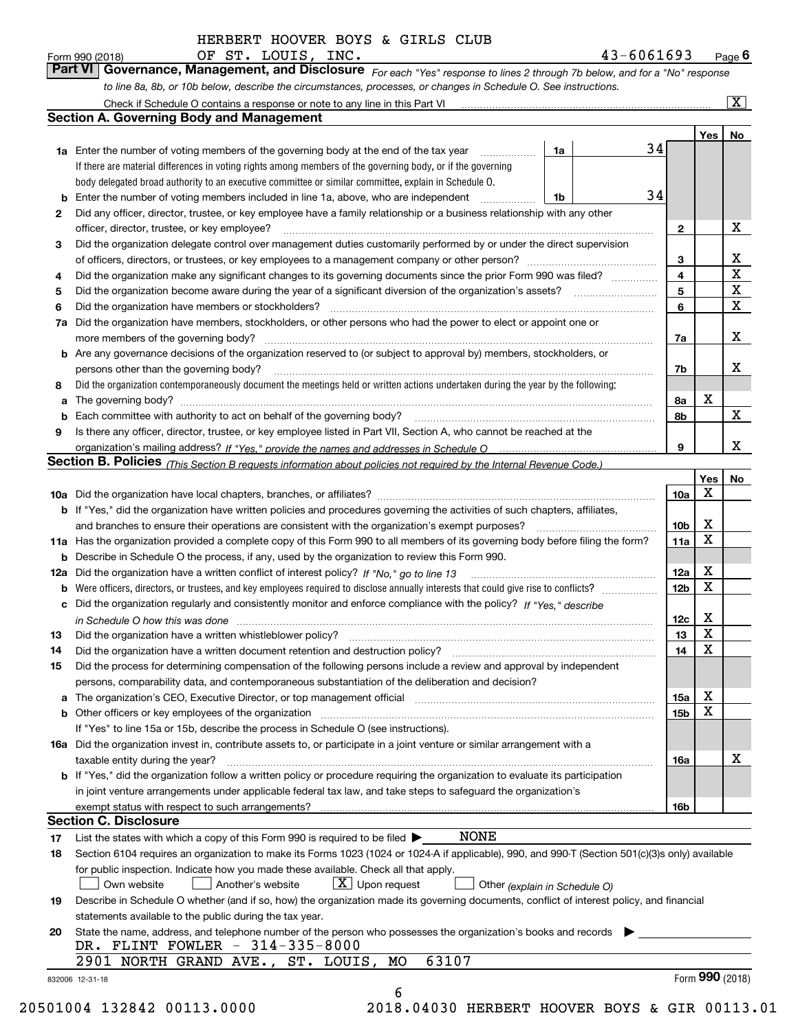*For each "Yes" response to lines 2 through 7b below, and for a "No" response to line 8a, 8b, or 10b below, describe the circumstances, processes, or changes in Schedule O. See instructions.* Form 990 (2018) **CDE ST. LOUIS, INC.** Page 6<br>**Part VI Governance, Management, and Disclosure** For each "Yes" response to lines 2 through 7b below, and for a "No" response

|     | <b>Section A. Governing Body and Management</b>                                                                                                                            |                               |                 | Yes <sub>1</sub> | No                           |  |  |  |
|-----|----------------------------------------------------------------------------------------------------------------------------------------------------------------------------|-------------------------------|-----------------|------------------|------------------------------|--|--|--|
|     | <b>1a</b> Enter the number of voting members of the governing body at the end of the tax year                                                                              | 1a                            | 34              |                  |                              |  |  |  |
|     | .<br>If there are material differences in voting rights among members of the governing body, or if the governing                                                           |                               |                 |                  |                              |  |  |  |
|     | body delegated broad authority to an executive committee or similar committee, explain in Schedule O.                                                                      |                               |                 |                  |                              |  |  |  |
|     |                                                                                                                                                                            |                               | 34              |                  |                              |  |  |  |
|     | <b>b</b> Enter the number of voting members included in line 1a, above, who are independent <i>manumum</i>                                                                 | 1b                            |                 |                  |                              |  |  |  |
| 2   | Did any officer, director, trustee, or key employee have a family relationship or a business relationship with any other                                                   |                               |                 |                  | X                            |  |  |  |
|     | officer, director, trustee, or key employee?                                                                                                                               |                               | $\mathbf{2}$    |                  |                              |  |  |  |
| 3   | Did the organization delegate control over management duties customarily performed by or under the direct supervision                                                      |                               |                 |                  |                              |  |  |  |
|     |                                                                                                                                                                            |                               | 3               |                  | х<br>$\overline{\texttt{x}}$ |  |  |  |
| 4   | Did the organization make any significant changes to its governing documents since the prior Form 990 was filed?                                                           |                               | 4               |                  | $\overline{\mathbf{x}}$      |  |  |  |
| 5   |                                                                                                                                                                            |                               | 5               |                  |                              |  |  |  |
| 6   | Did the organization have members or stockholders?                                                                                                                         |                               | 6               |                  | $\overline{\mathbf{x}}$      |  |  |  |
| 7a  | Did the organization have members, stockholders, or other persons who had the power to elect or appoint one or                                                             |                               |                 |                  |                              |  |  |  |
|     |                                                                                                                                                                            |                               | 7a              |                  | X                            |  |  |  |
|     | <b>b</b> Are any governance decisions of the organization reserved to (or subject to approval by) members, stockholders, or                                                |                               |                 |                  |                              |  |  |  |
|     | persons other than the governing body?                                                                                                                                     |                               | 7b              |                  | x                            |  |  |  |
| 8   | Did the organization contemporaneously document the meetings held or written actions undertaken during the year by the following:                                          |                               |                 |                  |                              |  |  |  |
| a   |                                                                                                                                                                            |                               | 8a              | x                |                              |  |  |  |
|     |                                                                                                                                                                            |                               | 8b              |                  | $\mathbf X$                  |  |  |  |
| 9   | Is there any officer, director, trustee, or key employee listed in Part VII, Section A, who cannot be reached at the                                                       |                               |                 |                  |                              |  |  |  |
|     |                                                                                                                                                                            |                               | 9               |                  | х                            |  |  |  |
|     | Section B. Policies (This Section B requests information about policies not required by the Internal Revenue Code.)                                                        |                               |                 |                  |                              |  |  |  |
|     |                                                                                                                                                                            |                               |                 | Yes              | No                           |  |  |  |
|     |                                                                                                                                                                            |                               | 10a             | Χ                |                              |  |  |  |
|     | <b>b</b> If "Yes," did the organization have written policies and procedures governing the activities of such chapters, affiliates,                                        |                               |                 | х                |                              |  |  |  |
|     |                                                                                                                                                                            |                               |                 |                  |                              |  |  |  |
|     | 11a Has the organization provided a complete copy of this Form 990 to all members of its governing body before filing the form?                                            |                               | 11a             | $\mathbf X$      |                              |  |  |  |
|     | <b>b</b> Describe in Schedule O the process, if any, used by the organization to review this Form 990.                                                                     |                               |                 |                  |                              |  |  |  |
| 12a |                                                                                                                                                                            |                               | 12a             | х                |                              |  |  |  |
| b   |                                                                                                                                                                            |                               | 12 <sub>b</sub> | $\mathbf X$      |                              |  |  |  |
|     | c Did the organization regularly and consistently monitor and enforce compliance with the policy? If "Yes." describe                                                       |                               |                 |                  |                              |  |  |  |
|     | in Schedule O how this was done www.communication.com/www.communications.com/www.communications.com/                                                                       |                               | 12c             | х                |                              |  |  |  |
| 13  |                                                                                                                                                                            |                               | 13              | X                |                              |  |  |  |
| 14  | Did the organization have a written document retention and destruction policy? manufactured and the organization have a written document retention and destruction policy? |                               | 14              | $\mathbf X$      |                              |  |  |  |
| 15  | Did the process for determining compensation of the following persons include a review and approval by independent                                                         |                               |                 |                  |                              |  |  |  |
|     | persons, comparability data, and contemporaneous substantiation of the deliberation and decision?                                                                          |                               |                 |                  |                              |  |  |  |
|     |                                                                                                                                                                            |                               | 15a             | х                |                              |  |  |  |
|     | <b>b</b> Other officers or key employees of the organization                                                                                                               |                               | 15 <sub>b</sub> | X                |                              |  |  |  |
|     | If "Yes" to line 15a or 15b, describe the process in Schedule O (see instructions).                                                                                        |                               |                 |                  |                              |  |  |  |
|     | 16a Did the organization invest in, contribute assets to, or participate in a joint venture or similar arrangement with a                                                  |                               |                 |                  |                              |  |  |  |
|     | taxable entity during the year?                                                                                                                                            |                               | 16a             |                  | х                            |  |  |  |
|     | <b>b</b> If "Yes," did the organization follow a written policy or procedure requiring the organization to evaluate its participation                                      |                               |                 |                  |                              |  |  |  |
|     | in joint venture arrangements under applicable federal tax law, and take steps to safeguard the organization's                                                             |                               |                 |                  |                              |  |  |  |
|     | exempt status with respect to such arrangements?                                                                                                                           |                               | 16b             |                  |                              |  |  |  |
|     | <b>Section C. Disclosure</b>                                                                                                                                               |                               |                 |                  |                              |  |  |  |
| 17  | NONE<br>List the states with which a copy of this Form 990 is required to be filed $\blacktriangleright$                                                                   |                               |                 |                  |                              |  |  |  |
| 18  | Section 6104 requires an organization to make its Forms 1023 (1024 or 1024-A if applicable), 990, and 990-T (Section 501(c)(3)s only) available                            |                               |                 |                  |                              |  |  |  |
|     | for public inspection. Indicate how you made these available. Check all that apply.                                                                                        |                               |                 |                  |                              |  |  |  |
|     | $X$ Upon request<br>Own website<br>Another's website                                                                                                                       | Other (explain in Schedule O) |                 |                  |                              |  |  |  |
| 19  | Describe in Schedule O whether (and if so, how) the organization made its governing documents, conflict of interest policy, and financial                                  |                               |                 |                  |                              |  |  |  |
|     | statements available to the public during the tax year.                                                                                                                    |                               |                 |                  |                              |  |  |  |
| 20  | State the name, address, and telephone number of the person who possesses the organization's books and records                                                             |                               |                 |                  |                              |  |  |  |
|     | DR. FLINT FOWLER - 314-335-8000                                                                                                                                            |                               |                 |                  |                              |  |  |  |
|     | 63107<br>2901 NORTH GRAND AVE., ST. LOUIS, MO                                                                                                                              |                               |                 |                  |                              |  |  |  |
|     |                                                                                                                                                                            |                               |                 |                  |                              |  |  |  |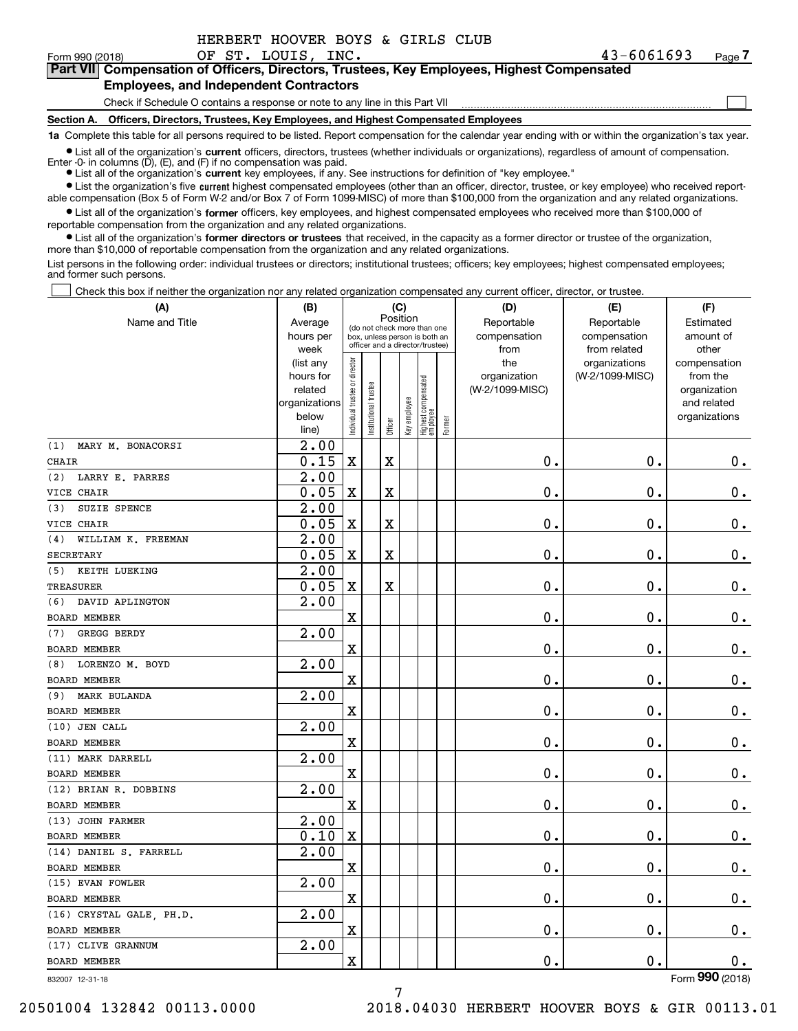| HERBERT HOOVER BOYS & GIRLS CLUB |  |
|----------------------------------|--|
|----------------------------------|--|

 $\mathcal{L}^{\text{max}}$ 

Form 990 (2018) OF ST. LOUIS, INC. 43-6061693 Page **7Part VII Compensation of Officers, Directors, Trustees, Key Employees, Highest Compensated**

### **Employees, and Independent Contractors**

Check if Schedule O contains a response or note to any line in this Part VII

**Section A. Officers, Directors, Trustees, Key Employees, and Highest Compensated Employees**

**1a**  Complete this table for all persons required to be listed. Report compensation for the calendar year ending with or within the organization's tax year.

**•** List all of the organization's current officers, directors, trustees (whether individuals or organizations), regardless of amount of compensation. Enter -0- in columns  $(D)$ ,  $(E)$ , and  $(F)$  if no compensation was paid.

● List all of the organization's **current** key employees, if any. See instructions for definition of "key employee."

**•** List the organization's five current highest compensated employees (other than an officer, director, trustee, or key employee) who received reportable compensation (Box 5 of Form W-2 and/or Box 7 of Form 1099-MISC) of more than \$100,000 from the organization and any related organizations.

 $\bullet$  List all of the organization's **former** officers, key employees, and highest compensated employees who received more than \$100,000 of reportable compensation from the organization and any related organizations.

**•** List all of the organization's former directors or trustees that received, in the capacity as a former director or trustee of the organization, more than \$10,000 of reportable compensation from the organization and any related organizations.

List persons in the following order: individual trustees or directors; institutional trustees; officers; key employees; highest compensated employees; and former such persons.

Check this box if neither the organization nor any related organization compensated any current officer, director, or trustee.  $\mathcal{L}^{\text{max}}$ 

| (A)                       | (B)                    | (C)                            |                                                                                                 |                         |  |                                                 |        | (D)                | (E)             | (F)                          |
|---------------------------|------------------------|--------------------------------|-------------------------------------------------------------------------------------------------|-------------------------|--|-------------------------------------------------|--------|--------------------|-----------------|------------------------------|
| Name and Title            | Average                | Position                       |                                                                                                 |                         |  |                                                 |        | Reportable         | Reportable      | Estimated                    |
|                           | hours per              |                                | (do not check more than one<br>box, unless person is both an<br>officer and a director/trustee) |                         |  |                                                 |        | compensation       | compensation    | amount of                    |
|                           | week                   |                                |                                                                                                 |                         |  |                                                 |        | from               | from related    | other                        |
|                           | (list any              |                                |                                                                                                 |                         |  |                                                 |        | the                | organizations   | compensation                 |
|                           | hours for              |                                |                                                                                                 |                         |  |                                                 |        | organization       | (W-2/1099-MISC) | from the                     |
|                           | related                |                                |                                                                                                 |                         |  |                                                 |        | (W-2/1099-MISC)    |                 | organization                 |
|                           | organizations<br>below |                                |                                                                                                 |                         |  |                                                 |        |                    |                 | and related<br>organizations |
|                           | line)                  | Individual trustee or director | Institutional trustee                                                                           | Officer                 |  | Key employee<br>Highest compensated<br>employee | Former |                    |                 |                              |
| MARY M. BONACORSI<br>(1)  | 2.00                   |                                |                                                                                                 |                         |  |                                                 |        |                    |                 |                              |
| <b>CHAIR</b>              | 0.15                   | $\mathbf X$                    |                                                                                                 | $\overline{\textbf{X}}$ |  |                                                 |        | 0.                 | 0.              | 0.                           |
| LARRY E. PARRES<br>(2)    | 2.00                   |                                |                                                                                                 |                         |  |                                                 |        |                    |                 |                              |
| VICE CHAIR                | 0.05                   | $\mathbf X$                    |                                                                                                 | X                       |  |                                                 |        | 0.                 | 0.              | $0$ .                        |
| SUZIE SPENCE<br>(3)       | 2.00                   |                                |                                                                                                 |                         |  |                                                 |        |                    |                 |                              |
| VICE CHAIR                | 0.05                   | $\mathbf X$                    |                                                                                                 | X                       |  |                                                 |        | 0.                 | 0.              | $\mathbf 0$ .                |
| WILLIAM K. FREEMAN<br>(4) | $\overline{2.00}$      |                                |                                                                                                 |                         |  |                                                 |        |                    |                 |                              |
| <b>SECRETARY</b>          | 0.05                   | $\mathbf X$                    |                                                                                                 | X                       |  |                                                 |        | 0.                 | 0.              | $0$ .                        |
| KEITH LUEKING<br>(5)      | $\overline{2.00}$      |                                |                                                                                                 |                         |  |                                                 |        |                    |                 |                              |
| <b>TREASURER</b>          | 0.05                   | $\mathbf X$                    |                                                                                                 | X                       |  |                                                 |        | 0.                 | 0.              | $0$ .                        |
| DAVID APLINGTON<br>(6)    | 2.00                   |                                |                                                                                                 |                         |  |                                                 |        |                    |                 |                              |
| <b>BOARD MEMBER</b>       |                        | $\mathbf X$                    |                                                                                                 |                         |  |                                                 |        | 0.                 | 0.              | $0$ .                        |
| GREGG BERDY<br>(7)        | 2.00                   |                                |                                                                                                 |                         |  |                                                 |        |                    |                 |                              |
| <b>BOARD MEMBER</b>       |                        | $\mathbf X$                    |                                                                                                 |                         |  |                                                 |        | 0.                 | 0.              | $0$ .                        |
| LORENZO M. BOYD<br>(8)    | 2.00                   |                                |                                                                                                 |                         |  |                                                 |        |                    |                 |                              |
| <b>BOARD MEMBER</b>       |                        | $\mathbf X$                    |                                                                                                 |                         |  |                                                 |        | 0.                 | 0.              | $0$ .                        |
| MARK BULANDA<br>(9)       | 2.00                   |                                |                                                                                                 |                         |  |                                                 |        |                    |                 |                              |
| BOARD MEMBER              |                        | $\mathbf X$                    |                                                                                                 |                         |  |                                                 |        | 0.                 | 0.              | $0$ .                        |
| (10) JEN CALL             | 2.00                   |                                |                                                                                                 |                         |  |                                                 |        |                    |                 |                              |
| <b>BOARD MEMBER</b>       |                        | $\mathbf X$                    |                                                                                                 |                         |  |                                                 |        | 0.                 | 0.              | $\mathbf 0$ .                |
| (11) MARK DARRELL         | 2.00                   |                                |                                                                                                 |                         |  |                                                 |        |                    |                 |                              |
| <b>BOARD MEMBER</b>       |                        | $\mathbf X$                    |                                                                                                 |                         |  |                                                 |        | $0$ .              | $\mathbf 0$ .   | $\mathbf 0$ .                |
| (12) BRIAN R. DOBBINS     | 2.00                   |                                |                                                                                                 |                         |  |                                                 |        |                    |                 |                              |
| <b>BOARD MEMBER</b>       |                        | $\mathbf X$                    |                                                                                                 |                         |  |                                                 |        | 0.                 | $\mathbf 0$ .   | $\mathbf 0$ .                |
| (13) JOHN FARMER          | $\overline{2.00}$      |                                |                                                                                                 |                         |  |                                                 |        |                    |                 |                              |
| <b>BOARD MEMBER</b>       | 0.10                   | $\mathbf X$                    |                                                                                                 |                         |  |                                                 |        | 0.                 | $\mathbf 0$ .   | $0$ .                        |
| (14) DANIEL S. FARRELL    | 2.00                   |                                |                                                                                                 |                         |  |                                                 |        |                    |                 |                              |
| <b>BOARD MEMBER</b>       |                        | $\mathbf X$                    |                                                                                                 |                         |  |                                                 |        | 0.                 | $\mathbf 0$ .   | 0.                           |
| (15) EVAN FOWLER          | 2.00                   |                                |                                                                                                 |                         |  |                                                 |        |                    |                 |                              |
| BOARD MEMBER              |                        | X                              |                                                                                                 |                         |  |                                                 |        | $\mathbf 0$ .      | $0$ .           | 0.                           |
| (16) CRYSTAL GALE, PH.D.  | 2.00                   |                                |                                                                                                 |                         |  |                                                 |        |                    |                 |                              |
| BOARD MEMBER              |                        | $\mathbf X$                    |                                                                                                 |                         |  |                                                 |        | $\boldsymbol{0}$ . | $\mathbf 0$ .   | 0.                           |
| (17) CLIVE GRANNUM        | 2.00                   |                                |                                                                                                 |                         |  |                                                 |        |                    |                 |                              |
| BOARD MEMBER              |                        | $\mathbf X$                    |                                                                                                 |                         |  |                                                 |        | $\mathbf 0$ .      | $\mathfrak o$ . | 0.                           |
| 832007 12-31-18           |                        |                                |                                                                                                 |                         |  |                                                 |        |                    |                 | Form 990 (2018)              |

832007 12-31-18

20501004 132842 00113.0000 2018.04030 HERBERT HOOVER BOYS & GIR 00113.01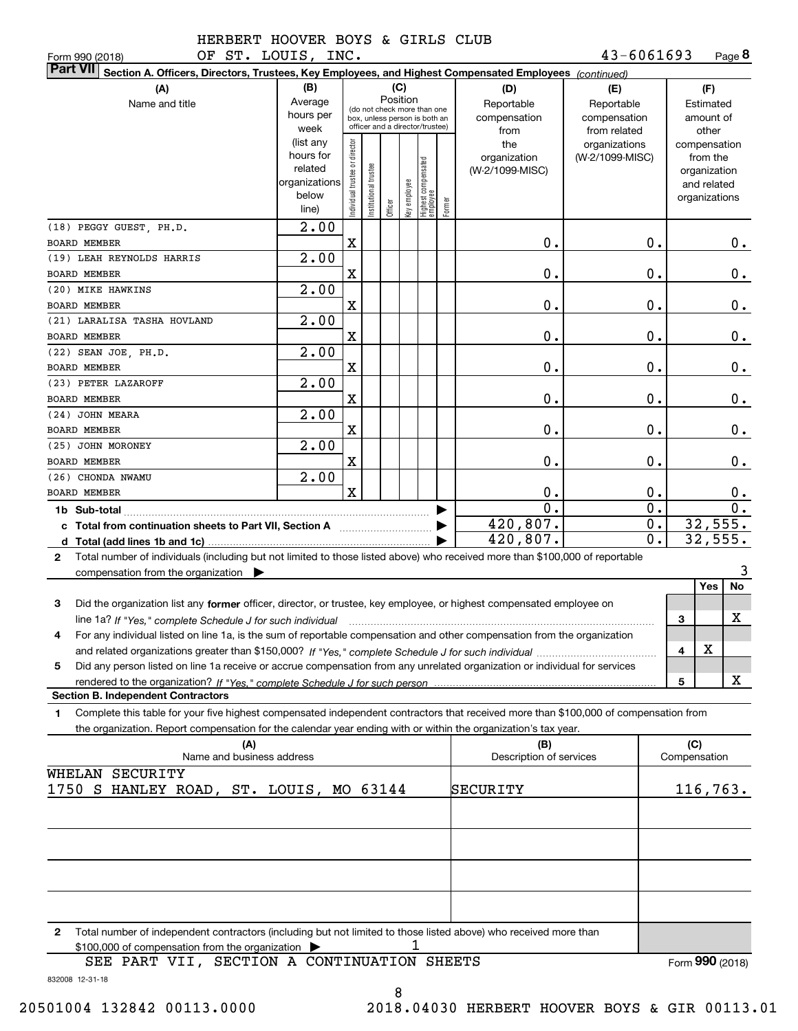| OF ST. LOUIS, INC.<br>Form 990 (2018)                                                                                                           |                                                                      |                               |                                                                                                 |                         |                                 |        |                                           | 43-6061693                                        |                  | Page 8                                                                   |
|-------------------------------------------------------------------------------------------------------------------------------------------------|----------------------------------------------------------------------|-------------------------------|-------------------------------------------------------------------------------------------------|-------------------------|---------------------------------|--------|-------------------------------------------|---------------------------------------------------|------------------|--------------------------------------------------------------------------|
| <b>Part VII</b><br>Section A. Officers, Directors, Trustees, Key Employees, and Highest Compensated Employees (continued)                       |                                                                      |                               |                                                                                                 |                         |                                 |        |                                           |                                                   |                  |                                                                          |
| (A)<br>Name and title                                                                                                                           | (B)<br>Average<br>hours per<br>week                                  |                               | (do not check more than one<br>box, unless person is both an<br>officer and a director/trustee) | (C)<br>Position         |                                 |        | (D)<br>Reportable<br>compensation<br>from | (E)<br>Reportable<br>compensation<br>from related |                  | (F)<br>Estimated<br>amount of<br>other                                   |
|                                                                                                                                                 | (list any<br>hours for<br>related<br>organizations<br>below<br>line) | ndividual trustee or director | nstitutional trustee                                                                            | Officer<br>Key employee | Highest compensated<br>employee | Former | the<br>organization<br>(W-2/1099-MISC)    | organizations<br>(W-2/1099-MISC)                  |                  | compensation<br>from the<br>organization<br>and related<br>organizations |
| (18) PEGGY GUEST, PH.D.<br><b>BOARD MEMBER</b>                                                                                                  | $\overline{2.00}$                                                    | $\mathbf X$                   |                                                                                                 |                         |                                 |        | Ο.                                        | 0.                                                |                  | 0.                                                                       |
| (19) LEAH REYNOLDS HARRIS                                                                                                                       | 2.00                                                                 |                               |                                                                                                 |                         |                                 |        |                                           |                                                   |                  |                                                                          |
| BOARD MEMBER                                                                                                                                    |                                                                      | $\mathbf X$                   |                                                                                                 |                         |                                 |        | Ο.                                        | 0.                                                |                  | 0.                                                                       |
| (20) MIKE HAWKINS                                                                                                                               | 2.00                                                                 |                               |                                                                                                 |                         |                                 |        |                                           |                                                   |                  |                                                                          |
| <b>BOARD MEMBER</b>                                                                                                                             |                                                                      | $\mathbf X$                   |                                                                                                 |                         |                                 |        | Ο.                                        | 0.                                                |                  | 0.                                                                       |
| (21) LARALISA TASHA HOVLAND                                                                                                                     | 2.00                                                                 |                               |                                                                                                 |                         |                                 |        |                                           |                                                   |                  |                                                                          |
| BOARD MEMBER                                                                                                                                    |                                                                      | $\mathbf X$                   |                                                                                                 |                         |                                 |        | Ο.                                        | 0.                                                |                  | 0.                                                                       |
| (22) SEAN JOE, PH.D.                                                                                                                            | 2.00                                                                 |                               |                                                                                                 |                         |                                 |        |                                           |                                                   |                  |                                                                          |
| BOARD MEMBER                                                                                                                                    |                                                                      | $\mathbf X$                   |                                                                                                 |                         |                                 |        | Ο.                                        | 0.                                                |                  | 0.                                                                       |
| (23) PETER LAZAROFF                                                                                                                             | 2.00                                                                 |                               |                                                                                                 |                         |                                 |        |                                           |                                                   |                  |                                                                          |
| BOARD MEMBER                                                                                                                                    |                                                                      | X                             |                                                                                                 |                         |                                 |        | Ο.                                        | 0.                                                |                  | 0.                                                                       |
| (24) JOHN MEARA                                                                                                                                 | 2.00                                                                 |                               |                                                                                                 |                         |                                 |        |                                           |                                                   |                  |                                                                          |
| BOARD MEMBER                                                                                                                                    |                                                                      | X                             |                                                                                                 |                         |                                 |        | Ο.                                        | 0.                                                |                  | 0.                                                                       |
| (25) JOHN MORONEY                                                                                                                               | 2.00                                                                 |                               |                                                                                                 |                         |                                 |        |                                           |                                                   |                  |                                                                          |
| BOARD MEMBER<br>(26) CHONDA NWAMU                                                                                                               | 2.00                                                                 | X                             |                                                                                                 |                         |                                 |        | Ο.                                        | 0.                                                |                  | 0.                                                                       |
| <b>BOARD MEMBER</b>                                                                                                                             |                                                                      | X                             |                                                                                                 |                         |                                 |        | Ο.                                        | 0.                                                |                  | 0.                                                                       |
|                                                                                                                                                 |                                                                      |                               |                                                                                                 |                         |                                 |        | $\overline{0}$ .                          | 0.                                                |                  | $\overline{0}$ .                                                         |
| 1b Sub-total                                                                                                                                    |                                                                      |                               |                                                                                                 |                         |                                 | ▶      | 420,807.                                  |                                                   | 0.               | 32,555.                                                                  |
|                                                                                                                                                 |                                                                      |                               |                                                                                                 |                         |                                 | ▶      | 420,807.                                  |                                                   | $\overline{0}$ . | 32,555.                                                                  |
| Total number of individuals (including but not limited to those listed above) who received more than \$100,000 of reportable<br>$\mathbf{2}$    |                                                                      |                               |                                                                                                 |                         |                                 |        |                                           |                                                   |                  |                                                                          |
| compensation from the organization $\blacktriangleright$                                                                                        |                                                                      |                               |                                                                                                 |                         |                                 |        |                                           |                                                   |                  | 3                                                                        |
|                                                                                                                                                 |                                                                      |                               |                                                                                                 |                         |                                 |        |                                           |                                                   |                  | No<br>Yes                                                                |
| 3<br>Did the organization list any former officer, director, or trustee, key employee, or highest compensated employee on                       |                                                                      |                               |                                                                                                 |                         |                                 |        |                                           |                                                   |                  |                                                                          |
| line 1a? If "Yes," complete Schedule J for such individual manufactured contained and the 1a? If "Yes," complete Schedule J for such individual |                                                                      |                               |                                                                                                 |                         |                                 |        |                                           |                                                   | 3                | x                                                                        |
| For any individual listed on line 1a, is the sum of reportable compensation and other compensation from the organization                        |                                                                      |                               |                                                                                                 |                         |                                 |        |                                           |                                                   |                  | х                                                                        |
|                                                                                                                                                 |                                                                      |                               |                                                                                                 |                         |                                 |        |                                           |                                                   | 4                |                                                                          |
| Did any person listed on line 1a receive or accrue compensation from any unrelated organization or individual for services<br>5                 |                                                                      |                               |                                                                                                 |                         |                                 |        |                                           |                                                   |                  | x                                                                        |
| <b>Section B. Independent Contractors</b>                                                                                                       |                                                                      |                               |                                                                                                 |                         |                                 |        |                                           |                                                   | 5                |                                                                          |
| Complete this table for your five highest compensated independent contractors that received more than \$100,000 of compensation from<br>1.      |                                                                      |                               |                                                                                                 |                         |                                 |        |                                           |                                                   |                  |                                                                          |
| the organization. Report compensation for the calendar year ending with or within the organization's tax year.                                  |                                                                      |                               |                                                                                                 |                         |                                 |        |                                           |                                                   |                  |                                                                          |
| (A)                                                                                                                                             |                                                                      |                               |                                                                                                 |                         |                                 |        | (B)                                       |                                                   |                  | (C)                                                                      |
| Name and business address                                                                                                                       |                                                                      |                               |                                                                                                 |                         |                                 |        | Description of services                   |                                                   |                  | Compensation                                                             |
| WHELAN SECURITY                                                                                                                                 |                                                                      |                               |                                                                                                 |                         |                                 |        |                                           |                                                   |                  |                                                                          |
| 1750 S HANLEY ROAD, ST. LOUIS, MO 63144                                                                                                         |                                                                      |                               |                                                                                                 |                         |                                 |        | SECURITY                                  |                                                   |                  | 116,763.                                                                 |
|                                                                                                                                                 |                                                                      |                               |                                                                                                 |                         |                                 |        |                                           |                                                   |                  |                                                                          |
|                                                                                                                                                 |                                                                      |                               |                                                                                                 |                         |                                 |        |                                           |                                                   |                  |                                                                          |
|                                                                                                                                                 |                                                                      |                               |                                                                                                 |                         |                                 |        |                                           |                                                   |                  |                                                                          |
|                                                                                                                                                 |                                                                      |                               |                                                                                                 |                         |                                 |        |                                           |                                                   |                  |                                                                          |
|                                                                                                                                                 |                                                                      |                               |                                                                                                 |                         |                                 |        |                                           |                                                   |                  |                                                                          |
|                                                                                                                                                 |                                                                      |                               |                                                                                                 |                         |                                 |        |                                           |                                                   |                  |                                                                          |
|                                                                                                                                                 |                                                                      |                               |                                                                                                 |                         |                                 |        |                                           |                                                   |                  |                                                                          |
| Total number of independent contractors (including but not limited to those listed above) who received more than<br>2                           |                                                                      |                               |                                                                                                 |                         |                                 |        |                                           |                                                   |                  |                                                                          |
| \$100,000 of compensation from the organization                                                                                                 |                                                                      |                               |                                                                                                 |                         |                                 |        |                                           |                                                   |                  |                                                                          |
| SEE PART VII, SECTION A CONTINUATION SHEETS                                                                                                     |                                                                      |                               |                                                                                                 |                         |                                 |        |                                           |                                                   |                  | Form 990 (2018)                                                          |

832008 12-31-18

8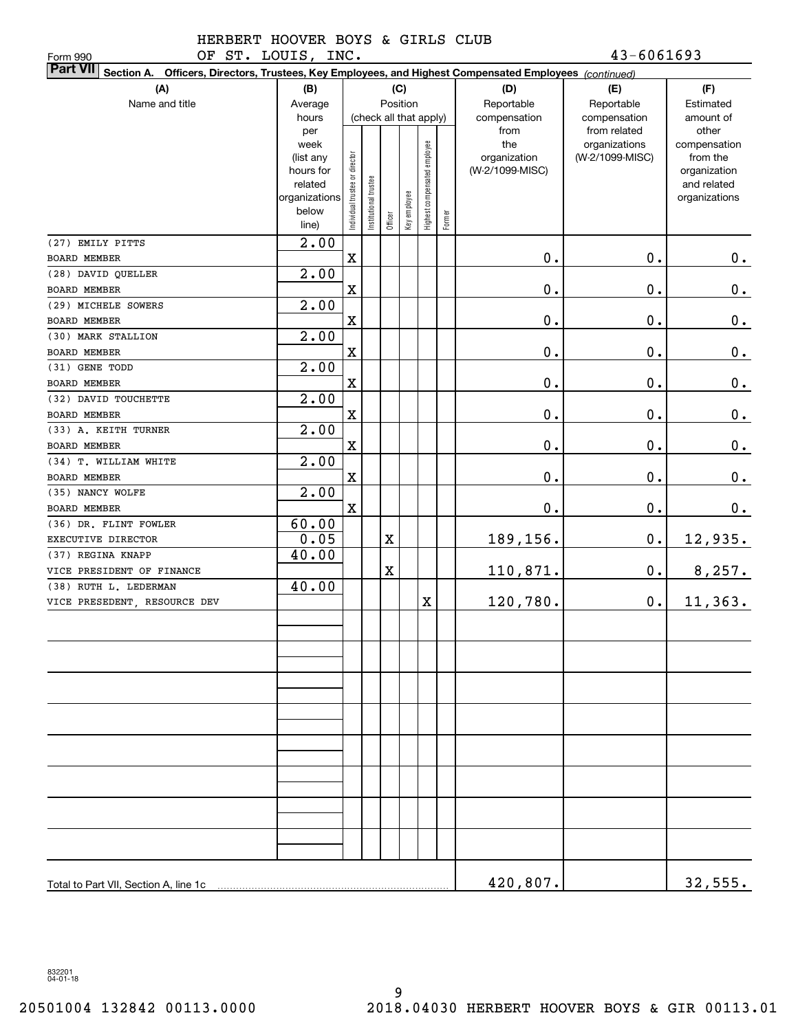OF ST. LOUIS, INC. 43-6061693

| OF ST. LOUIS, INC.<br>Form 990                                                                                            |                        |                                |                       |         |              |                              |        |                                 | 43-6061693      |                          |
|---------------------------------------------------------------------------------------------------------------------------|------------------------|--------------------------------|-----------------------|---------|--------------|------------------------------|--------|---------------------------------|-----------------|--------------------------|
| <b>Part VII</b><br>Section A. Officers, Directors, Trustees, Key Employees, and Highest Compensated Employees (continued) |                        |                                |                       |         |              |                              |        |                                 |                 |                          |
| (A)                                                                                                                       | (B)                    |                                |                       |         | (C)          |                              |        | (D)                             | (E)             | (F)                      |
| Name and title                                                                                                            | Average                |                                |                       |         | Position     |                              |        | Reportable                      | Reportable      | Estimated                |
|                                                                                                                           | hours                  |                                |                       |         |              | (check all that apply)       |        | compensation                    | compensation    | amount of                |
|                                                                                                                           | per                    |                                |                       |         |              |                              |        | from                            | from related    | other                    |
|                                                                                                                           | week                   |                                |                       |         |              | Highest compensated employee |        | the                             | organizations   | compensation             |
|                                                                                                                           | (list any<br>hours for | Individual trustee or director |                       |         |              |                              |        | organization<br>(W-2/1099-MISC) | (W-2/1099-MISC) | from the<br>organization |
|                                                                                                                           | related                |                                |                       |         |              |                              |        |                                 |                 | and related              |
|                                                                                                                           | organizations          |                                | Institutional trustee |         |              |                              |        |                                 |                 | organizations            |
|                                                                                                                           | below                  |                                |                       |         | Key employee |                              |        |                                 |                 |                          |
|                                                                                                                           | line)                  |                                |                       | Officer |              |                              | Former |                                 |                 |                          |
| (27) EMILY PITTS                                                                                                          | $\overline{2.00}$      |                                |                       |         |              |                              |        |                                 |                 |                          |
| BOARD MEMBER                                                                                                              |                        | $\mathbf X$                    |                       |         |              |                              |        | 0.                              | 0.              | $0$ .                    |
| (28) DAVID QUELLER                                                                                                        | 2.00                   |                                |                       |         |              |                              |        |                                 |                 |                          |
| BOARD MEMBER                                                                                                              |                        | X                              |                       |         |              |                              |        | 0.                              | $\mathbf 0$ .   | $\mathbf 0$ .            |
| (29) MICHELE SOWERS                                                                                                       | 2.00                   |                                |                       |         |              |                              |        |                                 |                 |                          |
| <b>BOARD MEMBER</b>                                                                                                       |                        | X                              |                       |         |              |                              |        | 0.                              | $\mathbf 0$ .   | $\mathbf 0$ .            |
| (30) MARK STALLION                                                                                                        | 2.00                   |                                |                       |         |              |                              |        |                                 |                 |                          |
| BOARD MEMBER                                                                                                              |                        | X                              |                       |         |              |                              |        | 0.                              | $\mathbf 0$ .   | $\mathbf 0$ .            |
| (31) GENE TODD                                                                                                            | 2.00                   |                                |                       |         |              |                              |        |                                 |                 |                          |
| BOARD MEMBER                                                                                                              |                        | X                              |                       |         |              |                              |        | 0.                              | $\mathbf 0$ .   | $\mathbf 0$ .            |
| (32) DAVID TOUCHETTE                                                                                                      | 2.00                   |                                |                       |         |              |                              |        |                                 |                 |                          |
| BOARD MEMBER                                                                                                              |                        | $\mathbf X$                    |                       |         |              |                              |        | 0.                              | $0$ .           | $\mathbf 0$ .            |
| (33) A. KEITH TURNER                                                                                                      | 2.00                   |                                |                       |         |              |                              |        |                                 |                 |                          |
| BOARD MEMBER                                                                                                              |                        | $\mathbf X$                    |                       |         |              |                              |        | 0.                              | $0$ .           | 0.                       |
| (34) T. WILLIAM WHITE                                                                                                     | 2.00                   |                                |                       |         |              |                              |        |                                 |                 |                          |
| BOARD MEMBER                                                                                                              |                        | $\mathbf X$                    |                       |         |              |                              |        | 0.                              | $\mathbf 0$ .   | $0_{.}$                  |
| (35) NANCY WOLFE                                                                                                          | 2.00                   |                                |                       |         |              |                              |        |                                 |                 |                          |
| BOARD MEMBER                                                                                                              |                        | $\mathbf X$                    |                       |         |              |                              |        | 0.                              | $\mathbf 0$ .   | 0.                       |
| (36) DR. FLINT FOWLER                                                                                                     | 60.00                  |                                |                       |         |              |                              |        |                                 |                 |                          |
| EXECUTIVE DIRECTOR                                                                                                        | 0.05                   |                                |                       | X       |              |                              |        | 189,156.                        | $\mathbf 0$ .   | <u>12,935.</u>           |
| (37) REGINA KNAPP                                                                                                         | 40.00                  |                                |                       |         |              |                              |        |                                 |                 |                          |
| VICE PRESIDENT OF FINANCE                                                                                                 |                        |                                |                       | X       |              |                              |        | 110,871.                        | $\mathbf 0$ .   | 8,257.                   |
| (38) RUTH L. LEDERMAN                                                                                                     | 40.00                  |                                |                       |         |              |                              |        |                                 |                 |                          |
| VICE PRESEDENT, RESOURCE DEV                                                                                              |                        |                                |                       |         |              | X                            |        | 120,780.                        | 0.              | 11, 363.                 |
|                                                                                                                           |                        |                                |                       |         |              |                              |        |                                 |                 |                          |
|                                                                                                                           |                        |                                |                       |         |              |                              |        |                                 |                 |                          |
|                                                                                                                           |                        |                                |                       |         |              |                              |        |                                 |                 |                          |
|                                                                                                                           |                        |                                |                       |         |              |                              |        |                                 |                 |                          |
|                                                                                                                           |                        |                                |                       |         |              |                              |        |                                 |                 |                          |
|                                                                                                                           |                        |                                |                       |         |              |                              |        |                                 |                 |                          |
|                                                                                                                           |                        |                                |                       |         |              |                              |        |                                 |                 |                          |
|                                                                                                                           |                        |                                |                       |         |              |                              |        |                                 |                 |                          |
|                                                                                                                           |                        |                                |                       |         |              |                              |        |                                 |                 |                          |
|                                                                                                                           |                        |                                |                       |         |              |                              |        |                                 |                 |                          |
|                                                                                                                           |                        |                                |                       |         |              |                              |        |                                 |                 |                          |
|                                                                                                                           |                        |                                |                       |         |              |                              |        |                                 |                 |                          |
|                                                                                                                           |                        |                                |                       |         |              |                              |        |                                 |                 |                          |
|                                                                                                                           |                        |                                |                       |         |              |                              |        |                                 |                 |                          |
|                                                                                                                           |                        |                                |                       |         |              |                              |        |                                 |                 |                          |
|                                                                                                                           |                        |                                |                       |         |              |                              |        |                                 |                 |                          |
| Total to Part VII, Section A, line 1c                                                                                     |                        |                                |                       |         |              |                              |        | 420,807.                        |                 | 32,555.                  |
|                                                                                                                           |                        |                                |                       |         |              |                              |        |                                 |                 |                          |

832201 04-01-18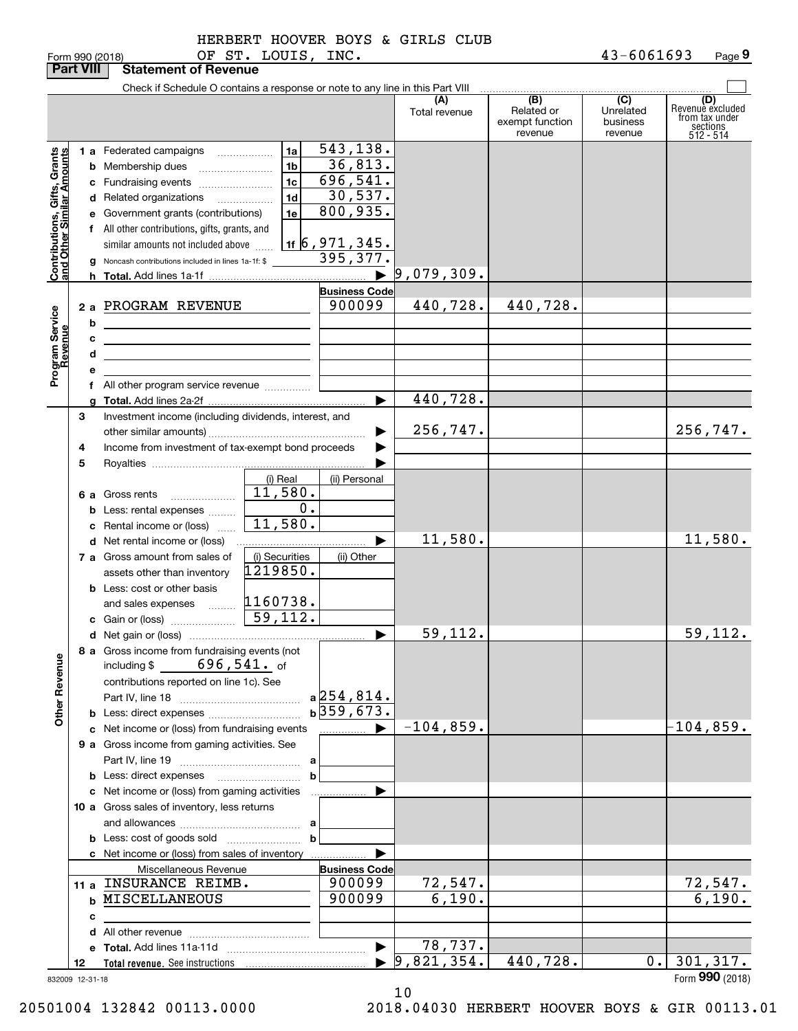| orm 990 (2018: |  |  |
|----------------|--|--|

|                                                           | <b>Part VIII</b> | <b>Statement of Revenue</b>                                                                                           |                                            |                            |                      |                                                 |                                         |                                                                    |
|-----------------------------------------------------------|------------------|-----------------------------------------------------------------------------------------------------------------------|--------------------------------------------|----------------------------|----------------------|-------------------------------------------------|-----------------------------------------|--------------------------------------------------------------------|
|                                                           |                  | Check if Schedule O contains a response or note to any line in this Part VIII                                         |                                            |                            |                      |                                                 |                                         |                                                                    |
|                                                           |                  |                                                                                                                       |                                            |                            | (A)<br>Total revenue | (B)<br>Related or<br>exempt function<br>revenue | (C)<br>Unrelated<br>business<br>revenue | (D)<br>Revenuè excluded<br>from tax under<br>sections<br>512 - 514 |
|                                                           |                  | 1 a Federated campaigns                                                                                               | 1a                                         | 543,138.                   |                      |                                                 |                                         |                                                                    |
| Contributions, Gifts, Grants<br>and Other Similar Amounts |                  |                                                                                                                       | 1 <sub>b</sub>                             | 36,813.                    |                      |                                                 |                                         |                                                                    |
|                                                           |                  | <b>b</b> Membership dues                                                                                              |                                            | 696, 541.                  |                      |                                                 |                                         |                                                                    |
|                                                           |                  | c Fundraising events                                                                                                  | 1 <sub>c</sub>                             |                            |                      |                                                 |                                         |                                                                    |
|                                                           |                  | d Related organizations                                                                                               | 1 <sub>d</sub><br>$\overline{\phantom{a}}$ | 30,537.                    |                      |                                                 |                                         |                                                                    |
|                                                           |                  | e Government grants (contributions)                                                                                   | 1e                                         | 800,935.                   |                      |                                                 |                                         |                                                                    |
|                                                           |                  | f All other contributions, gifts, grants, and                                                                         |                                            |                            |                      |                                                 |                                         |                                                                    |
|                                                           |                  | similar amounts not included above                                                                                    |                                            | <u>1f   6 , 971 , 345.</u> |                      |                                                 |                                         |                                                                    |
|                                                           |                  | g Noncash contributions included in lines 1a-1f: \$                                                                   |                                            | 395,377.                   |                      |                                                 |                                         |                                                                    |
|                                                           |                  |                                                                                                                       |                                            | $\blacktriangleright$      | 9,079,309.           |                                                 |                                         |                                                                    |
|                                                           |                  |                                                                                                                       |                                            | <b>Business Code</b>       |                      |                                                 |                                         |                                                                    |
|                                                           |                  | 2 a PROGRAM REVENUE                                                                                                   |                                            | 900099                     | 440,728.             | 440,728.                                        |                                         |                                                                    |
|                                                           | b                |                                                                                                                       |                                            |                            |                      |                                                 |                                         |                                                                    |
|                                                           | c                | <u> 1989 - Johann Stein, marwolaethau a bhann an t-Amhair an t-Amhair an t-Amhair an t-Amhair an t-Amhair an t-A</u>  |                                            |                            |                      |                                                 |                                         |                                                                    |
|                                                           | d                |                                                                                                                       |                                            |                            |                      |                                                 |                                         |                                                                    |
|                                                           |                  | <u> 1989 - Johann Barn, mars ann an t-Amhain an t-Amhain an t-Amhain an t-Amhain an t-Amhain an t-Amhain an t-Amh</u> |                                            |                            |                      |                                                 |                                         |                                                                    |
| Program Service<br>Revenue                                |                  | f All other program service revenue                                                                                   |                                            |                            |                      |                                                 |                                         |                                                                    |
|                                                           |                  |                                                                                                                       |                                            | ▶                          | 440,728.             |                                                 |                                         |                                                                    |
|                                                           |                  |                                                                                                                       |                                            |                            |                      |                                                 |                                         |                                                                    |
|                                                           | З                | Investment income (including dividends, interest, and                                                                 |                                            |                            |                      |                                                 |                                         | 256,747.                                                           |
|                                                           |                  |                                                                                                                       |                                            |                            | 256,747.             |                                                 |                                         |                                                                    |
|                                                           | 4                | Income from investment of tax-exempt bond proceeds                                                                    |                                            |                            |                      |                                                 |                                         |                                                                    |
|                                                           | 5                |                                                                                                                       |                                            |                            |                      |                                                 |                                         |                                                                    |
|                                                           |                  |                                                                                                                       | (i) Real                                   | (ii) Personal              |                      |                                                 |                                         |                                                                    |
|                                                           |                  | 6 a Gross rents<br>$\ldots \ldots \ldots \ldots \ldots$                                                               | 11,580.                                    |                            |                      |                                                 |                                         |                                                                    |
|                                                           |                  | <b>b</b> Less: rental expenses                                                                                        | 0.                                         |                            |                      |                                                 |                                         |                                                                    |
|                                                           | c                | Rental income or (loss)                                                                                               | 11,580.                                    |                            |                      |                                                 |                                         |                                                                    |
|                                                           |                  | d Net rental income or (loss)                                                                                         |                                            | ▶                          | 11,580.              |                                                 |                                         | 11,580.                                                            |
|                                                           |                  | 7 a Gross amount from sales of                                                                                        | (i) Securities                             | (ii) Other                 |                      |                                                 |                                         |                                                                    |
|                                                           |                  | assets other than inventory                                                                                           | 1219850.                                   |                            |                      |                                                 |                                         |                                                                    |
|                                                           |                  | <b>b</b> Less: cost or other basis                                                                                    |                                            |                            |                      |                                                 |                                         |                                                                    |
|                                                           |                  | and sales expenses                                                                                                    | 1160738.                                   |                            |                      |                                                 |                                         |                                                                    |
|                                                           |                  |                                                                                                                       | $\sqrt{59,112.}$                           |                            |                      |                                                 |                                         |                                                                    |
|                                                           |                  |                                                                                                                       |                                            | ▶                          | 59,112.              |                                                 |                                         | 59,112.                                                            |
|                                                           |                  | 8 a Gross income from fundraising events (not                                                                         |                                            |                            |                      |                                                 |                                         |                                                                    |
|                                                           |                  | including $$ 696, 541.$ of                                                                                            |                                            |                            |                      |                                                 |                                         |                                                                    |
|                                                           |                  | contributions reported on line 1c). See                                                                               |                                            |                            |                      |                                                 |                                         |                                                                    |
|                                                           |                  |                                                                                                                       |                                            | $a$ 254,814.               |                      |                                                 |                                         |                                                                    |
| <b>Other Revenue</b>                                      |                  |                                                                                                                       |                                            | $b\overline{359,673.}$     |                      |                                                 |                                         |                                                                    |
|                                                           |                  |                                                                                                                       |                                            |                            |                      |                                                 |                                         |                                                                    |
|                                                           |                  | c Net income or (loss) from fundraising events                                                                        |                                            | ______________ ▶           | $-104,859.$          |                                                 |                                         | $-104, 859.$                                                       |
|                                                           |                  | 9 a Gross income from gaming activities. See                                                                          |                                            |                            |                      |                                                 |                                         |                                                                    |
|                                                           |                  |                                                                                                                       |                                            |                            |                      |                                                 |                                         |                                                                    |
|                                                           |                  |                                                                                                                       | b                                          |                            |                      |                                                 |                                         |                                                                    |
|                                                           |                  | c Net income or (loss) from gaming activities                                                                         |                                            |                            |                      |                                                 |                                         |                                                                    |
|                                                           |                  | 10 a Gross sales of inventory, less returns                                                                           |                                            |                            |                      |                                                 |                                         |                                                                    |
|                                                           |                  |                                                                                                                       |                                            |                            |                      |                                                 |                                         |                                                                    |
|                                                           |                  |                                                                                                                       | $\mathbf b$                                |                            |                      |                                                 |                                         |                                                                    |
|                                                           |                  | c Net income or (loss) from sales of inventory                                                                        |                                            |                            |                      |                                                 |                                         |                                                                    |
|                                                           |                  | Miscellaneous Revenue                                                                                                 |                                            | <b>Business Code</b>       |                      |                                                 |                                         |                                                                    |
|                                                           |                  | 11 a INSURANCE REIMB.                                                                                                 |                                            | 900099                     | <u>72,547.</u>       |                                                 |                                         |                                                                    |
|                                                           |                  | <b>b MISCELLANEOUS</b>                                                                                                |                                            | 900099                     | 6,190.               |                                                 |                                         | $\frac{72,547}{6,190}$ .                                           |
|                                                           | c                |                                                                                                                       |                                            |                            |                      |                                                 |                                         |                                                                    |
|                                                           |                  |                                                                                                                       |                                            |                            |                      |                                                 |                                         |                                                                    |
|                                                           |                  |                                                                                                                       |                                            | $\blacktriangleright$      | 78,737.              |                                                 |                                         |                                                                    |
|                                                           | 12               |                                                                                                                       |                                            |                            | 9,821,354.           | 440,728.                                        | 0.                                      | 301, 317.                                                          |
|                                                           | 832009 12-31-18  |                                                                                                                       |                                            |                            |                      |                                                 |                                         | Form 990 (2018)                                                    |
|                                                           |                  |                                                                                                                       |                                            |                            |                      |                                                 |                                         |                                                                    |

10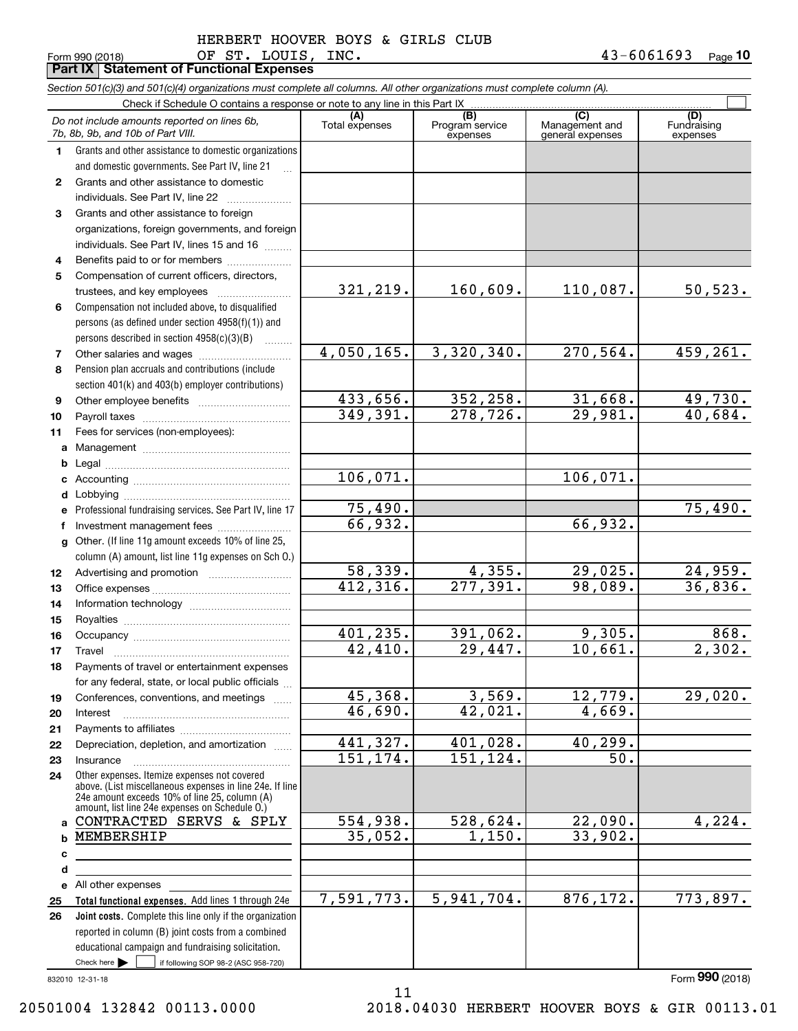Form 990 (2018) Page **Part IX Statement of Functional Expenses 10** OF ST. LOUIS, INC. 43-6061693

|    | Section 501(c)(3) and 501(c)(4) organizations must complete all columns. All other organizations must complete column (A).                                                                                  |                       |                                    |                                           |                                |
|----|-------------------------------------------------------------------------------------------------------------------------------------------------------------------------------------------------------------|-----------------------|------------------------------------|-------------------------------------------|--------------------------------|
|    | Check if Schedule O contains a response or note to any line in this Part IX                                                                                                                                 |                       |                                    |                                           |                                |
|    | Do not include amounts reported on lines 6b,<br>7b, 8b, 9b, and 10b of Part VIII.                                                                                                                           | (A)<br>Total expenses | (B)<br>Program service<br>expenses | (C)<br>Management and<br>general expenses | (D)<br>Fundraising<br>expenses |
| 1. | Grants and other assistance to domestic organizations                                                                                                                                                       |                       |                                    |                                           |                                |
|    | and domestic governments. See Part IV, line 21                                                                                                                                                              |                       |                                    |                                           |                                |
| 2  | Grants and other assistance to domestic                                                                                                                                                                     |                       |                                    |                                           |                                |
|    | individuals. See Part IV, line 22<br>$\overline{\phantom{a}}$                                                                                                                                               |                       |                                    |                                           |                                |
| 3  | Grants and other assistance to foreign                                                                                                                                                                      |                       |                                    |                                           |                                |
|    | organizations, foreign governments, and foreign                                                                                                                                                             |                       |                                    |                                           |                                |
|    | individuals. See Part IV, lines 15 and 16                                                                                                                                                                   |                       |                                    |                                           |                                |
| 4  | Benefits paid to or for members                                                                                                                                                                             |                       |                                    |                                           |                                |
| 5  | Compensation of current officers, directors,                                                                                                                                                                |                       |                                    |                                           |                                |
|    |                                                                                                                                                                                                             | 321,219.              | 160,609.                           | 110,087.                                  | 50, 523.                       |
| 6  | Compensation not included above, to disqualified                                                                                                                                                            |                       |                                    |                                           |                                |
|    | persons (as defined under section 4958(f)(1)) and                                                                                                                                                           |                       |                                    |                                           |                                |
|    | persons described in section 4958(c)(3)(B)                                                                                                                                                                  |                       |                                    |                                           |                                |
| 7  |                                                                                                                                                                                                             | 4,050,165.            | 3,320,340.                         | 270,564.                                  | 459,261.                       |
| 8  | Pension plan accruals and contributions (include                                                                                                                                                            |                       |                                    |                                           |                                |
|    | section 401(k) and 403(b) employer contributions)                                                                                                                                                           |                       |                                    |                                           |                                |
| 9  |                                                                                                                                                                                                             | 433,656.              | 352,258.                           | 31,668.                                   | 49,730.                        |
| 10 |                                                                                                                                                                                                             | 349,391.              | 278,726.                           | 29,981.                                   | 40,684.                        |
| 11 | Fees for services (non-employees):                                                                                                                                                                          |                       |                                    |                                           |                                |
| a  |                                                                                                                                                                                                             |                       |                                    |                                           |                                |
| b  |                                                                                                                                                                                                             |                       |                                    |                                           |                                |
| c  |                                                                                                                                                                                                             | 106,071.              |                                    | 106,071.                                  |                                |
|    |                                                                                                                                                                                                             |                       |                                    |                                           |                                |
| d  | Professional fundraising services. See Part IV, line 17                                                                                                                                                     | 75,490.               |                                    |                                           | 75,490.                        |
| е  |                                                                                                                                                                                                             | 66,932.               |                                    | 66,932.                                   |                                |
| f  | Investment management fees                                                                                                                                                                                  |                       |                                    |                                           |                                |
| g  | Other. (If line 11g amount exceeds 10% of line 25,                                                                                                                                                          |                       |                                    |                                           |                                |
|    | column (A) amount, list line 11g expenses on Sch O.)                                                                                                                                                        | 58,339.               | 4,355.                             | 29,025.                                   | 24,959.                        |
| 12 |                                                                                                                                                                                                             | 412,316.              | 277,391.                           | 98,089.                                   | 36,836.                        |
| 13 |                                                                                                                                                                                                             |                       |                                    |                                           |                                |
| 14 |                                                                                                                                                                                                             |                       |                                    |                                           |                                |
| 15 |                                                                                                                                                                                                             | 401,235.              | 391,062.                           | 9,305.                                    | 868.                           |
| 16 |                                                                                                                                                                                                             | 42,410.               | 29,447.                            | 10,661.                                   | 2,302.                         |
| 17 |                                                                                                                                                                                                             |                       |                                    |                                           |                                |
| 18 | Payments of travel or entertainment expenses                                                                                                                                                                |                       |                                    |                                           |                                |
|    | for any federal, state, or local public officials                                                                                                                                                           | 45,368.               | 3,569.                             | 12,779.                                   | 29,020.                        |
| 19 | Conferences, conventions, and meetings                                                                                                                                                                      | 46,690.               | 42,021.                            | 4,669.                                    |                                |
| 20 | Interest                                                                                                                                                                                                    |                       |                                    |                                           |                                |
| 21 |                                                                                                                                                                                                             | 441,327.              | 401,028.                           | 40,299.                                   |                                |
| 22 | Depreciation, depletion, and amortization                                                                                                                                                                   | 151,174.              | 151, 124.                          | 50.                                       |                                |
| 23 | Insurance                                                                                                                                                                                                   |                       |                                    |                                           |                                |
| 24 | Other expenses. Itemize expenses not covered<br>above. (List miscellaneous expenses in line 24e. If line<br>24e amount exceeds 10% of line 25, column (A)<br>amount, list line 24e expenses on Schedule O.) |                       |                                    |                                           |                                |
| a  | CONTRACTED SERVS & SPLY                                                                                                                                                                                     | 554,938.              | 528,624.                           | 22,090.                                   | 4,224.                         |
| b  | MEMBERSHIP                                                                                                                                                                                                  | 35,052.               | 1,150.                             | 33,902.                                   |                                |
| c  |                                                                                                                                                                                                             |                       |                                    |                                           |                                |
| d  |                                                                                                                                                                                                             |                       |                                    |                                           |                                |
| е  | All other expenses                                                                                                                                                                                          |                       |                                    |                                           |                                |
| 25 | Total functional expenses. Add lines 1 through 24e                                                                                                                                                          | 7,591,773.            | 5,941,704.                         | 876,172.                                  | 773,897.                       |
| 26 | Joint costs. Complete this line only if the organization                                                                                                                                                    |                       |                                    |                                           |                                |
|    | reported in column (B) joint costs from a combined                                                                                                                                                          |                       |                                    |                                           |                                |
|    | educational campaign and fundraising solicitation.                                                                                                                                                          |                       |                                    |                                           |                                |
|    | Check here $\blacktriangleright$<br>if following SOP 98-2 (ASC 958-720)                                                                                                                                     |                       |                                    |                                           |                                |

11

832010 12-31-18

Form (2018) **990**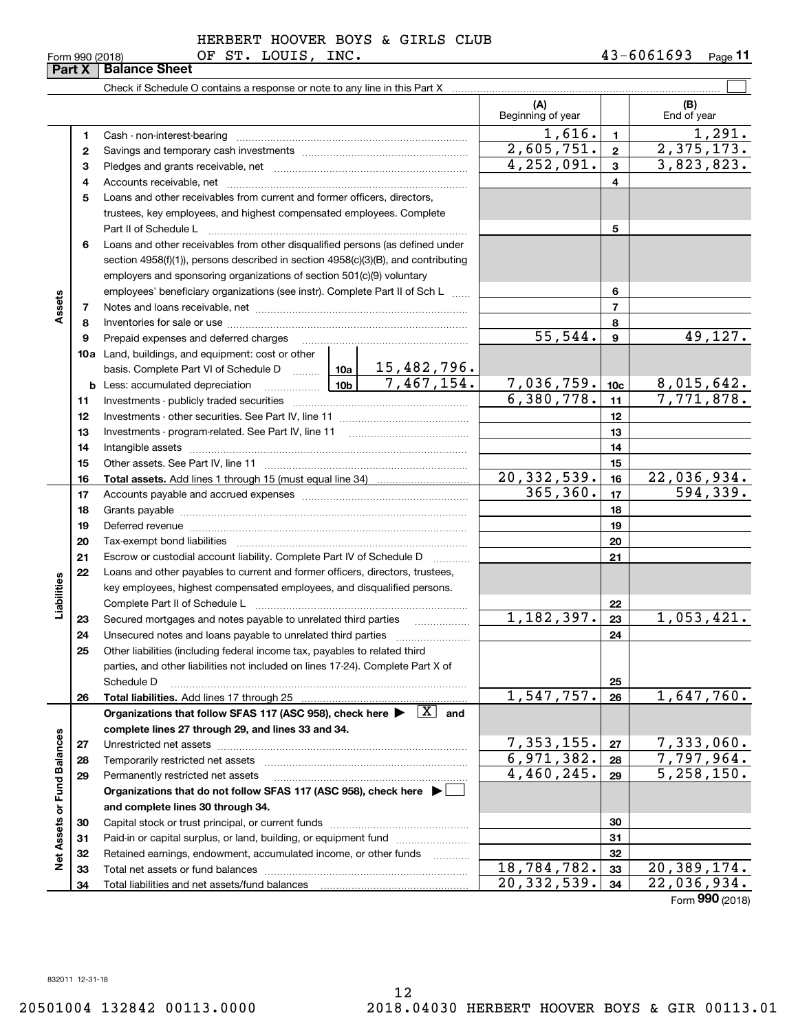|                             | 1  |                                                                                                                                                                                                                                |  | 1,616.                  | $\overline{\mathbf{1}}$ | 1,291.                         |
|-----------------------------|----|--------------------------------------------------------------------------------------------------------------------------------------------------------------------------------------------------------------------------------|--|-------------------------|-------------------------|--------------------------------|
|                             | 2  |                                                                                                                                                                                                                                |  | 2,605,751.              | $\mathbf{2}$            | 2,375,173.                     |
|                             | 3  |                                                                                                                                                                                                                                |  | $\overline{4,252},091.$ | $\mathbf{3}$            | 3,823,823.                     |
|                             | 4  |                                                                                                                                                                                                                                |  |                         | 4                       |                                |
|                             | 5  | Loans and other receivables from current and former officers, directors,                                                                                                                                                       |  |                         |                         |                                |
|                             |    | trustees, key employees, and highest compensated employees. Complete                                                                                                                                                           |  |                         |                         |                                |
|                             |    | Part II of Schedule L                                                                                                                                                                                                          |  |                         | 5                       |                                |
|                             | 6  | Loans and other receivables from other disqualified persons (as defined under                                                                                                                                                  |  |                         |                         |                                |
|                             |    | section 4958(f)(1)), persons described in section 4958(c)(3)(B), and contributing                                                                                                                                              |  |                         |                         |                                |
|                             |    | employers and sponsoring organizations of section 501(c)(9) voluntary                                                                                                                                                          |  |                         |                         |                                |
|                             |    | employees' beneficiary organizations (see instr). Complete Part II of Sch L                                                                                                                                                    |  |                         | 6                       |                                |
| Assets                      | 7  |                                                                                                                                                                                                                                |  |                         | $\overline{7}$          |                                |
|                             | 8  |                                                                                                                                                                                                                                |  |                         | 8                       |                                |
|                             | 9  | Prepaid expenses and deferred charges                                                                                                                                                                                          |  | 55,544.                 | 9                       | 49,127.                        |
|                             |    | <b>10a</b> Land, buildings, and equipment: cost or other                                                                                                                                                                       |  |                         |                         |                                |
|                             |    | basis. Complete Part VI of Schedule D    10a   15, 482, 796.                                                                                                                                                                   |  |                         |                         |                                |
|                             |    | $\frac{10b}{7,467,154}$<br><b>b</b> Less: accumulated depreciation                                                                                                                                                             |  | 7,036,759.              | 10 <sub>c</sub>         | 8,015,642.                     |
|                             | 11 |                                                                                                                                                                                                                                |  | 6,380,778.              | 11                      | 7,771,878.                     |
|                             | 12 |                                                                                                                                                                                                                                |  |                         | 12                      |                                |
|                             | 13 |                                                                                                                                                                                                                                |  |                         | 13                      |                                |
|                             | 14 |                                                                                                                                                                                                                                |  |                         | 14                      |                                |
|                             | 15 |                                                                                                                                                                                                                                |  | 15                      |                         |                                |
|                             | 16 |                                                                                                                                                                                                                                |  | 20, 332, 539.           | 16                      | $\frac{22,036,934.}{594,339.}$ |
|                             | 17 |                                                                                                                                                                                                                                |  | 365, 360.               | 17                      |                                |
|                             | 18 |                                                                                                                                                                                                                                |  |                         | 18                      |                                |
|                             | 19 | Deferred revenue information and contact the contract of the contract of the contract of the contract of the contract of the contract of the contract of the contract of the contract of the contract of the contract of the c |  |                         | 19                      |                                |
|                             | 20 |                                                                                                                                                                                                                                |  | 20                      |                         |                                |
|                             | 21 | Escrow or custodial account liability. Complete Part IV of Schedule D                                                                                                                                                          |  | 21                      |                         |                                |
|                             | 22 | Loans and other payables to current and former officers, directors, trustees,                                                                                                                                                  |  |                         |                         |                                |
| Liabilities                 |    | key employees, highest compensated employees, and disqualified persons.                                                                                                                                                        |  |                         |                         |                                |
|                             |    | Complete Part II of Schedule L                                                                                                                                                                                                 |  |                         | 22                      |                                |
|                             | 23 |                                                                                                                                                                                                                                |  | 1,182,397.              | 23                      | 1,053,421.                     |
|                             | 24 |                                                                                                                                                                                                                                |  |                         | 24                      |                                |
|                             | 25 | Other liabilities (including federal income tax, payables to related third                                                                                                                                                     |  |                         |                         |                                |
|                             |    | parties, and other liabilities not included on lines 17-24). Complete Part X of                                                                                                                                                |  |                         |                         |                                |
|                             |    | Schedule D                                                                                                                                                                                                                     |  | 1,547,757.              | 25<br>26                | 1,647,760.                     |
|                             | 26 | Organizations that follow SFAS 117 (ASC 958), check here $\blacktriangleright \boxed{X}$ and                                                                                                                                   |  |                         |                         |                                |
|                             |    | complete lines 27 through 29, and lines 33 and 34.                                                                                                                                                                             |  |                         |                         |                                |
|                             | 27 |                                                                                                                                                                                                                                |  | 7,353,155.              | 27                      | 7,333,060.                     |
|                             | 28 |                                                                                                                                                                                                                                |  | 6,971,382.              | 28                      | 7,797,964.                     |
|                             | 29 | Permanently restricted net assets                                                                                                                                                                                              |  | 4,460,245.              | 29                      | $\overline{5,258,150}$ .       |
|                             |    | Organizations that do not follow SFAS 117 (ASC 958), check here ▶ □                                                                                                                                                            |  |                         |                         |                                |
|                             |    | and complete lines 30 through 34.                                                                                                                                                                                              |  |                         |                         |                                |
|                             | 30 |                                                                                                                                                                                                                                |  |                         | 30                      |                                |
|                             | 31 | Paid-in or capital surplus, or land, building, or equipment fund                                                                                                                                                               |  |                         | 31                      |                                |
| Net Assets or Fund Balances | 32 | Retained earnings, endowment, accumulated income, or other funds                                                                                                                                                               |  |                         | 32                      |                                |
|                             | 33 |                                                                                                                                                                                                                                |  | 18,784,782.             | 33                      | 20,389,174.                    |
|                             | 34 |                                                                                                                                                                                                                                |  | 20, 332, 539.           | 34                      | $\overline{22}$ , 036, 934.    |
|                             |    |                                                                                                                                                                                                                                |  |                         |                         | Form 990 (2018)                |

Form 990 (2018) OF ST. LOUIS, INC. 43-6061693 <sub>Page</sub> **Part X Balance Sheet**

Check if Schedule O contains a response or note to any line in this Part X

 $\mathcal{L}^{\text{max}}$ 

**(B)**

Beginning of year | | End of year

**(A)**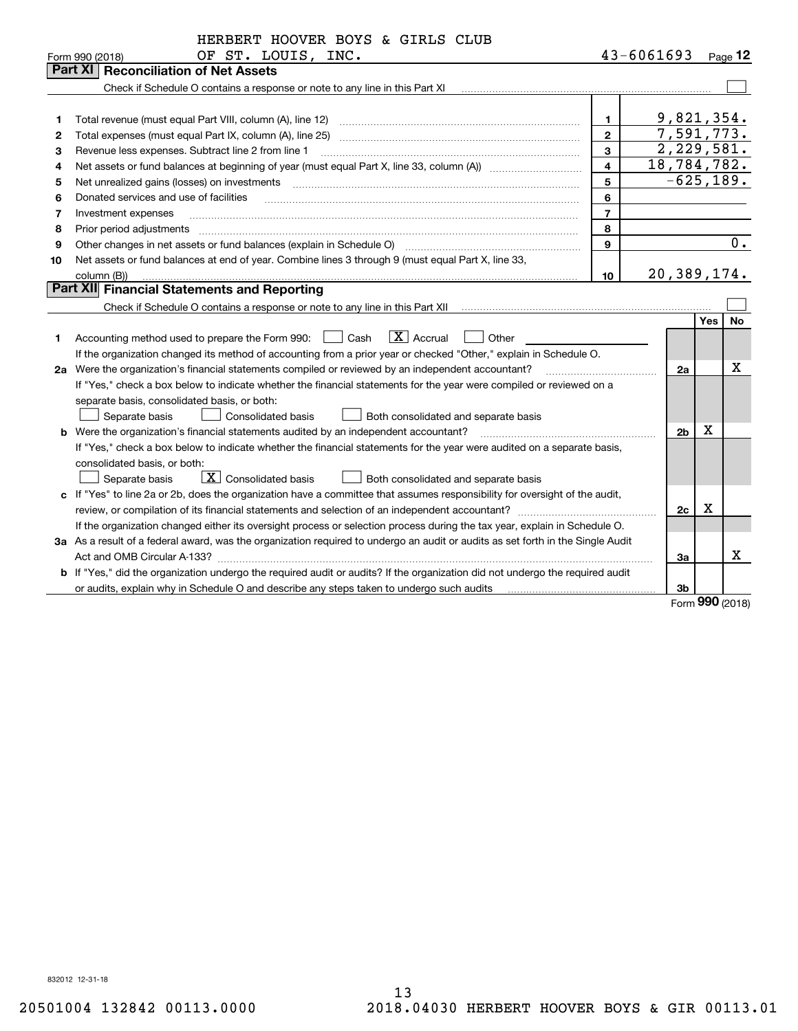|    | HERBERT HOOVER BOYS & GIRLS CLUB                                                                                                                                       |                |                |                    |                     |
|----|------------------------------------------------------------------------------------------------------------------------------------------------------------------------|----------------|----------------|--------------------|---------------------|
|    | OF ST. LOUIS, INC.<br>Form 990 (2018)                                                                                                                                  |                | 43-6061693     |                    | $_{\text{Page}}$ 12 |
|    | Part XI<br><b>Reconciliation of Net Assets</b>                                                                                                                         |                |                |                    |                     |
|    | Check if Schedule O contains a response or note to any line in this Part XI [11] [12] [12] Check if Schedule O contains a response or note to any line in this Part XI |                |                |                    |                     |
|    |                                                                                                                                                                        |                |                |                    |                     |
| 1  | Total revenue (must equal Part VIII, column (A), line 12)                                                                                                              | 1              | 9,821,354.     |                    |                     |
| 2  | Total expenses (must equal Part IX, column (A), line 25)                                                                                                               | $\mathbf{2}$   | 7,591,773.     |                    |                     |
| З  | Revenue less expenses. Subtract line 2 from line 1                                                                                                                     | 3              | 2,229,581.     |                    |                     |
| 4  |                                                                                                                                                                        | 4              | 18,784,782.    |                    |                     |
| 5  | Net unrealized gains (losses) on investments                                                                                                                           | 5              | $-625, 189.$   |                    |                     |
| 6  | Donated services and use of facilities                                                                                                                                 | 6              |                |                    |                     |
| 7  | Investment expenses                                                                                                                                                    | $\overline{7}$ |                |                    |                     |
| 8  | Prior period adjustments                                                                                                                                               | 8              |                |                    |                     |
| 9  | Other changes in net assets or fund balances (explain in Schedule O)                                                                                                   | 9              |                |                    | $\overline{0}$ .    |
| 10 | Net assets or fund balances at end of year. Combine lines 3 through 9 (must equal Part X, line 33,                                                                     |                |                |                    |                     |
|    | column (B))                                                                                                                                                            | 10             | 20,389,174.    |                    |                     |
|    | Part XII Financial Statements and Reporting                                                                                                                            |                |                |                    |                     |
|    | Check if Schedule O contains a response or note to any line in this Part XII                                                                                           |                |                |                    |                     |
|    |                                                                                                                                                                        |                |                | <b>Yes</b>         | No                  |
| 1. | $\boxed{\textbf{X}}$ Accrual<br>$\Box$ Cash<br>Other<br>Accounting method used to prepare the Form 990:                                                                |                |                |                    |                     |
|    | If the organization changed its method of accounting from a prior year or checked "Other," explain in Schedule O.                                                      |                |                |                    |                     |
|    | 2a Were the organization's financial statements compiled or reviewed by an independent accountant?                                                                     |                | 2a             |                    | x                   |
|    | If "Yes," check a box below to indicate whether the financial statements for the year were compiled or reviewed on a                                                   |                |                |                    |                     |
|    | separate basis, consolidated basis, or both:                                                                                                                           |                |                |                    |                     |
|    | Separate basis<br><b>Consolidated basis</b><br>Both consolidated and separate basis                                                                                    |                |                |                    |                     |
|    | <b>b</b> Were the organization's financial statements audited by an independent accountant?                                                                            |                | 2 <sub>b</sub> | х                  |                     |
|    | If "Yes," check a box below to indicate whether the financial statements for the year were audited on a separate basis,                                                |                |                |                    |                     |
|    | consolidated basis, or both:                                                                                                                                           |                |                |                    |                     |
|    | $\boxed{\textbf{X}}$ Consolidated basis<br>Separate basis<br>Both consolidated and separate basis                                                                      |                |                |                    |                     |
|    | c If "Yes" to line 2a or 2b, does the organization have a committee that assumes responsibility for oversight of the audit,                                            |                |                |                    |                     |
|    | review, or compilation of its financial statements and selection of an independent accountant?                                                                         |                | 2c             | х                  |                     |
|    | If the organization changed either its oversight process or selection process during the tax year, explain in Schedule O.                                              |                |                |                    |                     |
|    | 3a As a result of a federal award, was the organization required to undergo an audit or audits as set forth in the Single Audit                                        |                |                |                    |                     |
|    |                                                                                                                                                                        |                | За             |                    | x                   |
|    | b If "Yes," did the organization undergo the required audit or audits? If the organization did not undergo the required audit                                          |                |                |                    |                     |
|    |                                                                                                                                                                        |                | 3b             | $000 \text{ days}$ |                     |
|    |                                                                                                                                                                        |                |                |                    |                     |

Form (2018) **990**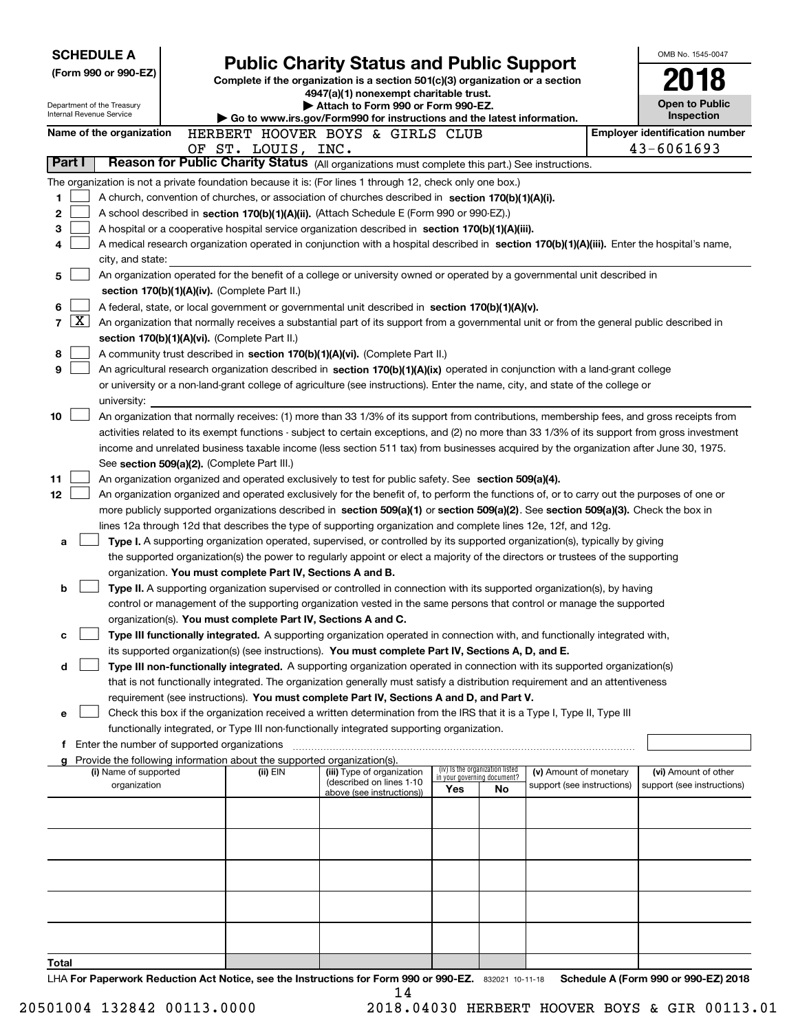|                                                                                                                                | <b>SCHEDULE A</b>                                                                                                                             |                                                        |  |                                               |                                                                                                                                                                                                                                               |                          |                                                                |                            |  | OMB No. 1545-0047                                   |
|--------------------------------------------------------------------------------------------------------------------------------|-----------------------------------------------------------------------------------------------------------------------------------------------|--------------------------------------------------------|--|-----------------------------------------------|-----------------------------------------------------------------------------------------------------------------------------------------------------------------------------------------------------------------------------------------------|--------------------------|----------------------------------------------------------------|----------------------------|--|-----------------------------------------------------|
|                                                                                                                                |                                                                                                                                               | (Form 990 or 990-EZ)                                   |  |                                               | <b>Public Charity Status and Public Support</b>                                                                                                                                                                                               |                          |                                                                |                            |  |                                                     |
|                                                                                                                                |                                                                                                                                               |                                                        |  |                                               | Complete if the organization is a section 501(c)(3) organization or a section<br>4947(a)(1) nonexempt charitable trust.                                                                                                                       |                          |                                                                |                            |  |                                                     |
|                                                                                                                                |                                                                                                                                               | Department of the Treasury<br>Internal Revenue Service |  |                                               | Attach to Form 990 or Form 990-EZ.                                                                                                                                                                                                            |                          |                                                                |                            |  | <b>Open to Public</b>                               |
|                                                                                                                                |                                                                                                                                               |                                                        |  |                                               | Go to www.irs.gov/Form990 for instructions and the latest information.                                                                                                                                                                        |                          |                                                                |                            |  | Inspection                                          |
|                                                                                                                                |                                                                                                                                               | Name of the organization                               |  | OF ST. LOUIS, INC.                            | HERBERT HOOVER BOYS & GIRLS CLUB                                                                                                                                                                                                              |                          |                                                                |                            |  | <b>Employer identification number</b><br>43-6061693 |
| Part I                                                                                                                         |                                                                                                                                               |                                                        |  |                                               | Reason for Public Charity Status (All organizations must complete this part.) See instructions.                                                                                                                                               |                          |                                                                |                            |  |                                                     |
|                                                                                                                                |                                                                                                                                               |                                                        |  |                                               | The organization is not a private foundation because it is: (For lines 1 through 12, check only one box.)                                                                                                                                     |                          |                                                                |                            |  |                                                     |
| 1.                                                                                                                             |                                                                                                                                               |                                                        |  |                                               | A church, convention of churches, or association of churches described in section 170(b)(1)(A)(i).                                                                                                                                            |                          |                                                                |                            |  |                                                     |
| 2                                                                                                                              |                                                                                                                                               |                                                        |  |                                               | A school described in section 170(b)(1)(A)(ii). (Attach Schedule E (Form 990 or 990-EZ).)                                                                                                                                                     |                          |                                                                |                            |  |                                                     |
| 3                                                                                                                              |                                                                                                                                               |                                                        |  |                                               | A hospital or a cooperative hospital service organization described in section $170(b)(1)(A)(iii)$ .                                                                                                                                          |                          |                                                                |                            |  |                                                     |
| 4                                                                                                                              |                                                                                                                                               |                                                        |  |                                               | A medical research organization operated in conjunction with a hospital described in section 170(b)(1)(A)(iii). Enter the hospital's name,                                                                                                    |                          |                                                                |                            |  |                                                     |
|                                                                                                                                |                                                                                                                                               | city, and state:                                       |  |                                               |                                                                                                                                                                                                                                               |                          |                                                                |                            |  |                                                     |
| An organization operated for the benefit of a college or university owned or operated by a governmental unit described in<br>5 |                                                                                                                                               |                                                        |  |                                               |                                                                                                                                                                                                                                               |                          |                                                                |                            |  |                                                     |
|                                                                                                                                |                                                                                                                                               |                                                        |  | section 170(b)(1)(A)(iv). (Complete Part II.) |                                                                                                                                                                                                                                               |                          |                                                                |                            |  |                                                     |
| 6                                                                                                                              |                                                                                                                                               |                                                        |  |                                               | A federal, state, or local government or governmental unit described in section 170(b)(1)(A)(v).                                                                                                                                              |                          |                                                                |                            |  |                                                     |
| 7                                                                                                                              | $\mathbf{X}$                                                                                                                                  |                                                        |  |                                               | An organization that normally receives a substantial part of its support from a governmental unit or from the general public described in                                                                                                     |                          |                                                                |                            |  |                                                     |
| 8                                                                                                                              |                                                                                                                                               |                                                        |  | section 170(b)(1)(A)(vi). (Complete Part II.) | A community trust described in section 170(b)(1)(A)(vi). (Complete Part II.)                                                                                                                                                                  |                          |                                                                |                            |  |                                                     |
| 9                                                                                                                              |                                                                                                                                               |                                                        |  |                                               | An agricultural research organization described in section 170(b)(1)(A)(ix) operated in conjunction with a land-grant college                                                                                                                 |                          |                                                                |                            |  |                                                     |
|                                                                                                                                |                                                                                                                                               |                                                        |  |                                               | or university or a non-land-grant college of agriculture (see instructions). Enter the name, city, and state of the college or                                                                                                                |                          |                                                                |                            |  |                                                     |
|                                                                                                                                |                                                                                                                                               | university:                                            |  |                                               |                                                                                                                                                                                                                                               |                          |                                                                |                            |  |                                                     |
| 10                                                                                                                             |                                                                                                                                               |                                                        |  |                                               | An organization that normally receives: (1) more than 33 1/3% of its support from contributions, membership fees, and gross receipts from                                                                                                     |                          |                                                                |                            |  |                                                     |
|                                                                                                                                | activities related to its exempt functions - subject to certain exceptions, and (2) no more than 33 1/3% of its support from gross investment |                                                        |  |                                               |                                                                                                                                                                                                                                               |                          |                                                                |                            |  |                                                     |
|                                                                                                                                | income and unrelated business taxable income (less section 511 tax) from businesses acquired by the organization after June 30, 1975.         |                                                        |  |                                               |                                                                                                                                                                                                                                               |                          |                                                                |                            |  |                                                     |
|                                                                                                                                |                                                                                                                                               |                                                        |  | See section 509(a)(2). (Complete Part III.)   |                                                                                                                                                                                                                                               |                          |                                                                |                            |  |                                                     |
| 11                                                                                                                             |                                                                                                                                               |                                                        |  |                                               | An organization organized and operated exclusively to test for public safety. See section 509(a)(4).                                                                                                                                          |                          |                                                                |                            |  |                                                     |
| 12                                                                                                                             |                                                                                                                                               |                                                        |  |                                               | An organization organized and operated exclusively for the benefit of, to perform the functions of, or to carry out the purposes of one or                                                                                                    |                          |                                                                |                            |  |                                                     |
|                                                                                                                                |                                                                                                                                               |                                                        |  |                                               | more publicly supported organizations described in section 509(a)(1) or section 509(a)(2). See section 509(a)(3). Check the box in                                                                                                            |                          |                                                                |                            |  |                                                     |
| a                                                                                                                              |                                                                                                                                               |                                                        |  |                                               | lines 12a through 12d that describes the type of supporting organization and complete lines 12e, 12f, and 12g.<br>Type I. A supporting organization operated, supervised, or controlled by its supported organization(s), typically by giving |                          |                                                                |                            |  |                                                     |
|                                                                                                                                |                                                                                                                                               |                                                        |  |                                               | the supported organization(s) the power to regularly appoint or elect a majority of the directors or trustees of the supporting                                                                                                               |                          |                                                                |                            |  |                                                     |
|                                                                                                                                |                                                                                                                                               |                                                        |  |                                               | organization. You must complete Part IV, Sections A and B.                                                                                                                                                                                    |                          |                                                                |                            |  |                                                     |
| b                                                                                                                              |                                                                                                                                               |                                                        |  |                                               | Type II. A supporting organization supervised or controlled in connection with its supported organization(s), by having                                                                                                                       |                          |                                                                |                            |  |                                                     |
|                                                                                                                                |                                                                                                                                               |                                                        |  |                                               | control or management of the supporting organization vested in the same persons that control or manage the supported                                                                                                                          |                          |                                                                |                            |  |                                                     |
|                                                                                                                                |                                                                                                                                               |                                                        |  |                                               | organization(s). You must complete Part IV, Sections A and C.                                                                                                                                                                                 |                          |                                                                |                            |  |                                                     |
| с                                                                                                                              |                                                                                                                                               |                                                        |  |                                               | Type III functionally integrated. A supporting organization operated in connection with, and functionally integrated with,                                                                                                                    |                          |                                                                |                            |  |                                                     |
|                                                                                                                                |                                                                                                                                               |                                                        |  |                                               | its supported organization(s) (see instructions). You must complete Part IV, Sections A, D, and E.                                                                                                                                            |                          |                                                                |                            |  |                                                     |
| d                                                                                                                              |                                                                                                                                               |                                                        |  |                                               | Type III non-functionally integrated. A supporting organization operated in connection with its supported organization(s)                                                                                                                     |                          |                                                                |                            |  |                                                     |
|                                                                                                                                |                                                                                                                                               |                                                        |  |                                               | that is not functionally integrated. The organization generally must satisfy a distribution requirement and an attentiveness                                                                                                                  |                          |                                                                |                            |  |                                                     |
| е                                                                                                                              |                                                                                                                                               |                                                        |  |                                               | requirement (see instructions). You must complete Part IV, Sections A and D, and Part V.<br>Check this box if the organization received a written determination from the IRS that it is a Type I, Type II, Type III                           |                          |                                                                |                            |  |                                                     |
|                                                                                                                                |                                                                                                                                               |                                                        |  |                                               | functionally integrated, or Type III non-functionally integrated supporting organization.                                                                                                                                                     |                          |                                                                |                            |  |                                                     |
| Ť.                                                                                                                             |                                                                                                                                               | Enter the number of supported organizations            |  |                                               |                                                                                                                                                                                                                                               |                          |                                                                |                            |  |                                                     |
|                                                                                                                                |                                                                                                                                               |                                                        |  |                                               | Provide the following information about the supported organization(s).                                                                                                                                                                        |                          |                                                                |                            |  |                                                     |
|                                                                                                                                |                                                                                                                                               | (i) Name of supported                                  |  | (ii) EIN                                      | (iii) Type of organization<br>(described on lines 1-10                                                                                                                                                                                        |                          | (iv) Is the organization listed<br>in your governing document? | (v) Amount of monetary     |  | (vi) Amount of other                                |
|                                                                                                                                |                                                                                                                                               | organization                                           |  |                                               | above (see instructions))                                                                                                                                                                                                                     | Yes                      | No                                                             | support (see instructions) |  | support (see instructions)                          |
|                                                                                                                                |                                                                                                                                               |                                                        |  |                                               |                                                                                                                                                                                                                                               |                          |                                                                |                            |  |                                                     |
|                                                                                                                                |                                                                                                                                               |                                                        |  |                                               |                                                                                                                                                                                                                                               |                          |                                                                |                            |  |                                                     |
|                                                                                                                                |                                                                                                                                               |                                                        |  |                                               |                                                                                                                                                                                                                                               |                          |                                                                |                            |  |                                                     |
|                                                                                                                                |                                                                                                                                               |                                                        |  |                                               |                                                                                                                                                                                                                                               |                          |                                                                |                            |  |                                                     |
|                                                                                                                                |                                                                                                                                               |                                                        |  |                                               |                                                                                                                                                                                                                                               |                          |                                                                |                            |  |                                                     |
|                                                                                                                                |                                                                                                                                               |                                                        |  |                                               |                                                                                                                                                                                                                                               |                          |                                                                |                            |  |                                                     |
|                                                                                                                                |                                                                                                                                               |                                                        |  |                                               |                                                                                                                                                                                                                                               |                          |                                                                |                            |  |                                                     |
|                                                                                                                                |                                                                                                                                               |                                                        |  |                                               |                                                                                                                                                                                                                                               |                          |                                                                |                            |  |                                                     |
|                                                                                                                                |                                                                                                                                               |                                                        |  |                                               |                                                                                                                                                                                                                                               |                          |                                                                |                            |  |                                                     |
| Total                                                                                                                          |                                                                                                                                               |                                                        |  |                                               |                                                                                                                                                                                                                                               | $000 \rightarrow 000$ EZ |                                                                | <b>Calcadola</b>           |  |                                                     |

LHA For Paperwork Reduction Act Notice, see the Instructions for Form 990 or 990-EZ. 832021 10-11-18 Schedule A (Form 990 or 990-EZ) 2018 14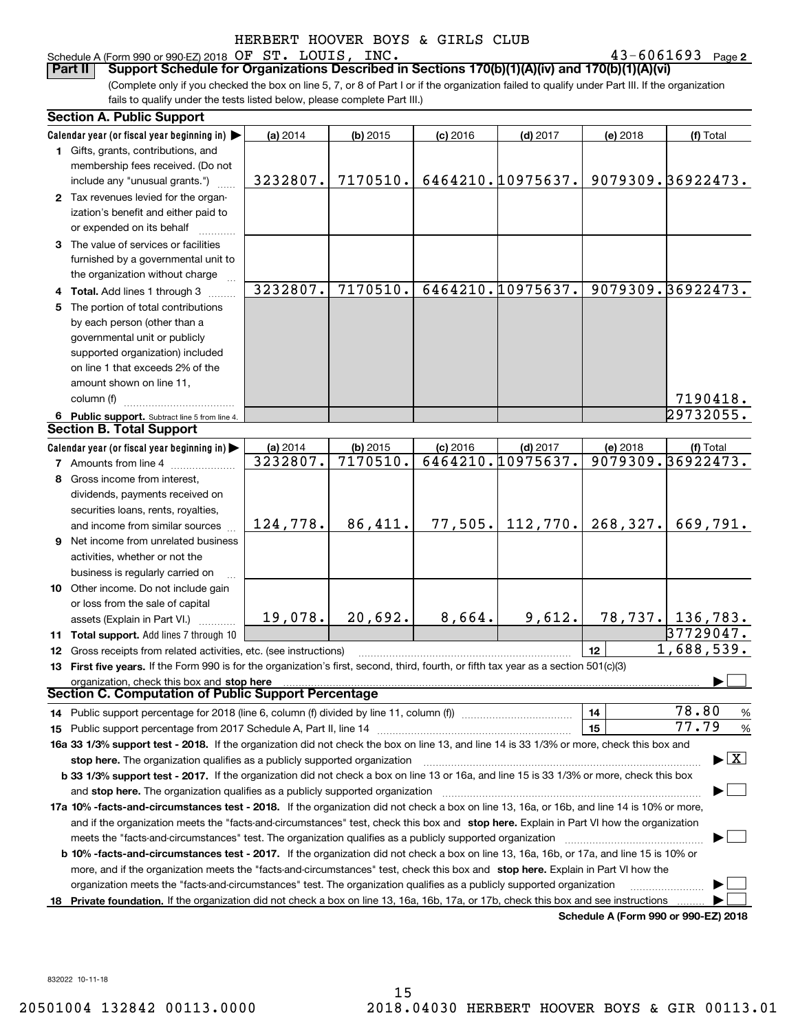### Schedule A (Form 990 or 990-EZ) 2018 Page OF ST. LOUIS, INC. 43-6061693

43-6061693 Page 2

(Complete only if you checked the box on line 5, 7, or 8 of Part I or if the organization failed to qualify under Part III. If the organization fails to qualify under the tests listed below, please complete Part III.) **Part II Support Schedule for Organizations Described in Sections 170(b)(1)(A)(iv) and 170(b)(1)(A)(vi)**

|    | <b>Section A. Public Support</b>                                                                                                           |                      |                      |            |                                 |           |                                         |
|----|--------------------------------------------------------------------------------------------------------------------------------------------|----------------------|----------------------|------------|---------------------------------|-----------|-----------------------------------------|
|    | Calendar year (or fiscal year beginning in)                                                                                                | (a) 2014             | $(b)$ 2015           | $(c)$ 2016 | $(d)$ 2017                      | (e) 2018  | (f) Total                               |
|    | 1 Gifts, grants, contributions, and                                                                                                        |                      |                      |            |                                 |           |                                         |
|    | membership fees received. (Do not                                                                                                          |                      |                      |            |                                 |           |                                         |
|    | include any "unusual grants.")                                                                                                             | 3232807.             | 7170510.             |            | 6464210.10975637.               |           | 9079309.36922473.                       |
|    | 2 Tax revenues levied for the organ-                                                                                                       |                      |                      |            |                                 |           |                                         |
|    | ization's benefit and either paid to                                                                                                       |                      |                      |            |                                 |           |                                         |
|    | or expended on its behalf                                                                                                                  |                      |                      |            |                                 |           |                                         |
|    | 3 The value of services or facilities                                                                                                      |                      |                      |            |                                 |           |                                         |
|    | furnished by a governmental unit to                                                                                                        |                      |                      |            |                                 |           |                                         |
|    | the organization without charge                                                                                                            |                      |                      |            |                                 |           |                                         |
|    | 4 Total. Add lines 1 through 3                                                                                                             | 3232807.             | 7170510.             |            | 6464210.10975637.               |           | 9079309.36922473.                       |
|    | 5 The portion of total contributions                                                                                                       |                      |                      |            |                                 |           |                                         |
|    | by each person (other than a                                                                                                               |                      |                      |            |                                 |           |                                         |
|    | governmental unit or publicly                                                                                                              |                      |                      |            |                                 |           |                                         |
|    | supported organization) included                                                                                                           |                      |                      |            |                                 |           |                                         |
|    | on line 1 that exceeds 2% of the                                                                                                           |                      |                      |            |                                 |           |                                         |
|    | amount shown on line 11,                                                                                                                   |                      |                      |            |                                 |           |                                         |
|    | column (f)                                                                                                                                 |                      |                      |            |                                 |           |                                         |
|    |                                                                                                                                            |                      |                      |            |                                 |           | 7190418.<br>$\sqrt{29732055}$ .         |
|    | 6 Public support. Subtract line 5 from line 4.<br><b>Section B. Total Support</b>                                                          |                      |                      |            |                                 |           |                                         |
|    |                                                                                                                                            |                      |                      |            |                                 |           |                                         |
|    | Calendar year (or fiscal year beginning in)                                                                                                | (a) 2014<br>3232807. | (b) 2015<br>7170510. | $(c)$ 2016 | $(d)$ 2017<br>6464210.10975637. | (e) 2018  | (f) Total<br>9079309.36922473.          |
|    | 7 Amounts from line 4                                                                                                                      |                      |                      |            |                                 |           |                                         |
|    | 8 Gross income from interest,                                                                                                              |                      |                      |            |                                 |           |                                         |
|    | dividends, payments received on                                                                                                            |                      |                      |            |                                 |           |                                         |
|    | securities loans, rents, royalties,                                                                                                        |                      |                      |            |                                 |           |                                         |
|    | and income from similar sources                                                                                                            | 124,778.             | 86,411.              | 77,505.    | 112,770.                        | 268, 327. | 669,791.                                |
|    | <b>9</b> Net income from unrelated business                                                                                                |                      |                      |            |                                 |           |                                         |
|    | activities, whether or not the                                                                                                             |                      |                      |            |                                 |           |                                         |
|    | business is regularly carried on                                                                                                           |                      |                      |            |                                 |           |                                         |
|    | 10 Other income. Do not include gain                                                                                                       |                      |                      |            |                                 |           |                                         |
|    | or loss from the sale of capital                                                                                                           |                      |                      |            |                                 |           |                                         |
|    | assets (Explain in Part VI.)                                                                                                               | 19,078.              | 20,692.              | 8,664.     | 9,612.                          |           | 78,737. 136,783.                        |
|    | 11 Total support. Add lines 7 through 10                                                                                                   |                      |                      |            |                                 |           | $\overline{377}$ 29047.                 |
|    | 12 Gross receipts from related activities, etc. (see instructions)                                                                         |                      |                      |            |                                 | 12        | 1,688,539.                              |
|    | 13 First five years. If the Form 990 is for the organization's first, second, third, fourth, or fifth tax year as a section 501(c)(3)      |                      |                      |            |                                 |           |                                         |
|    |                                                                                                                                            |                      |                      |            |                                 |           |                                         |
|    | Digitilization, crieck this box and stop here <b>Community and Section C. Computation of Public Support Percentage</b>                     |                      |                      |            |                                 |           |                                         |
|    | 14 Public support percentage for 2018 (line 6, column (f) divided by line 11, column (f) <i>manumeronominimi</i> ng                        |                      |                      |            |                                 | 14        | 78.80<br>%                              |
|    |                                                                                                                                            |                      |                      |            |                                 | 15        | 77.79<br>$\frac{9}{6}$                  |
|    | 16a 33 1/3% support test - 2018. If the organization did not check the box on line 13, and line 14 is 33 1/3% or more, check this box and  |                      |                      |            |                                 |           |                                         |
|    | stop here. The organization qualifies as a publicly supported organization                                                                 |                      |                      |            |                                 |           | $\blacktriangleright$ $\vert$ X $\vert$ |
|    | b 33 1/3% support test - 2017. If the organization did not check a box on line 13 or 16a, and line 15 is 33 1/3% or more, check this box   |                      |                      |            |                                 |           |                                         |
|    | and stop here. The organization qualifies as a publicly supported organization                                                             |                      |                      |            |                                 |           |                                         |
|    | 17a 10% -facts-and-circumstances test - 2018. If the organization did not check a box on line 13, 16a, or 16b, and line 14 is 10% or more, |                      |                      |            |                                 |           |                                         |
|    | and if the organization meets the "facts-and-circumstances" test, check this box and stop here. Explain in Part VI how the organization    |                      |                      |            |                                 |           |                                         |
|    | meets the "facts-and-circumstances" test. The organization qualifies as a publicly supported organization                                  |                      |                      |            |                                 |           |                                         |
|    | b 10% -facts-and-circumstances test - 2017. If the organization did not check a box on line 13, 16a, 16b, or 17a, and line 15 is 10% or    |                      |                      |            |                                 |           |                                         |
|    | more, and if the organization meets the "facts-and-circumstances" test, check this box and stop here. Explain in Part VI how the           |                      |                      |            |                                 |           |                                         |
|    | organization meets the "facts-and-circumstances" test. The organization qualifies as a publicly supported organization                     |                      |                      |            |                                 |           |                                         |
| 18 | Private foundation. If the organization did not check a box on line 13, 16a, 16b, 17a, or 17b, check this box and see instructions         |                      |                      |            |                                 |           |                                         |
|    |                                                                                                                                            |                      |                      |            |                                 |           | Schedule A (Form 990 or 990-F7) 2018    |

**Schedule A (Form 990 or 990-EZ) 2018**

832022 10-11-18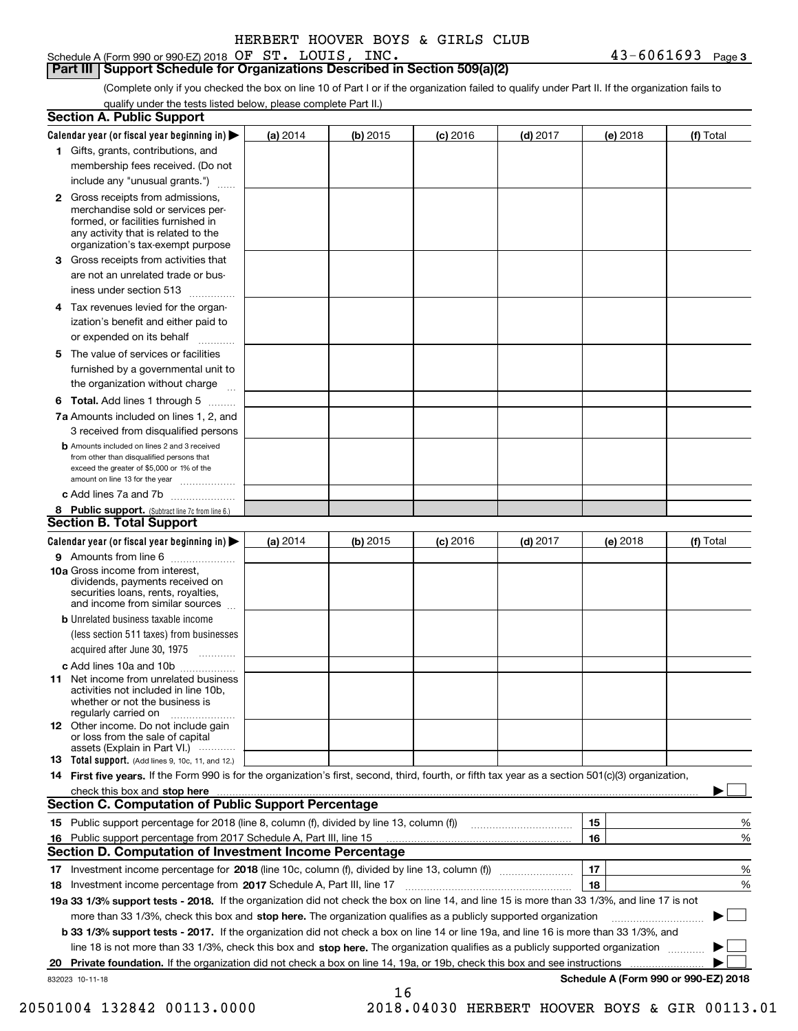Schedule A (Form 990 or 990-EZ) 2018 Page OF ST. LOUIS, INC. 43-6061693

### **Part III Support Schedule for Organizations Described in Section 509(a)(2)**

(Complete only if you checked the box on line 10 of Part I or if the organization failed to qualify under Part II. If the organization fails to qualify under the tests listed below, please complete Part II.)

|    | <b>Section A. Public Support</b>                                                                                                                                                                                               |          |            |            |            |          |                                      |
|----|--------------------------------------------------------------------------------------------------------------------------------------------------------------------------------------------------------------------------------|----------|------------|------------|------------|----------|--------------------------------------|
|    | Calendar year (or fiscal year beginning in) $\blacktriangleright$                                                                                                                                                              | (a) 2014 | (b) 2015   | $(c)$ 2016 | $(d)$ 2017 | (e) 2018 | (f) Total                            |
|    | 1 Gifts, grants, contributions, and                                                                                                                                                                                            |          |            |            |            |          |                                      |
|    | membership fees received. (Do not                                                                                                                                                                                              |          |            |            |            |          |                                      |
|    | include any "unusual grants.")                                                                                                                                                                                                 |          |            |            |            |          |                                      |
|    | <b>2</b> Gross receipts from admissions,<br>merchandise sold or services per-<br>formed, or facilities furnished in<br>any activity that is related to the<br>organization's tax-exempt purpose                                |          |            |            |            |          |                                      |
|    | 3 Gross receipts from activities that<br>are not an unrelated trade or bus-                                                                                                                                                    |          |            |            |            |          |                                      |
|    | iness under section 513                                                                                                                                                                                                        |          |            |            |            |          |                                      |
|    | 4 Tax revenues levied for the organ-                                                                                                                                                                                           |          |            |            |            |          |                                      |
|    | ization's benefit and either paid to<br>or expended on its behalf                                                                                                                                                              |          |            |            |            |          |                                      |
|    | 5 The value of services or facilities                                                                                                                                                                                          |          |            |            |            |          |                                      |
|    | furnished by a governmental unit to                                                                                                                                                                                            |          |            |            |            |          |                                      |
|    | the organization without charge                                                                                                                                                                                                |          |            |            |            |          |                                      |
|    | <b>6 Total.</b> Add lines 1 through 5                                                                                                                                                                                          |          |            |            |            |          |                                      |
|    | 7a Amounts included on lines 1, 2, and<br>3 received from disqualified persons                                                                                                                                                 |          |            |            |            |          |                                      |
|    | <b>b</b> Amounts included on lines 2 and 3 received<br>from other than disqualified persons that<br>exceed the greater of \$5,000 or 1% of the<br>amount on line 13 for the year                                               |          |            |            |            |          |                                      |
|    | c Add lines 7a and 7b                                                                                                                                                                                                          |          |            |            |            |          |                                      |
|    | 8 Public support. (Subtract line 7c from line 6.)                                                                                                                                                                              |          |            |            |            |          |                                      |
|    | <b>Section B. Total Support</b>                                                                                                                                                                                                |          |            |            |            |          |                                      |
|    | Calendar year (or fiscal year beginning in)                                                                                                                                                                                    | (a) 2014 | $(b)$ 2015 | $(c)$ 2016 | $(d)$ 2017 | (e) 2018 | (f) Total                            |
|    | 9 Amounts from line 6                                                                                                                                                                                                          |          |            |            |            |          |                                      |
|    | <b>10a</b> Gross income from interest,<br>dividends, payments received on<br>securities loans, rents, royalties,<br>and income from similar sources                                                                            |          |            |            |            |          |                                      |
|    | <b>b</b> Unrelated business taxable income                                                                                                                                                                                     |          |            |            |            |          |                                      |
|    | (less section 511 taxes) from businesses                                                                                                                                                                                       |          |            |            |            |          |                                      |
|    | acquired after June 30, 1975                                                                                                                                                                                                   |          |            |            |            |          |                                      |
|    | c Add lines 10a and 10b                                                                                                                                                                                                        |          |            |            |            |          |                                      |
|    | 11 Net income from unrelated business<br>activities not included in line 10b,<br>whether or not the business is<br>regularly carried on                                                                                        |          |            |            |            |          |                                      |
|    | <b>12</b> Other income. Do not include gain<br>or loss from the sale of capital<br>assets (Explain in Part VI.)                                                                                                                |          |            |            |            |          |                                      |
|    | 13 Total support. (Add lines 9, 10c, 11, and 12.)                                                                                                                                                                              |          |            |            |            |          |                                      |
|    | 14 First five years. If the Form 990 is for the organization's first, second, third, fourth, or fifth tax year as a section 501(c)(3) organization,                                                                            |          |            |            |            |          |                                      |
|    | check this box and stop here measurements and contact the contract of the contract of the contract of the contract of the contract of the contract of the contract of the contract of the contract of the contract of the cont |          |            |            |            |          |                                      |
|    | <b>Section C. Computation of Public Support Percentage</b>                                                                                                                                                                     |          |            |            |            |          |                                      |
|    |                                                                                                                                                                                                                                |          |            |            |            | 15       | %                                    |
| 16 | Public support percentage from 2017 Schedule A, Part III, line 15                                                                                                                                                              |          |            |            |            | 16       | %                                    |
|    | <b>Section D. Computation of Investment Income Percentage</b>                                                                                                                                                                  |          |            |            |            |          |                                      |
|    | 17 Investment income percentage for 2018 (line 10c, column (f), divided by line 13, column (f))                                                                                                                                |          |            |            |            | 17       | %                                    |
|    | 18 Investment income percentage from 2017 Schedule A, Part III, line 17                                                                                                                                                        |          |            |            |            | 18       | %                                    |
|    | 19a 33 1/3% support tests - 2018. If the organization did not check the box on line 14, and line 15 is more than 33 1/3%, and line 17 is not                                                                                   |          |            |            |            |          |                                      |
|    | more than 33 1/3%, check this box and stop here. The organization qualifies as a publicly supported organization                                                                                                               |          |            |            |            |          |                                      |
|    | b 33 1/3% support tests - 2017. If the organization did not check a box on line 14 or line 19a, and line 16 is more than 33 1/3%, and                                                                                          |          |            |            |            |          |                                      |
|    | line 18 is not more than 33 1/3%, check this box and stop here. The organization qualifies as a publicly supported organization                                                                                                |          |            |            |            |          |                                      |
| 20 | <b>Private foundation.</b> If the organization did not check a box on line 14, 19a, or 19b, check this box and see instructions                                                                                                |          |            |            |            |          | .                                    |
|    | 832023 10-11-18                                                                                                                                                                                                                |          | 16         |            |            |          | Schedule A (Form 990 or 990-EZ) 2018 |

20501004 132842 00113.0000 2018.04030 HERBERT HOOVER BOYS & GIR 00113.01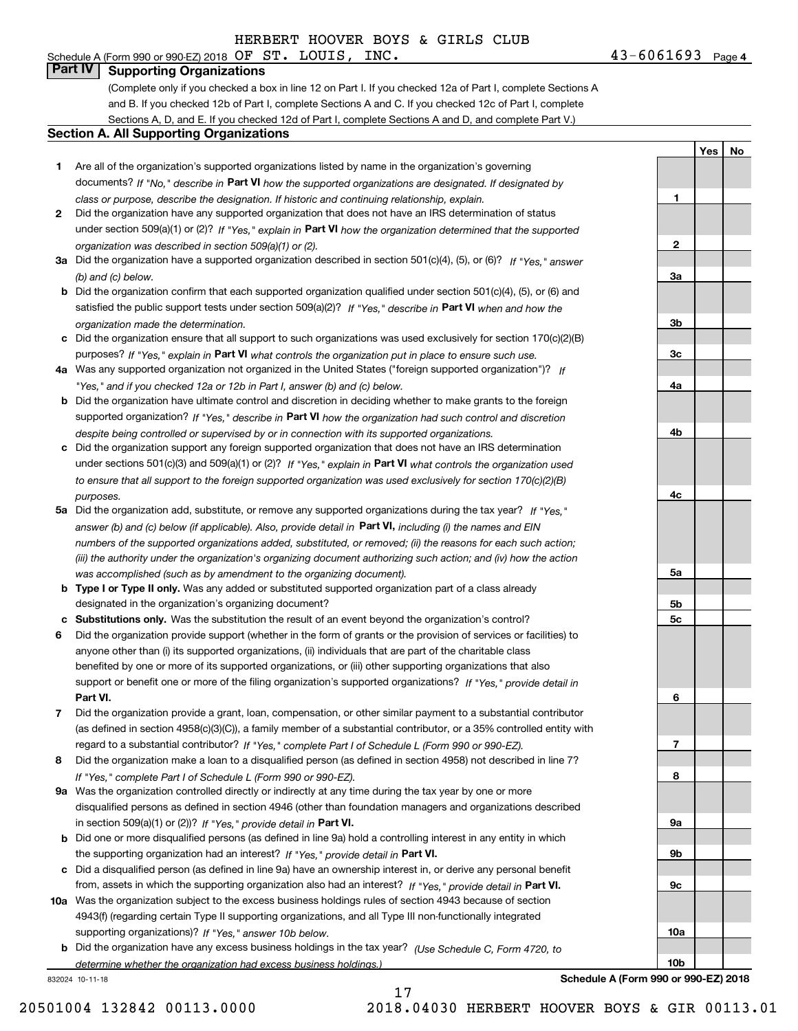# Schedule A (Form 990 or 990-EZ) 2018 Page OF ST. LOUIS, INC. 43-6061693

**Part IV Supporting Organizations**

(Complete only if you checked a box in line 12 on Part I. If you checked 12a of Part I, complete Sections A and B. If you checked 12b of Part I, complete Sections A and C. If you checked 12c of Part I, complete Sections A, D, and E. If you checked 12d of Part I, complete Sections A and D, and complete Part V.)

### **Section A. All Supporting Organizations**

- **1** Are all of the organization's supported organizations listed by name in the organization's governing documents? If "No," describe in **Part VI** how the supported organizations are designated. If designated by *class or purpose, describe the designation. If historic and continuing relationship, explain.*
- **2** Did the organization have any supported organization that does not have an IRS determination of status under section 509(a)(1) or (2)? If "Yes," explain in Part VI how the organization determined that the supported *organization was described in section 509(a)(1) or (2).*
- **3a** Did the organization have a supported organization described in section 501(c)(4), (5), or (6)? If "Yes," answer *(b) and (c) below.*
- **b** Did the organization confirm that each supported organization qualified under section 501(c)(4), (5), or (6) and satisfied the public support tests under section 509(a)(2)? If "Yes," describe in **Part VI** when and how the *organization made the determination.*
- **c**Did the organization ensure that all support to such organizations was used exclusively for section 170(c)(2)(B) purposes? If "Yes," explain in **Part VI** what controls the organization put in place to ensure such use.
- **4a***If* Was any supported organization not organized in the United States ("foreign supported organization")? *"Yes," and if you checked 12a or 12b in Part I, answer (b) and (c) below.*
- **b** Did the organization have ultimate control and discretion in deciding whether to make grants to the foreign supported organization? If "Yes," describe in **Part VI** how the organization had such control and discretion *despite being controlled or supervised by or in connection with its supported organizations.*
- **c** Did the organization support any foreign supported organization that does not have an IRS determination under sections 501(c)(3) and 509(a)(1) or (2)? If "Yes," explain in **Part VI** what controls the organization used *to ensure that all support to the foreign supported organization was used exclusively for section 170(c)(2)(B) purposes.*
- **5a** Did the organization add, substitute, or remove any supported organizations during the tax year? If "Yes," answer (b) and (c) below (if applicable). Also, provide detail in **Part VI,** including (i) the names and EIN *numbers of the supported organizations added, substituted, or removed; (ii) the reasons for each such action; (iii) the authority under the organization's organizing document authorizing such action; and (iv) how the action was accomplished (such as by amendment to the organizing document).*
- **b** Type I or Type II only. Was any added or substituted supported organization part of a class already designated in the organization's organizing document?
- **cSubstitutions only.**  Was the substitution the result of an event beyond the organization's control?
- **6** Did the organization provide support (whether in the form of grants or the provision of services or facilities) to **Part VI.** *If "Yes," provide detail in* support or benefit one or more of the filing organization's supported organizations? anyone other than (i) its supported organizations, (ii) individuals that are part of the charitable class benefited by one or more of its supported organizations, or (iii) other supporting organizations that also
- **7**Did the organization provide a grant, loan, compensation, or other similar payment to a substantial contributor *If "Yes," complete Part I of Schedule L (Form 990 or 990-EZ).* regard to a substantial contributor? (as defined in section 4958(c)(3)(C)), a family member of a substantial contributor, or a 35% controlled entity with
- **8** Did the organization make a loan to a disqualified person (as defined in section 4958) not described in line 7? *If "Yes," complete Part I of Schedule L (Form 990 or 990-EZ).*
- **9a** Was the organization controlled directly or indirectly at any time during the tax year by one or more in section 509(a)(1) or (2))? If "Yes," *provide detail in* <code>Part VI.</code> disqualified persons as defined in section 4946 (other than foundation managers and organizations described
- **b** Did one or more disqualified persons (as defined in line 9a) hold a controlling interest in any entity in which the supporting organization had an interest? If "Yes," provide detail in P**art VI**.
- **c**Did a disqualified person (as defined in line 9a) have an ownership interest in, or derive any personal benefit from, assets in which the supporting organization also had an interest? If "Yes," provide detail in P**art VI.**
- **10a** Was the organization subject to the excess business holdings rules of section 4943 because of section supporting organizations)? If "Yes," answer 10b below. 4943(f) (regarding certain Type II supporting organizations, and all Type III non-functionally integrated
- **b** Did the organization have any excess business holdings in the tax year? (Use Schedule C, Form 4720, to *determine whether the organization had excess business holdings.)*

17

832024 10-11-18

**Schedule A (Form 990 or 990-EZ) 2018**

 $43 - 6061693$  Page 4

**1**

**2**

**3a**

**3b**

**3c**

**4a**

**4b**

**4c**

**5a**

**5b5c**

**6**

**7**

**8**

**9a**

**9b**

**9c**

**10a**

**10b**

**YesNo**

20501004 132842 00113.0000 2018.04030 HERBERT HOOVER BOYS & GIR 00113.01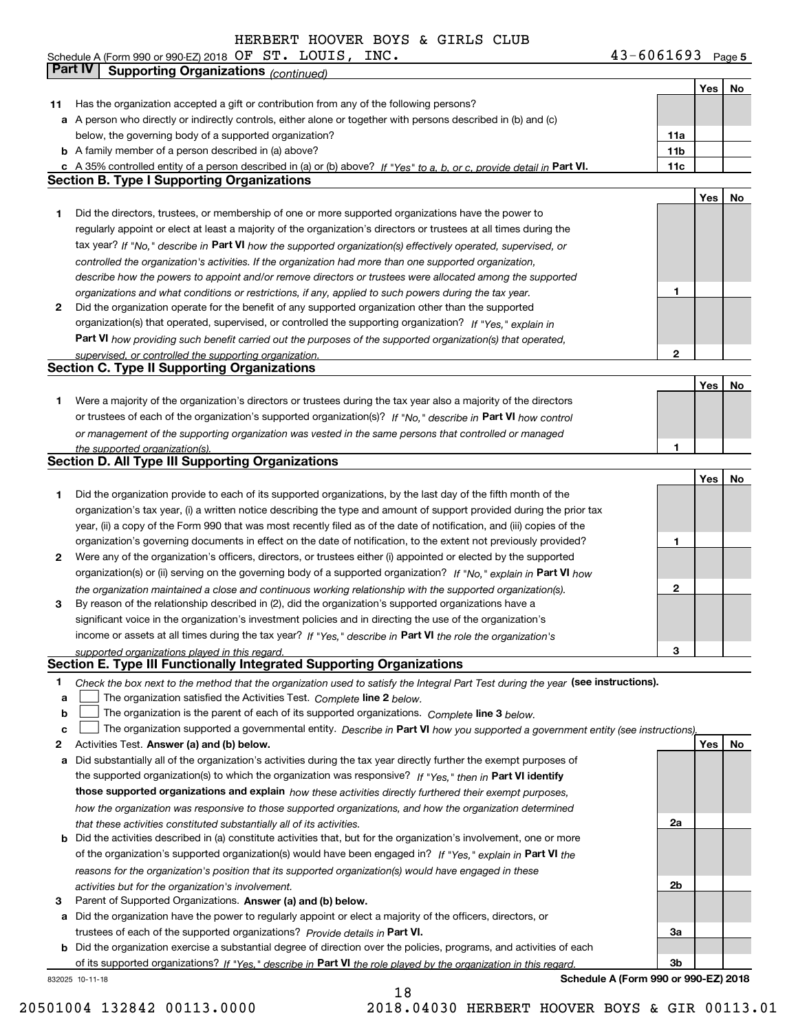Schedule A (Form 990 or 990-EZ) 2018 Page OF ST. LOUIS, INC. 43-6061693

|    | Part IV<br><b>Supporting Organizations (continued)</b>                                                                            |                 |     |    |
|----|-----------------------------------------------------------------------------------------------------------------------------------|-----------------|-----|----|
|    |                                                                                                                                   |                 | Yes | No |
| 11 | Has the organization accepted a gift or contribution from any of the following persons?                                           |                 |     |    |
|    | a A person who directly or indirectly controls, either alone or together with persons described in (b) and (c)                    |                 |     |    |
|    | below, the governing body of a supported organization?                                                                            | 11a             |     |    |
|    | <b>b</b> A family member of a person described in (a) above?                                                                      | 11 <sub>b</sub> |     |    |
|    | c A 35% controlled entity of a person described in (a) or (b) above? If "Yes" to a, b, or c, provide detail in Part VI.           | 11c             |     |    |
|    | <b>Section B. Type I Supporting Organizations</b>                                                                                 |                 |     |    |
|    |                                                                                                                                   |                 | Yes | No |
| 1. | Did the directors, trustees, or membership of one or more supported organizations have the power to                               |                 |     |    |
|    | regularly appoint or elect at least a majority of the organization's directors or trustees at all times during the                |                 |     |    |
|    | tax year? If "No," describe in Part VI how the supported organization(s) effectively operated, supervised, or                     |                 |     |    |
|    | controlled the organization's activities. If the organization had more than one supported organization,                           |                 |     |    |
|    | describe how the powers to appoint and/or remove directors or trustees were allocated among the supported                         |                 |     |    |
|    | organizations and what conditions or restrictions, if any, applied to such powers during the tax year.                            | 1               |     |    |
| 2  | Did the organization operate for the benefit of any supported organization other than the supported                               |                 |     |    |
|    | organization(s) that operated, supervised, or controlled the supporting organization? If "Yes," explain in                        |                 |     |    |
|    | Part VI how providing such benefit carried out the purposes of the supported organization(s) that operated,                       |                 |     |    |
|    |                                                                                                                                   | $\mathbf{2}$    |     |    |
|    | supervised, or controlled the supporting organization.<br><b>Section C. Type II Supporting Organizations</b>                      |                 |     |    |
|    |                                                                                                                                   |                 | Yes | No |
| 1. | Were a majority of the organization's directors or trustees during the tax year also a majority of the directors                  |                 |     |    |
|    | or trustees of each of the organization's supported organization(s)? If "No," describe in Part VI how control                     |                 |     |    |
|    |                                                                                                                                   |                 |     |    |
|    | or management of the supporting organization was vested in the same persons that controlled or managed                            | 1               |     |    |
|    | the supported organization(s).<br><b>Section D. All Type III Supporting Organizations</b>                                         |                 |     |    |
|    |                                                                                                                                   |                 | Yes | No |
|    |                                                                                                                                   |                 |     |    |
| 1  | Did the organization provide to each of its supported organizations, by the last day of the fifth month of the                    |                 |     |    |
|    | organization's tax year, (i) a written notice describing the type and amount of support provided during the prior tax             |                 |     |    |
|    | year, (ii) a copy of the Form 990 that was most recently filed as of the date of notification, and (iii) copies of the            |                 |     |    |
|    | organization's governing documents in effect on the date of notification, to the extent not previously provided?                  | 1               |     |    |
| 2  | Were any of the organization's officers, directors, or trustees either (i) appointed or elected by the supported                  |                 |     |    |
|    | organization(s) or (ii) serving on the governing body of a supported organization? If "No," explain in Part VI how                |                 |     |    |
|    | the organization maintained a close and continuous working relationship with the supported organization(s).                       | $\mathbf{2}$    |     |    |
| 3  | By reason of the relationship described in (2), did the organization's supported organizations have a                             |                 |     |    |
|    | significant voice in the organization's investment policies and in directing the use of the organization's                        |                 |     |    |
|    | income or assets at all times during the tax year? If "Yes," describe in Part VI the role the organization's                      |                 |     |    |
|    | supported organizations played in this regard.                                                                                    | 3               |     |    |
|    | Section E. Type III Functionally Integrated Supporting Organizations                                                              |                 |     |    |
| 1  | Check the box next to the method that the organization used to satisfy the Integral Part Test during the year (see instructions). |                 |     |    |
| a  | The organization satisfied the Activities Test. Complete line 2 below.                                                            |                 |     |    |
| b  | The organization is the parent of each of its supported organizations. Complete line 3 below.                                     |                 |     |    |
| c  | The organization supported a governmental entity. Describe in Part VI how you supported a government entity (see instructions),   |                 |     |    |
| 2  | Activities Test. Answer (a) and (b) below.                                                                                        |                 | Yes | No |
| а  | Did substantially all of the organization's activities during the tax year directly further the exempt purposes of                |                 |     |    |
|    | the supported organization(s) to which the organization was responsive? If "Yes," then in Part VI identify                        |                 |     |    |
|    | those supported organizations and explain how these activities directly furthered their exempt purposes,                          |                 |     |    |
|    | how the organization was responsive to those supported organizations, and how the organization determined                         |                 |     |    |
|    | that these activities constituted substantially all of its activities.                                                            | 2a              |     |    |
|    | <b>b</b> Did the activities described in (a) constitute activities that, but for the organization's involvement, one or more      |                 |     |    |
|    | of the organization's supported organization(s) would have been engaged in? If "Yes," explain in Part VI the                      |                 |     |    |
|    | reasons for the organization's position that its supported organization(s) would have engaged in these                            |                 |     |    |
|    | activities but for the organization's involvement.                                                                                | 2b              |     |    |
| 3  | Parent of Supported Organizations. Answer (a) and (b) below.                                                                      |                 |     |    |
| а  | Did the organization have the power to regularly appoint or elect a majority of the officers, directors, or                       |                 |     |    |
|    | trustees of each of the supported organizations? Provide details in Part VI.                                                      | За              |     |    |
|    | <b>b</b> Did the organization exercise a substantial degree of direction over the policies, programs, and activities of each      |                 |     |    |
|    | of its supported organizations? If "Yes." describe in Part VI the role played by the organization in this regard.                 | 3b              |     |    |

832025 10-11-18

**Schedule A (Form 990 or 990-EZ) 2018**

18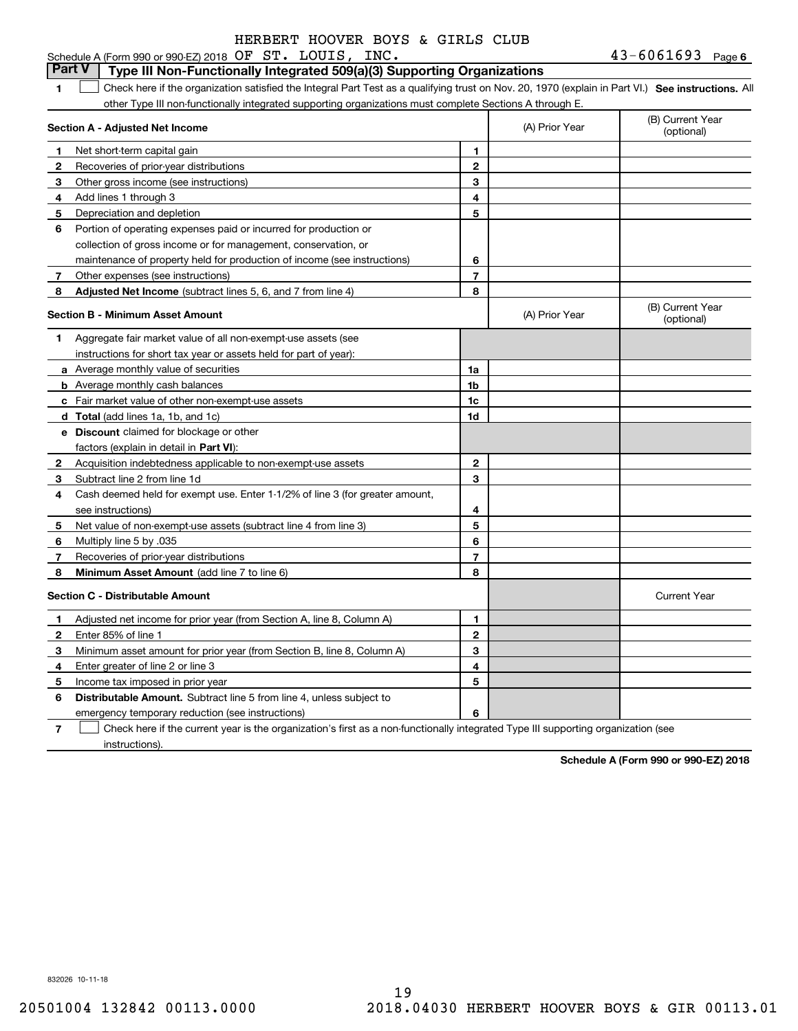### **1SEP 10. See instructions.** All antegral Part Test as a qualifying trust on Nov. 20, 1970 (explain in Part VI.) See instructions. All **Section A - Adjusted Net Income 12** Recoveries of prior-year distributions **3** Other gross income (see instructions) **4**Add lines 1 through 3 **56** Portion of operating expenses paid or incurred for production or **7** Other expenses (see instructions) **8** Adjusted Net Income (subtract lines 5, 6, and 7 from line 4) **8 8 1234567Section B - Minimum Asset Amount 1**Aggregate fair market value of all non-exempt-use assets (see **2**Acquisition indebtedness applicable to non-exempt-use assets **3** Subtract line 2 from line 1d **4**Cash deemed held for exempt use. Enter 1-1/2% of line 3 (for greater amount, **5** Net value of non-exempt-use assets (subtract line 4 from line 3) **678a** Average monthly value of securities **b** Average monthly cash balances **c**Fair market value of other non-exempt-use assets **dTotal**  (add lines 1a, 1b, and 1c) **eDiscount** claimed for blockage or other **1a1b1c1d2345678**factors (explain in detail in **Part VI**): **Minimum Asset Amount**  (add line 7 to line 6) **Section C - Distributable Amount 12**Enter 85% of line 1 **3456** Distributable Amount. Subtract line 5 from line 4, unless subject to **12345**Schedule A (Form 990 or 990-EZ) 2018 Page OF ST. LOUIS, INC. 43-6061693 other Type III non-functionally integrated supporting organizations must complete Sections A through E. (B) Current Year (optional)(A) Prior Year Net short-term capital gain Depreciation and depletion collection of gross income or for management, conservation, or maintenance of property held for production of income (see instructions) (B) Current Year (optional)(A) Prior Year instructions for short tax year or assets held for part of year): see instructions) Multiply line 5 by .035 Recoveries of prior-year distributions Current Year Adjusted net income for prior year (from Section A, line 8, Column A) Minimum asset amount for prior year (from Section B, line 8, Column A) Enter greater of line 2 or line 3 Income tax imposed in prior year **Part V Type III Non-Functionally Integrated 509(a)(3) Supporting Organizations**   $\mathcal{L}^{\text{max}}$

emergency temporary reduction (see instructions)

**7**Check here if the current year is the organization's first as a non-functionally integrated Type III supporting organization (see instructions). $\mathcal{L}^{\text{max}}$ 

**6**

**Schedule A (Form 990 or 990-EZ) 2018**

832026 10-11-18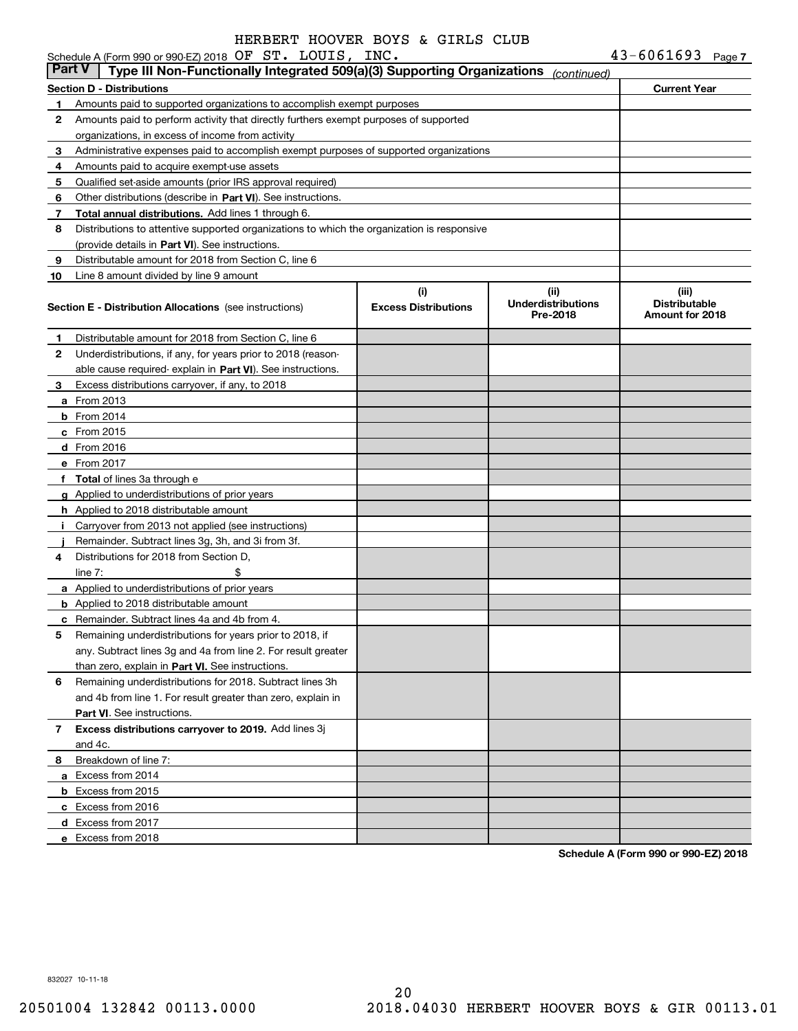| $43 - 6061693$<br>Schedule A (Form 990 or 990-EZ) 2018 $\,$ OF $\,$ ST $\,$ LOUIS , $\,$ INC $\,$ |               |                                                                                            |     |             |                     |  |  |  |
|---------------------------------------------------------------------------------------------------|---------------|--------------------------------------------------------------------------------------------|-----|-------------|---------------------|--|--|--|
|                                                                                                   | <b>Part V</b> | Type III Non-Functionally Integrated 509(a)(3) Supporting Organizations                    |     | (continued) |                     |  |  |  |
|                                                                                                   |               | Section D - Distributions                                                                  |     |             | <b>Current Year</b> |  |  |  |
|                                                                                                   |               | Amounts paid to supported organizations to accomplish exempt purposes                      |     |             |                     |  |  |  |
| 2                                                                                                 |               | Amounts paid to perform activity that directly furthers exempt purposes of supported       |     |             |                     |  |  |  |
|                                                                                                   |               | organizations, in excess of income from activity                                           |     |             |                     |  |  |  |
| 3                                                                                                 |               | Administrative expenses paid to accomplish exempt purposes of supported organizations      |     |             |                     |  |  |  |
|                                                                                                   |               | Amounts paid to acquire exempt-use assets                                                  |     |             |                     |  |  |  |
| 5.                                                                                                |               | Qualified set-aside amounts (prior IRS approval required)                                  |     |             |                     |  |  |  |
| 6                                                                                                 |               | Other distributions (describe in Part VI). See instructions.                               |     |             |                     |  |  |  |
|                                                                                                   |               | Total annual distributions. Add lines 1 through 6.                                         |     |             |                     |  |  |  |
| 8                                                                                                 |               | Distributions to attentive supported organizations to which the organization is responsive |     |             |                     |  |  |  |
|                                                                                                   |               | (provide details in Part VI). See instructions.                                            |     |             |                     |  |  |  |
| 9                                                                                                 |               | Distributable amount for 2018 from Section C, line 6                                       |     |             |                     |  |  |  |
| 10                                                                                                |               | Line 8 amount divided by line 9 amount                                                     |     |             |                     |  |  |  |
|                                                                                                   |               |                                                                                            | (i) | (ii)        | (iii)               |  |  |  |

|              | <b>Section E - Distribution Allocations</b> (see instructions) | (i)<br><b>Excess Distributions</b> | (ii)<br><b>Underdistributions</b><br>Pre-2018 | (iii)<br><b>Distributable</b><br>Amount for 2018 |
|--------------|----------------------------------------------------------------|------------------------------------|-----------------------------------------------|--------------------------------------------------|
| 1            | Distributable amount for 2018 from Section C, line 6           |                                    |                                               |                                                  |
| $\mathbf{2}$ | Underdistributions, if any, for years prior to 2018 (reason-   |                                    |                                               |                                                  |
|              | able cause required-explain in Part VI). See instructions.     |                                    |                                               |                                                  |
| 3            | Excess distributions carryover, if any, to 2018                |                                    |                                               |                                                  |
|              | <b>a</b> From 2013                                             |                                    |                                               |                                                  |
|              | <b>b</b> From 2014                                             |                                    |                                               |                                                  |
|              | c From 2015                                                    |                                    |                                               |                                                  |
|              | d From 2016                                                    |                                    |                                               |                                                  |
|              | e From 2017                                                    |                                    |                                               |                                                  |
|              | f Total of lines 3a through e                                  |                                    |                                               |                                                  |
|              | g Applied to underdistributions of prior years                 |                                    |                                               |                                                  |
|              | h Applied to 2018 distributable amount                         |                                    |                                               |                                                  |
| Ť.           | Carryover from 2013 not applied (see instructions)             |                                    |                                               |                                                  |
|              | Remainder. Subtract lines 3g, 3h, and 3i from 3f.              |                                    |                                               |                                                  |
| 4            | Distributions for 2018 from Section D,                         |                                    |                                               |                                                  |
|              | \$<br>line $7:$                                                |                                    |                                               |                                                  |
|              | a Applied to underdistributions of prior years                 |                                    |                                               |                                                  |
|              | <b>b</b> Applied to 2018 distributable amount                  |                                    |                                               |                                                  |
|              | c Remainder. Subtract lines 4a and 4b from 4.                  |                                    |                                               |                                                  |
| 5.           | Remaining underdistributions for years prior to 2018, if       |                                    |                                               |                                                  |
|              | any. Subtract lines 3g and 4a from line 2. For result greater  |                                    |                                               |                                                  |
|              | than zero, explain in Part VI. See instructions.               |                                    |                                               |                                                  |
| 6            | Remaining underdistributions for 2018. Subtract lines 3h       |                                    |                                               |                                                  |
|              | and 4b from line 1. For result greater than zero, explain in   |                                    |                                               |                                                  |
|              | <b>Part VI.</b> See instructions.                              |                                    |                                               |                                                  |
| 7            | Excess distributions carryover to 2019. Add lines 3j           |                                    |                                               |                                                  |
|              | and 4c.                                                        |                                    |                                               |                                                  |
| 8            | Breakdown of line 7:                                           |                                    |                                               |                                                  |
|              | a Excess from 2014                                             |                                    |                                               |                                                  |
|              | <b>b</b> Excess from 2015                                      |                                    |                                               |                                                  |
|              | c Excess from 2016                                             |                                    |                                               |                                                  |
|              | d Excess from 2017                                             |                                    |                                               |                                                  |
|              | e Excess from 2018                                             |                                    |                                               |                                                  |

**Schedule A (Form 990 or 990-EZ) 2018**

832027 10-11-18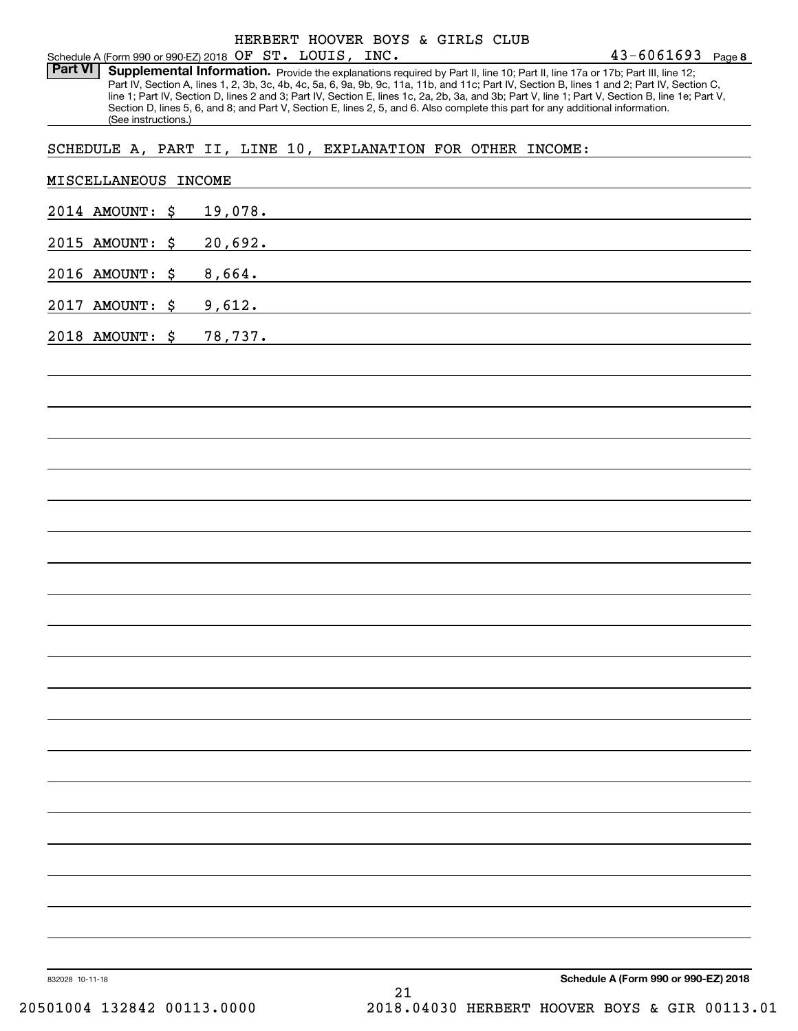Part VI | Supplemental Information. Provide the explanations required by Part II, line 10; Part II, line 17a or 17b; Part III, line 12; Part IV, Section A, lines 1, 2, 3b, 3c, 4b, 4c, 5a, 6, 9a, 9b, 9c, 11a, 11b, and 11c; Part IV, Section B, lines 1 and 2; Part IV, Section C, line 1; Part IV, Section D, lines 2 and 3; Part IV, Section E, lines 1c, 2a, 2b, 3a, and 3b; Part V, line 1; Part V, Section B, line 1e; Part V, Section D, lines 5, 6, and 8; and Part V, Section E, lines 2, 5, and 6. Also complete this part for any additional information. (See instructions.)

## SCHEDULE A, PART II, LINE 10, EXPLANATION FOR OTHER INCOME:

| 2014 AMOUNT: \$ | 19,078.                                                                                                                          |
|-----------------|----------------------------------------------------------------------------------------------------------------------------------|
|                 |                                                                                                                                  |
| 2015 AMOUNT: \$ | 20,692.<br><u> 1989 - Andrea Santana, martxa a shekara tsara a shekara tsa a shekara tsa a shekara tsa a shekara tsa a sheka</u> |
| 2016 AMOUNT: \$ | 8,664.<br>,我们也不会有什么。""我们的人,我们也不会有什么?""我们的人,我们也不会有什么?""我们的人,我们也不会有什么?""我们的人,我们也不会有什么?""我们的人                                       |
| 2017 AMOUNT: \$ | 9,612.<br><u> 1989 - Andrea Santa Andrea Andrea Santa Andrea Andrea Andrea Andrea Andrea Andrea Andrea Andrea Andrea Andre</u>   |
| 2018 AMOUNT: \$ | 78,737.<br>,我们也不会有什么。""我们的人,我们也不会有什么?""我们的人,我们也不会有什么?""我们的人,我们也不会有什么?""我们的人,我们也不会有什么?""我们的人                                      |
|                 |                                                                                                                                  |
|                 |                                                                                                                                  |
|                 |                                                                                                                                  |
|                 |                                                                                                                                  |
|                 |                                                                                                                                  |
|                 |                                                                                                                                  |
|                 |                                                                                                                                  |
|                 |                                                                                                                                  |
|                 |                                                                                                                                  |
|                 |                                                                                                                                  |
|                 |                                                                                                                                  |
|                 |                                                                                                                                  |
|                 |                                                                                                                                  |
|                 |                                                                                                                                  |
|                 |                                                                                                                                  |
|                 |                                                                                                                                  |
|                 |                                                                                                                                  |
|                 |                                                                                                                                  |
|                 |                                                                                                                                  |
|                 |                                                                                                                                  |
|                 |                                                                                                                                  |
| 832028 10-11-18 | Schedule A (Form 990 or 990-EZ) 2018                                                                                             |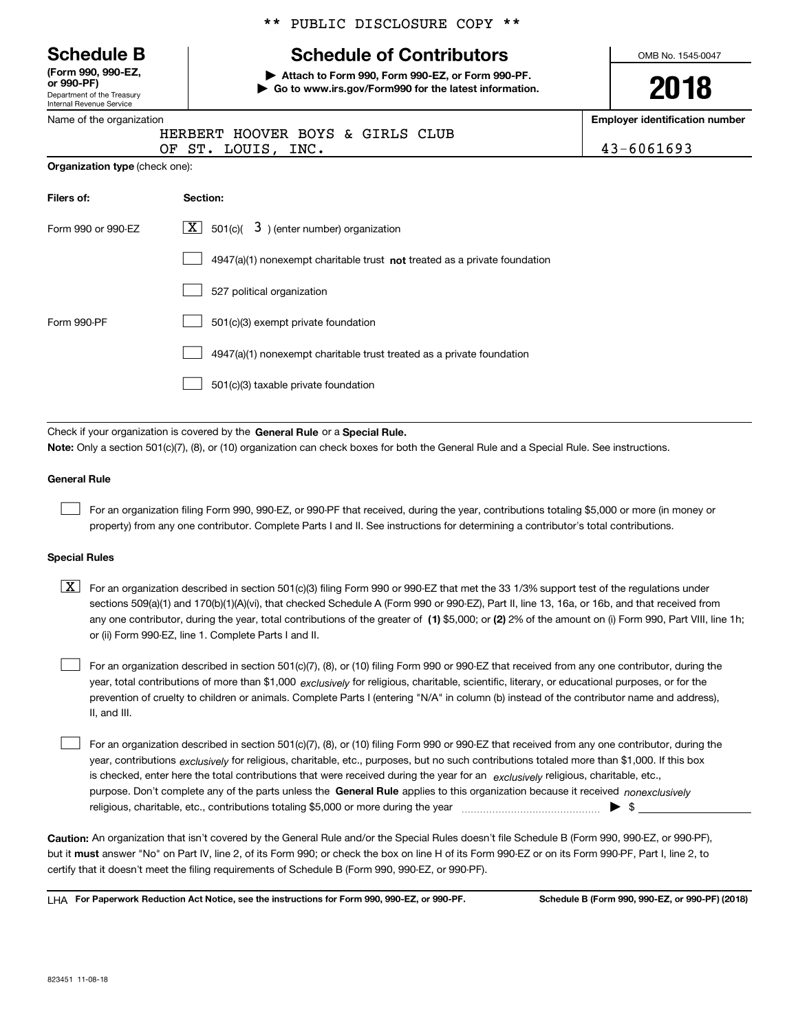|  |  | <b>Schedule B</b> |
|--|--|-------------------|
|--|--|-------------------|

Department of the Treasury Internal Revenue Service **(Form 990, 990-EZ, or 990-PF)**

**Organization type** (check one):

|  |  | ** PUBLIC DISCLOSURE COPY ** |  |  |
|--|--|------------------------------|--|--|
|--|--|------------------------------|--|--|

# **Schedule of Contributors**

**| Attach to Form 990, Form 990-EZ, or Form 990-PF. | Go to www.irs.gov/Form990 for the latest information.** OMB No. 1545-0047

**2018**

**Employer identification number**

| Name of the organization |  |                                  |  |  |
|--------------------------|--|----------------------------------|--|--|
|                          |  | HERBERT HOOVER BOYS & GIRLS CLUB |  |  |
|                          |  | OF ST. LOUIS, INC.               |  |  |

 $43 - 6061693$ 

| Filers of:         | Section:                                                                    |
|--------------------|-----------------------------------------------------------------------------|
| Form 990 or 990-EZ | $ \mathbf{X} $ 501(c)( 3) (enter number) organization                       |
|                    | $4947(a)(1)$ nonexempt charitable trust not treated as a private foundation |
|                    | 527 political organization                                                  |
| Form 990-PF        | 501(c)(3) exempt private foundation                                         |
|                    | 4947(a)(1) nonexempt charitable trust treated as a private foundation       |
|                    | 501(c)(3) taxable private foundation                                        |

Check if your organization is covered by the **General Rule** or a **Special Rule. Note:**  Only a section 501(c)(7), (8), or (10) organization can check boxes for both the General Rule and a Special Rule. See instructions.

### **General Rule**

 $\mathcal{L}^{\text{max}}$ 

For an organization filing Form 990, 990-EZ, or 990-PF that received, during the year, contributions totaling \$5,000 or more (in money or property) from any one contributor. Complete Parts I and II. See instructions for determining a contributor's total contributions.

### **Special Rules**

any one contributor, during the year, total contributions of the greater of  $\,$  (1) \$5,000; or **(2)** 2% of the amount on (i) Form 990, Part VIII, line 1h;  $\boxed{\textbf{X}}$  For an organization described in section 501(c)(3) filing Form 990 or 990-EZ that met the 33 1/3% support test of the regulations under sections 509(a)(1) and 170(b)(1)(A)(vi), that checked Schedule A (Form 990 or 990-EZ), Part II, line 13, 16a, or 16b, and that received from or (ii) Form 990-EZ, line 1. Complete Parts I and II.

year, total contributions of more than \$1,000 *exclusively* for religious, charitable, scientific, literary, or educational purposes, or for the For an organization described in section 501(c)(7), (8), or (10) filing Form 990 or 990-EZ that received from any one contributor, during the prevention of cruelty to children or animals. Complete Parts I (entering "N/A" in column (b) instead of the contributor name and address), II, and III.  $\mathcal{L}^{\text{max}}$ 

purpose. Don't complete any of the parts unless the **General Rule** applies to this organization because it received *nonexclusively* year, contributions <sub>exclusively</sub> for religious, charitable, etc., purposes, but no such contributions totaled more than \$1,000. If this box is checked, enter here the total contributions that were received during the year for an  $\;$ exclusively religious, charitable, etc., For an organization described in section 501(c)(7), (8), or (10) filing Form 990 or 990-EZ that received from any one contributor, during the religious, charitable, etc., contributions totaling \$5,000 or more during the year  $\Box$ — $\Box$   $\Box$  $\mathcal{L}^{\text{max}}$ 

**Caution:**  An organization that isn't covered by the General Rule and/or the Special Rules doesn't file Schedule B (Form 990, 990-EZ, or 990-PF),  **must** but it answer "No" on Part IV, line 2, of its Form 990; or check the box on line H of its Form 990-EZ or on its Form 990-PF, Part I, line 2, to certify that it doesn't meet the filing requirements of Schedule B (Form 990, 990-EZ, or 990-PF).

**For Paperwork Reduction Act Notice, see the instructions for Form 990, 990-EZ, or 990-PF. Schedule B (Form 990, 990-EZ, or 990-PF) (2018)** LHA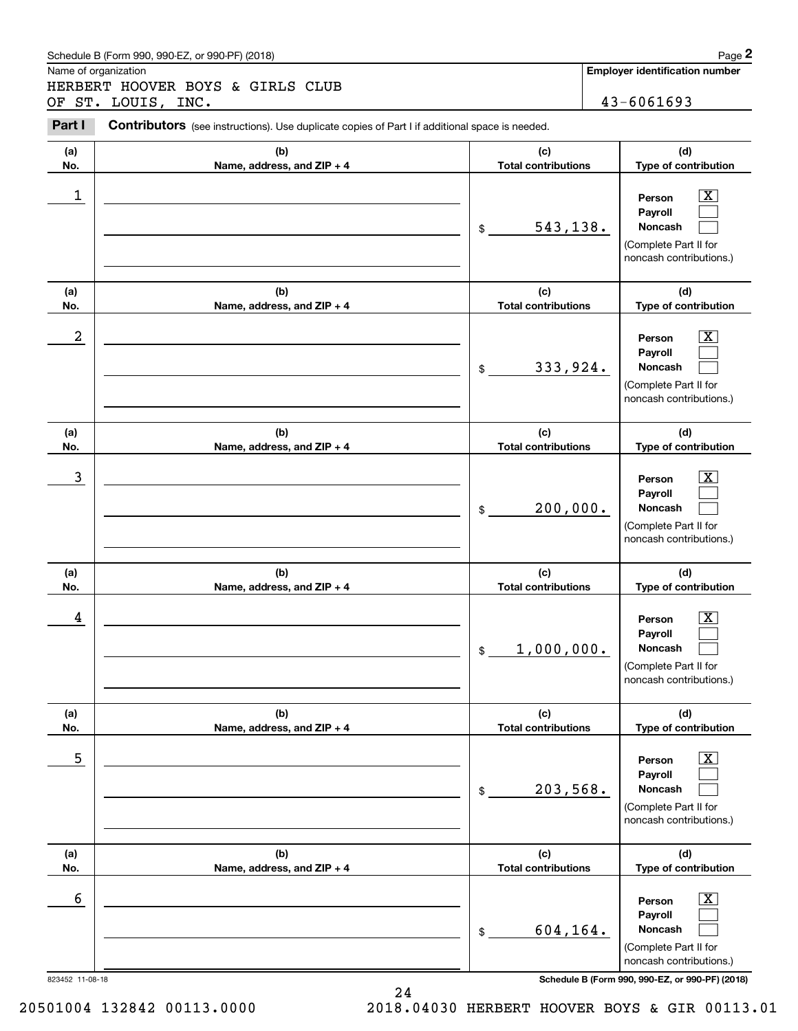### Schedule B (Form 990, 990-EZ, or 990-PF) (2018) **Page 2** and the state of the state of the Page 2

Name of organization

Chedule B (Form 990, 990-EZ, or 990-PF) (2018)<br>
Iame of organization<br>
IERBERT HOOVER BOYS & GIRLS CLUB<br>
IF ST. LOUIS, INC.<br> **Part I** Contributors (see instructions). Use duplicate copies of Part I if additional space is ne HERBERT HOOVER BOYS & GIRLS CLUB OF ST. LOUIS, INC. 43-6061693

Contributors (see instructions). Use duplicate copies of Part I if additional space is needed.

| (a)<br>No.      | (b)<br>Name, address, and ZIP + 4 | (c)<br><b>Total contributions</b>            | (d)<br>Type of contribution                                                                                                         |
|-----------------|-----------------------------------|----------------------------------------------|-------------------------------------------------------------------------------------------------------------------------------------|
| 1               |                                   | 543, 138.<br>$\frac{1}{2}$                   | $\overline{\text{X}}$<br>Person<br>Payroll<br>Noncash<br>(Complete Part II for<br>noncash contributions.)                           |
| (a)<br>No.      | (b)<br>Name, address, and ZIP + 4 | (c)<br><b>Total contributions</b>            | (d)<br>Type of contribution                                                                                                         |
| 2               |                                   | 333,924.<br>$\frac{1}{2}$                    | $\overline{\mathbf{X}}$<br>Person<br>Payroll<br>Noncash<br>(Complete Part II for<br>noncash contributions.)                         |
| (a)<br>No.      | (b)<br>Name, address, and ZIP + 4 | (c)<br><b>Total contributions</b>            | (d)<br>Type of contribution                                                                                                         |
| 3               |                                   | 200,000.<br>$\frac{1}{2}$                    | $\overline{\text{X}}$<br>Person<br>Payroll<br>Noncash<br>(Complete Part II for<br>noncash contributions.)                           |
| (a)<br>No.      | (b)<br>Name, address, and ZIP + 4 | (c)<br><b>Total contributions</b>            | (d)<br>Type of contribution                                                                                                         |
| 4               |                                   | 1,000,000.<br>\$                             | $\overline{\mathbf{X}}$<br>Person<br>Payroll<br>Noncash<br>(Complete Part II for<br>noncash contributions.)                         |
| (a)<br>No.      | (b)<br>Name, address, and ZIP + 4 | (c)<br><b>Total contributions</b>            | (d)<br>Type of contribution                                                                                                         |
| 5               |                                   | 203,568.<br>\$                               | $\boxed{\text{X}}$<br>Person<br>Payroll<br>Noncash<br>(Complete Part II for<br>noncash contributions.)                              |
| (a)             | (b)                               | (c)                                          | (d)                                                                                                                                 |
| No.<br>6        | Name, address, and ZIP + 4        | <b>Total contributions</b><br>604,164.<br>\$ | Type of contribution<br>$\overline{\mathbf{X}}$<br>Person<br>Payroll<br>Noncash<br>(Complete Part II for<br>noncash contributions.) |
| 823452 11-08-18 |                                   |                                              | Schedule B (Form 990, 990-EZ, or 990-PF) (2018)                                                                                     |

24

20501004 132842 00113.0000 2018.04030 HERBERT HOOVER BOYS & GIR 00113.01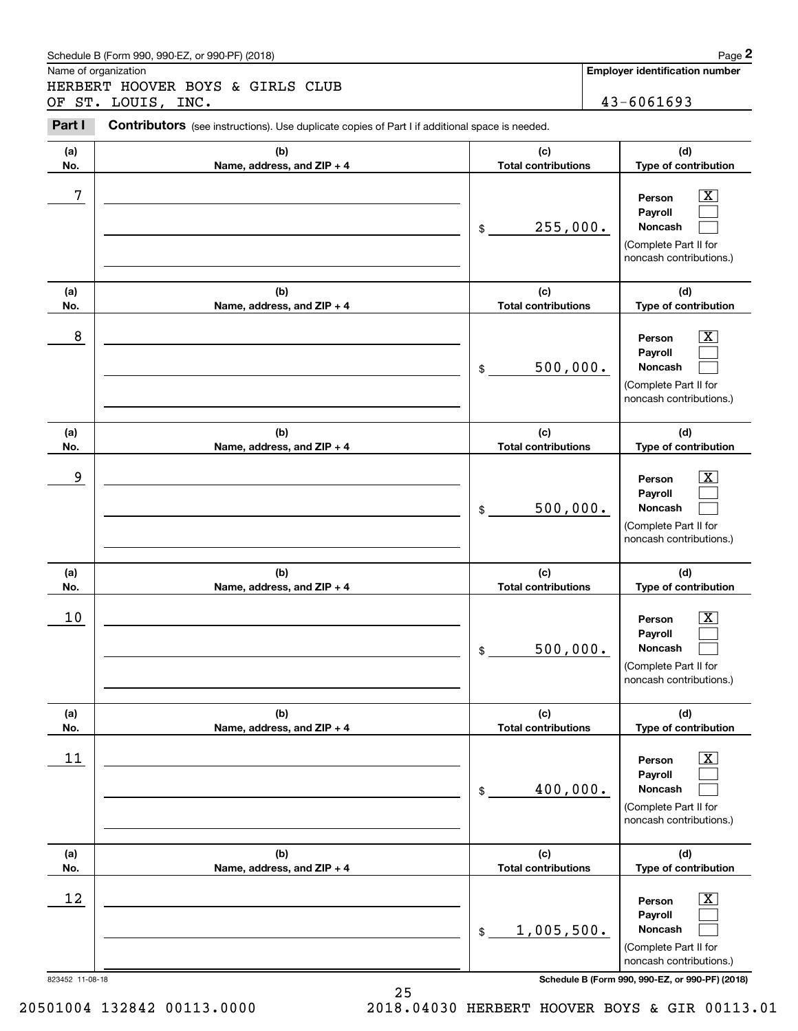### Schedule B (Form 990, 990-EZ, or 990-PF) (2018) **Page 2** and the state of the state of the Page 2

Name of organization

Chedule B (Form 990, 990-EZ, or 990-PF) (2018)<br>
Iame of organization<br>
IERBERT HOOVER BOYS & GIRLS CLUB<br>
IF ST. LOUIS, INC.<br> **Part I** Contributors (see instructions). Use duplicate copies of Part I if additional space is ne HERBERT HOOVER BOYS & GIRLS CLUB OF ST. LOUIS, INC. 43-6061693

Contributors (see instructions). Use duplicate copies of Part I if additional space is needed.

| (a)<br>No.            | (b)<br>Name, address, and ZIP + 4 | (c)<br><b>Total contributions</b>   | (d)<br>Type of contribution                                                                                                                                    |
|-----------------------|-----------------------------------|-------------------------------------|----------------------------------------------------------------------------------------------------------------------------------------------------------------|
| 7                     |                                   | 255,000.<br>$\frac{1}{2}$           | $\overline{\mathbf{X}}$<br>Person<br>Payroll<br>Noncash<br>(Complete Part II for<br>noncash contributions.)                                                    |
| (a)<br>No.            | (b)<br>Name, address, and ZIP + 4 | (c)<br><b>Total contributions</b>   | (d)<br>Type of contribution                                                                                                                                    |
| 8                     |                                   | 500,000.<br>$\frac{1}{2}$           | $\overline{\mathbf{X}}$<br>Person<br>Payroll<br>Noncash<br>(Complete Part II for<br>noncash contributions.)                                                    |
| (a)<br>No.            | (b)<br>Name, address, and ZIP + 4 | (c)<br><b>Total contributions</b>   | (d)<br>Type of contribution                                                                                                                                    |
| 9                     |                                   | 500,000.<br>\$                      | $\overline{\text{X}}$<br>Person<br>Payroll<br>Noncash<br>(Complete Part II for<br>noncash contributions.)                                                      |
| (a)<br>No.            | (b)<br>Name, address, and ZIP + 4 | (c)<br><b>Total contributions</b>   | (d)<br>Type of contribution                                                                                                                                    |
| 10                    |                                   | 500,000.<br>\$                      | $\overline{\mathbf{X}}$<br>Person<br>Payroll<br>Noncash<br>(Complete Part II for<br>noncash contributions.)                                                    |
| (a)                   | (b)                               | (c)<br><b>Total contributions</b>   | (d)<br>Type of contribution                                                                                                                                    |
| No.<br>11             | Name, address, and ZIP + 4        | 400,000.<br>$$\tilde{\phantom{a}}$$ | $\overline{\mathbf{X}}$<br>Person<br>Payroll<br>Noncash<br>(Complete Part II for<br>noncash contributions.)                                                    |
| (a)<br>No.            | (b)<br>Name, address, and ZIP + 4 | (c)<br><b>Total contributions</b>   | (d)<br>Type of contribution                                                                                                                                    |
| 12<br>823452 11-08-18 |                                   | 1,005,500.<br>\$                    | $\overline{\mathbf{X}}$<br>Person<br>Payroll<br>Noncash<br>(Complete Part II for<br>noncash contributions.)<br>Schedule B (Form 990, 990-EZ, or 990-PF) (2018) |

20501004 132842 00113.0000 2018.04030 HERBERT HOOVER BOYS & GIR 00113.01

25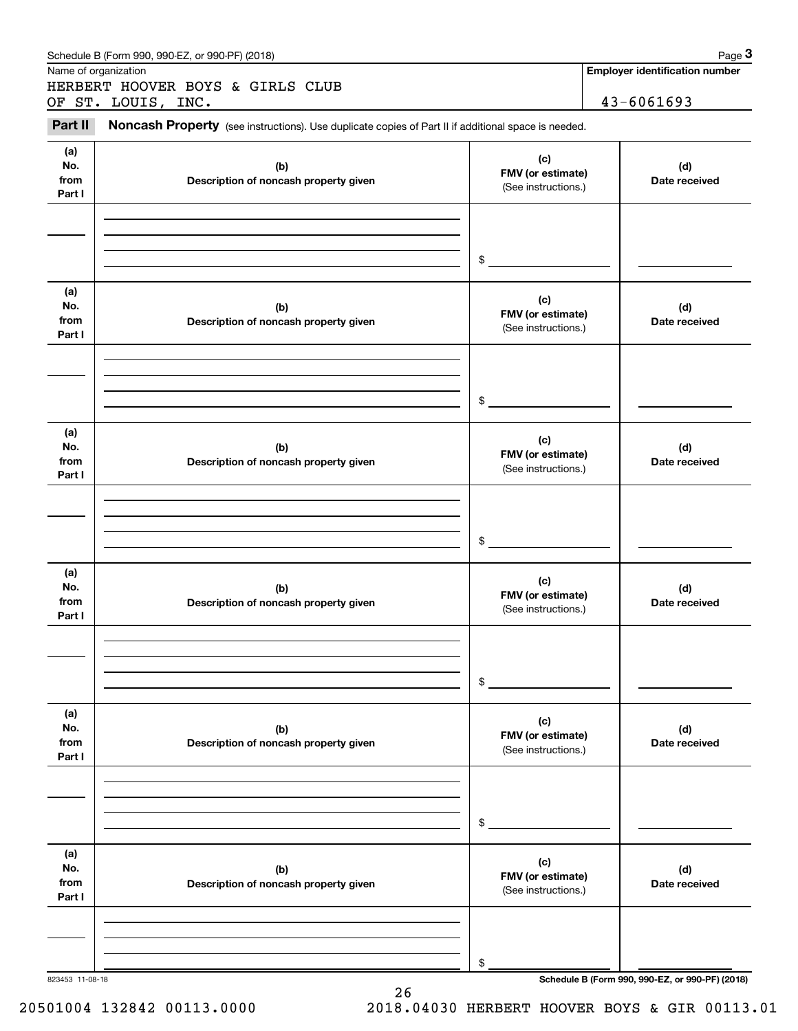| Name of organization         | HERBERT HOOVER BOYS & GIRLS CLUB<br>OF ST. LOUIS, INC.                                              |                                                 | <b>Employer identification number</b>           |
|------------------------------|-----------------------------------------------------------------------------------------------------|-------------------------------------------------|-------------------------------------------------|
|                              |                                                                                                     |                                                 |                                                 |
|                              |                                                                                                     |                                                 | 43-6061693                                      |
| Part II                      | Noncash Property (see instructions). Use duplicate copies of Part II if additional space is needed. |                                                 |                                                 |
| (a)<br>No.<br>from<br>Part I | (b)<br>Description of noncash property given                                                        | (c)<br>FMV (or estimate)<br>(See instructions.) | (d)<br>Date received                            |
|                              |                                                                                                     | \$                                              |                                                 |
| (a)<br>No.<br>from<br>Part I | (b)<br>Description of noncash property given                                                        | (c)<br>FMV (or estimate)<br>(See instructions.) | (d)<br>Date received                            |
|                              |                                                                                                     | \$                                              |                                                 |
| (a)<br>No.<br>from<br>Part I | (b)<br>Description of noncash property given                                                        | (c)<br>FMV (or estimate)<br>(See instructions.) | (d)<br>Date received                            |
|                              |                                                                                                     | \$                                              |                                                 |
| (a)<br>No.<br>from<br>Part I | (b)<br>Description of noncash property given                                                        | (c)<br>FMV (or estimate)<br>(See instructions.) | (d)<br>Date received                            |
|                              |                                                                                                     | \$                                              |                                                 |
| (a)<br>No.<br>from<br>Part I | (b)<br>Description of noncash property given                                                        | (c)<br>FMV (or estimate)<br>(See instructions.) | (d)<br>Date received                            |
|                              |                                                                                                     | \$                                              |                                                 |
| (a)<br>No.<br>from<br>Part I | (b)<br>Description of noncash property given                                                        | (c)<br>FMV (or estimate)<br>(See instructions.) | (d)<br>Date received                            |
| 823453 11-08-18              |                                                                                                     | \$                                              | Schedule B (Form 990, 990-EZ, or 990-PF) (2018) |

26

20501004 132842 00113.0000 2018.04030 HERBERT HOOVER BOYS & GIR 00113.01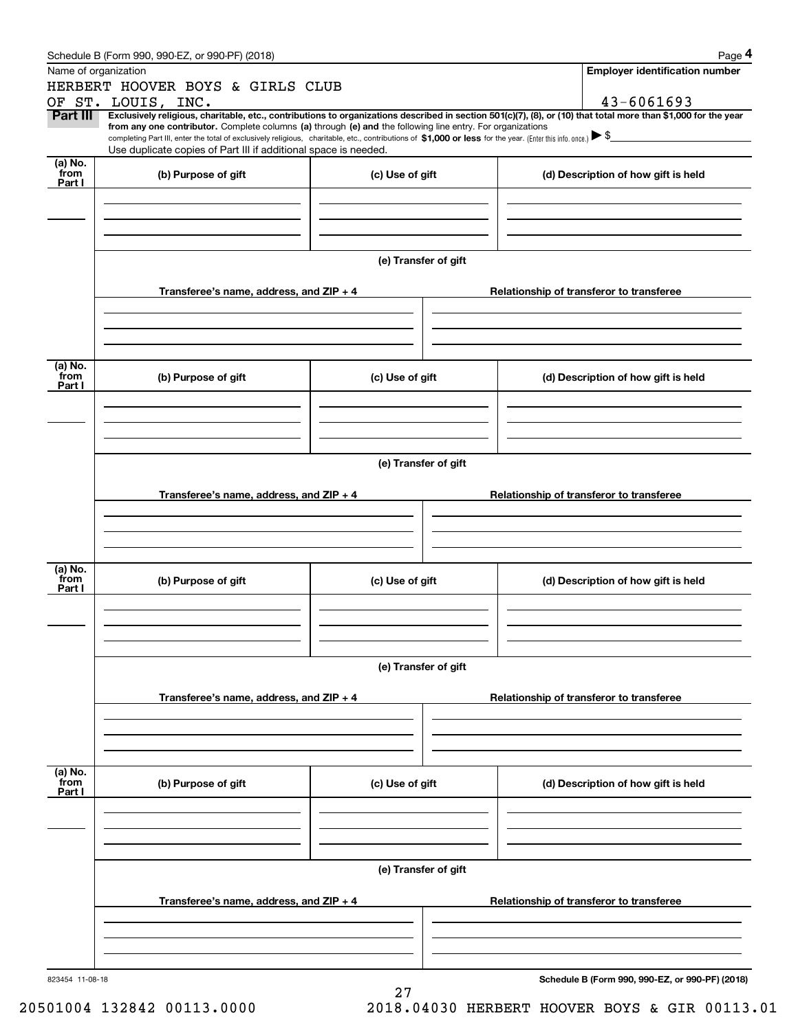|                 | Schedule B (Form 990, 990-EZ, or 990-PF) (2018)                                                                                                                                                                                                                              |                      |  | Page 4                                          |  |  |  |  |
|-----------------|------------------------------------------------------------------------------------------------------------------------------------------------------------------------------------------------------------------------------------------------------------------------------|----------------------|--|-------------------------------------------------|--|--|--|--|
|                 | Name of organization                                                                                                                                                                                                                                                         |                      |  | <b>Employer identification number</b>           |  |  |  |  |
|                 | HERBERT HOOVER BOYS & GIRLS CLUB                                                                                                                                                                                                                                             |                      |  |                                                 |  |  |  |  |
|                 | OF ST. LOUIS, INC.                                                                                                                                                                                                                                                           |                      |  | 43-6061693                                      |  |  |  |  |
| Part III        | Exclusively religious, charitable, etc., contributions to organizations described in section 501(c)(7), (8), or (10) that total more than \$1,000 for the year<br>from any one contributor. Complete columns (a) through (e) and the following line entry. For organizations |                      |  |                                                 |  |  |  |  |
|                 | completing Part III, enter the total of exclusively religious, charitable, etc., contributions of \$1,000 or less for the year. (Enter this info. once.) $\blacktriangleright$ \$<br>Use duplicate copies of Part III if additional space is needed.                         |                      |  |                                                 |  |  |  |  |
| (a) No.         |                                                                                                                                                                                                                                                                              |                      |  |                                                 |  |  |  |  |
| from<br>Part I  | (b) Purpose of gift                                                                                                                                                                                                                                                          | (c) Use of gift      |  | (d) Description of how gift is held             |  |  |  |  |
|                 |                                                                                                                                                                                                                                                                              |                      |  |                                                 |  |  |  |  |
|                 |                                                                                                                                                                                                                                                                              |                      |  |                                                 |  |  |  |  |
|                 |                                                                                                                                                                                                                                                                              |                      |  |                                                 |  |  |  |  |
|                 |                                                                                                                                                                                                                                                                              |                      |  |                                                 |  |  |  |  |
|                 |                                                                                                                                                                                                                                                                              | (e) Transfer of gift |  |                                                 |  |  |  |  |
|                 |                                                                                                                                                                                                                                                                              |                      |  |                                                 |  |  |  |  |
|                 | Transferee's name, address, and $ZIP + 4$                                                                                                                                                                                                                                    |                      |  | Relationship of transferor to transferee        |  |  |  |  |
|                 |                                                                                                                                                                                                                                                                              |                      |  |                                                 |  |  |  |  |
|                 |                                                                                                                                                                                                                                                                              |                      |  |                                                 |  |  |  |  |
|                 |                                                                                                                                                                                                                                                                              |                      |  |                                                 |  |  |  |  |
|                 |                                                                                                                                                                                                                                                                              |                      |  |                                                 |  |  |  |  |
| (a) No.<br>from | (b) Purpose of gift                                                                                                                                                                                                                                                          | (c) Use of gift      |  | (d) Description of how gift is held             |  |  |  |  |
| Part I          |                                                                                                                                                                                                                                                                              |                      |  |                                                 |  |  |  |  |
|                 |                                                                                                                                                                                                                                                                              |                      |  |                                                 |  |  |  |  |
|                 |                                                                                                                                                                                                                                                                              |                      |  |                                                 |  |  |  |  |
|                 |                                                                                                                                                                                                                                                                              |                      |  |                                                 |  |  |  |  |
|                 |                                                                                                                                                                                                                                                                              |                      |  |                                                 |  |  |  |  |
|                 | (e) Transfer of gift                                                                                                                                                                                                                                                         |                      |  |                                                 |  |  |  |  |
|                 |                                                                                                                                                                                                                                                                              |                      |  | Relationship of transferor to transferee        |  |  |  |  |
|                 | Transferee's name, address, and $ZIP + 4$                                                                                                                                                                                                                                    |                      |  |                                                 |  |  |  |  |
|                 |                                                                                                                                                                                                                                                                              |                      |  |                                                 |  |  |  |  |
|                 |                                                                                                                                                                                                                                                                              |                      |  |                                                 |  |  |  |  |
|                 |                                                                                                                                                                                                                                                                              |                      |  |                                                 |  |  |  |  |
| (a) No.         |                                                                                                                                                                                                                                                                              |                      |  |                                                 |  |  |  |  |
| from<br>Part I  | (b) Purpose of gift                                                                                                                                                                                                                                                          | (c) Use of gift      |  | (d) Description of how gift is held             |  |  |  |  |
|                 |                                                                                                                                                                                                                                                                              |                      |  |                                                 |  |  |  |  |
|                 |                                                                                                                                                                                                                                                                              |                      |  |                                                 |  |  |  |  |
|                 |                                                                                                                                                                                                                                                                              |                      |  |                                                 |  |  |  |  |
|                 |                                                                                                                                                                                                                                                                              |                      |  |                                                 |  |  |  |  |
|                 |                                                                                                                                                                                                                                                                              | (e) Transfer of gift |  |                                                 |  |  |  |  |
|                 |                                                                                                                                                                                                                                                                              |                      |  |                                                 |  |  |  |  |
|                 | Transferee's name, address, and $ZIP + 4$                                                                                                                                                                                                                                    |                      |  | Relationship of transferor to transferee        |  |  |  |  |
|                 |                                                                                                                                                                                                                                                                              |                      |  |                                                 |  |  |  |  |
|                 |                                                                                                                                                                                                                                                                              |                      |  |                                                 |  |  |  |  |
|                 |                                                                                                                                                                                                                                                                              |                      |  |                                                 |  |  |  |  |
| (a) No.         |                                                                                                                                                                                                                                                                              |                      |  |                                                 |  |  |  |  |
| from<br>Part I  | (b) Purpose of gift                                                                                                                                                                                                                                                          | (c) Use of gift      |  | (d) Description of how gift is held             |  |  |  |  |
|                 |                                                                                                                                                                                                                                                                              |                      |  |                                                 |  |  |  |  |
|                 |                                                                                                                                                                                                                                                                              |                      |  |                                                 |  |  |  |  |
|                 |                                                                                                                                                                                                                                                                              |                      |  |                                                 |  |  |  |  |
|                 |                                                                                                                                                                                                                                                                              |                      |  |                                                 |  |  |  |  |
|                 |                                                                                                                                                                                                                                                                              | (e) Transfer of gift |  |                                                 |  |  |  |  |
|                 |                                                                                                                                                                                                                                                                              |                      |  |                                                 |  |  |  |  |
|                 | Transferee's name, address, and $ZIP + 4$                                                                                                                                                                                                                                    |                      |  | Relationship of transferor to transferee        |  |  |  |  |
|                 |                                                                                                                                                                                                                                                                              |                      |  |                                                 |  |  |  |  |
|                 |                                                                                                                                                                                                                                                                              |                      |  |                                                 |  |  |  |  |
|                 |                                                                                                                                                                                                                                                                              |                      |  |                                                 |  |  |  |  |
|                 |                                                                                                                                                                                                                                                                              |                      |  |                                                 |  |  |  |  |
| 823454 11-08-18 |                                                                                                                                                                                                                                                                              |                      |  | Schedule B (Form 990, 990-EZ, or 990-PF) (2018) |  |  |  |  |
|                 |                                                                                                                                                                                                                                                                              | 27                   |  |                                                 |  |  |  |  |

20501004 132842 00113.0000 2018.04030 HERBERT HOOVER BOYS & GIR 00113.01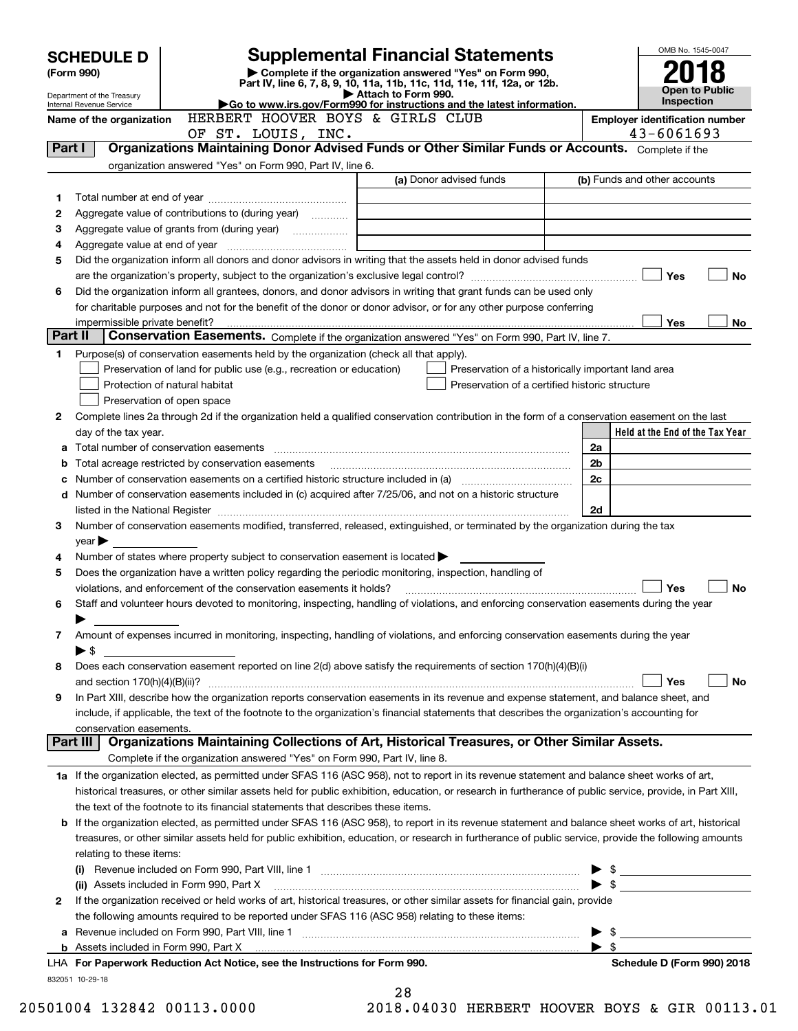|         | <b>Supplemental Financial Statements</b><br><b>SCHEDULE D</b>                                                      |                                                                                                                                                              |                                                                                                                                                            |                                  | OMB No. 1545-0047                                   |  |  |  |
|---------|--------------------------------------------------------------------------------------------------------------------|--------------------------------------------------------------------------------------------------------------------------------------------------------------|------------------------------------------------------------------------------------------------------------------------------------------------------------|----------------------------------|-----------------------------------------------------|--|--|--|
|         | Complete if the organization answered "Yes" on Form 990,<br>(Form 990)                                             |                                                                                                                                                              |                                                                                                                                                            |                                  |                                                     |  |  |  |
|         | Department of the Treasury                                                                                         |                                                                                                                                                              | Part IV, line 6, 7, 8, 9, 10, 11a, 11b, 11c, 11d, 11e, 11f, 12a, or 12b.<br>Attach to Form 990.                                                            |                                  | Open to Public                                      |  |  |  |
|         | Internal Revenue Service                                                                                           |                                                                                                                                                              | Go to www.irs.gov/Form990 for instructions and the latest information.                                                                                     |                                  | Inspection                                          |  |  |  |
|         | Name of the organization                                                                                           | HERBERT HOOVER BOYS & GIRLS CLUB<br>OF ST. LOUIS, INC.                                                                                                       |                                                                                                                                                            |                                  | <b>Employer identification number</b><br>43-6061693 |  |  |  |
| Part I  |                                                                                                                    |                                                                                                                                                              | Organizations Maintaining Donor Advised Funds or Other Similar Funds or Accounts. Complete if the                                                          |                                  |                                                     |  |  |  |
|         |                                                                                                                    | organization answered "Yes" on Form 990, Part IV, line 6.                                                                                                    |                                                                                                                                                            |                                  |                                                     |  |  |  |
|         |                                                                                                                    |                                                                                                                                                              | (a) Donor advised funds                                                                                                                                    |                                  | (b) Funds and other accounts                        |  |  |  |
| 1       |                                                                                                                    |                                                                                                                                                              |                                                                                                                                                            |                                  |                                                     |  |  |  |
| 2       |                                                                                                                    | Aggregate value of contributions to (during year)                                                                                                            |                                                                                                                                                            |                                  |                                                     |  |  |  |
| з       |                                                                                                                    |                                                                                                                                                              |                                                                                                                                                            |                                  |                                                     |  |  |  |
| 4       |                                                                                                                    |                                                                                                                                                              |                                                                                                                                                            |                                  |                                                     |  |  |  |
| 5       |                                                                                                                    |                                                                                                                                                              | Did the organization inform all donors and donor advisors in writing that the assets held in donor advised funds                                           |                                  |                                                     |  |  |  |
|         | Yes<br><b>No</b>                                                                                                   |                                                                                                                                                              |                                                                                                                                                            |                                  |                                                     |  |  |  |
| 6       |                                                                                                                    |                                                                                                                                                              | Did the organization inform all grantees, donors, and donor advisors in writing that grant funds can be used only                                          |                                  |                                                     |  |  |  |
|         | for charitable purposes and not for the benefit of the donor or donor advisor, or for any other purpose conferring |                                                                                                                                                              |                                                                                                                                                            |                                  |                                                     |  |  |  |
| Part II | impermissible private benefit?                                                                                     |                                                                                                                                                              |                                                                                                                                                            |                                  | Yes<br>No.                                          |  |  |  |
|         |                                                                                                                    |                                                                                                                                                              | Conservation Easements. Complete if the organization answered "Yes" on Form 990, Part IV, line 7.                                                          |                                  |                                                     |  |  |  |
| 1       |                                                                                                                    | Purpose(s) of conservation easements held by the organization (check all that apply).<br>Preservation of land for public use (e.g., recreation or education) |                                                                                                                                                            |                                  |                                                     |  |  |  |
|         |                                                                                                                    | Protection of natural habitat                                                                                                                                | Preservation of a historically important land area<br>Preservation of a certified historic structure                                                       |                                  |                                                     |  |  |  |
|         |                                                                                                                    | Preservation of open space                                                                                                                                   |                                                                                                                                                            |                                  |                                                     |  |  |  |
| 2       |                                                                                                                    |                                                                                                                                                              | Complete lines 2a through 2d if the organization held a qualified conservation contribution in the form of a conservation easement on the last             |                                  |                                                     |  |  |  |
|         | day of the tax year.                                                                                               |                                                                                                                                                              |                                                                                                                                                            |                                  | Held at the End of the Tax Year                     |  |  |  |
|         |                                                                                                                    |                                                                                                                                                              |                                                                                                                                                            | 2a                               |                                                     |  |  |  |
| b       |                                                                                                                    | Total acreage restricted by conservation easements                                                                                                           |                                                                                                                                                            | 2 <sub>b</sub>                   |                                                     |  |  |  |
|         |                                                                                                                    |                                                                                                                                                              | Number of conservation easements on a certified historic structure included in (a) manufacture included in (a)                                             | 2c                               |                                                     |  |  |  |
|         |                                                                                                                    |                                                                                                                                                              | d Number of conservation easements included in (c) acquired after 7/25/06, and not on a historic structure                                                 |                                  |                                                     |  |  |  |
|         |                                                                                                                    |                                                                                                                                                              |                                                                                                                                                            | 2d                               |                                                     |  |  |  |
| 3       |                                                                                                                    |                                                                                                                                                              | Number of conservation easements modified, transferred, released, extinguished, or terminated by the organization during the tax                           |                                  |                                                     |  |  |  |
|         | $year \blacktriangleright$                                                                                         |                                                                                                                                                              |                                                                                                                                                            |                                  |                                                     |  |  |  |
| 4       |                                                                                                                    | Number of states where property subject to conservation easement is located $\blacktriangleright$                                                            |                                                                                                                                                            |                                  |                                                     |  |  |  |
| 5       |                                                                                                                    | Does the organization have a written policy regarding the periodic monitoring, inspection, handling of                                                       |                                                                                                                                                            |                                  |                                                     |  |  |  |
|         |                                                                                                                    | violations, and enforcement of the conservation easements it holds?                                                                                          |                                                                                                                                                            |                                  | <b>No</b><br>Yes                                    |  |  |  |
| 6       |                                                                                                                    |                                                                                                                                                              | Staff and volunteer hours devoted to monitoring, inspecting, handling of violations, and enforcing conservation easements during the year                  |                                  |                                                     |  |  |  |
|         |                                                                                                                    |                                                                                                                                                              |                                                                                                                                                            |                                  |                                                     |  |  |  |
| 7       | $\blacktriangleright$ \$                                                                                           |                                                                                                                                                              | Amount of expenses incurred in monitoring, inspecting, handling of violations, and enforcing conservation easements during the year                        |                                  |                                                     |  |  |  |
| 8       |                                                                                                                    |                                                                                                                                                              | Does each conservation easement reported on line 2(d) above satisfy the requirements of section 170(h)(4)(B)(i)                                            |                                  |                                                     |  |  |  |
|         | and section $170(h)(4)(B)(ii)?$                                                                                    |                                                                                                                                                              |                                                                                                                                                            |                                  | Yes<br>No                                           |  |  |  |
| 9       |                                                                                                                    |                                                                                                                                                              | In Part XIII, describe how the organization reports conservation easements in its revenue and expense statement, and balance sheet, and                    |                                  |                                                     |  |  |  |
|         |                                                                                                                    |                                                                                                                                                              | include, if applicable, the text of the footnote to the organization's financial statements that describes the organization's accounting for               |                                  |                                                     |  |  |  |
|         | conservation easements.                                                                                            |                                                                                                                                                              |                                                                                                                                                            |                                  |                                                     |  |  |  |
|         | Part III                                                                                                           |                                                                                                                                                              | Organizations Maintaining Collections of Art, Historical Treasures, or Other Similar Assets.                                                               |                                  |                                                     |  |  |  |
|         |                                                                                                                    | Complete if the organization answered "Yes" on Form 990, Part IV, line 8.                                                                                    |                                                                                                                                                            |                                  |                                                     |  |  |  |
|         |                                                                                                                    |                                                                                                                                                              | 1a If the organization elected, as permitted under SFAS 116 (ASC 958), not to report in its revenue statement and balance sheet works of art,              |                                  |                                                     |  |  |  |
|         |                                                                                                                    |                                                                                                                                                              | historical treasures, or other similar assets held for public exhibition, education, or research in furtherance of public service, provide, in Part XIII,  |                                  |                                                     |  |  |  |
|         |                                                                                                                    | the text of the footnote to its financial statements that describes these items.                                                                             |                                                                                                                                                            |                                  |                                                     |  |  |  |
|         |                                                                                                                    |                                                                                                                                                              | <b>b</b> If the organization elected, as permitted under SFAS 116 (ASC 958), to report in its revenue statement and balance sheet works of art, historical |                                  |                                                     |  |  |  |
|         |                                                                                                                    |                                                                                                                                                              | treasures, or other similar assets held for public exhibition, education, or research in furtherance of public service, provide the following amounts      |                                  |                                                     |  |  |  |
|         | relating to these items:                                                                                           |                                                                                                                                                              |                                                                                                                                                            |                                  |                                                     |  |  |  |
|         |                                                                                                                    |                                                                                                                                                              |                                                                                                                                                            |                                  | $\triangleright$ \$                                 |  |  |  |
|         |                                                                                                                    | (ii) Assets included in Form 990, Part X                                                                                                                     |                                                                                                                                                            |                                  | $\bullet$ \$                                        |  |  |  |
| 2       |                                                                                                                    |                                                                                                                                                              | If the organization received or held works of art, historical treasures, or other similar assets for financial gain, provide                               |                                  |                                                     |  |  |  |
|         |                                                                                                                    | the following amounts required to be reported under SFAS 116 (ASC 958) relating to these items:                                                              |                                                                                                                                                            |                                  |                                                     |  |  |  |
| a       |                                                                                                                    |                                                                                                                                                              |                                                                                                                                                            | - \$<br>$\blacktriangleright$ \$ |                                                     |  |  |  |
|         |                                                                                                                    | LHA For Paperwork Reduction Act Notice, see the Instructions for Form 990.                                                                                   |                                                                                                                                                            |                                  | Schedule D (Form 990) 2018                          |  |  |  |
|         | 832051 10-29-18                                                                                                    |                                                                                                                                                              |                                                                                                                                                            |                                  |                                                     |  |  |  |
|         |                                                                                                                    |                                                                                                                                                              | 28                                                                                                                                                         |                                  |                                                     |  |  |  |

| 20501004 132842 00113.000 |  |  |  |
|---------------------------|--|--|--|
|---------------------------|--|--|--|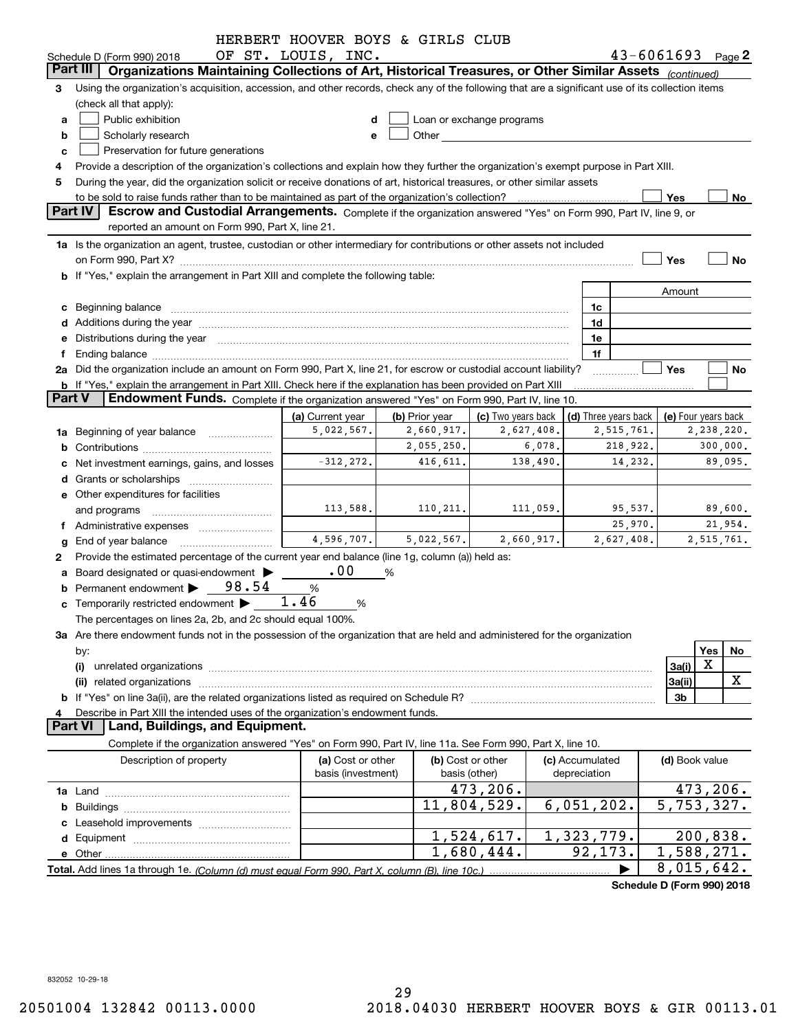|               |                                                                                                                                                                                                                                | HERBERT HOOVER BOYS & GIRLS CLUB |                |                                                                                                                                                                                                                                |            |                      |                          |                            |     |            |
|---------------|--------------------------------------------------------------------------------------------------------------------------------------------------------------------------------------------------------------------------------|----------------------------------|----------------|--------------------------------------------------------------------------------------------------------------------------------------------------------------------------------------------------------------------------------|------------|----------------------|--------------------------|----------------------------|-----|------------|
|               | Schedule D (Form 990) 2018                                                                                                                                                                                                     | OF ST. LOUIS, INC.               |                |                                                                                                                                                                                                                                |            |                      |                          | $43 - 6061693$ Page 2      |     |            |
|               | Organizations Maintaining Collections of Art, Historical Treasures, or Other Similar Assets (continued)<br>Part III                                                                                                            |                                  |                |                                                                                                                                                                                                                                |            |                      |                          |                            |     |            |
| 3             | Using the organization's acquisition, accession, and other records, check any of the following that are a significant use of its collection items<br>(check all that apply):                                                   |                                  |                |                                                                                                                                                                                                                                |            |                      |                          |                            |     |            |
| a             | Public exhibition                                                                                                                                                                                                              |                                  |                | Loan or exchange programs                                                                                                                                                                                                      |            |                      |                          |                            |     |            |
| b             | Scholarly research                                                                                                                                                                                                             |                                  |                | Other the contract of the contract of the contract of the contract of the contract of the contract of the contract of the contract of the contract of the contract of the contract of the contract of the contract of the cont |            |                      |                          |                            |     |            |
| c             | Preservation for future generations                                                                                                                                                                                            |                                  |                |                                                                                                                                                                                                                                |            |                      |                          |                            |     |            |
|               | Provide a description of the organization's collections and explain how they further the organization's exempt purpose in Part XIII.                                                                                           |                                  |                |                                                                                                                                                                                                                                |            |                      |                          |                            |     |            |
| 5             | During the year, did the organization solicit or receive donations of art, historical treasures, or other similar assets                                                                                                       |                                  |                |                                                                                                                                                                                                                                |            |                      |                          |                            |     |            |
|               | to be sold to raise funds rather than to be maintained as part of the organization's collection?                                                                                                                               |                                  |                |                                                                                                                                                                                                                                |            |                      |                          | Yes                        |     | No         |
|               | Part IV<br>Escrow and Custodial Arrangements. Complete if the organization answered "Yes" on Form 990, Part IV, line 9, or                                                                                                     |                                  |                |                                                                                                                                                                                                                                |            |                      |                          |                            |     |            |
|               | reported an amount on Form 990, Part X, line 21.                                                                                                                                                                               |                                  |                |                                                                                                                                                                                                                                |            |                      |                          |                            |     |            |
|               | 1a Is the organization an agent, trustee, custodian or other intermediary for contributions or other assets not included                                                                                                       |                                  |                |                                                                                                                                                                                                                                |            |                      |                          |                            |     |            |
|               |                                                                                                                                                                                                                                |                                  |                |                                                                                                                                                                                                                                |            |                      |                          | Yes                        |     | No         |
|               | <b>b</b> If "Yes," explain the arrangement in Part XIII and complete the following table:                                                                                                                                      |                                  |                |                                                                                                                                                                                                                                |            |                      |                          |                            |     |            |
|               |                                                                                                                                                                                                                                |                                  |                |                                                                                                                                                                                                                                |            |                      |                          | Amount                     |     |            |
|               |                                                                                                                                                                                                                                |                                  |                |                                                                                                                                                                                                                                |            |                      |                          |                            |     |            |
|               | c Beginning balance measurements and the contract of the contract of the contract of the contract of the contract of the contract of the contract of the contract of the contract of the contract of the contract of the contr |                                  |                |                                                                                                                                                                                                                                |            | 1c                   |                          |                            |     |            |
|               |                                                                                                                                                                                                                                |                                  |                |                                                                                                                                                                                                                                |            | 1d                   |                          |                            |     |            |
|               | e Distributions during the year manufactured and a control of the year manufactured and a Distributions during the year                                                                                                        |                                  |                |                                                                                                                                                                                                                                |            | 1e                   |                          |                            |     |            |
| f.            | Ending balance manufactured and contract and contract the contract of the contract of the contract of the contract of the contract of the contract of the contract of the contract of the contract of the contract of the cont |                                  |                |                                                                                                                                                                                                                                |            | 1f                   |                          |                            |     |            |
|               | 2a Did the organization include an amount on Form 990, Part X, line 21, for escrow or custodial account liability?                                                                                                             |                                  |                |                                                                                                                                                                                                                                |            |                      |                          | Yes                        |     | No         |
| <b>Part V</b> | <b>b</b> If "Yes," explain the arrangement in Part XIII. Check here if the explanation has been provided on Part XIII                                                                                                          |                                  |                |                                                                                                                                                                                                                                |            |                      |                          |                            |     |            |
|               | Endowment Funds. Complete if the organization answered "Yes" on Form 990, Part IV, line 10.                                                                                                                                    |                                  |                |                                                                                                                                                                                                                                |            |                      |                          |                            |     |            |
|               |                                                                                                                                                                                                                                | (a) Current year                 | (b) Prior year | (c) Two years back                                                                                                                                                                                                             |            | (d) Three years back |                          | (e) Four years back        |     |            |
|               | 1a Beginning of year balance                                                                                                                                                                                                   | 5,022,567.                       | 2,660,917.     |                                                                                                                                                                                                                                | 2,627,408. |                      | 2,515,761.<br>2,238,220. |                            |     |            |
|               |                                                                                                                                                                                                                                |                                  | 2,055,250.     |                                                                                                                                                                                                                                | 6,078.     |                      | 218,922.                 |                            |     | 300,000.   |
|               | c Net investment earnings, gains, and losses                                                                                                                                                                                   | $-312, 272.$                     | 416,611.       |                                                                                                                                                                                                                                | 138,490.   |                      | 14,232.                  |                            |     | 89,095.    |
|               |                                                                                                                                                                                                                                |                                  |                |                                                                                                                                                                                                                                |            |                      |                          |                            |     |            |
|               | e Other expenditures for facilities                                                                                                                                                                                            |                                  |                |                                                                                                                                                                                                                                |            |                      |                          |                            |     |            |
|               | and programs                                                                                                                                                                                                                   | 113,588.                         | 110, 211.      |                                                                                                                                                                                                                                | 111,059.   |                      | 95,537.                  |                            |     | 89,600.    |
|               |                                                                                                                                                                                                                                |                                  |                |                                                                                                                                                                                                                                |            |                      | 25,970.                  |                            |     | 21,954.    |
|               | g End of year balance                                                                                                                                                                                                          | 4,596,707.                       | 5,022,567.     |                                                                                                                                                                                                                                | 2,660,917. |                      | 2,627,408.               |                            |     | 2,515,761. |
| 2             | Provide the estimated percentage of the current year end balance (line 1g, column (a)) held as:                                                                                                                                |                                  |                |                                                                                                                                                                                                                                |            |                      |                          |                            |     |            |
|               | a Board designated or quasi-endowment >                                                                                                                                                                                        | .00                              | %              |                                                                                                                                                                                                                                |            |                      |                          |                            |     |            |
|               | Permanent endowment $\triangleright$ 98.54                                                                                                                                                                                     | %                                |                |                                                                                                                                                                                                                                |            |                      |                          |                            |     |            |
|               | <b>c</b> Temporarily restricted endowment $\blacktriangleright$                                                                                                                                                                | 1.46<br>%                        |                |                                                                                                                                                                                                                                |            |                      |                          |                            |     |            |
|               | The percentages on lines 2a, 2b, and 2c should equal 100%.                                                                                                                                                                     |                                  |                |                                                                                                                                                                                                                                |            |                      |                          |                            |     |            |
|               | 3a Are there endowment funds not in the possession of the organization that are held and administered for the organization                                                                                                     |                                  |                |                                                                                                                                                                                                                                |            |                      |                          |                            |     |            |
|               | by:                                                                                                                                                                                                                            |                                  |                |                                                                                                                                                                                                                                |            |                      |                          |                            | Yes | No         |
|               | (i)                                                                                                                                                                                                                            |                                  |                |                                                                                                                                                                                                                                |            |                      |                          | 3a(i)                      | X   |            |
|               | (ii)                                                                                                                                                                                                                           |                                  |                |                                                                                                                                                                                                                                |            |                      |                          | 3a(ii)                     |     | x          |
|               |                                                                                                                                                                                                                                |                                  |                |                                                                                                                                                                                                                                |            |                      |                          | 3b                         |     |            |
|               | Describe in Part XIII the intended uses of the organization's endowment funds.                                                                                                                                                 |                                  |                |                                                                                                                                                                                                                                |            |                      |                          |                            |     |            |
|               | Land, Buildings, and Equipment.<br><b>Part VI</b>                                                                                                                                                                              |                                  |                |                                                                                                                                                                                                                                |            |                      |                          |                            |     |            |
|               | Complete if the organization answered "Yes" on Form 990, Part IV, line 11a. See Form 990, Part X, line 10.                                                                                                                     |                                  |                |                                                                                                                                                                                                                                |            |                      |                          |                            |     |            |
|               | Description of property                                                                                                                                                                                                        | (a) Cost or other                |                | (b) Cost or other                                                                                                                                                                                                              |            | (c) Accumulated      |                          | (d) Book value             |     |            |
|               |                                                                                                                                                                                                                                | basis (investment)               |                | basis (other)                                                                                                                                                                                                                  |            | depreciation         |                          |                            |     |            |
|               |                                                                                                                                                                                                                                |                                  |                | 473,206.                                                                                                                                                                                                                       |            |                      |                          | 473,206.                   |     |            |
|               |                                                                                                                                                                                                                                |                                  |                | 11,804,529.                                                                                                                                                                                                                    |            | 6,051,202.           |                          | 5,753,327.                 |     |            |
|               |                                                                                                                                                                                                                                |                                  |                |                                                                                                                                                                                                                                |            |                      |                          |                            |     |            |
|               |                                                                                                                                                                                                                                |                                  |                | 1,524,617.                                                                                                                                                                                                                     |            | 1,323,779.           |                          | 200,838.                   |     |            |
|               |                                                                                                                                                                                                                                |                                  |                | 1,680,444.                                                                                                                                                                                                                     |            | 92,173.              |                          | 1,588,271.                 |     |            |
|               |                                                                                                                                                                                                                                |                                  |                |                                                                                                                                                                                                                                |            |                      |                          | 8,015,642.                 |     |            |
|               |                                                                                                                                                                                                                                |                                  |                |                                                                                                                                                                                                                                |            |                      |                          | Schedule D (Form 990) 2018 |     |            |
|               |                                                                                                                                                                                                                                |                                  |                |                                                                                                                                                                                                                                |            |                      |                          |                            |     |            |

832052 10-29-18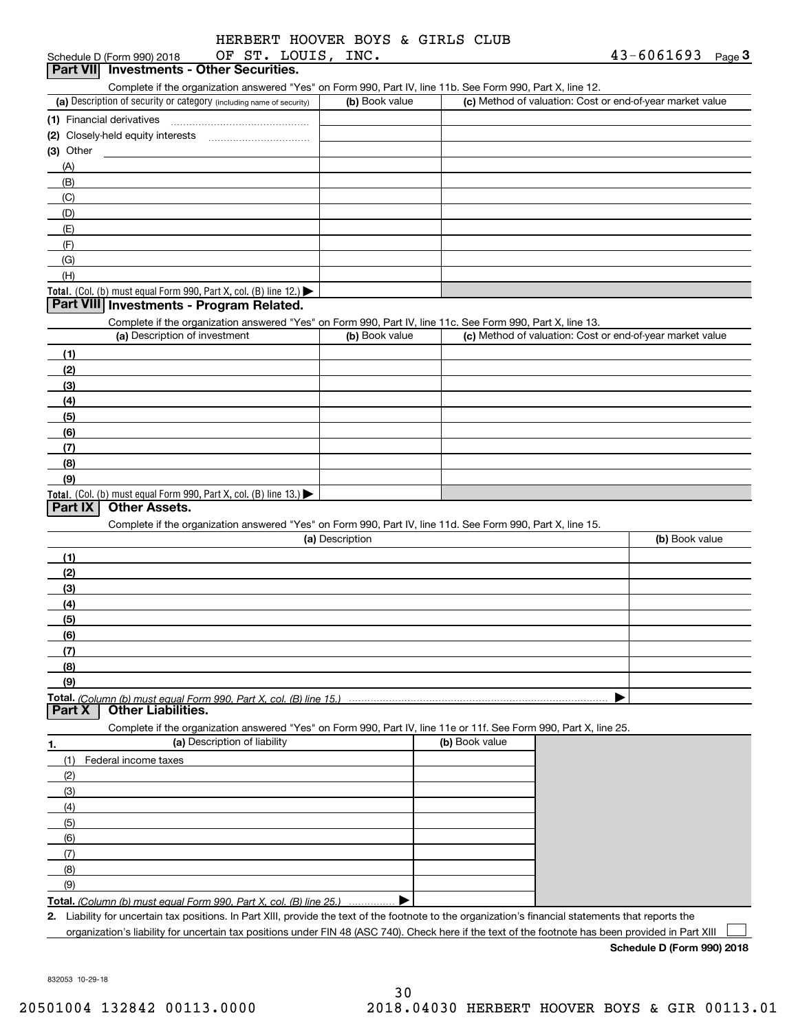| HERBERT HOOVER BOYS & GIRLS CLUB |  |  |  |
|----------------------------------|--|--|--|
|                                  |  |  |  |

| OF ST. LOUIS,<br>Schedule D (Form 990) 2018                                                                                                                                        | INC.            |                | $43 - 6061693$<br>Page $3$                                |
|------------------------------------------------------------------------------------------------------------------------------------------------------------------------------------|-----------------|----------------|-----------------------------------------------------------|
| Part VII Investments - Other Securities.                                                                                                                                           |                 |                |                                                           |
| Complete if the organization answered "Yes" on Form 990, Part IV, line 11b. See Form 990, Part X, line 12.<br>(a) Description of security or category (including name of security) | (b) Book value  |                | (c) Method of valuation: Cost or end-of-year market value |
|                                                                                                                                                                                    |                 |                |                                                           |
|                                                                                                                                                                                    |                 |                |                                                           |
|                                                                                                                                                                                    |                 |                |                                                           |
| $(3)$ Other                                                                                                                                                                        |                 |                |                                                           |
| (A)                                                                                                                                                                                |                 |                |                                                           |
| (B)                                                                                                                                                                                |                 |                |                                                           |
| (C)                                                                                                                                                                                |                 |                |                                                           |
| (D)                                                                                                                                                                                |                 |                |                                                           |
| (E)                                                                                                                                                                                |                 |                |                                                           |
| (F)                                                                                                                                                                                |                 |                |                                                           |
| (G)                                                                                                                                                                                |                 |                |                                                           |
| (H)                                                                                                                                                                                |                 |                |                                                           |
| Total. (Col. (b) must equal Form 990, Part X, col. (B) line 12.)                                                                                                                   |                 |                |                                                           |
| Part VIII Investments - Program Related.                                                                                                                                           |                 |                |                                                           |
| Complete if the organization answered "Yes" on Form 990, Part IV, line 11c. See Form 990, Part X, line 13.                                                                         |                 |                |                                                           |
| (a) Description of investment                                                                                                                                                      | (b) Book value  |                | (c) Method of valuation: Cost or end-of-year market value |
| (1)                                                                                                                                                                                |                 |                |                                                           |
| (2)                                                                                                                                                                                |                 |                |                                                           |
| (3)                                                                                                                                                                                |                 |                |                                                           |
| (4)                                                                                                                                                                                |                 |                |                                                           |
| (5)                                                                                                                                                                                |                 |                |                                                           |
| (6)                                                                                                                                                                                |                 |                |                                                           |
| (7)                                                                                                                                                                                |                 |                |                                                           |
| (8)                                                                                                                                                                                |                 |                |                                                           |
| (9)                                                                                                                                                                                |                 |                |                                                           |
|                                                                                                                                                                                    |                 |                |                                                           |
| Total. (Col. (b) must equal Form 990, Part X, col. (B) line 13.)<br><b>Other Assets.</b><br>Part IX                                                                                |                 |                |                                                           |
|                                                                                                                                                                                    |                 |                |                                                           |
| Complete if the organization answered "Yes" on Form 990, Part IV, line 11d. See Form 990, Part X, line 15.                                                                         | (a) Description |                | (b) Book value                                            |
|                                                                                                                                                                                    |                 |                |                                                           |
| (1)                                                                                                                                                                                |                 |                |                                                           |
| (2)                                                                                                                                                                                |                 |                |                                                           |
| (3)                                                                                                                                                                                |                 |                |                                                           |
| (4)                                                                                                                                                                                |                 |                |                                                           |
| (5)                                                                                                                                                                                |                 |                |                                                           |
| (6)                                                                                                                                                                                |                 |                |                                                           |
| (7)                                                                                                                                                                                |                 |                |                                                           |
| (8)                                                                                                                                                                                |                 |                |                                                           |
| (9)                                                                                                                                                                                |                 |                |                                                           |
| <b>Total.</b> (Column (b) must equal Form 990. Part X. col. (B) line 15.) $\cdots$                                                                                                 |                 |                |                                                           |
| <b>Other Liabilities.</b><br>Part X                                                                                                                                                |                 |                |                                                           |
| Complete if the organization answered "Yes" on Form 990, Part IV, line 11e or 11f. See Form 990, Part X, line 25.                                                                  |                 |                |                                                           |
| (a) Description of liability<br>1.                                                                                                                                                 |                 | (b) Book value |                                                           |
| Federal income taxes<br>(1)                                                                                                                                                        |                 |                |                                                           |
| (2)                                                                                                                                                                                |                 |                |                                                           |
|                                                                                                                                                                                    |                 |                |                                                           |
| (3)                                                                                                                                                                                |                 |                |                                                           |
| (4)                                                                                                                                                                                |                 |                |                                                           |
| (5)                                                                                                                                                                                |                 |                |                                                           |
| (6)                                                                                                                                                                                |                 |                |                                                           |
| (7)                                                                                                                                                                                |                 |                |                                                           |
| (8)                                                                                                                                                                                |                 |                |                                                           |
| (9)                                                                                                                                                                                |                 |                |                                                           |
| Total. (Column (b) must equal Form 990, Part X, col. (B) line 25.)                                                                                                                 |                 |                |                                                           |
| 2. Liability for uncertain tax positions. In Part XIII, provide the text of the footnote to the organization's financial statements that reports the                               |                 |                |                                                           |
| organization's liability for uncertain tax positions under FIN 48 (ASC 740). Check here if the text of the footnote has been provided in Part XIII                                 |                 |                |                                                           |

**Schedule D (Form 990) 2018**

832053 10-29-18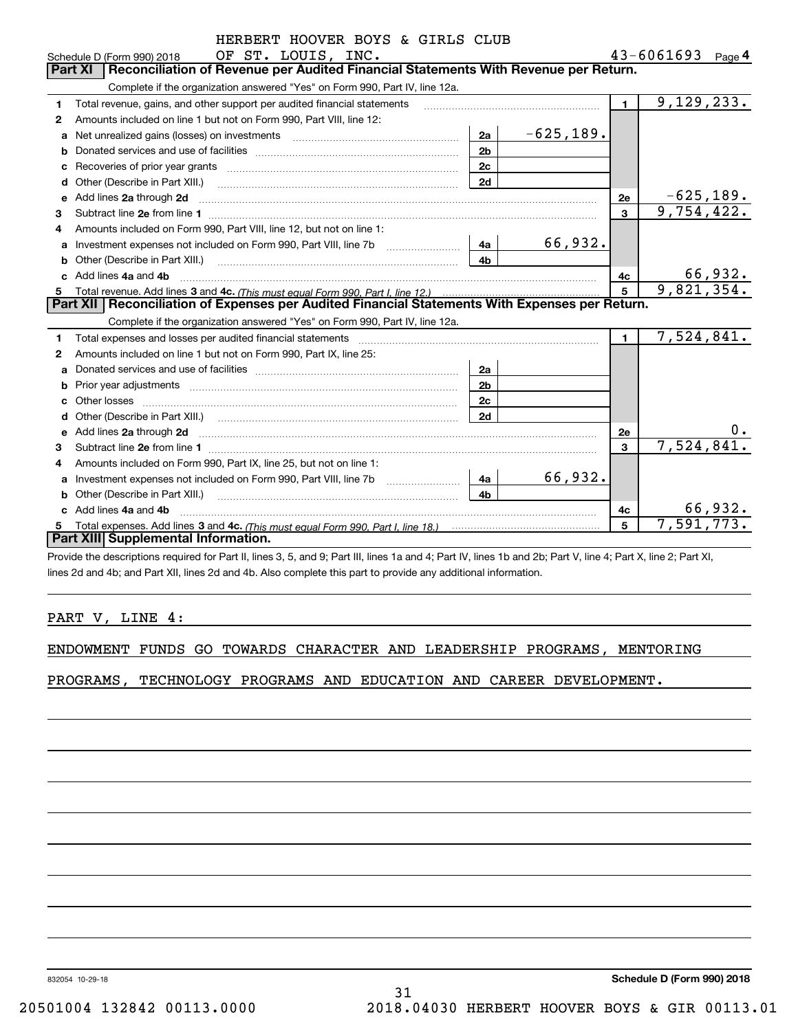|    | HERBERT HOOVER BOYS & GIRLS CLUB                                                                                                                                                                                                    |                |              |              |                       |
|----|-------------------------------------------------------------------------------------------------------------------------------------------------------------------------------------------------------------------------------------|----------------|--------------|--------------|-----------------------|
|    | OF ST. LOUIS, INC.<br>Schedule D (Form 990) 2018                                                                                                                                                                                    |                |              |              | $43 - 6061693$ Page 4 |
|    | Reconciliation of Revenue per Audited Financial Statements With Revenue per Return.<br><b>Part XI</b>                                                                                                                               |                |              |              |                       |
|    | Complete if the organization answered "Yes" on Form 990, Part IV, line 12a.                                                                                                                                                         |                |              |              |                       |
| 1  | Total revenue, gains, and other support per audited financial statements                                                                                                                                                            |                |              | $\mathbf 1$  | 9,129,233.            |
| 2  | Amounts included on line 1 but not on Form 990, Part VIII, line 12:                                                                                                                                                                 |                |              |              |                       |
| a  |                                                                                                                                                                                                                                     | 2a             | $-625, 189.$ |              |                       |
|    |                                                                                                                                                                                                                                     | 2 <sub>b</sub> |              |              |                       |
|    |                                                                                                                                                                                                                                     | 2c             |              |              |                       |
| d  | Other (Describe in Part XIII.) <b>Construction Contract Construction</b> Chern Construction Chern Chern Chern Chern Chern Chern Chern Chern Chern Chern Chern Chern Chern Chern Chern Chern Chern Chern Chern Chern Chern Chern Che | 2d             |              |              |                       |
| e  | Add lines 2a through 2d                                                                                                                                                                                                             |                |              | 2e           | $-625, 189.$          |
| з  |                                                                                                                                                                                                                                     |                |              | $\mathbf{R}$ | 9,754,422.            |
| 4  | Amounts included on Form 990, Part VIII, line 12, but not on line 1:                                                                                                                                                                |                |              |              |                       |
| a  |                                                                                                                                                                                                                                     | 4a             | 66,932.      |              |                       |
| b  |                                                                                                                                                                                                                                     | 4b             |              |              |                       |
|    | Add lines 4a and 4b                                                                                                                                                                                                                 |                |              | 4c           | <u>66,932.</u>        |
| 5  |                                                                                                                                                                                                                                     | 5              | 9,821,354.   |              |                       |
|    | Part XII   Reconciliation of Expenses per Audited Financial Statements With Expenses per Return.                                                                                                                                    |                |              |              |                       |
|    | Complete if the organization answered "Yes" on Form 990, Part IV, line 12a.                                                                                                                                                         |                |              |              |                       |
| 1  | Total expenses and losses per audited financial statements                                                                                                                                                                          |                |              | $\mathbf{1}$ | 7,524,841.            |
| 2  | Amounts included on line 1 but not on Form 990, Part IX, line 25:                                                                                                                                                                   |                |              |              |                       |
| a  |                                                                                                                                                                                                                                     | 2a             |              |              |                       |
| b  |                                                                                                                                                                                                                                     | 2 <sub>b</sub> |              |              |                       |
|    |                                                                                                                                                                                                                                     | 2c             |              |              |                       |
|    |                                                                                                                                                                                                                                     | 2d             |              |              |                       |
|    |                                                                                                                                                                                                                                     |                |              | 2e           | 0.                    |
| 3  |                                                                                                                                                                                                                                     |                |              | $\mathbf{R}$ | 7,524,841.            |
| 4  | Amounts included on Form 990, Part IX, line 25, but not on line 1:                                                                                                                                                                  |                |              |              |                       |
| a  |                                                                                                                                                                                                                                     | 4a             | 66,932.      |              |                       |
| b  | Other (Describe in Part XIII.)                                                                                                                                                                                                      | 4 <sub>h</sub> |              |              |                       |
| c. | Add lines 4a and 4b                                                                                                                                                                                                                 |                |              | 4с           | 66,932.               |
|    |                                                                                                                                                                                                                                     |                |              | 5            | 7,591,773.            |
|    | Part XIII Supplemental Information.                                                                                                                                                                                                 |                |              |              |                       |

Provide the descriptions required for Part II, lines 3, 5, and 9; Part III, lines 1a and 4; Part IV, lines 1b and 2b; Part V, line 4; Part X, line 2; Part XI, lines 2d and 4b; and Part XII, lines 2d and 4b. Also complete this part to provide any additional information.

### PART V, LINE 4:

|  |  |  |  |  |  | ENDOWMENT FUNDS GO TOWARDS CHARACTER AND LEADERSHIP PROGRAMS, MENTORING |  |  |
|--|--|--|--|--|--|-------------------------------------------------------------------------|--|--|
|--|--|--|--|--|--|-------------------------------------------------------------------------|--|--|

31

PROGRAMS, TECHNOLOGY PROGRAMS AND EDUCATION AND CAREER DEVELOPMENT.

832054 10-29-18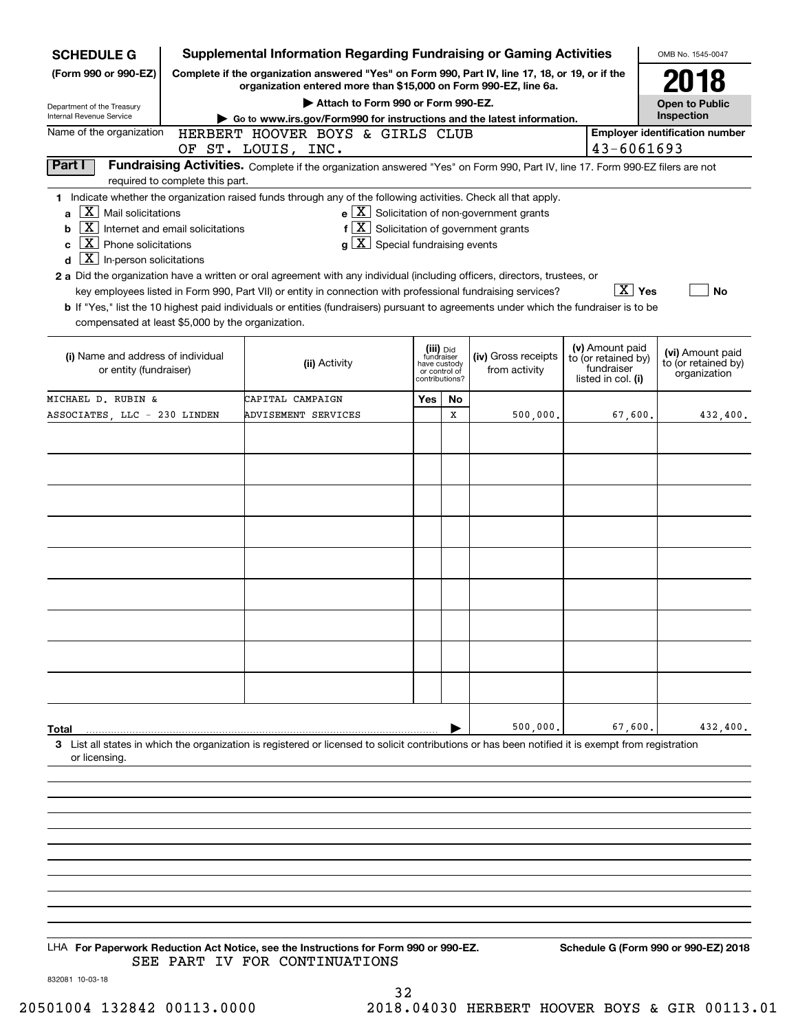| <b>SCHEDULE G</b>                                                                                                                                                              | <b>Supplemental Information Regarding Fundraising or Gaming Activities</b>                                                                                                                                                                           |                                                               |           |                                                              |                                                                            | OMB No. 1545-0047                                       |
|--------------------------------------------------------------------------------------------------------------------------------------------------------------------------------|------------------------------------------------------------------------------------------------------------------------------------------------------------------------------------------------------------------------------------------------------|---------------------------------------------------------------|-----------|--------------------------------------------------------------|----------------------------------------------------------------------------|---------------------------------------------------------|
| (Form 990 or 990-EZ)                                                                                                                                                           | Complete if the organization answered "Yes" on Form 990, Part IV, line 17, 18, or 19, or if the<br>organization entered more than \$15,000 on Form 990-EZ, line 6a.                                                                                  |                                                               |           |                                                              |                                                                            | 2018                                                    |
| Department of the Treasury                                                                                                                                                     | Attach to Form 990 or Form 990-EZ.                                                                                                                                                                                                                   |                                                               |           |                                                              |                                                                            | <b>Open to Public</b>                                   |
| Internal Revenue Service                                                                                                                                                       | Go to www.irs.gov/Form990 for instructions and the latest information.                                                                                                                                                                               |                                                               |           |                                                              |                                                                            | Inspection                                              |
| Name of the organization                                                                                                                                                       | HERBERT HOOVER BOYS & GIRLS CLUB<br>OF ST. LOUIS, INC.                                                                                                                                                                                               |                                                               |           |                                                              | 43-6061693                                                                 | <b>Employer identification number</b>                   |
| Part I                                                                                                                                                                         | Fundraising Activities. Complete if the organization answered "Yes" on Form 990, Part IV, line 17. Form 990-EZ filers are not                                                                                                                        |                                                               |           |                                                              |                                                                            |                                                         |
| required to complete this part.                                                                                                                                                |                                                                                                                                                                                                                                                      |                                                               |           |                                                              |                                                                            |                                                         |
| X.<br>Mail solicitations<br>a<br>$\mathbf{X}$<br>Internet and email solicitations<br>b<br>  X<br>Phone solicitations<br>c<br>$\boxed{\textbf{X}}$ In-person solicitations<br>d | 1 Indicate whether the organization raised funds through any of the following activities. Check all that apply.<br>$f\left[\frac{X}{X}\right]$ Solicitation of government grants<br>$g\mid X$ Special fundraising events                             |                                                               |           | $e$ $\boxed{\text{X}}$ Solicitation of non-government grants |                                                                            |                                                         |
|                                                                                                                                                                                | 2 a Did the organization have a written or oral agreement with any individual (including officers, directors, trustees, or                                                                                                                           |                                                               |           |                                                              | $\boxed{\text{X}}$ Yes                                                     |                                                         |
| compensated at least \$5,000 by the organization.                                                                                                                              | key employees listed in Form 990, Part VII) or entity in connection with professional fundraising services?<br>b If "Yes," list the 10 highest paid individuals or entities (fundraisers) pursuant to agreements under which the fundraiser is to be |                                                               |           |                                                              |                                                                            | <b>No</b>                                               |
| (i) Name and address of individual<br>or entity (fundraiser)                                                                                                                   | (ii) Activity                                                                                                                                                                                                                                        | fundraiser<br>have custody<br>or control of<br>contributions? | (iii) Did | (iv) Gross receipts<br>from activity                         | (v) Amount paid<br>to (or retained by)<br>fundraiser<br>listed in col. (i) | (vi) Amount paid<br>to (or retained by)<br>organization |
| MICHAEL D. RUBIN &                                                                                                                                                             | CAPITAL CAMPAIGN                                                                                                                                                                                                                                     | Yes                                                           | No        |                                                              |                                                                            |                                                         |
| ASSOCIATES, LLC - 230 LINDEN                                                                                                                                                   | ADVISEMENT SERVICES                                                                                                                                                                                                                                  |                                                               | Х         | 500,000.                                                     | 67,600.                                                                    | 432,400.                                                |
|                                                                                                                                                                                |                                                                                                                                                                                                                                                      |                                                               |           |                                                              |                                                                            |                                                         |
|                                                                                                                                                                                |                                                                                                                                                                                                                                                      |                                                               |           |                                                              |                                                                            |                                                         |
|                                                                                                                                                                                |                                                                                                                                                                                                                                                      |                                                               |           |                                                              |                                                                            |                                                         |
|                                                                                                                                                                                |                                                                                                                                                                                                                                                      |                                                               |           |                                                              |                                                                            |                                                         |
|                                                                                                                                                                                |                                                                                                                                                                                                                                                      |                                                               |           |                                                              |                                                                            |                                                         |
|                                                                                                                                                                                |                                                                                                                                                                                                                                                      |                                                               |           |                                                              |                                                                            |                                                         |
|                                                                                                                                                                                |                                                                                                                                                                                                                                                      |                                                               |           |                                                              |                                                                            |                                                         |
|                                                                                                                                                                                |                                                                                                                                                                                                                                                      |                                                               |           |                                                              |                                                                            |                                                         |
|                                                                                                                                                                                |                                                                                                                                                                                                                                                      |                                                               |           |                                                              |                                                                            |                                                         |
|                                                                                                                                                                                |                                                                                                                                                                                                                                                      |                                                               |           |                                                              |                                                                            |                                                         |
|                                                                                                                                                                                |                                                                                                                                                                                                                                                      |                                                               |           |                                                              |                                                                            |                                                         |
|                                                                                                                                                                                |                                                                                                                                                                                                                                                      |                                                               |           |                                                              |                                                                            |                                                         |
|                                                                                                                                                                                |                                                                                                                                                                                                                                                      |                                                               |           |                                                              |                                                                            |                                                         |
|                                                                                                                                                                                |                                                                                                                                                                                                                                                      |                                                               |           |                                                              |                                                                            |                                                         |
|                                                                                                                                                                                |                                                                                                                                                                                                                                                      |                                                               |           |                                                              |                                                                            |                                                         |
|                                                                                                                                                                                |                                                                                                                                                                                                                                                      |                                                               |           |                                                              |                                                                            |                                                         |
| Total                                                                                                                                                                          |                                                                                                                                                                                                                                                      |                                                               |           | 500,000,                                                     | 67,600.                                                                    | 432,400.                                                |
| or licensing.                                                                                                                                                                  | 3 List all states in which the organization is registered or licensed to solicit contributions or has been notified it is exempt from registration                                                                                                   |                                                               |           |                                                              |                                                                            |                                                         |
|                                                                                                                                                                                |                                                                                                                                                                                                                                                      |                                                               |           |                                                              |                                                                            |                                                         |
|                                                                                                                                                                                |                                                                                                                                                                                                                                                      |                                                               |           |                                                              |                                                                            |                                                         |
|                                                                                                                                                                                |                                                                                                                                                                                                                                                      |                                                               |           |                                                              |                                                                            |                                                         |
|                                                                                                                                                                                |                                                                                                                                                                                                                                                      |                                                               |           |                                                              |                                                                            |                                                         |
|                                                                                                                                                                                |                                                                                                                                                                                                                                                      |                                                               |           |                                                              |                                                                            |                                                         |
|                                                                                                                                                                                |                                                                                                                                                                                                                                                      |                                                               |           |                                                              |                                                                            |                                                         |

LHA For Paperwork Reduction Act Notice, see the Instructions for Form 990 or 990-EZ. Schedule G (Form 990 or 990-EZ) 2018 SEE PART IV FOR CONTINUATIONS

832081 10-03-18

32 20501004 132842 00113.0000 2018.04030 HERBERT HOOVER BOYS & GIR 00113.01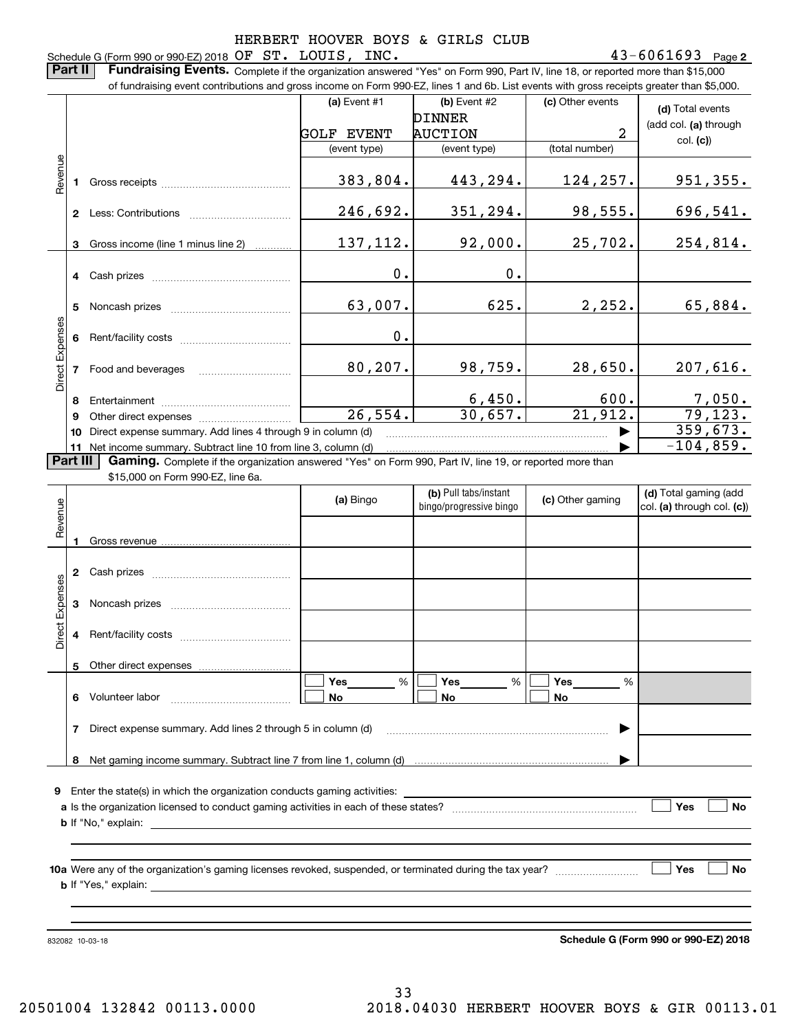### **2** Schedule G (Form 990 or 990-EZ) 2018 Page OF ST. LOUIS, INC. 43-6061693

**Part II** | Fundraising Events. Complete if the organization answered "Yes" on Form 990, Part IV, line 18, or reported more than \$15,000

|                 |          | of fundraising event contributions and gross income on Form 990-EZ, lines 1 and 6b. List events with gross receipts greater than \$5,000. |                       |                                                  |                       |                                                     |
|-----------------|----------|-------------------------------------------------------------------------------------------------------------------------------------------|-----------------------|--------------------------------------------------|-----------------------|-----------------------------------------------------|
|                 |          |                                                                                                                                           | (a) Event $#1$        | (b) Event #2                                     | (c) Other events      | (d) Total events                                    |
|                 |          |                                                                                                                                           |                       | <b>DINNER</b>                                    |                       | (add col. (a) through                               |
|                 |          |                                                                                                                                           | <b>GOLF EVENT</b>     | <b>AUCTION</b>                                   | 2                     | col. (c)                                            |
|                 |          |                                                                                                                                           | (event type)          | (event type)                                     | (total number)        |                                                     |
| Revenue         |          |                                                                                                                                           | 383,804.              | 443,294.                                         | 124, 257.             | <u>951,355.</u>                                     |
|                 |          |                                                                                                                                           | 246,692.              | 351,294.                                         | 98,555.               | <u>696,541.</u>                                     |
|                 |          | 3 Gross income (line 1 minus line 2)                                                                                                      | 137, 112.             | 92,000.                                          | 25,702.               | 254,814.                                            |
|                 |          |                                                                                                                                           | 0.                    | 0.                                               |                       |                                                     |
|                 |          |                                                                                                                                           | 63,007.               | 625.                                             | 2,252.                | 65,884.                                             |
|                 |          |                                                                                                                                           | 0.                    |                                                  |                       |                                                     |
| Direct Expenses |          | 7 Food and beverages                                                                                                                      | 80, 207.              | 98,759.                                          | 28,650.               | 207,616.                                            |
|                 |          |                                                                                                                                           |                       |                                                  | 600.                  |                                                     |
|                 | 9        |                                                                                                                                           | $\overline{26,554}$ . | $\frac{6,450.}{30,657.}$                         | $\overline{21,912}$ . | $\frac{7,050}{79,123}$                              |
|                 | 10       | Direct expense summary. Add lines 4 through 9 in column (d)                                                                               |                       |                                                  |                       | 359,673.                                            |
|                 |          | 11 Net income summary. Subtract line 10 from line 3, column (d)                                                                           |                       |                                                  |                       | $-104,859.$                                         |
|                 | Part III | Gaming. Complete if the organization answered "Yes" on Form 990, Part IV, line 19, or reported more than                                  |                       |                                                  |                       |                                                     |
|                 |          | \$15,000 on Form 990-EZ, line 6a.                                                                                                         |                       |                                                  |                       |                                                     |
| enue            |          |                                                                                                                                           | (a) Bingo             | (b) Pull tabs/instant<br>bingo/progressive bingo | (c) Other gaming      | (d) Total gaming (add<br>col. (a) through col. (c)) |
|                 |          |                                                                                                                                           |                       |                                                  |                       |                                                     |
|                 |          |                                                                                                                                           |                       |                                                  |                       |                                                     |
|                 |          |                                                                                                                                           |                       |                                                  |                       |                                                     |
| Expenses        |          |                                                                                                                                           |                       |                                                  |                       |                                                     |
| Direct          |          | 4 Rent/facility costs                                                                                                                     |                       |                                                  |                       |                                                     |
|                 | 5        | Other direct expenses                                                                                                                     |                       |                                                  |                       |                                                     |
|                 | 6        | Volunteer labor                                                                                                                           | %<br>Yes<br>No        | %<br>Yes<br>No                                   | %<br>Yes<br>No        |                                                     |
|                 | 7        | Direct expense summary. Add lines 2 through 5 in column (d)                                                                               |                       |                                                  |                       |                                                     |
|                 | 8        |                                                                                                                                           |                       |                                                  |                       |                                                     |
|                 |          |                                                                                                                                           |                       |                                                  |                       |                                                     |
| 9.              |          | Enter the state(s) in which the organization conducts gaming activities:                                                                  |                       |                                                  |                       |                                                     |
|                 |          |                                                                                                                                           |                       |                                                  |                       | Yes<br>No                                           |
|                 |          | <b>b</b> If "No," explain:                                                                                                                |                       |                                                  |                       |                                                     |
|                 |          |                                                                                                                                           |                       |                                                  |                       |                                                     |
|                 |          |                                                                                                                                           |                       |                                                  |                       | Yes<br>No                                           |
|                 |          | <b>b</b> If "Yes," explain:                                                                                                               |                       |                                                  |                       |                                                     |

832082 10-03-18

**Schedule G (Form 990 or 990-EZ) 2018**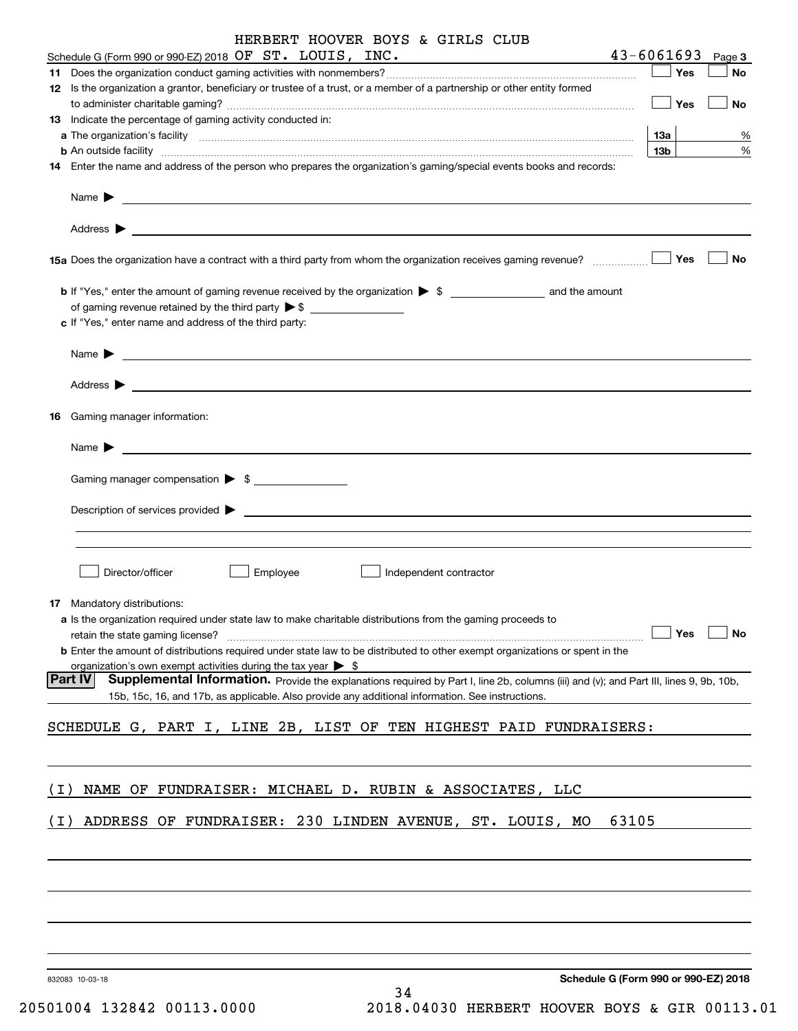|       | HERBERT HOOVER BOYS & GIRLS CLUB                                                                                                                                                                                                                                                                                                                                                                                      |                 |        |
|-------|-----------------------------------------------------------------------------------------------------------------------------------------------------------------------------------------------------------------------------------------------------------------------------------------------------------------------------------------------------------------------------------------------------------------------|-----------------|--------|
|       | Schedule G (Form 990 or 990-EZ) 2018 OF ST. LOUIS, INC.                                                                                                                                                                                                                                                                                                                                                               | $43 - 6061693$  | Page 3 |
|       |                                                                                                                                                                                                                                                                                                                                                                                                                       | Yes             | No     |
|       | 12 Is the organization a grantor, beneficiary or trustee of a trust, or a member of a partnership or other entity formed                                                                                                                                                                                                                                                                                              | Yes             | No     |
|       | 13 Indicate the percentage of gaming activity conducted in:                                                                                                                                                                                                                                                                                                                                                           |                 |        |
|       |                                                                                                                                                                                                                                                                                                                                                                                                                       | $13a$           | %      |
|       | <b>b</b> An outside facility <b>contained and the contract of the contract of the contract of the contract of the contract of the contract of the contract of the contract of the contract of the contract of the contract of the con</b>                                                                                                                                                                             | 13 <sub>b</sub> | %      |
|       | 14 Enter the name and address of the person who prepares the organization's gaming/special events books and records:                                                                                                                                                                                                                                                                                                  |                 |        |
|       | Name $\blacktriangleright$ $\frac{1}{\sqrt{1-\frac{1}{2}}\sqrt{1-\frac{1}{2}}\sqrt{1-\frac{1}{2}}\sqrt{1-\frac{1}{2}}\sqrt{1-\frac{1}{2}}\sqrt{1-\frac{1}{2}}\sqrt{1-\frac{1}{2}}\sqrt{1-\frac{1}{2}}\sqrt{1-\frac{1}{2}}\sqrt{1-\frac{1}{2}}\sqrt{1-\frac{1}{2}}\sqrt{1-\frac{1}{2}}\sqrt{1-\frac{1}{2}}\sqrt{1-\frac{1}{2}}\sqrt{1-\frac{1}{2}}\sqrt{1-\frac{1}{2}}\sqrt{1-\frac{1}{2}}\sqrt{1-\frac{1}{2}}\sqrt{1$ |                 |        |
|       |                                                                                                                                                                                                                                                                                                                                                                                                                       |                 | No     |
|       | 15a Does the organization have a contract with a third party from whom the organization receives gaming revenue?                                                                                                                                                                                                                                                                                                      | Yes             |        |
|       |                                                                                                                                                                                                                                                                                                                                                                                                                       |                 |        |
|       | of gaming revenue retained by the third party $\triangleright$ \$                                                                                                                                                                                                                                                                                                                                                     |                 |        |
|       | c If "Yes," enter name and address of the third party:                                                                                                                                                                                                                                                                                                                                                                |                 |        |
|       |                                                                                                                                                                                                                                                                                                                                                                                                                       |                 |        |
|       |                                                                                                                                                                                                                                                                                                                                                                                                                       |                 |        |
|       | 16 Gaming manager information:                                                                                                                                                                                                                                                                                                                                                                                        |                 |        |
|       | $Name \rightarrow$                                                                                                                                                                                                                                                                                                                                                                                                    |                 |        |
|       | Gaming manager compensation > \$                                                                                                                                                                                                                                                                                                                                                                                      |                 |        |
|       |                                                                                                                                                                                                                                                                                                                                                                                                                       |                 |        |
|       | Description of services provided states and the service of the service of the services provided states are not                                                                                                                                                                                                                                                                                                        |                 |        |
|       |                                                                                                                                                                                                                                                                                                                                                                                                                       |                 |        |
|       |                                                                                                                                                                                                                                                                                                                                                                                                                       |                 |        |
|       | Director/officer<br>Employee<br>Independent contractor                                                                                                                                                                                                                                                                                                                                                                |                 |        |
|       |                                                                                                                                                                                                                                                                                                                                                                                                                       |                 |        |
|       | 17 Mandatory distributions:                                                                                                                                                                                                                                                                                                                                                                                           |                 |        |
|       | a Is the organization required under state law to make charitable distributions from the gaming proceeds to                                                                                                                                                                                                                                                                                                           | Yes             | No     |
|       | retain the state gaming license?<br><b>b</b> Enter the amount of distributions required under state law to be distributed to other exempt organizations or spent in the                                                                                                                                                                                                                                               |                 |        |
|       | organization's own exempt activities during the tax year $\triangleright$ \$                                                                                                                                                                                                                                                                                                                                          |                 |        |
|       | Part IV<br>Supplemental Information. Provide the explanations required by Part I, line 2b, columns (iii) and (v); and Part III, lines 9, 9b, 10b,                                                                                                                                                                                                                                                                     |                 |        |
|       | 15b, 15c, 16, and 17b, as applicable. Also provide any additional information. See instructions.                                                                                                                                                                                                                                                                                                                      |                 |        |
|       | SCHEDULE G, PART I, LINE 2B, LIST OF TEN HIGHEST PAID FUNDRAISERS:                                                                                                                                                                                                                                                                                                                                                    |                 |        |
|       |                                                                                                                                                                                                                                                                                                                                                                                                                       |                 |        |
|       |                                                                                                                                                                                                                                                                                                                                                                                                                       |                 |        |
| ( I ) | NAME OF FUNDRAISER: MICHAEL D. RUBIN & ASSOCIATES, LLC                                                                                                                                                                                                                                                                                                                                                                |                 |        |
|       |                                                                                                                                                                                                                                                                                                                                                                                                                       |                 |        |
| ( I ) | ADDRESS OF FUNDRAISER: 230 LINDEN AVENUE, ST. LOUIS, MO<br>63105                                                                                                                                                                                                                                                                                                                                                      |                 |        |
|       |                                                                                                                                                                                                                                                                                                                                                                                                                       |                 |        |
|       |                                                                                                                                                                                                                                                                                                                                                                                                                       |                 |        |
|       |                                                                                                                                                                                                                                                                                                                                                                                                                       |                 |        |
|       |                                                                                                                                                                                                                                                                                                                                                                                                                       |                 |        |
|       |                                                                                                                                                                                                                                                                                                                                                                                                                       |                 |        |
|       |                                                                                                                                                                                                                                                                                                                                                                                                                       |                 |        |
|       |                                                                                                                                                                                                                                                                                                                                                                                                                       |                 |        |
|       | Schedule G (Form 990 or 990-EZ) 2018<br>832083 10-03-18                                                                                                                                                                                                                                                                                                                                                               |                 |        |

34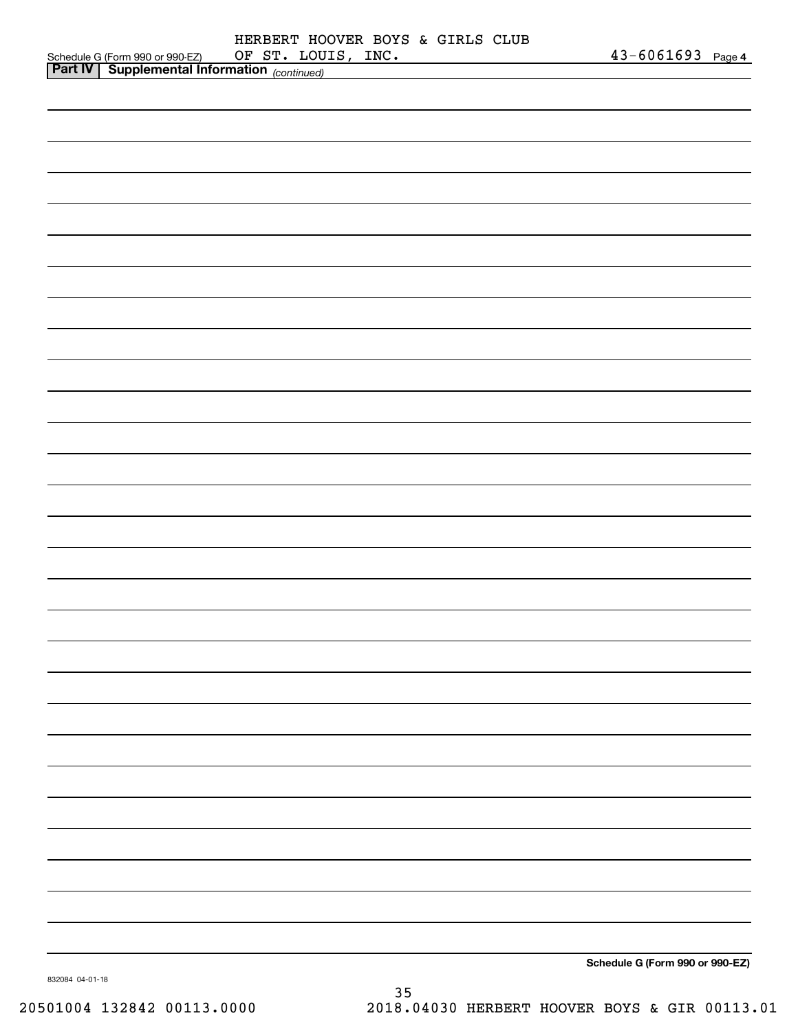|                 |                                                                                             |  |  | HERBERT HOOVER BOYS & GIRLS CLUB |                                 |  |
|-----------------|---------------------------------------------------------------------------------------------|--|--|----------------------------------|---------------------------------|--|
|                 | Schedule G (Form 990 or 990-EZ) OF ST. LOU.<br>Part IV Supplemental Information (continued) |  |  | OF ST. LOUIS, INC.               | 43-6061693 Page 4               |  |
|                 |                                                                                             |  |  |                                  |                                 |  |
|                 |                                                                                             |  |  |                                  |                                 |  |
|                 |                                                                                             |  |  |                                  |                                 |  |
|                 |                                                                                             |  |  |                                  |                                 |  |
|                 |                                                                                             |  |  |                                  |                                 |  |
|                 |                                                                                             |  |  |                                  |                                 |  |
|                 |                                                                                             |  |  |                                  |                                 |  |
|                 |                                                                                             |  |  |                                  |                                 |  |
|                 |                                                                                             |  |  |                                  |                                 |  |
|                 |                                                                                             |  |  |                                  |                                 |  |
|                 |                                                                                             |  |  |                                  |                                 |  |
|                 |                                                                                             |  |  |                                  |                                 |  |
|                 |                                                                                             |  |  |                                  |                                 |  |
|                 |                                                                                             |  |  |                                  |                                 |  |
|                 |                                                                                             |  |  |                                  |                                 |  |
|                 |                                                                                             |  |  |                                  |                                 |  |
|                 |                                                                                             |  |  |                                  |                                 |  |
|                 |                                                                                             |  |  |                                  |                                 |  |
|                 |                                                                                             |  |  |                                  |                                 |  |
|                 |                                                                                             |  |  |                                  |                                 |  |
|                 |                                                                                             |  |  |                                  |                                 |  |
|                 |                                                                                             |  |  |                                  |                                 |  |
|                 |                                                                                             |  |  |                                  |                                 |  |
|                 |                                                                                             |  |  |                                  |                                 |  |
|                 |                                                                                             |  |  |                                  |                                 |  |
|                 |                                                                                             |  |  |                                  |                                 |  |
|                 |                                                                                             |  |  |                                  |                                 |  |
|                 |                                                                                             |  |  |                                  |                                 |  |
|                 |                                                                                             |  |  |                                  |                                 |  |
|                 |                                                                                             |  |  |                                  |                                 |  |
|                 |                                                                                             |  |  |                                  |                                 |  |
|                 |                                                                                             |  |  |                                  |                                 |  |
|                 |                                                                                             |  |  |                                  |                                 |  |
|                 |                                                                                             |  |  |                                  |                                 |  |
|                 |                                                                                             |  |  |                                  |                                 |  |
|                 |                                                                                             |  |  |                                  |                                 |  |
|                 |                                                                                             |  |  |                                  |                                 |  |
|                 |                                                                                             |  |  |                                  |                                 |  |
|                 |                                                                                             |  |  |                                  |                                 |  |
|                 |                                                                                             |  |  |                                  |                                 |  |
|                 |                                                                                             |  |  |                                  |                                 |  |
| 832084 04-01-18 |                                                                                             |  |  |                                  | Schedule G (Form 990 or 990-EZ) |  |

832084 04-01-18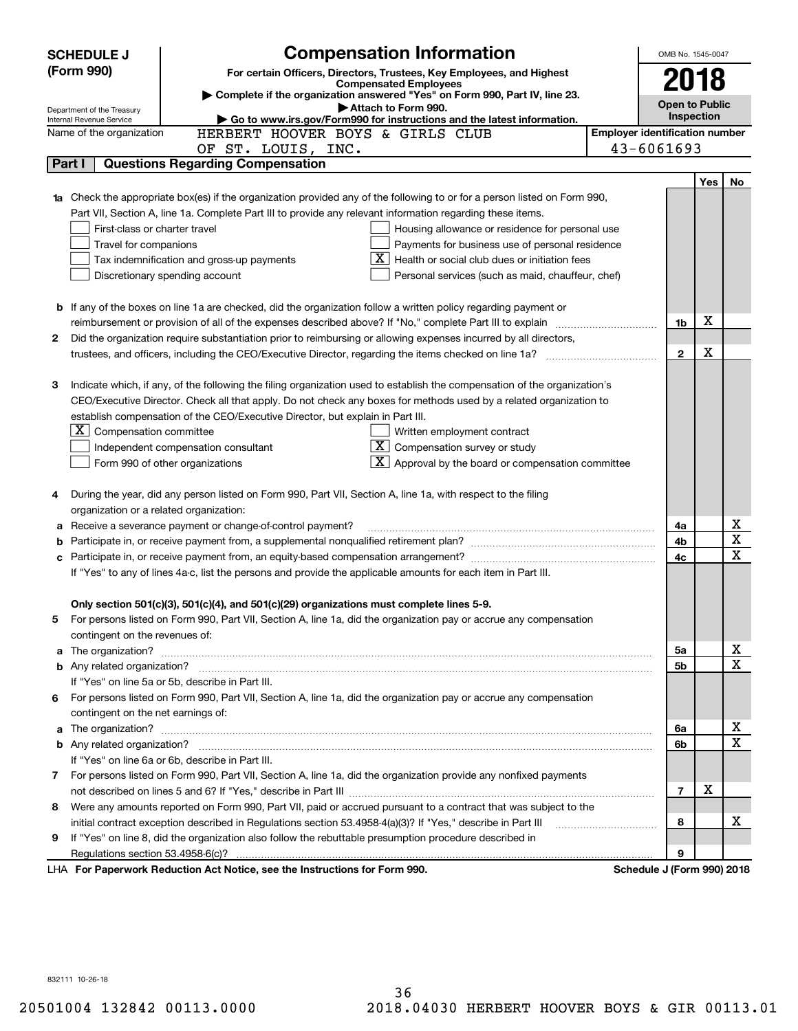|    | <b>SCHEDULE J</b>                                                                          | <b>Compensation Information</b>                                                                                           |  | OMB No. 1545-0047                     |     |             |
|----|--------------------------------------------------------------------------------------------|---------------------------------------------------------------------------------------------------------------------------|--|---------------------------------------|-----|-------------|
|    | (Form 990)                                                                                 | For certain Officers, Directors, Trustees, Key Employees, and Highest                                                     |  |                                       |     |             |
|    |                                                                                            | <b>Compensated Employees</b>                                                                                              |  | 2018                                  |     |             |
|    | Department of the Treasury                                                                 | Complete if the organization answered "Yes" on Form 990, Part IV, line 23.<br>Attach to Form 990.                         |  | <b>Open to Public</b>                 |     |             |
|    | Internal Revenue Service                                                                   | Go to www.irs.gov/Form990 for instructions and the latest information.                                                    |  | Inspection                            |     |             |
|    | Name of the organization                                                                   | HERBERT HOOVER BOYS & GIRLS CLUB                                                                                          |  | <b>Employer identification number</b> |     |             |
|    |                                                                                            | OF ST. LOUIS, INC.                                                                                                        |  | 43-6061693                            |     |             |
|    | Part I                                                                                     | <b>Questions Regarding Compensation</b>                                                                                   |  |                                       |     |             |
|    |                                                                                            |                                                                                                                           |  |                                       | Yes | No          |
|    |                                                                                            | Check the appropriate box(es) if the organization provided any of the following to or for a person listed on Form 990,    |  |                                       |     |             |
|    |                                                                                            | Part VII, Section A, line 1a. Complete Part III to provide any relevant information regarding these items.                |  |                                       |     |             |
|    | First-class or charter travel                                                              | Housing allowance or residence for personal use                                                                           |  |                                       |     |             |
|    | Travel for companions                                                                      | Payments for business use of personal residence                                                                           |  |                                       |     |             |
|    | Health or social club dues or initiation fees<br>Tax indemnification and gross-up payments |                                                                                                                           |  |                                       |     |             |
|    |                                                                                            | Discretionary spending account<br>Personal services (such as maid, chauffeur, chef)                                       |  |                                       |     |             |
|    |                                                                                            |                                                                                                                           |  |                                       |     |             |
|    |                                                                                            | <b>b</b> If any of the boxes on line 1a are checked, did the organization follow a written policy regarding payment or    |  |                                       |     |             |
|    |                                                                                            | reimbursement or provision of all of the expenses described above? If "No," complete Part III to explain                  |  | 1b                                    | X   |             |
| 2  |                                                                                            | Did the organization require substantiation prior to reimbursing or allowing expenses incurred by all directors,          |  |                                       |     |             |
|    |                                                                                            |                                                                                                                           |  | $\mathbf{2}$                          | X   |             |
|    |                                                                                            |                                                                                                                           |  |                                       |     |             |
| З  |                                                                                            | Indicate which, if any, of the following the filing organization used to establish the compensation of the organization's |  |                                       |     |             |
|    |                                                                                            | CEO/Executive Director. Check all that apply. Do not check any boxes for methods used by a related organization to        |  |                                       |     |             |
|    |                                                                                            | establish compensation of the CEO/Executive Director, but explain in Part III.                                            |  |                                       |     |             |
|    | $X$ Compensation committee                                                                 | Written employment contract                                                                                               |  |                                       |     |             |
|    |                                                                                            | $X$ Compensation survey or study<br>Independent compensation consultant                                                   |  |                                       |     |             |
|    |                                                                                            | $\boxed{\textbf{X}}$ Approval by the board or compensation committee<br>Form 990 of other organizations                   |  |                                       |     |             |
|    |                                                                                            |                                                                                                                           |  |                                       |     |             |
| 4  |                                                                                            | During the year, did any person listed on Form 990, Part VII, Section A, line 1a, with respect to the filing              |  |                                       |     |             |
|    | organization or a related organization:                                                    |                                                                                                                           |  |                                       |     | х           |
| а  |                                                                                            | Receive a severance payment or change-of-control payment?                                                                 |  | 4a                                    |     | X           |
| b  |                                                                                            |                                                                                                                           |  | 4b<br>4c                              |     | X           |
| c  |                                                                                            |                                                                                                                           |  |                                       |     |             |
|    |                                                                                            | If "Yes" to any of lines 4a-c, list the persons and provide the applicable amounts for each item in Part III.             |  |                                       |     |             |
|    |                                                                                            | Only section 501(c)(3), 501(c)(4), and 501(c)(29) organizations must complete lines 5-9.                                  |  |                                       |     |             |
|    |                                                                                            | For persons listed on Form 990, Part VII, Section A, line 1a, did the organization pay or accrue any compensation         |  |                                       |     |             |
|    | contingent on the revenues of:                                                             |                                                                                                                           |  |                                       |     |             |
| a  |                                                                                            |                                                                                                                           |  | 5a                                    |     | x           |
|    |                                                                                            |                                                                                                                           |  | 5b                                    |     | $\mathbf X$ |
|    |                                                                                            | If "Yes" on line 5a or 5b, describe in Part III.                                                                          |  |                                       |     |             |
| 6. |                                                                                            | For persons listed on Form 990, Part VII, Section A, line 1a, did the organization pay or accrue any compensation         |  |                                       |     |             |
|    | contingent on the net earnings of:                                                         |                                                                                                                           |  |                                       |     |             |
| a  |                                                                                            |                                                                                                                           |  | 6a                                    |     | x           |
|    |                                                                                            |                                                                                                                           |  | 6b                                    |     | $\mathbf X$ |
|    |                                                                                            | If "Yes" on line 6a or 6b, describe in Part III.                                                                          |  |                                       |     |             |
|    |                                                                                            | 7 For persons listed on Form 990, Part VII, Section A, line 1a, did the organization provide any nonfixed payments        |  |                                       |     |             |
|    |                                                                                            |                                                                                                                           |  | $\overline{7}$                        | х   |             |
| 8  |                                                                                            | Were any amounts reported on Form 990, Part VII, paid or accrued pursuant to a contract that was subject to the           |  |                                       |     |             |
|    |                                                                                            | initial contract exception described in Regulations section 53.4958-4(a)(3)? If "Yes," describe in Part III               |  | 8                                     |     | х           |
| 9  |                                                                                            | If "Yes" on line 8, did the organization also follow the rebuttable presumption procedure described in                    |  |                                       |     |             |
|    | Regulations section 53.4958-6(c)?                                                          |                                                                                                                           |  | 9                                     |     |             |
|    |                                                                                            | LHA For Paperwork Reduction Act Notice, see the Instructions for Form 990.                                                |  | Schedule J (Form 990) 2018            |     |             |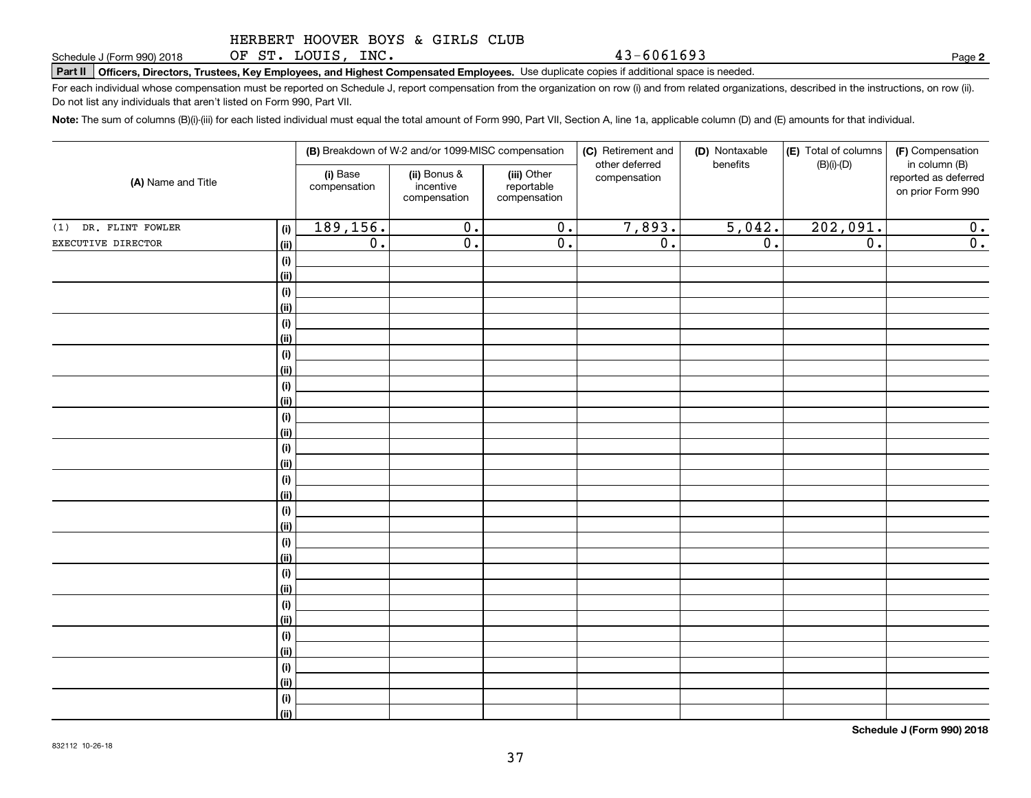OF ST. LOUIS, INC.

**Part II Officers, Directors, Trustees, Key Employees, and Highest Compensated Employees.**  Schedule J (Form 990) 2018 Page Use duplicate copies if additional space is needed.

For each individual whose compensation must be reported on Schedule J, report compensation from the organization on row (i) and from related organizations, described in the instructions, on row (ii). Do not list any individuals that aren't listed on Form 990, Part VII.

**Note:**  The sum of columns (B)(i)-(iii) for each listed individual must equal the total amount of Form 990, Part VII, Section A, line 1a, applicable column (D) and (E) amounts for that individual.

|                      |             |                          | (B) Breakdown of W-2 and/or 1099-MISC compensation |                                           | (C) Retirement and             | (D) Nontaxable<br>benefits | (E) Total of columns | (F) Compensation                                           |
|----------------------|-------------|--------------------------|----------------------------------------------------|-------------------------------------------|--------------------------------|----------------------------|----------------------|------------------------------------------------------------|
| (A) Name and Title   |             | (i) Base<br>compensation | (ii) Bonus &<br>incentive<br>compensation          | (iii) Other<br>reportable<br>compensation | other deferred<br>compensation |                            | $(B)(i)-(D)$         | in column (B)<br>reported as deferred<br>on prior Form 990 |
| (1) DR. FLINT FOWLER | (i)         | 189,156.                 | $\overline{0}$ .                                   | $\overline{\mathbf{0}}$ .                 | 7,893.                         | 5,042.                     | 202,091.             | 0.                                                         |
| EXECUTIVE DIRECTOR   | (ii)        | $\overline{0}$ .         | $\overline{0}$ .                                   | $\overline{0}$ .                          | $\overline{0}$ .               | $\overline{0}$ .           | $\overline{0}$ .     | $\overline{0}$ .                                           |
|                      | (i)         |                          |                                                    |                                           |                                |                            |                      |                                                            |
|                      | (ii)        |                          |                                                    |                                           |                                |                            |                      |                                                            |
|                      | (i)         |                          |                                                    |                                           |                                |                            |                      |                                                            |
|                      | (ii)        |                          |                                                    |                                           |                                |                            |                      |                                                            |
|                      | (i)         |                          |                                                    |                                           |                                |                            |                      |                                                            |
|                      | (ii)        |                          |                                                    |                                           |                                |                            |                      |                                                            |
|                      | $(\sf{i})$  |                          |                                                    |                                           |                                |                            |                      |                                                            |
|                      | (ii)        |                          |                                                    |                                           |                                |                            |                      |                                                            |
|                      | (i)         |                          |                                                    |                                           |                                |                            |                      |                                                            |
|                      | (ii)        |                          |                                                    |                                           |                                |                            |                      |                                                            |
|                      | (i)         |                          |                                                    |                                           |                                |                            |                      |                                                            |
|                      | (ii)        |                          |                                                    |                                           |                                |                            |                      |                                                            |
|                      | (i)<br>(ii) |                          |                                                    |                                           |                                |                            |                      |                                                            |
|                      | (i)         |                          |                                                    |                                           |                                |                            |                      |                                                            |
|                      | (ii)        |                          |                                                    |                                           |                                |                            |                      |                                                            |
|                      | (i)         |                          |                                                    |                                           |                                |                            |                      |                                                            |
|                      | (ii)        |                          |                                                    |                                           |                                |                            |                      |                                                            |
|                      | (i)         |                          |                                                    |                                           |                                |                            |                      |                                                            |
|                      | (ii)        |                          |                                                    |                                           |                                |                            |                      |                                                            |
|                      | (i)         |                          |                                                    |                                           |                                |                            |                      |                                                            |
|                      | (ii)        |                          |                                                    |                                           |                                |                            |                      |                                                            |
|                      | (i)         |                          |                                                    |                                           |                                |                            |                      |                                                            |
|                      | (ii)        |                          |                                                    |                                           |                                |                            |                      |                                                            |
|                      | (i)         |                          |                                                    |                                           |                                |                            |                      |                                                            |
|                      | (ii)        |                          |                                                    |                                           |                                |                            |                      |                                                            |
|                      | (i)         |                          |                                                    |                                           |                                |                            |                      |                                                            |
|                      | (ii)        |                          |                                                    |                                           |                                |                            |                      |                                                            |
|                      | (i)         |                          |                                                    |                                           |                                |                            |                      |                                                            |
|                      | (ii)        |                          |                                                    |                                           |                                |                            |                      |                                                            |

**Schedule J (Form 990) 2018**

**2**

43-6061693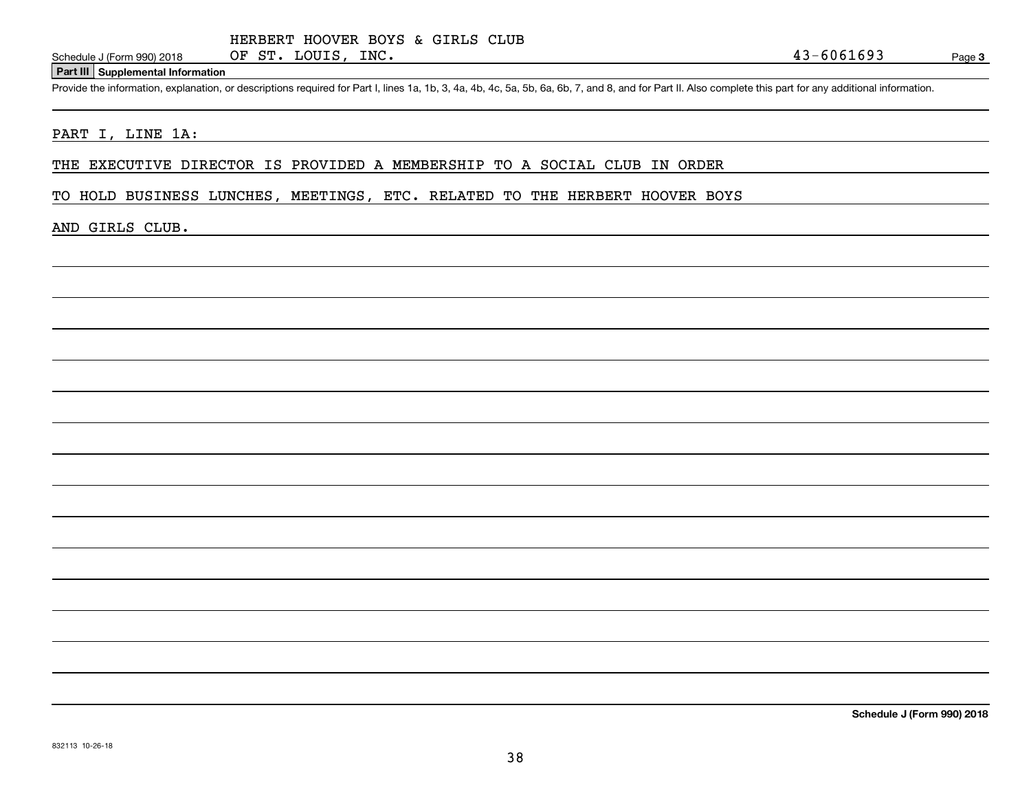### **Part III Supplemental Information**

Schedule J (Form 990) 2018 OF ST. LOUIS, INC.<br>Part III Supplemental Information<br>Provide the information, explanation, or descriptions required for Part I, lines 1a, 1b, 3, 4a, 4b, 4c, 5a, 5b, 6a, 6b, 7, and 8, and for Part

### PART I, LINE 1A:

THE EXECUTIVE DIRECTOR IS PROVIDED A MEMBERSHIP TO A SOCIAL CLUB IN ORDER

TO HOLD BUSINESS LUNCHES, MEETINGS, ETC. RELATED TO THE HERBERT HOOVER BOYS

### AND GIRLS CLUB.

**Schedule J (Form 990) 2018**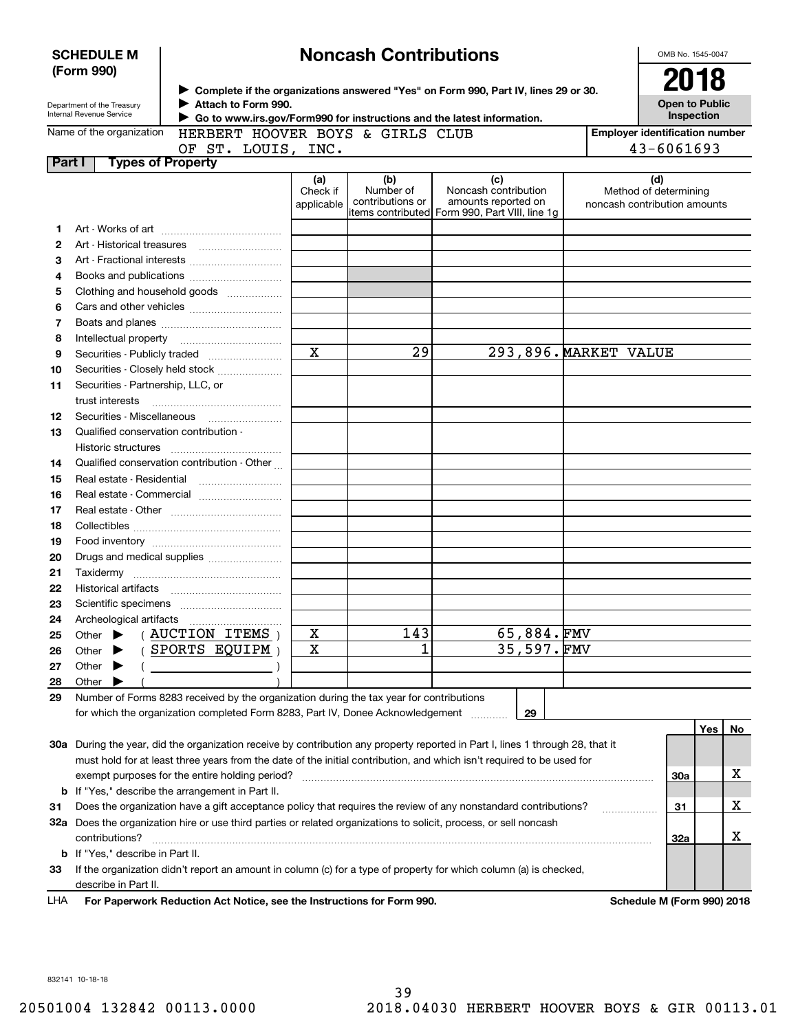| <b>Noncash Contributions</b><br><b>SCHEDULE M</b><br>(Form 990) |                                                        |                                                                                               |                               |                                      |                                                                                                                                |                       | OMB No. 1545-0047<br>2018                                    |     |    |
|-----------------------------------------------------------------|--------------------------------------------------------|-----------------------------------------------------------------------------------------------|-------------------------------|--------------------------------------|--------------------------------------------------------------------------------------------------------------------------------|-----------------------|--------------------------------------------------------------|-----|----|
|                                                                 | Department of the Treasury<br>Internal Revenue Service | Attach to Form 990.<br>Go to www.irs.gov/Form990 for instructions and the latest information. |                               |                                      | ► Complete if the organizations answered "Yes" on Form 990, Part IV, lines 29 or 30.                                           |                       | <b>Open to Public</b><br>Inspection                          |     |    |
|                                                                 | Name of the organization                               | HERBERT HOOVER BOYS & GIRLS CLUB                                                              |                               |                                      |                                                                                                                                |                       | <b>Employer identification number</b>                        |     |    |
|                                                                 |                                                        | OF ST. LOUIS, INC.                                                                            |                               |                                      |                                                                                                                                |                       | 43-6061693                                                   |     |    |
| Part I                                                          | <b>Types of Property</b>                               |                                                                                               |                               |                                      |                                                                                                                                |                       |                                                              |     |    |
|                                                                 |                                                        |                                                                                               | (a)<br>Check if<br>applicable | (b)<br>Number of<br>contributions or | (c)<br>Noncash contribution<br>amounts reported on<br>items contributed  Form 990, Part VIII, line 1g                          |                       | (d)<br>Method of determining<br>noncash contribution amounts |     |    |
| 1                                                               |                                                        |                                                                                               |                               |                                      |                                                                                                                                |                       |                                                              |     |    |
| 2                                                               |                                                        | Art - Historical treasures                                                                    |                               |                                      |                                                                                                                                |                       |                                                              |     |    |
| з                                                               |                                                        | Art - Fractional interests                                                                    |                               |                                      |                                                                                                                                |                       |                                                              |     |    |
| 4                                                               |                                                        |                                                                                               |                               |                                      |                                                                                                                                |                       |                                                              |     |    |
| 5                                                               |                                                        | Clothing and household goods                                                                  |                               |                                      |                                                                                                                                |                       |                                                              |     |    |
| 6                                                               |                                                        |                                                                                               |                               |                                      |                                                                                                                                |                       |                                                              |     |    |
| 7                                                               |                                                        |                                                                                               |                               |                                      |                                                                                                                                |                       |                                                              |     |    |
| 8                                                               |                                                        |                                                                                               |                               |                                      |                                                                                                                                |                       |                                                              |     |    |
| 9                                                               |                                                        |                                                                                               | $\mathbf X$                   | 29                                   |                                                                                                                                | 293,896. MARKET VALUE |                                                              |     |    |
| 10                                                              |                                                        | Securities - Closely held stock                                                               |                               |                                      |                                                                                                                                |                       |                                                              |     |    |
| 11                                                              | Securities - Partnership, LLC, or                      |                                                                                               |                               |                                      |                                                                                                                                |                       |                                                              |     |    |
|                                                                 | trust interests                                        |                                                                                               |                               |                                      |                                                                                                                                |                       |                                                              |     |    |
| 12                                                              |                                                        |                                                                                               |                               |                                      |                                                                                                                                |                       |                                                              |     |    |
| 13                                                              | Qualified conservation contribution -                  |                                                                                               |                               |                                      |                                                                                                                                |                       |                                                              |     |    |
|                                                                 | Historic structures                                    |                                                                                               |                               |                                      |                                                                                                                                |                       |                                                              |     |    |
| 14                                                              |                                                        | Qualified conservation contribution - Other                                                   |                               |                                      |                                                                                                                                |                       |                                                              |     |    |
| 15                                                              |                                                        |                                                                                               |                               |                                      |                                                                                                                                |                       |                                                              |     |    |
| 16                                                              |                                                        | Real estate - Commercial                                                                      |                               |                                      |                                                                                                                                |                       |                                                              |     |    |
| 17                                                              |                                                        |                                                                                               |                               |                                      |                                                                                                                                |                       |                                                              |     |    |
| 18                                                              |                                                        |                                                                                               |                               |                                      |                                                                                                                                |                       |                                                              |     |    |
| 19                                                              |                                                        |                                                                                               |                               |                                      |                                                                                                                                |                       |                                                              |     |    |
| 20                                                              |                                                        |                                                                                               |                               |                                      |                                                                                                                                |                       |                                                              |     |    |
| 21                                                              |                                                        |                                                                                               |                               |                                      |                                                                                                                                |                       |                                                              |     |    |
| 22                                                              |                                                        |                                                                                               |                               |                                      |                                                                                                                                |                       |                                                              |     |    |
| 23                                                              |                                                        |                                                                                               |                               |                                      |                                                                                                                                |                       |                                                              |     |    |
| 24                                                              | Archeological artifacts                                |                                                                                               |                               |                                      |                                                                                                                                |                       |                                                              |     |    |
| 25                                                              | Other                                                  | AUCTION ITEMS                                                                                 | X                             | 143                                  | 65,884.FMV                                                                                                                     |                       |                                                              |     |    |
| 26                                                              | Other                                                  | SPORTS EQUIPM                                                                                 | $\mathbf X$                   | 1                                    | 35,597.FMV                                                                                                                     |                       |                                                              |     |    |
| 27                                                              | Other                                                  |                                                                                               |                               |                                      |                                                                                                                                |                       |                                                              |     |    |
| 28                                                              | Other                                                  |                                                                                               |                               |                                      |                                                                                                                                |                       |                                                              |     |    |
| 29                                                              |                                                        | Number of Forms 8283 received by the organization during the tax year for contributions       |                               |                                      |                                                                                                                                |                       |                                                              |     |    |
|                                                                 |                                                        | for which the organization completed Form 8283, Part IV, Donee Acknowledgement                |                               |                                      | 29                                                                                                                             |                       |                                                              |     |    |
|                                                                 |                                                        |                                                                                               |                               |                                      |                                                                                                                                |                       |                                                              | Yes | No |
|                                                                 |                                                        |                                                                                               |                               |                                      | 30a During the year, did the organization receive by contribution any property reported in Part I, lines 1 through 28, that it |                       |                                                              |     |    |
|                                                                 |                                                        |                                                                                               |                               |                                      | must hold for at least three years from the date of the initial contribution, and which isn't required to be used for          |                       |                                                              |     |    |
|                                                                 |                                                        | exempt purposes for the entire holding period?                                                |                               |                                      |                                                                                                                                |                       | 30a                                                          |     | х  |
|                                                                 |                                                        | <b>b</b> If "Yes," describe the arrangement in Part II.                                       |                               |                                      |                                                                                                                                |                       |                                                              |     |    |
| 31                                                              |                                                        |                                                                                               |                               |                                      | Does the organization have a gift acceptance policy that requires the review of any nonstandard contributions?                 |                       | 31                                                           |     | х  |
|                                                                 | contributions?                                         |                                                                                               |                               |                                      | 32a Does the organization hire or use third parties or related organizations to solicit, process, or sell noncash              |                       | 32a                                                          |     | х  |
|                                                                 | <b>b</b> If "Yes," describe in Part II.                |                                                                                               |                               |                                      |                                                                                                                                |                       |                                                              |     |    |
| 33                                                              |                                                        |                                                                                               |                               |                                      | If the organization didn't report an amount in column (c) for a type of property for which column (a) is checked,              |                       |                                                              |     |    |
|                                                                 | describe in Part II.                                   |                                                                                               |                               |                                      |                                                                                                                                |                       |                                                              |     |    |
| LHA                                                             |                                                        | For Paperwork Reduction Act Notice, see the Instructions for Form 990.                        |                               |                                      |                                                                                                                                |                       | Schedule M (Form 990) 2018                                   |     |    |
|                                                                 |                                                        |                                                                                               |                               |                                      |                                                                                                                                |                       |                                                              |     |    |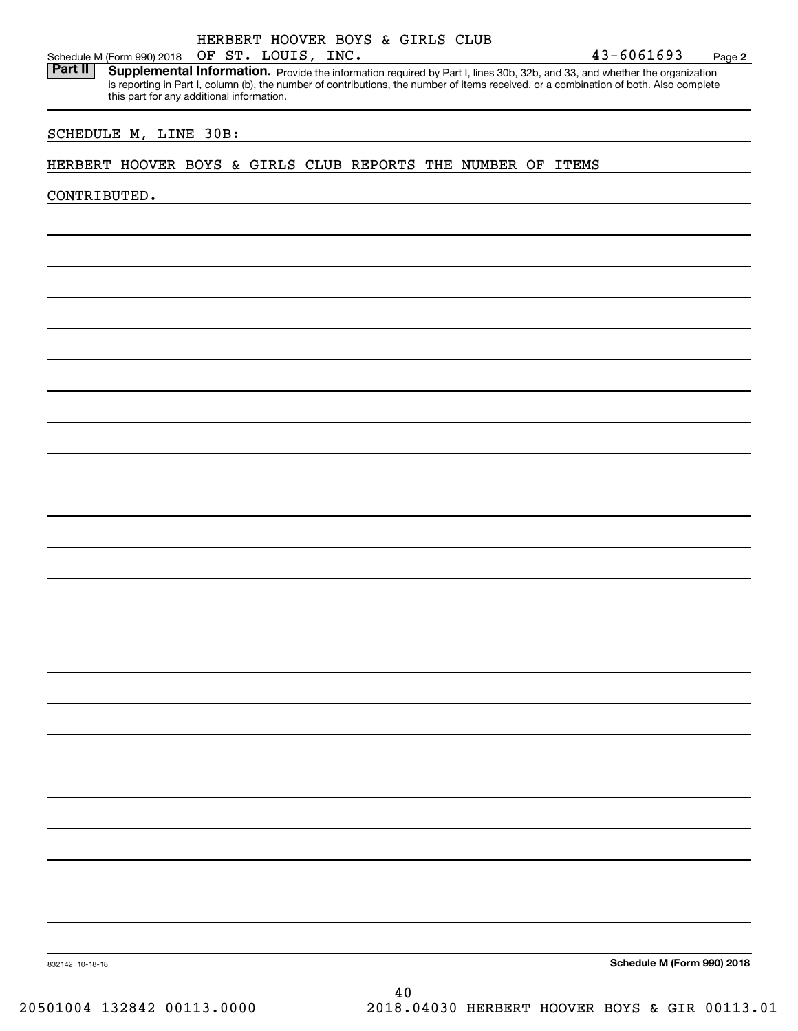|  | HERBERT HOOVER BOYS & GIRLS CLUB |  |  |
|--|----------------------------------|--|--|
|  | OF CH IOUTC TNO                  |  |  |

Schedule M (Form 990) 2018 OF ST. LOUIS, INC.<br>**Part II** Supplemental Information. Provide the inform Part II | Supplemental Information. Provide the information required by Part I, lines 30b, 32b, and 33, and whether the organization is reporting in Part I, column (b), the number of contributions, the number of items received, or a combination of both. Also complete this part for any additional information.

## SCHEDULE M, LINE 30B:

## HERBERT HOOVER BOYS & GIRLS CLUB REPORTS THE NUMBER OF ITEMS

CONTRIBUTED.

**Schedule M (Form 990) 2018**

832142 10-18-18

40 20501004 132842 00113.0000 2018.04030 HERBERT HOOVER BOYS & GIR 00113.01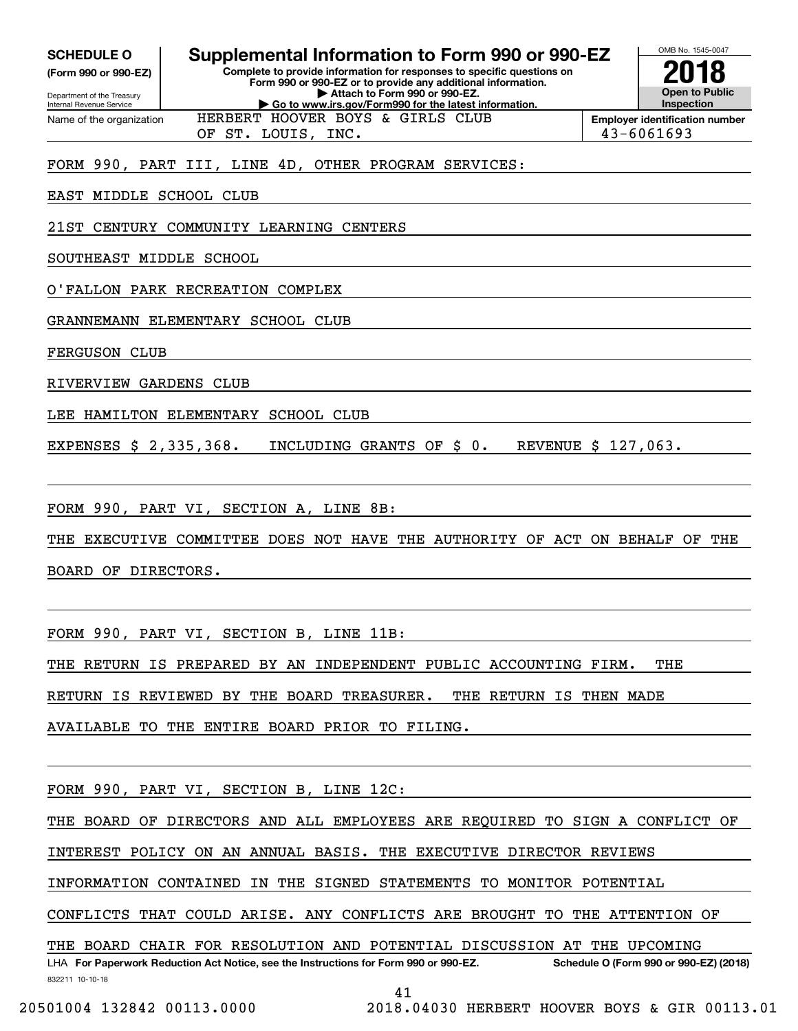| <b>SCHEDULE O</b> |  |
|-------------------|--|
|-------------------|--|

**(Form 990 or 990-EZ)**

Department of the Treasury Internal Revenue Service Name of the organization

# **Supplemental Information to Form 990 or 990-EZ**

**Complete to provide information for responses to specific questions on Form 990 or 990-EZ or to provide any additional information. | Attach to Form 990 or 990-EZ. | Go to www.irs.gov/Form990 for the latest information.**

HERBERT HOOVER BOYS & GIRLS CLUB



OF ST. LOUIS, INC. 43-6061693

FORM 990, PART III, LINE 4D, OTHER PROGRAM SERVICES:

EAST MIDDLE SCHOOL CLUB

21ST CENTURY COMMUNITY LEARNING CENTERS

SOUTHEAST MIDDLE SCHOOL

O'FALLON PARK RECREATION COMPLEX

GRANNEMANN ELEMENTARY SCHOOL CLUB

FERGUSON CLUB

RIVERVIEW GARDENS CLUB

LEE HAMILTON ELEMENTARY SCHOOL CLUB

EXPENSES \$ 2,335,368. INCLUDING GRANTS OF \$ 0. REVENUE \$ 127,063.

FORM 990, PART VI, SECTION A, LINE 8B:

THE EXECUTIVE COMMITTEE DOES NOT HAVE THE AUTHORITY OF ACT ON BEHALF OF THE

BOARD OF DIRECTORS.

FORM 990, PART VI, SECTION B, LINE 11B:

THE RETURN IS PREPARED BY AN INDEPENDENT PUBLIC ACCOUNTING FIRM. THE

RETURN IS REVIEWED BY THE BOARD TREASURER. THE RETURN IS THEN MADE

AVAILABLE TO THE ENTIRE BOARD PRIOR TO FILING.

FORM 990, PART VI, SECTION B, LINE 12C:

THE BOARD OF DIRECTORS AND ALL EMPLOYEES ARE REQUIRED TO SIGN A CONFLICT OF

INTEREST POLICY ON AN ANNUAL BASIS. THE EXECUTIVE DIRECTOR REVIEWS

INFORMATION CONTAINED IN THE SIGNED STATEMENTS TO MONITOR POTENTIAL

CONFLICTS THAT COULD ARISE. ANY CONFLICTS ARE BROUGHT TO THE ATTENTION OF

THE BOARD CHAIR FOR RESOLUTION AND POTENTIAL DISCUSSION AT THE UPCOMING

832211 10-10-18 LHA For Paperwork Reduction Act Notice, see the Instructions for Form 990 or 990-EZ. Schedule O (Form 990 or 990-EZ) (2018)

41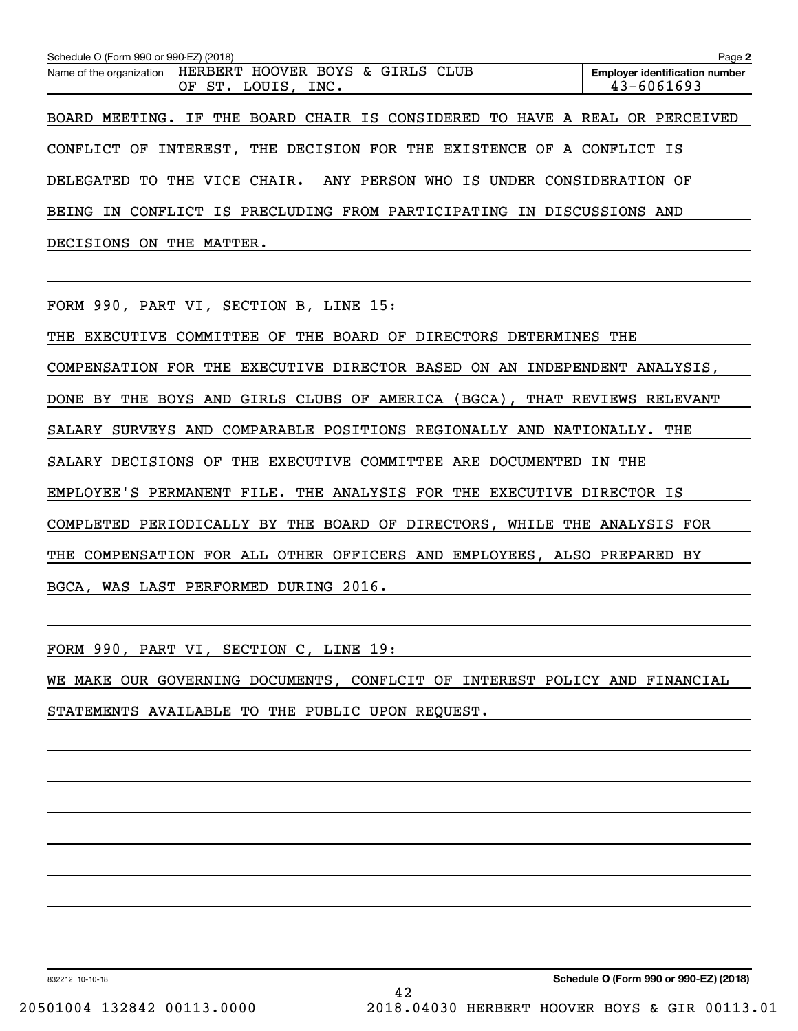| Schedule O (Form 990 or 990-EZ) (2018)                                          | Page 2                                                  |
|---------------------------------------------------------------------------------|---------------------------------------------------------|
| Name of the organization HERBERT HOOVER BOYS & GIRLS CLUB<br>OF ST. LOUIS, INC. | <b>Employer identification number</b><br>$43 - 6061693$ |
| BOARD MEETING. IF THE BOARD CHAIR IS CONSIDERED TO HAVE A REAL OR PERCEIVED     |                                                         |
| CONFLICT OF INTEREST, THE DECISION FOR THE EXISTENCE OF A CONFLICT IS           |                                                         |
| DELEGATED TO THE VICE CHAIR. ANY PERSON WHO IS UNDER CONSIDERATION OF           |                                                         |
| BEING IN CONFLICT IS PRECLUDING FROM PARTICIPATING IN DISCUSSIONS AND           |                                                         |
| DECISIONS ON THE MATTER.                                                        |                                                         |

FORM 990, PART VI, SECTION B, LINE 15:

THE EXECUTIVE COMMITTEE OF THE BOARD OF DIRECTORS DETERMINES THE COMPENSATION FOR THE EXECUTIVE DIRECTOR BASED ON AN INDEPENDENT ANALYSIS, DONE BY THE BOYS AND GIRLS CLUBS OF AMERICA (BGCA), THAT REVIEWS RELEVANT SALARY SURVEYS AND COMPARABLE POSITIONS REGIONALLY AND NATIONALLY. THE SALARY DECISIONS OF THE EXECUTIVE COMMITTEE ARE DOCUMENTED IN THE EMPLOYEE'S PERMANENT FILE. THE ANALYSIS FOR THE EXECUTIVE DIRECTOR IS COMPLETED PERIODICALLY BY THE BOARD OF DIRECTORS, WHILE THE ANALYSIS FOR THE COMPENSATION FOR ALL OTHER OFFICERS AND EMPLOYEES, ALSO PREPARED BY BGCA, WAS LAST PERFORMED DURING 2016.

FORM 990, PART VI, SECTION C, LINE 19:

WE MAKE OUR GOVERNING DOCUMENTS, CONFLCIT OF INTEREST POLICY AND FINANCIAL STATEMENTS AVAILABLE TO THE PUBLIC UPON REQUEST.

832212 10-10-18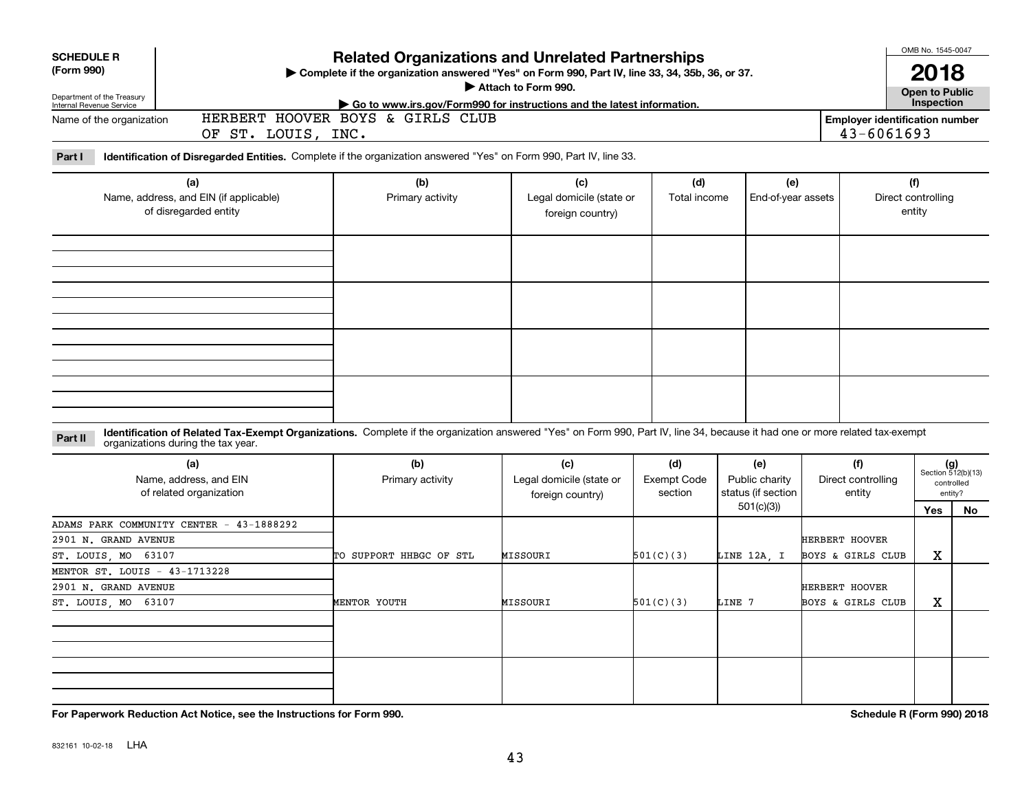| <b>SCHEDULE R</b>                                                                                                            |                                                                                                                                                                                                                    | <b>Related Organizations and Unrelated Partnerships</b>                                                    |                          |                    |                                 |                              | OMB No. 1545-0047            |                             |  |  |  |
|------------------------------------------------------------------------------------------------------------------------------|--------------------------------------------------------------------------------------------------------------------------------------------------------------------------------------------------------------------|------------------------------------------------------------------------------------------------------------|--------------------------|--------------------|---------------------------------|------------------------------|------------------------------|-----------------------------|--|--|--|
| (Form 990)                                                                                                                   |                                                                                                                                                                                                                    | Complete if the organization answered "Yes" on Form 990, Part IV, line 33, 34, 35b, 36, or 37.             |                          |                    |                                 |                              |                              |                             |  |  |  |
|                                                                                                                              |                                                                                                                                                                                                                    |                                                                                                            | Attach to Form 990.      |                    |                                 |                              | <b>Open to Public</b>        |                             |  |  |  |
| Department of the Treasury<br>Internal Revenue Service                                                                       |                                                                                                                                                                                                                    | Go to www.irs.gov/Form990 for instructions and the latest information.<br>HERBERT HOOVER BOYS & GIRLS CLUB |                          |                    |                                 |                              | Inspection                   |                             |  |  |  |
| Name of the organization                                                                                                     | <b>Employer identification number</b><br>43-6061693                                                                                                                                                                |                                                                                                            |                          |                    |                                 |                              |                              |                             |  |  |  |
| Identification of Disregarded Entities. Complete if the organization answered "Yes" on Form 990, Part IV, line 33.<br>Part I |                                                                                                                                                                                                                    |                                                                                                            |                          |                    |                                 |                              |                              |                             |  |  |  |
|                                                                                                                              | (a)                                                                                                                                                                                                                | (b)                                                                                                        | (c)                      | (d)                | (e)                             |                              | (f)                          |                             |  |  |  |
| Name, address, and EIN (if applicable)<br>of disregarded entity                                                              |                                                                                                                                                                                                                    | Primary activity<br>Legal domicile (state or<br>foreign country)                                           |                          | Total income       | End-of-year assets              |                              | Direct controlling<br>entity |                             |  |  |  |
|                                                                                                                              |                                                                                                                                                                                                                    |                                                                                                            |                          |                    |                                 |                              |                              |                             |  |  |  |
|                                                                                                                              |                                                                                                                                                                                                                    |                                                                                                            |                          |                    |                                 |                              |                              |                             |  |  |  |
|                                                                                                                              |                                                                                                                                                                                                                    |                                                                                                            |                          |                    |                                 |                              |                              |                             |  |  |  |
|                                                                                                                              |                                                                                                                                                                                                                    |                                                                                                            |                          |                    |                                 |                              |                              |                             |  |  |  |
|                                                                                                                              |                                                                                                                                                                                                                    |                                                                                                            |                          |                    |                                 |                              |                              |                             |  |  |  |
| Part II                                                                                                                      | Identification of Related Tax-Exempt Organizations. Complete if the organization answered "Yes" on Form 990, Part IV, line 34, because it had one or more related tax-exempt<br>organizations during the tax year. |                                                                                                            |                          |                    |                                 |                              |                              |                             |  |  |  |
|                                                                                                                              | (a)                                                                                                                                                                                                                | (b)                                                                                                        | (c)                      | (d)                | (e)                             | (f)                          |                              | $(g)$<br>Section 512(b)(13) |  |  |  |
|                                                                                                                              | Name, address, and EIN                                                                                                                                                                                             | Primary activity                                                                                           | Legal domicile (state or | <b>Exempt Code</b> | Public charity                  | Direct controlling           |                              | controlled                  |  |  |  |
|                                                                                                                              | of related organization                                                                                                                                                                                            |                                                                                                            | foreign country)         | section            | status (if section<br>501(c)(3) | entity                       |                              | entity?                     |  |  |  |
|                                                                                                                              | ADAMS PARK COMMUNITY CENTER - 43-1888292                                                                                                                                                                           |                                                                                                            |                          |                    |                                 |                              | Yes                          | No                          |  |  |  |
| 2901 N. GRAND AVENUE                                                                                                         |                                                                                                                                                                                                                    |                                                                                                            |                          |                    |                                 | <b>HERBERT HOOVER</b>        |                              |                             |  |  |  |
| ST. LOUIS, MO 63107                                                                                                          |                                                                                                                                                                                                                    | TO SUPPORT HHBGC OF STL                                                                                    | MISSOURI                 | 501(C)(3)          | LINE 12A, I                     | BOYS & GIRLS CLUB            | X                            |                             |  |  |  |
| MENTOR ST. LOUIS - 43-1713228                                                                                                |                                                                                                                                                                                                                    |                                                                                                            |                          |                    |                                 |                              |                              |                             |  |  |  |
| 2901 N. GRAND AVENUE                                                                                                         |                                                                                                                                                                                                                    |                                                                                                            |                          |                    |                                 | <b>HERBERT HOOVER</b>        |                              |                             |  |  |  |
| ST. LOUIS, MO 63107                                                                                                          |                                                                                                                                                                                                                    | MENTOR YOUTH                                                                                               | MISSOURI                 | 501(C)(3)          | LINE 7                          | <b>BOYS &amp; GIRLS CLUB</b> | X                            |                             |  |  |  |
|                                                                                                                              |                                                                                                                                                                                                                    |                                                                                                            |                          |                    |                                 |                              |                              |                             |  |  |  |
|                                                                                                                              |                                                                                                                                                                                                                    |                                                                                                            |                          |                    |                                 |                              |                              |                             |  |  |  |
|                                                                                                                              |                                                                                                                                                                                                                    |                                                                                                            |                          |                    |                                 |                              |                              |                             |  |  |  |
|                                                                                                                              |                                                                                                                                                                                                                    |                                                                                                            |                          |                    |                                 |                              |                              |                             |  |  |  |
|                                                                                                                              |                                                                                                                                                                                                                    |                                                                                                            |                          |                    |                                 |                              |                              |                             |  |  |  |

**For Paperwork Reduction Act Notice, see the Instructions for Form 990. Schedule R (Form 990) 2018**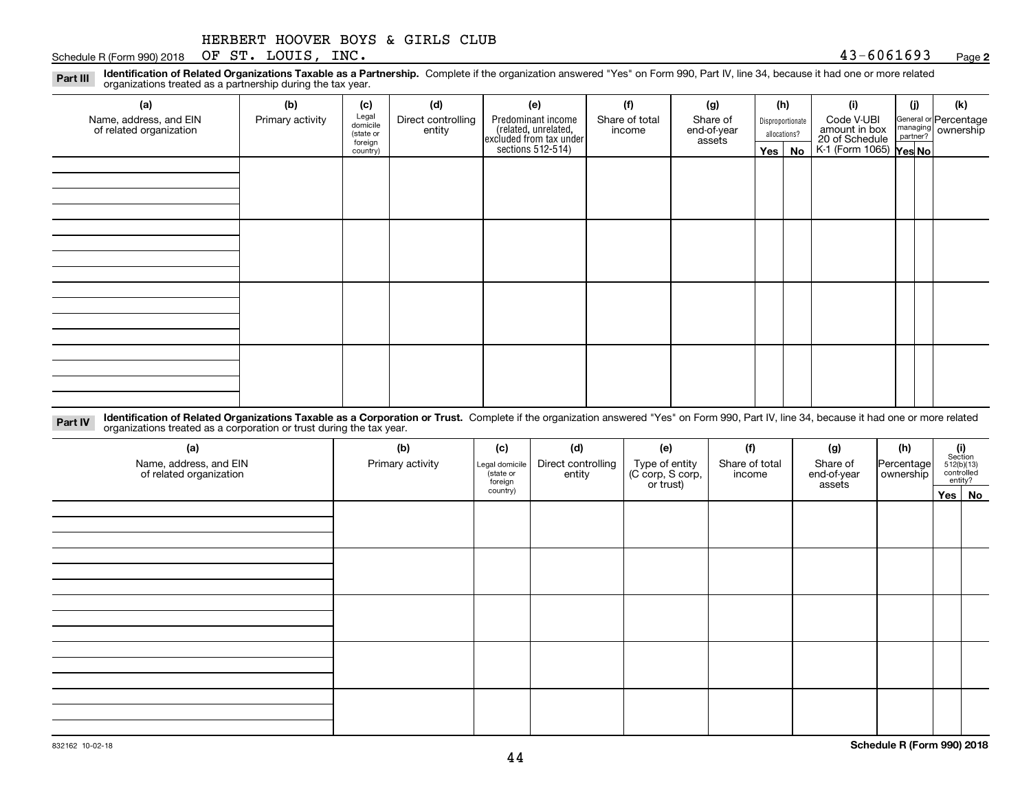|  | HERBERT HOOVER BOYS & GIRLS CLUB |  |  |  |  |  |
|--|----------------------------------|--|--|--|--|--|
|--|----------------------------------|--|--|--|--|--|

Schedule R (Form 990) 2018 Page OF ST. LOUIS, INC. 43-6061693

**Identification of Related Organizations Taxable as a Partnership.** Complete if the organization answered "Yes" on Form 990, Part IV, line 34, because it had one or more related **Part III** organizations treated as a partnership during the tax year.

| ◡                                                 | ັ                | $\overline{\phantom{a}}$       |                              |                                                                     |                          |                         |         |                                  |                                                                         |     |                                                         |
|---------------------------------------------------|------------------|--------------------------------|------------------------------|---------------------------------------------------------------------|--------------------------|-------------------------|---------|----------------------------------|-------------------------------------------------------------------------|-----|---------------------------------------------------------|
| (a)                                               | (b)              | (c)                            | (d)                          | (e)                                                                 | (f)                      | (g)                     |         | (h)                              | (i)                                                                     | (i) | (k)                                                     |
| Name, address, and EIN<br>of related organization | Primary activity | Legal<br>domicile<br>(state or | Direct controlling<br>entity | Predominant income                                                  | Share of total<br>income | Share of<br>end-of-year |         | Disproportionate<br>allocations? | Code V-UBI<br>amount in box<br>20 of Schedule<br>K-1 (Form 1065) Yes No |     | General or Percentage<br>managing ownership<br>partner? |
|                                                   |                  | foreign<br>country)            |                              | related, unrelated,<br>excluded from tax under<br>sections 512-514) |                          | assets                  | Yes $ $ | No                               |                                                                         |     |                                                         |
|                                                   |                  |                                |                              |                                                                     |                          |                         |         |                                  |                                                                         |     |                                                         |
|                                                   |                  |                                |                              |                                                                     |                          |                         |         |                                  |                                                                         |     |                                                         |
|                                                   |                  |                                |                              |                                                                     |                          |                         |         |                                  |                                                                         |     |                                                         |
|                                                   |                  |                                |                              |                                                                     |                          |                         |         |                                  |                                                                         |     |                                                         |
|                                                   |                  |                                |                              |                                                                     |                          |                         |         |                                  |                                                                         |     |                                                         |
|                                                   |                  |                                |                              |                                                                     |                          |                         |         |                                  |                                                                         |     |                                                         |
|                                                   |                  |                                |                              |                                                                     |                          |                         |         |                                  |                                                                         |     |                                                         |
|                                                   |                  |                                |                              |                                                                     |                          |                         |         |                                  |                                                                         |     |                                                         |
|                                                   |                  |                                |                              |                                                                     |                          |                         |         |                                  |                                                                         |     |                                                         |
|                                                   |                  |                                |                              |                                                                     |                          |                         |         |                                  |                                                                         |     |                                                         |
|                                                   |                  |                                |                              |                                                                     |                          |                         |         |                                  |                                                                         |     |                                                         |
|                                                   |                  |                                |                              |                                                                     |                          |                         |         |                                  |                                                                         |     |                                                         |
|                                                   |                  |                                |                              |                                                                     |                          |                         |         |                                  |                                                                         |     |                                                         |
|                                                   |                  |                                |                              |                                                                     |                          |                         |         |                                  |                                                                         |     |                                                         |
|                                                   |                  |                                |                              |                                                                     |                          |                         |         |                                  |                                                                         |     |                                                         |
|                                                   |                  |                                |                              |                                                                     |                          |                         |         |                                  |                                                                         |     |                                                         |

**Identification of Related Organizations Taxable as a Corporation or Trust.** Complete if the organization answered "Yes" on Form 990, Part IV, line 34, because it had one or more related **Part IV** organizations treated as a corporation or trust during the tax year.

| (a)<br>Name, address, and EIN<br>of related organization | (b)<br>Primary activity | (c)<br>Legal domicile<br>(state or<br>foreign | (d)<br>Direct controlling<br>entity | (e)<br>Type of entity<br>(C corp, S corp,<br>or trust) | (f)<br>Share of total<br>income | (g)<br>Share of<br>end-of-year<br>assets | (h)<br> Percentage <br>ownership | $\begin{array}{c} \textbf{(i)}\\ \text{Section}\\ 512 \text{(b)} \text{(13)}\\ \text{controlled}\end{array}$<br>entity? |  |
|----------------------------------------------------------|-------------------------|-----------------------------------------------|-------------------------------------|--------------------------------------------------------|---------------------------------|------------------------------------------|----------------------------------|-------------------------------------------------------------------------------------------------------------------------|--|
|                                                          |                         | country)                                      |                                     |                                                        |                                 |                                          |                                  | Yes No                                                                                                                  |  |
|                                                          |                         |                                               |                                     |                                                        |                                 |                                          |                                  |                                                                                                                         |  |
|                                                          |                         |                                               |                                     |                                                        |                                 |                                          |                                  |                                                                                                                         |  |
|                                                          |                         |                                               |                                     |                                                        |                                 |                                          |                                  |                                                                                                                         |  |
|                                                          |                         |                                               |                                     |                                                        |                                 |                                          |                                  |                                                                                                                         |  |
|                                                          |                         |                                               |                                     |                                                        |                                 |                                          |                                  |                                                                                                                         |  |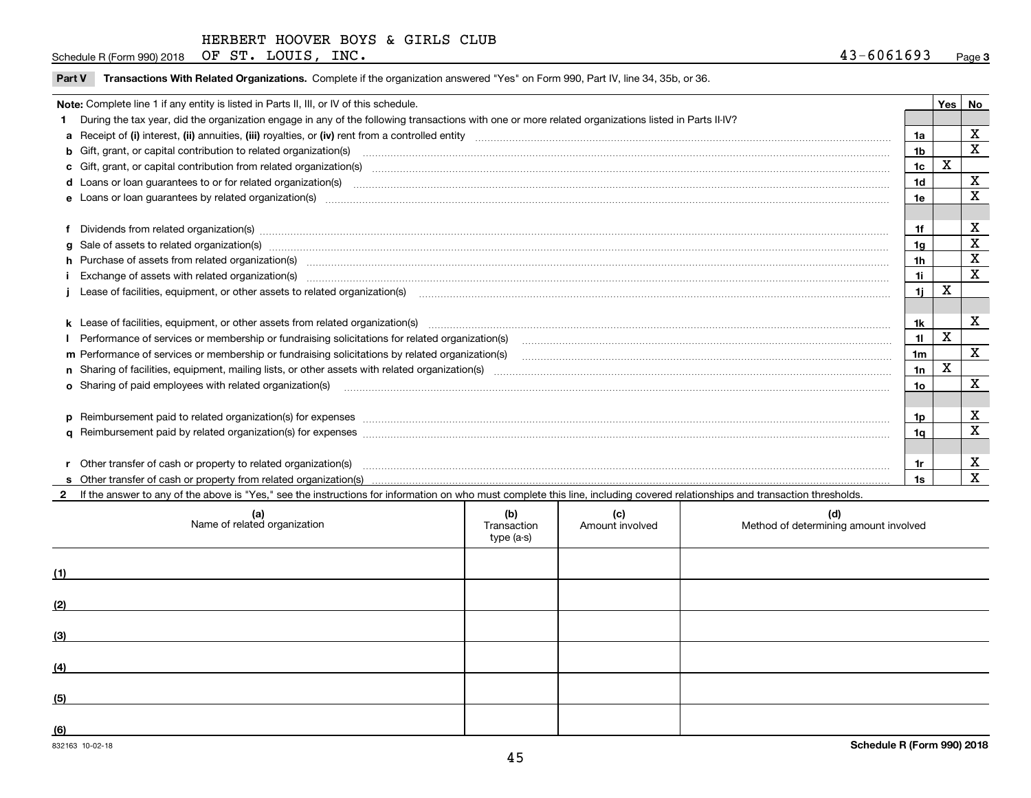Schedule R (Form 990) 2018 Page OF ST. LOUIS, INC. 43-6061693

| Note: Complete line 1 if any entity is listed in Parts II, III, or IV of this schedule.<br>During the tax year, did the organization engage in any of the following transactions with one or more related organizations listed in Parts II-IV?<br>1a<br>b Gift, grant, or capital contribution to related organization(s) manufaction contracts and contribution to related organization(s) manufaction contribution to related organization(s)<br>1b<br>1 <sub>c</sub> | $\mathbf X$ | Yes   No<br>x<br>$\mathbf X$<br>х |
|-------------------------------------------------------------------------------------------------------------------------------------------------------------------------------------------------------------------------------------------------------------------------------------------------------------------------------------------------------------------------------------------------------------------------------------------------------------------------|-------------|-----------------------------------|
|                                                                                                                                                                                                                                                                                                                                                                                                                                                                         |             |                                   |
|                                                                                                                                                                                                                                                                                                                                                                                                                                                                         |             |                                   |
|                                                                                                                                                                                                                                                                                                                                                                                                                                                                         |             |                                   |
|                                                                                                                                                                                                                                                                                                                                                                                                                                                                         |             |                                   |
|                                                                                                                                                                                                                                                                                                                                                                                                                                                                         |             |                                   |
| 1d                                                                                                                                                                                                                                                                                                                                                                                                                                                                      |             |                                   |
| 1e                                                                                                                                                                                                                                                                                                                                                                                                                                                                      |             | X                                 |
|                                                                                                                                                                                                                                                                                                                                                                                                                                                                         |             |                                   |
| 1f                                                                                                                                                                                                                                                                                                                                                                                                                                                                      |             | X                                 |
| g Sale of assets to related organization(s) www.assettion.com/www.assettion.com/www.assettion.com/www.assettion.com/www.assettion.com/www.assettion.com/www.assettion.com/www.assettion.com/www.assettion.com/www.assettion.co<br>1g                                                                                                                                                                                                                                    |             | X                                 |
| 1h                                                                                                                                                                                                                                                                                                                                                                                                                                                                      |             | X                                 |
| 1i                                                                                                                                                                                                                                                                                                                                                                                                                                                                      |             | X                                 |
| 11                                                                                                                                                                                                                                                                                                                                                                                                                                                                      | X           |                                   |
|                                                                                                                                                                                                                                                                                                                                                                                                                                                                         |             |                                   |
| k Lease of facilities, equipment, or other assets from related organization(s) manufaction content and the manufacture of facilities, equipment, or other assets from related organization(s) manufaction manufacture manufact<br>1k                                                                                                                                                                                                                                    |             | х                                 |
| 11                                                                                                                                                                                                                                                                                                                                                                                                                                                                      | X           |                                   |
| 1 <sub>m</sub><br>m Performance of services or membership or fundraising solicitations by related organization(s)                                                                                                                                                                                                                                                                                                                                                       |             | $\mathbf X$                       |
| 1n                                                                                                                                                                                                                                                                                                                                                                                                                                                                      | $\mathbf X$ |                                   |
| 10 <sub>o</sub><br><b>o</b> Sharing of paid employees with related organization(s)                                                                                                                                                                                                                                                                                                                                                                                      |             | x                                 |
|                                                                                                                                                                                                                                                                                                                                                                                                                                                                         |             |                                   |
| p Reimbursement paid to related organization(s) for expenses [11111] [12] reasonal content of the separation (s) for expenses [11111] [12] reasonal content in the separation (s) for expenses [1111] [12] reasonal content in<br>1p                                                                                                                                                                                                                                    |             | х                                 |
| 1q                                                                                                                                                                                                                                                                                                                                                                                                                                                                      |             | X                                 |
|                                                                                                                                                                                                                                                                                                                                                                                                                                                                         |             |                                   |
| r Other transfer of cash or property to related organization(s)<br>1r                                                                                                                                                                                                                                                                                                                                                                                                   |             | x                                 |
| 1s                                                                                                                                                                                                                                                                                                                                                                                                                                                                      |             | $\mathbf X$                       |

**2**If the answer to any of the above is "Yes," see the instructions for information on who must complete this line, including covered relationships and transaction thresholds.

| (a)<br>Name of related organization | (b)<br>Transaction<br>type (a-s) | (c)<br>Amount involved | (d)<br>Method of determining amount involved |
|-------------------------------------|----------------------------------|------------------------|----------------------------------------------|
| (1)                                 |                                  |                        |                                              |
| (2)                                 |                                  |                        |                                              |
| (3)                                 |                                  |                        |                                              |
| (4)                                 |                                  |                        |                                              |
| (5)                                 |                                  |                        |                                              |
| (6)                                 |                                  |                        |                                              |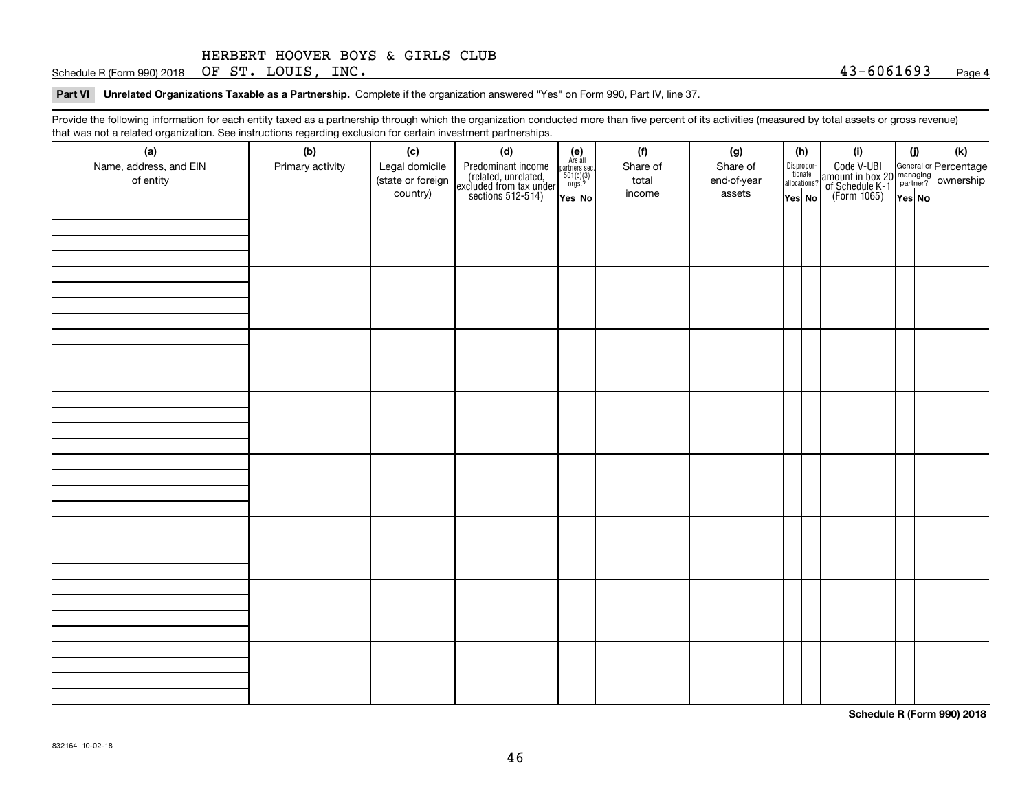Schedule R (Form 990) 2018 Page OF ST. LOUIS, INC. 43-6061693

**Part VI Unrelated Organizations Taxable as a Partnership. Complete if the organization answered "Yes" on Form 990, Part IV, line 37.** 

Provide the following information for each entity taxed as a partnership through which the organization conducted more than five percent of its activities (measured by total assets or gross revenue) that was not a related organization. See instructions regarding exclusion for certain investment partnerships.

| (a)<br>Name, address, and EIN<br>of entity | (b)<br>Primary activity | (c)<br>Legal domicile<br>(state or foreign<br>country) | (d)<br>Predominant income<br>(related, unrelated,<br>excluded from tax under<br>sections 512-514) | $\begin{array}{c} \textbf{(e)}\\ \text{Are all} \\ \text{partners sec.}\\ 501(c)(3)\\ \text{orgs.?} \end{array}$<br>Yes No | (f)<br>Share of<br>total<br>income | (g)<br>Share of<br>end-of-year<br>assets | (h)<br>Dispropor-<br>tionate<br>allocations?<br>Yes No | (i)<br>Code V-UBI<br>amount in box 20 managing<br>of Schedule K-1 partner? ownership<br>(Form 1065)<br>ves No | (i)<br>Yes No | (k) |
|--------------------------------------------|-------------------------|--------------------------------------------------------|---------------------------------------------------------------------------------------------------|----------------------------------------------------------------------------------------------------------------------------|------------------------------------|------------------------------------------|--------------------------------------------------------|---------------------------------------------------------------------------------------------------------------|---------------|-----|
|                                            |                         |                                                        |                                                                                                   |                                                                                                                            |                                    |                                          |                                                        |                                                                                                               |               |     |
|                                            |                         |                                                        |                                                                                                   |                                                                                                                            |                                    |                                          |                                                        |                                                                                                               |               |     |
|                                            |                         |                                                        |                                                                                                   |                                                                                                                            |                                    |                                          |                                                        |                                                                                                               |               |     |
|                                            |                         |                                                        |                                                                                                   |                                                                                                                            |                                    |                                          |                                                        |                                                                                                               |               |     |
|                                            |                         |                                                        |                                                                                                   |                                                                                                                            |                                    |                                          |                                                        |                                                                                                               |               |     |
|                                            |                         |                                                        |                                                                                                   |                                                                                                                            |                                    |                                          |                                                        |                                                                                                               |               |     |
|                                            |                         |                                                        |                                                                                                   |                                                                                                                            |                                    |                                          |                                                        |                                                                                                               |               |     |
|                                            |                         |                                                        |                                                                                                   |                                                                                                                            |                                    |                                          |                                                        |                                                                                                               |               |     |

**Schedule R (Form 990) 2018**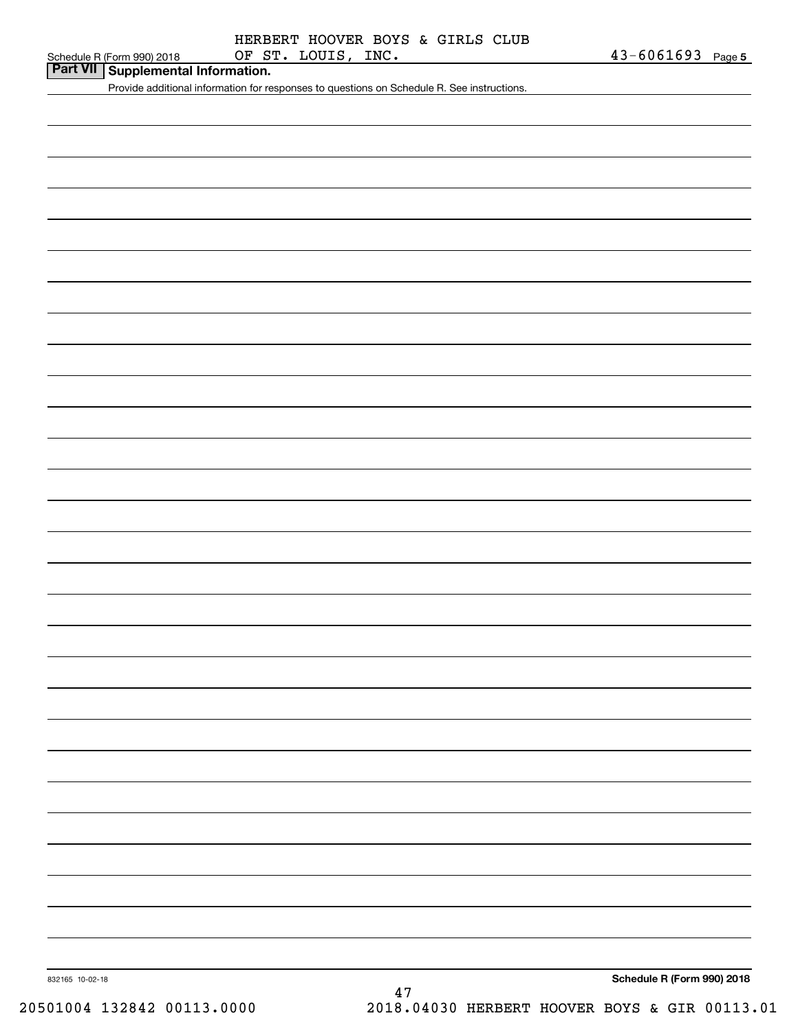## **Part VII Supplemental Information.**

Provide additional information for responses to questions on Schedule R. See instructions.

**Schedule R (Form 990) 2018**

832165 10-02-18